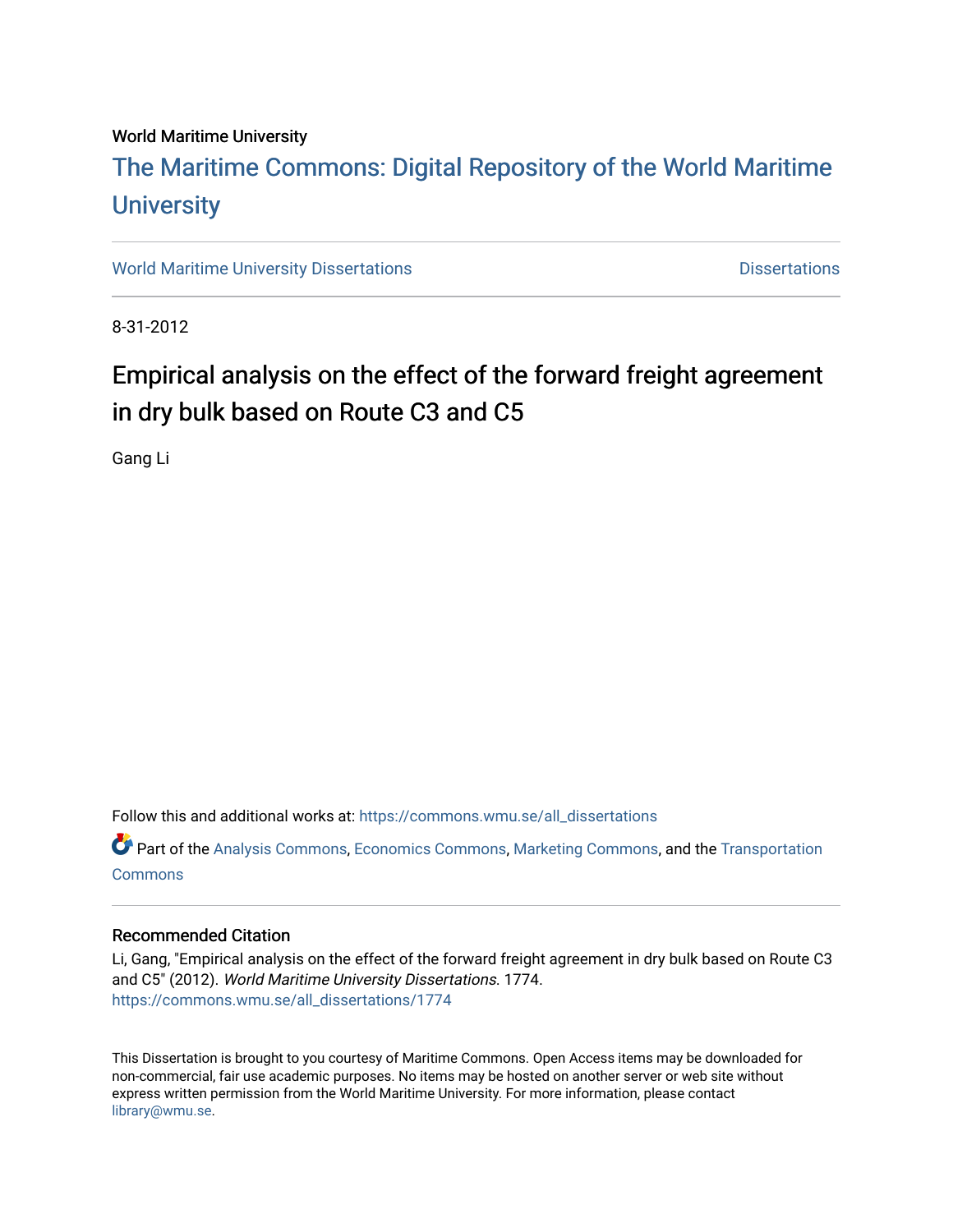#### World Maritime University

## [The Maritime Commons: Digital Repository of the World Maritime](https://commons.wmu.se/)  **University**

[World Maritime University Dissertations](https://commons.wmu.se/all_dissertations) **Distributions** [Dissertations](https://commons.wmu.se/dissertations) Dissertations

8-31-2012

## Empirical analysis on the effect of the forward freight agreement in dry bulk based on Route C3 and C5

Gang Li

Follow this and additional works at: [https://commons.wmu.se/all\\_dissertations](https://commons.wmu.se/all_dissertations?utm_source=commons.wmu.se%2Fall_dissertations%2F1774&utm_medium=PDF&utm_campaign=PDFCoverPages) 

Part of the [Analysis Commons](http://network.bepress.com/hgg/discipline/177?utm_source=commons.wmu.se%2Fall_dissertations%2F1774&utm_medium=PDF&utm_campaign=PDFCoverPages), [Economics Commons,](http://network.bepress.com/hgg/discipline/340?utm_source=commons.wmu.se%2Fall_dissertations%2F1774&utm_medium=PDF&utm_campaign=PDFCoverPages) [Marketing Commons](http://network.bepress.com/hgg/discipline/638?utm_source=commons.wmu.se%2Fall_dissertations%2F1774&utm_medium=PDF&utm_campaign=PDFCoverPages), and the [Transportation](http://network.bepress.com/hgg/discipline/1068?utm_source=commons.wmu.se%2Fall_dissertations%2F1774&utm_medium=PDF&utm_campaign=PDFCoverPages)  **[Commons](http://network.bepress.com/hgg/discipline/1068?utm_source=commons.wmu.se%2Fall_dissertations%2F1774&utm_medium=PDF&utm_campaign=PDFCoverPages)** 

#### Recommended Citation

Li, Gang, "Empirical analysis on the effect of the forward freight agreement in dry bulk based on Route C3 and C5" (2012). World Maritime University Dissertations. 1774. [https://commons.wmu.se/all\\_dissertations/1774](https://commons.wmu.se/all_dissertations/1774?utm_source=commons.wmu.se%2Fall_dissertations%2F1774&utm_medium=PDF&utm_campaign=PDFCoverPages)

This Dissertation is brought to you courtesy of Maritime Commons. Open Access items may be downloaded for non-commercial, fair use academic purposes. No items may be hosted on another server or web site without express written permission from the World Maritime University. For more information, please contact [library@wmu.se](mailto:library@wmu.edu).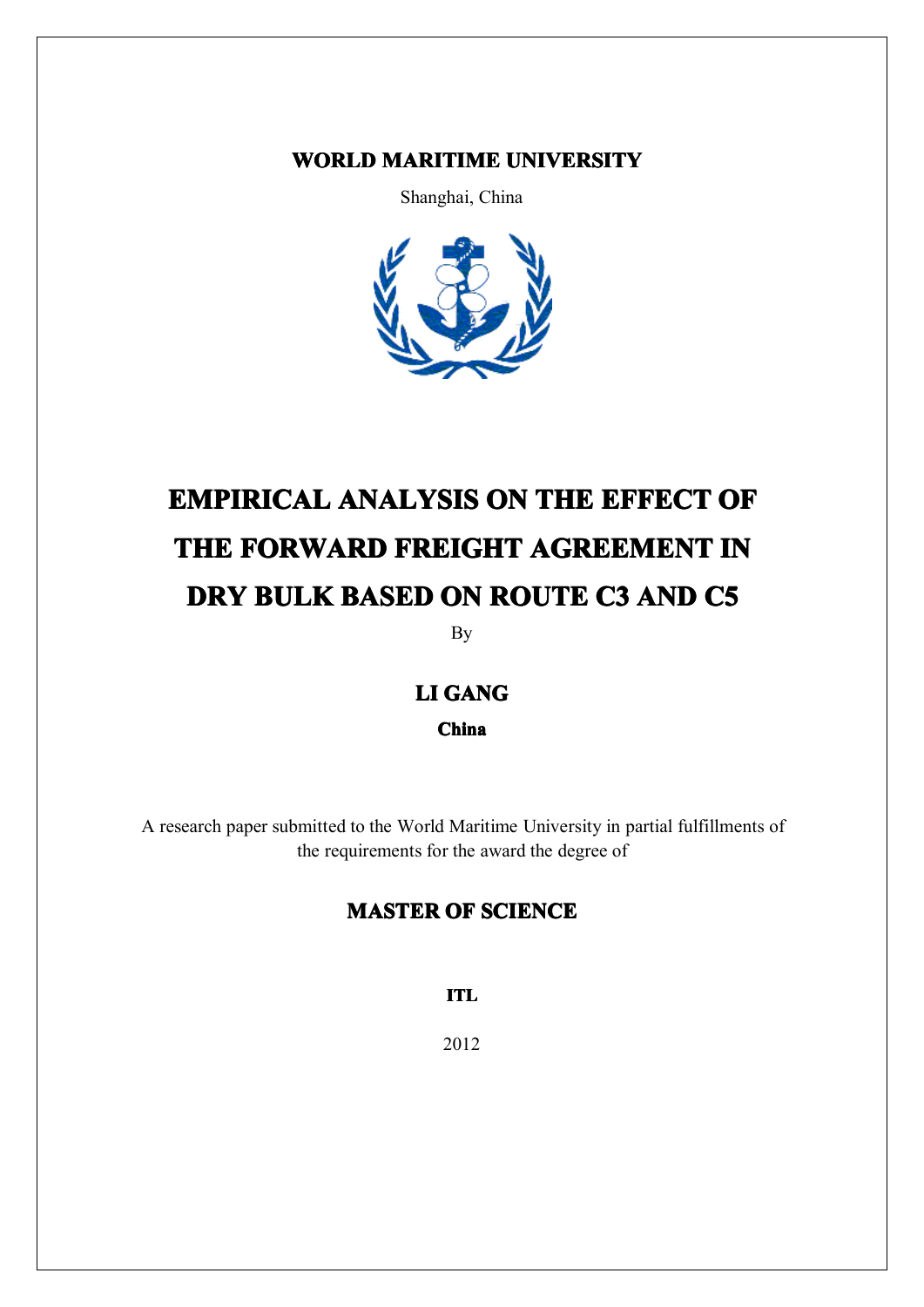### **WORLD MARITIME UNIVERSITY**

Shanghai, China



# **EMPIRICAL ANALYSIS ON THE EFFECT OF THE FORWARD FREIGHT AGREEMENT IN DRY BULK BASED ON ROUTE C3 AND C5**

By

### **LI GANG**

**China**

A research paper submitted to the World Maritime University in partial fulfillments of the requirements for the award the degree of

### **MASTER OF SCIENCE**

**ITL**

2012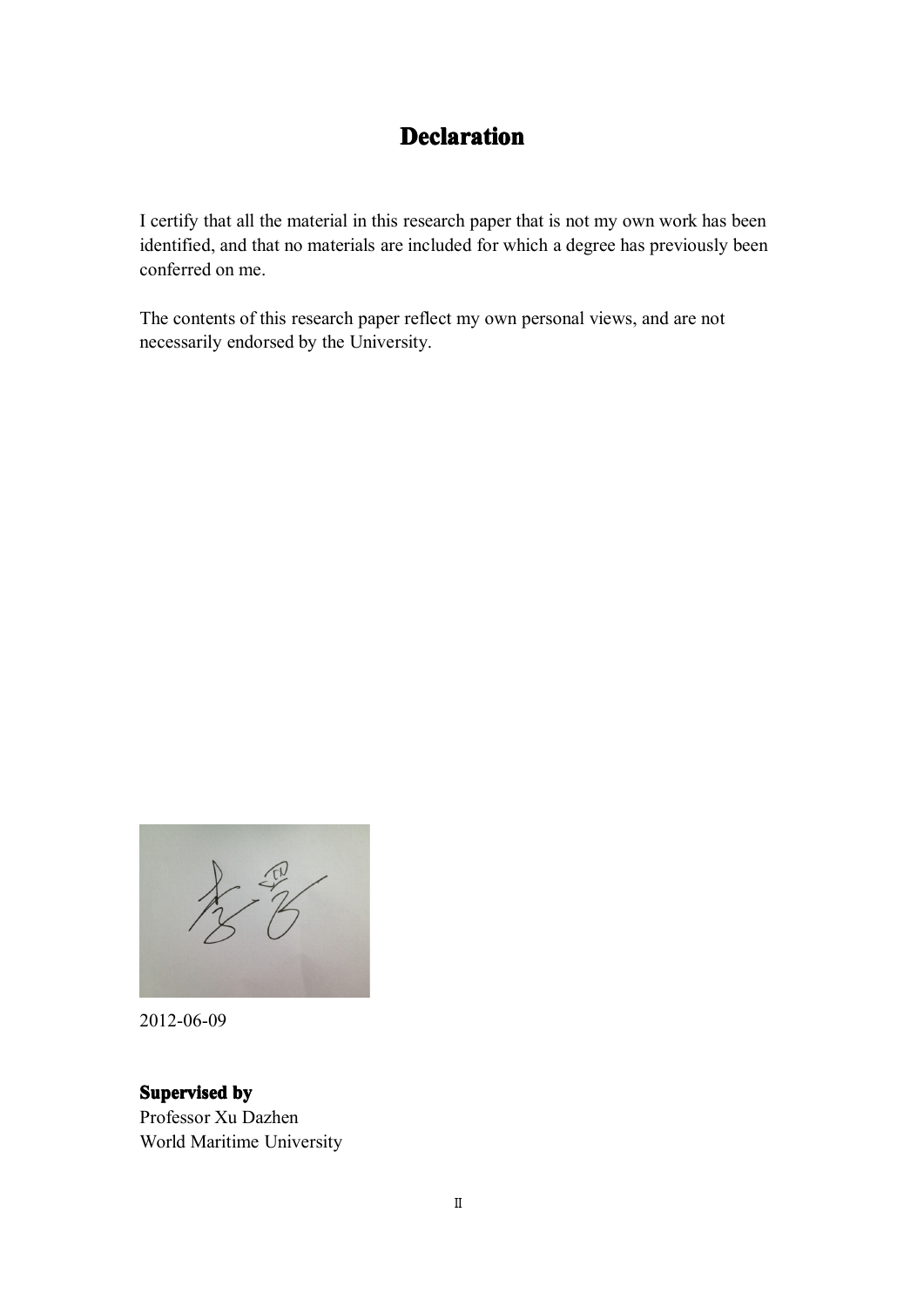## **Declaration Declaration**

<span id="page-2-0"></span>I certify that all the material in this research paper that is not my own work has been identified, and that no materials are included for which <sup>a</sup> degree has previously been conferred on me.

The contents of this research paper reflect my own personal views, and are not necessarily endorsed by the University.

 $\frac{1}{2}$ 

2012-06-09

#### **Supervised by**

Professor Xu Dazhen World Maritime University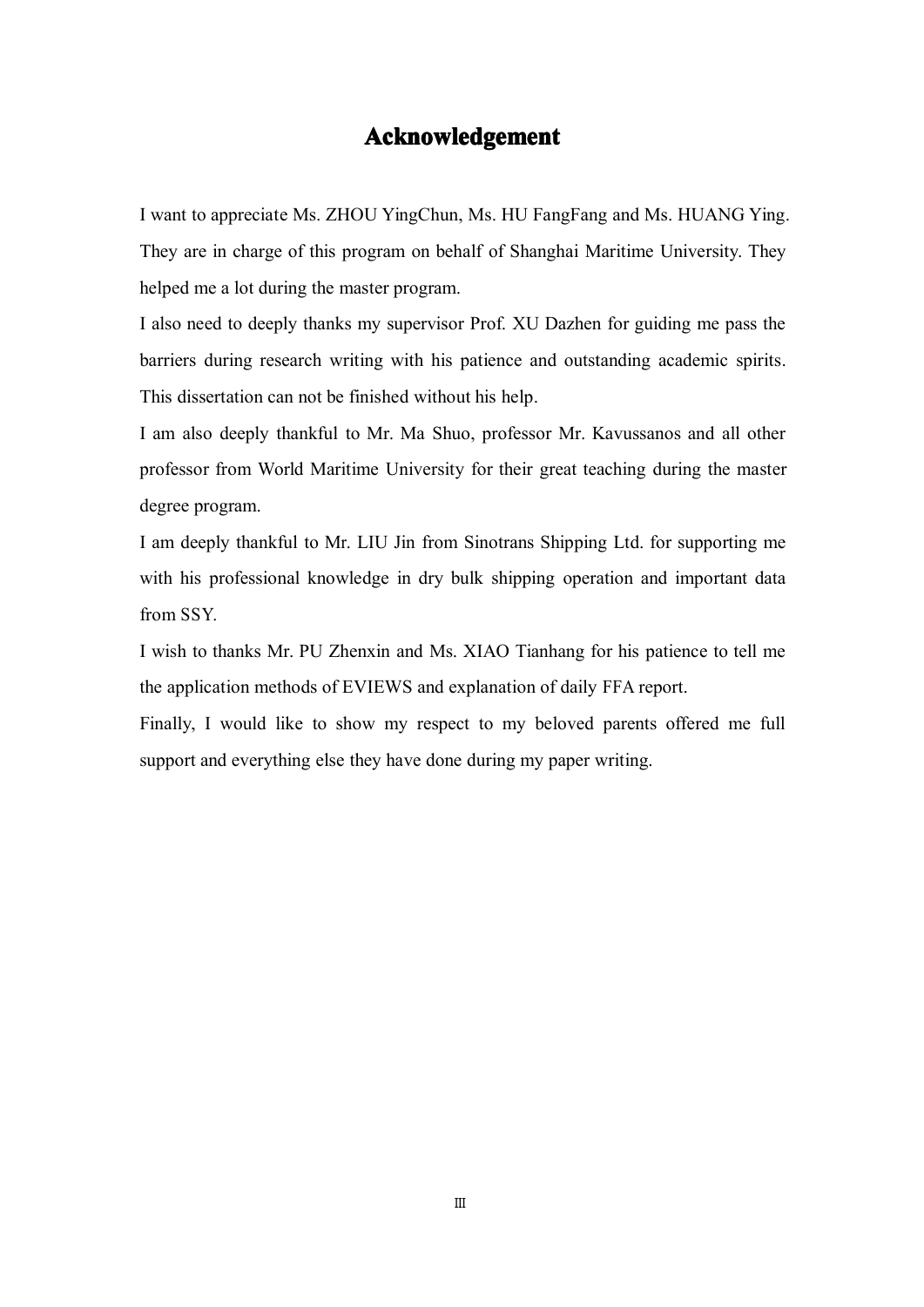### **Acknowledgement Acknowledgement**

<span id="page-3-0"></span>I want to appreciate Ms. ZHOU YingChun, Ms. HU FangFang and Ms. HUANG Ying. They are in charge of this program on behalf of Shanghai Maritime University. They helped me <sup>a</sup> lot during the master program.

I also need to deeply thanks my supervisor Prof. XU Dazhen for guiding me pass the barriers during research writing with his patience and outstanding academic spirits. This dissertation can not be finished without his help.

I am also deeply thankful to Mr. Ma Shuo, professor Mr. Kavussanos and all other professor fromWorld Maritime University for their grea<sup>t</sup> teaching during the master degree program.

I am deeply thankful to Mr. LIU Jin from Sinotrans Shipping Ltd. for supporting me with his professional knowledge in dry bulk shipping operation and important data from SSY.

I wish to thanks Mr. PU Zhenxin and Ms. XIAO Tianhang for his patience to tell me the application methods of EVIEWS and explanation of daily FFA report.

Finally, I would like to show my respec<sup>t</sup> to my beloved parents offered me full suppor<sup>t</sup> and everything else they have done during my paper writing.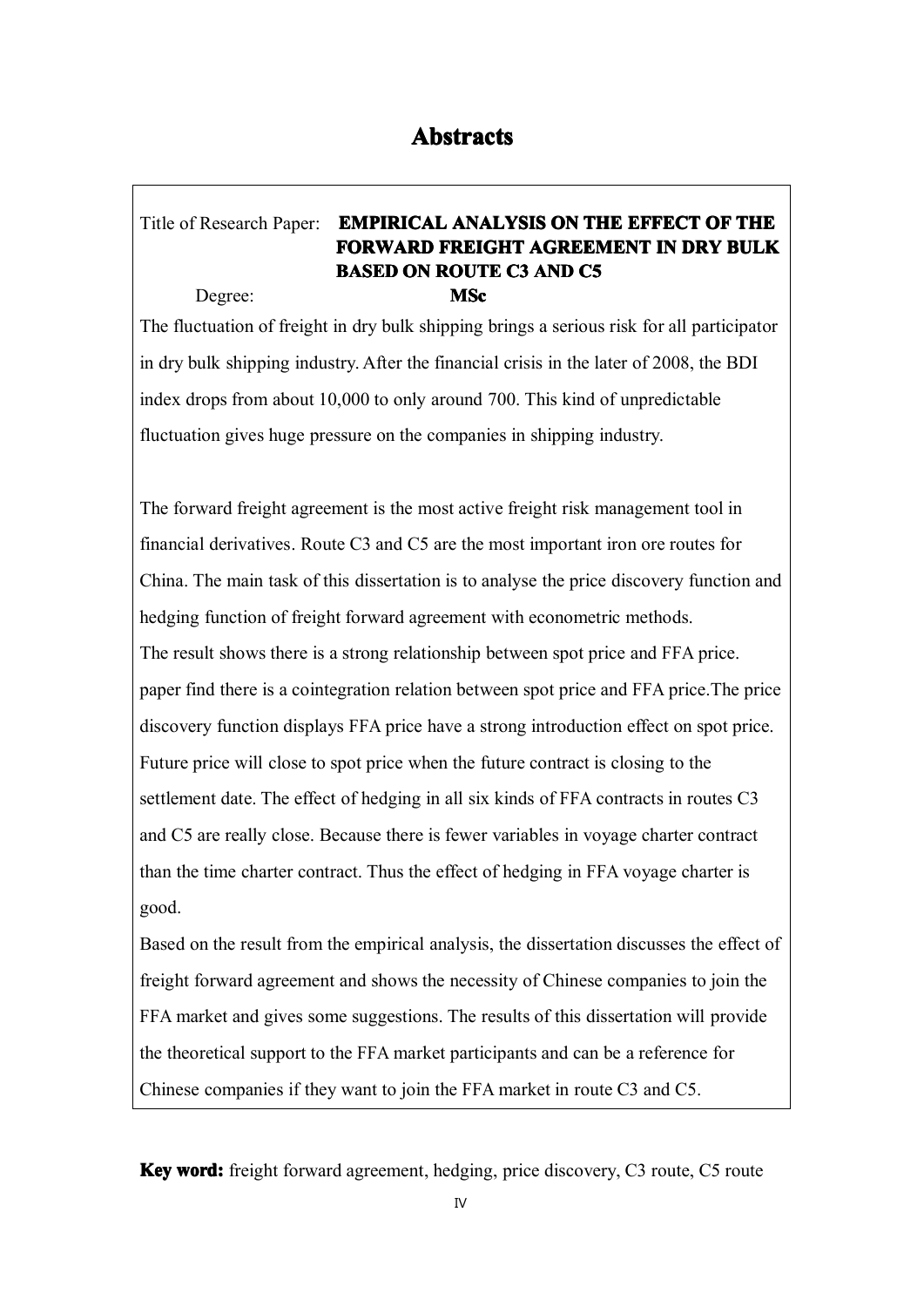### <span id="page-4-0"></span>Title of Research Paper: **EMPIRICAL EMPIRICALEMPIRICALEMPIRICALANALYSIS ANALYSISANALYSIS ANALYSISON THE EFFECT OF THE FORWARD FORWARD FREIGHT FREIGHT AGREEMENT AGREEMENT AGREEMENT IN DRY BULK BASED ON ROUTE C3 AND C5** Degree: **MSc**

The fluctuation of freight in dry bulk shipping brings <sup>a</sup> serious risk for all participator in dry bulk shipping industry. After the financial crisis in the later of 2008, the BDI index drops from about 10,000 to only around 700. This kind of unpredictable fluctuation gives huge pressure on the companies in shipping industry.

The forward freight agreemen<sup>t</sup> is the most active freight risk managemen<sup>t</sup> tool in financial derivatives. Route C3 and C5 are the most important iron ore routes for China. The main task of this dissertation is to analyse the price discovery function and hedging function of freight forward agreemen<sup>t</sup> with econometric methods. The result shows there is <sup>a</sup> strong relationship between spo<sup>t</sup> price and FFA price. paper find there is <sup>a</sup> cointegration relation between spo<sup>t</sup> price and FFA price.The price discovery function displays FFA price have <sup>a</sup> strong introduction effect on spo<sup>t</sup> price. Future price will close to spo<sup>t</sup> price when the future contract is closing to the settlement date. The effect of hedging in all six kinds of FFA contracts in routes C3 and C5 are really close. Because there is fewer variables in voyage charter contract than the time charter contract. Thus the effect of hedging in FFA voyage charter is good.

Based on the result from the empirical analysis, the dissertation discusses the effect of freight forward agreemen<sup>t</sup> and shows the necessity of Chinese companies to join the FFA market and gives some suggestions. The results of this dissertation will provide the theoretical support to the FFA market participants and can be <sup>a</sup> reference for Chinese companies if they want to join the FFA market in route C3 and C5.

**Key word:** freight forward agreement, hedging, price discovery, C3 route, C5 route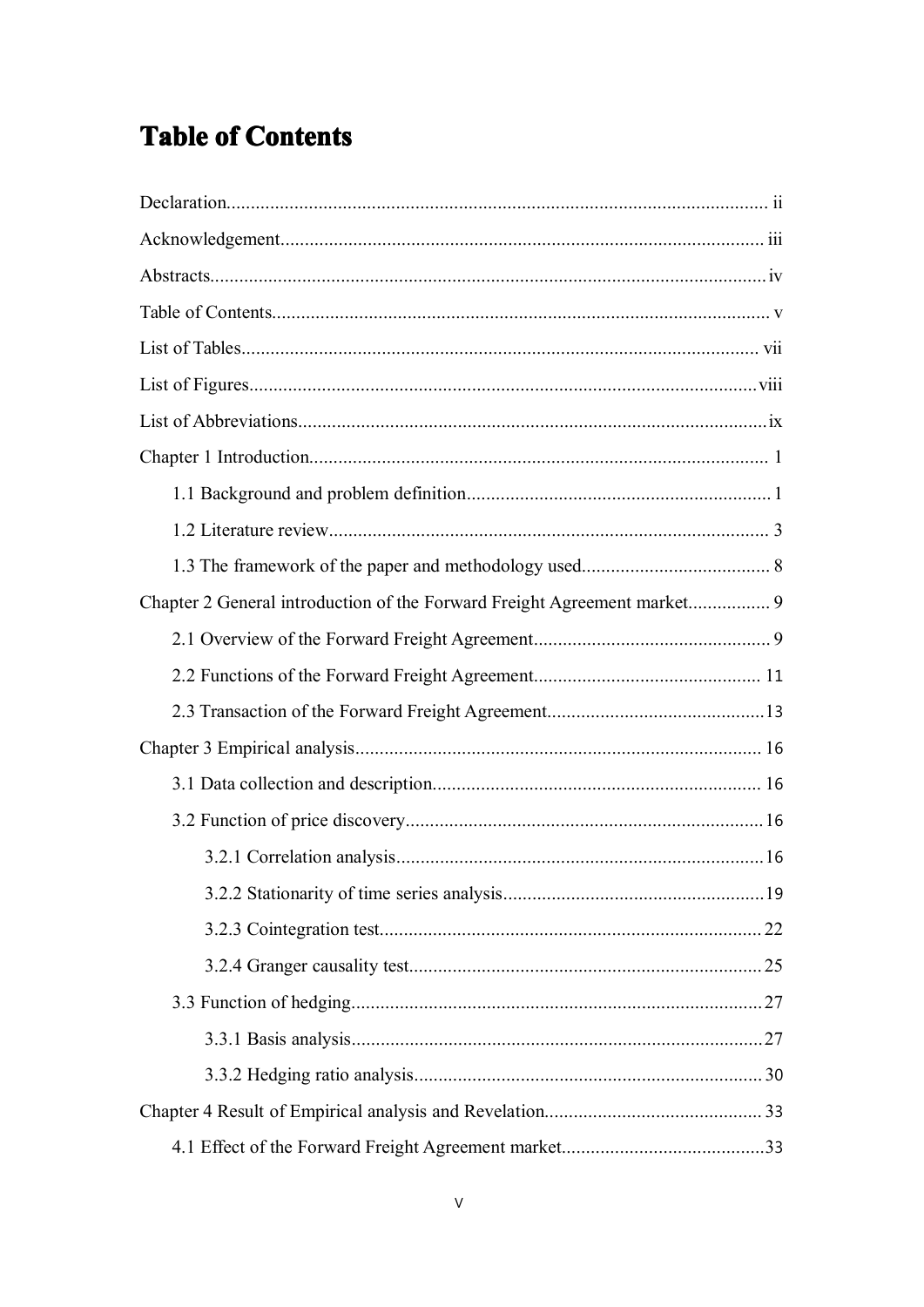## **Table of Contents**

| Chapter 2 General introduction of the Forward Freight Agreement market 9 |  |
|--------------------------------------------------------------------------|--|
|                                                                          |  |
|                                                                          |  |
|                                                                          |  |
|                                                                          |  |
|                                                                          |  |
|                                                                          |  |
|                                                                          |  |
|                                                                          |  |
|                                                                          |  |
|                                                                          |  |
|                                                                          |  |
|                                                                          |  |
|                                                                          |  |
|                                                                          |  |
|                                                                          |  |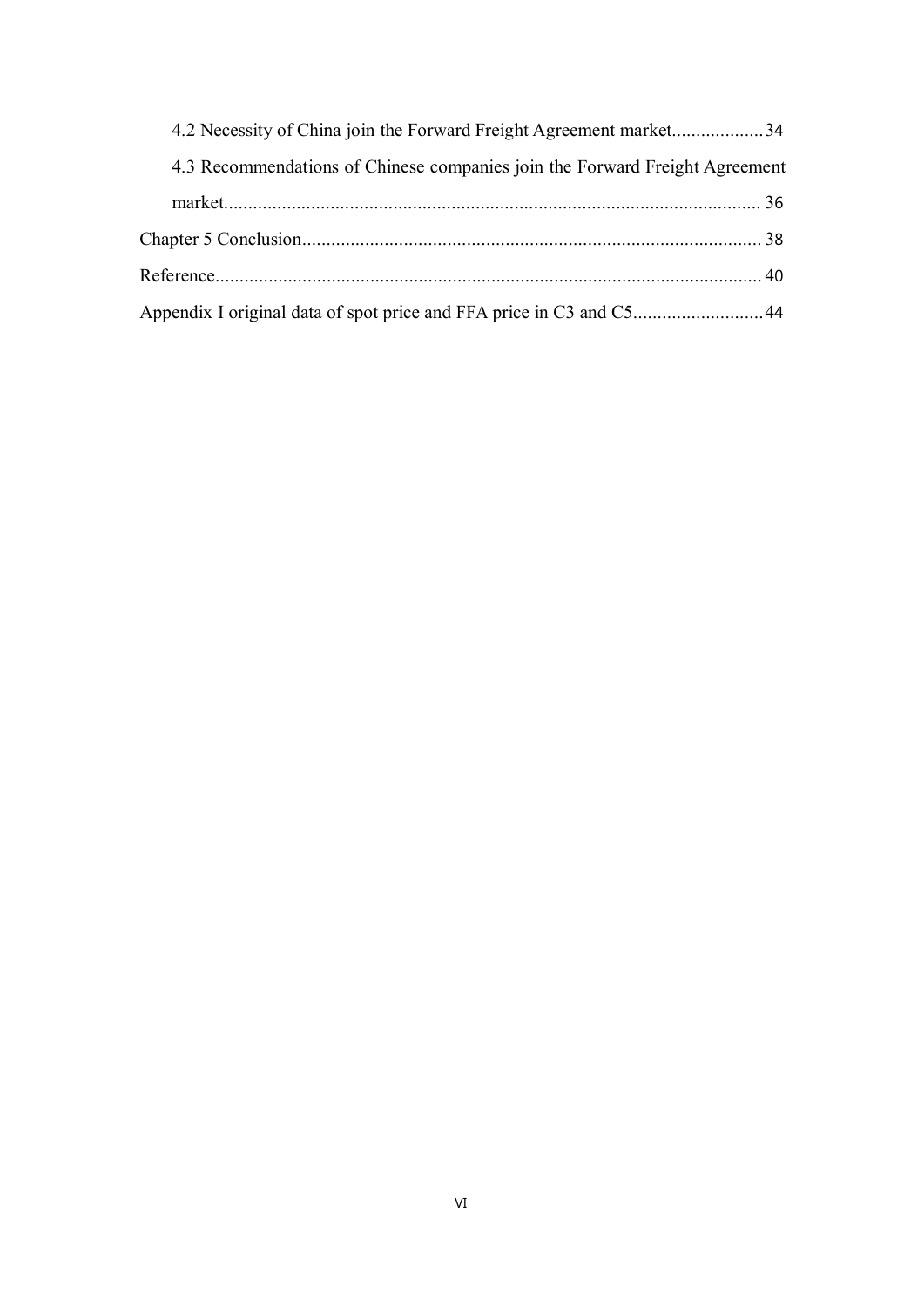| 4.2 Necessity of China join the Forward Freight Agreement market34          |  |
|-----------------------------------------------------------------------------|--|
| 4.3 Recommendations of Chinese companies join the Forward Freight Agreement |  |
|                                                                             |  |
|                                                                             |  |
|                                                                             |  |
| Appendix I original data of spot price and FFA price in C3 and C544         |  |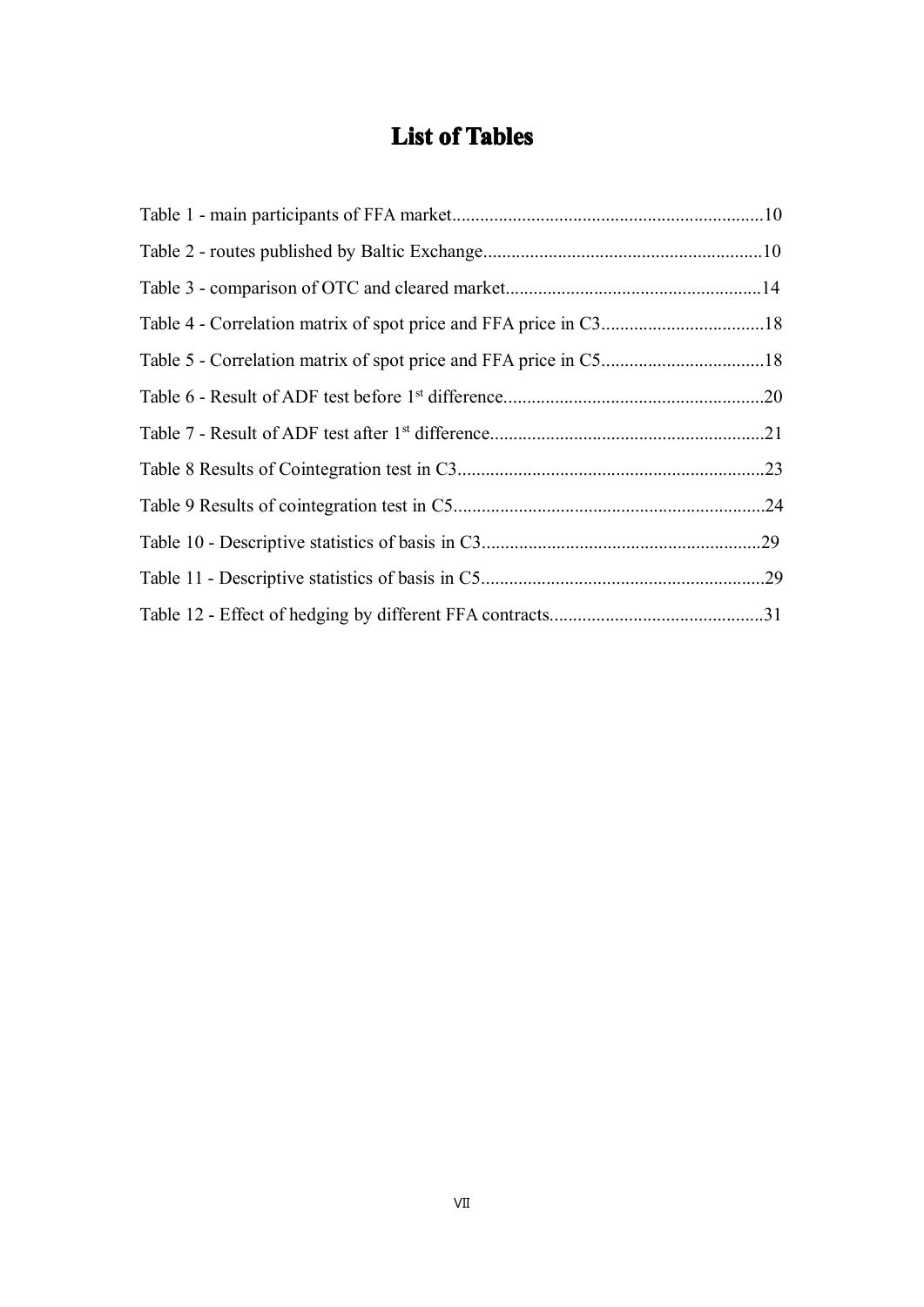## **List of Tables**

<span id="page-7-0"></span>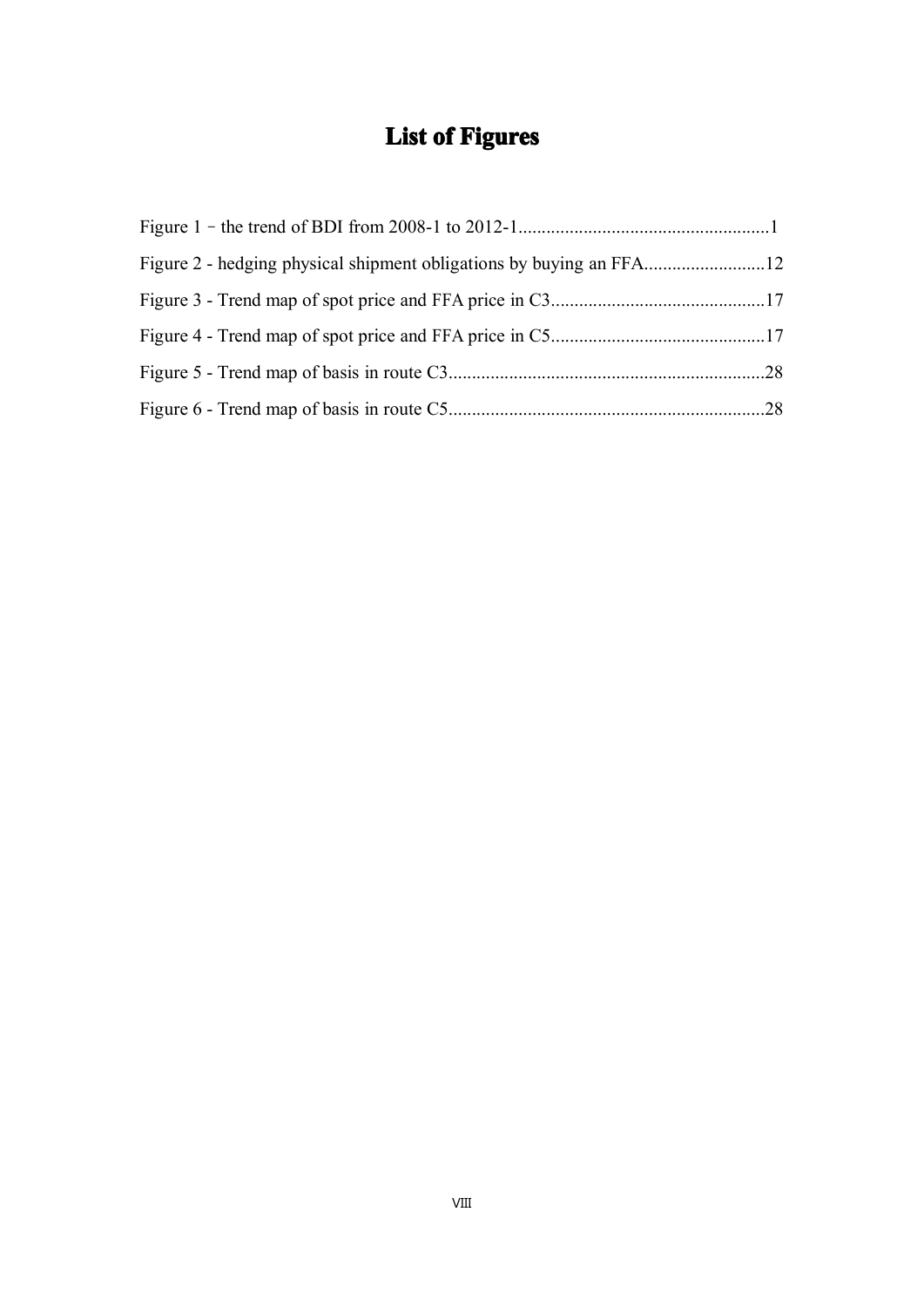## **List of Figures**

<span id="page-8-0"></span>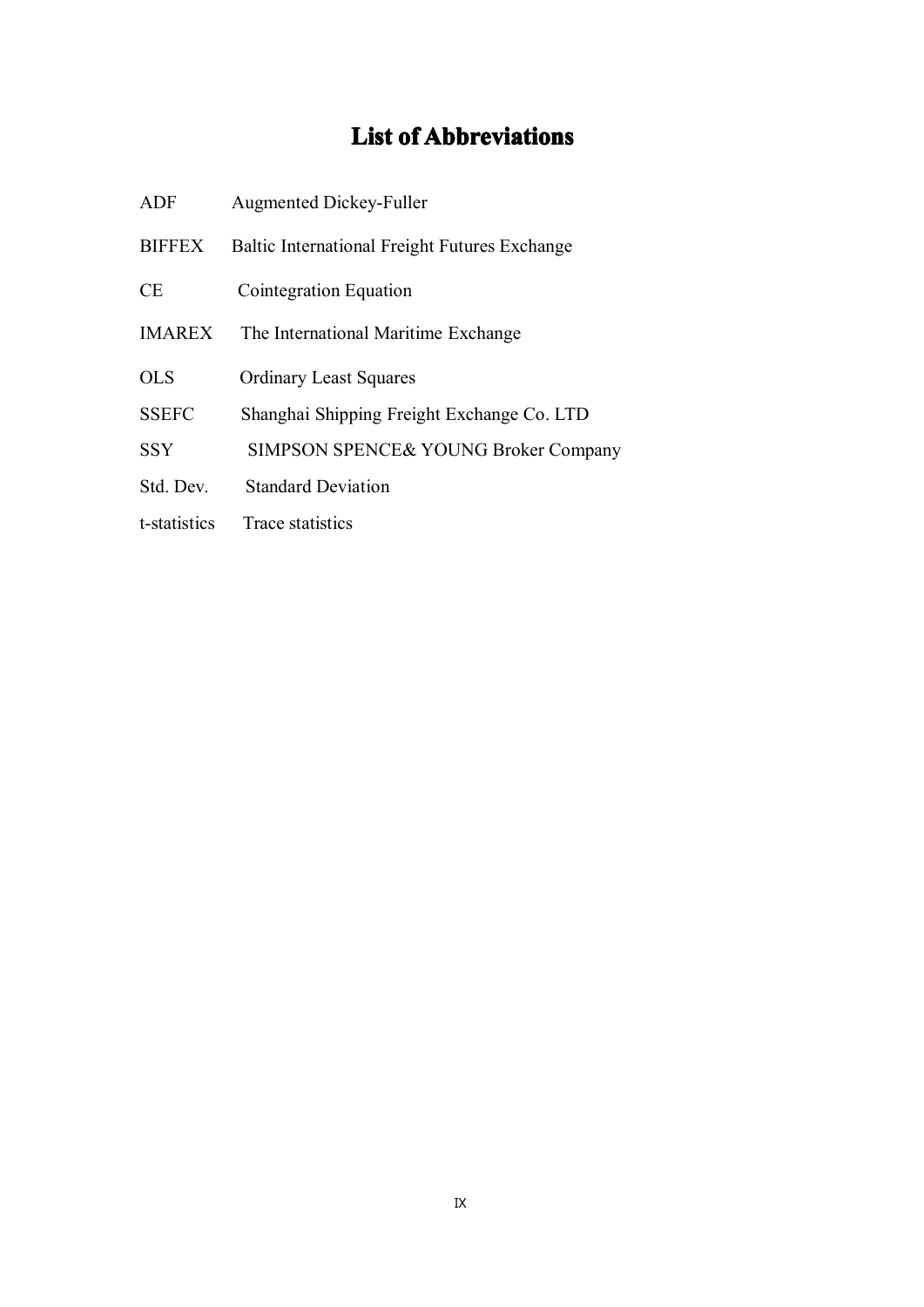## **List of Abbreviations**

<span id="page-9-0"></span>

| ADF           | <b>Augmented Dickey-Fuller</b>                       |
|---------------|------------------------------------------------------|
| <b>BIFFEX</b> | <b>Baltic International Freight Futures Exchange</b> |
| <b>CE</b>     | Cointegration Equation                               |
| <b>IMAREX</b> | The International Maritime Exchange                  |
| OLS           | <b>Ordinary Least Squares</b>                        |
| <b>SSEFC</b>  | Shanghai Shipping Freight Exchange Co. LTD           |
| <b>SSY</b>    | SIMPSON SPENCE& YOUNG Broker Company                 |
| Std. Dev.     | <b>Standard Deviation</b>                            |
| t-statistics  | Trace statistics                                     |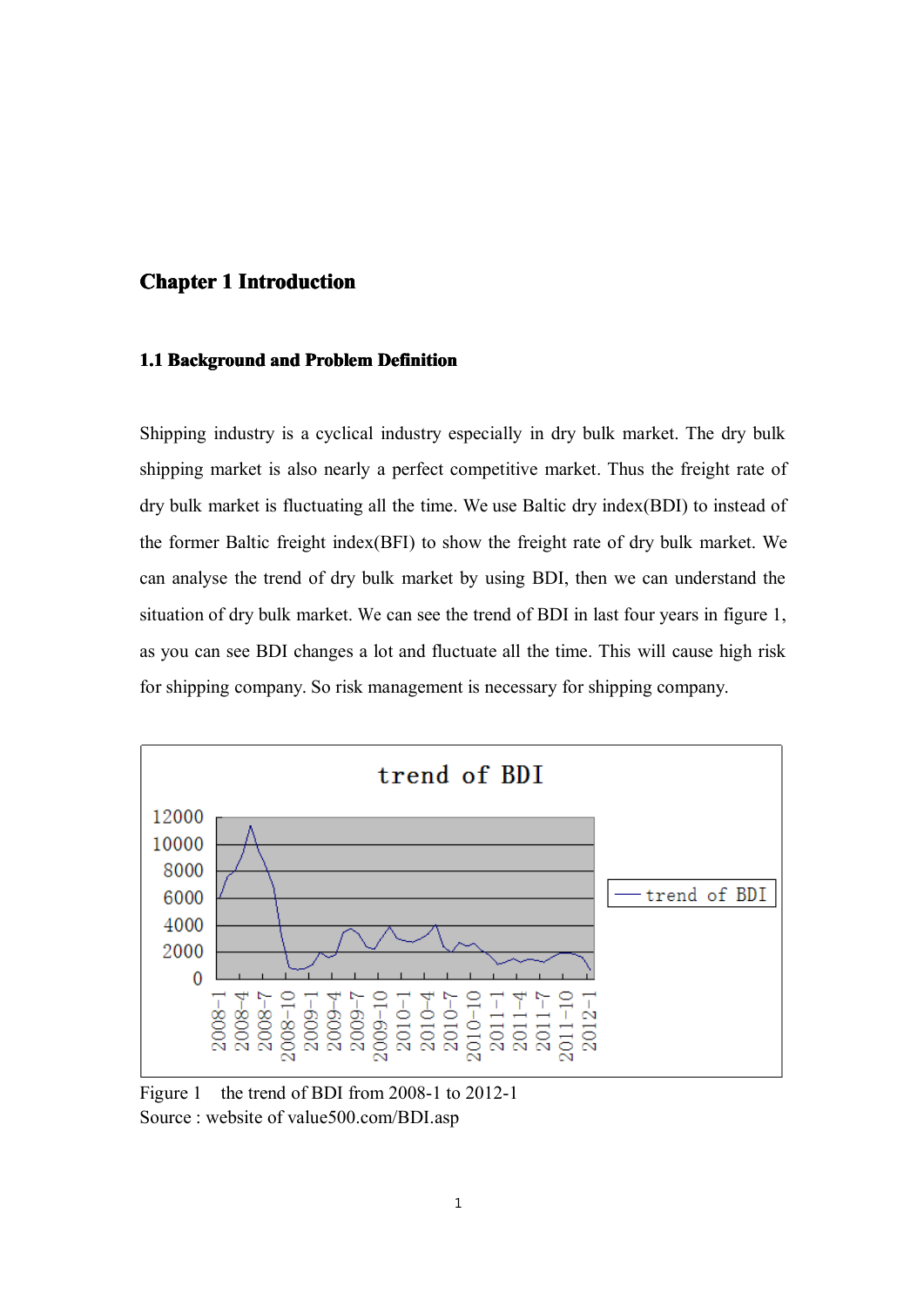### <span id="page-10-0"></span>**Chapter 1 Introduction Introduction**

#### **1.1 Background and Problem Definition**

Shipping industry is <sup>a</sup> cyclical industry especially in dry bulk market. The dry bulk shipping market is also nearly <sup>a</sup> perfect competitive market. Thus the freight rate of dry bulk market is fluctuating all the time. We use Baltic dry index(BDI) to instead of the former Baltic freight index(BFI) to show the freight rate of dry bulk market. We can analyse the trend of dry bulk market by using BDI, then we can understand the situation of dry bulk market. We can see the trend of BDI in last four years in figure 1, as you can see BDI changes <sup>a</sup> lot and fluctuate all the time. This will cause high risk for shipping company. So risk management is necessary for shipping company.



Figure 1 the trend of BDI from 2008-1 to 2012-1 Source : website of value500.com/BDI.asp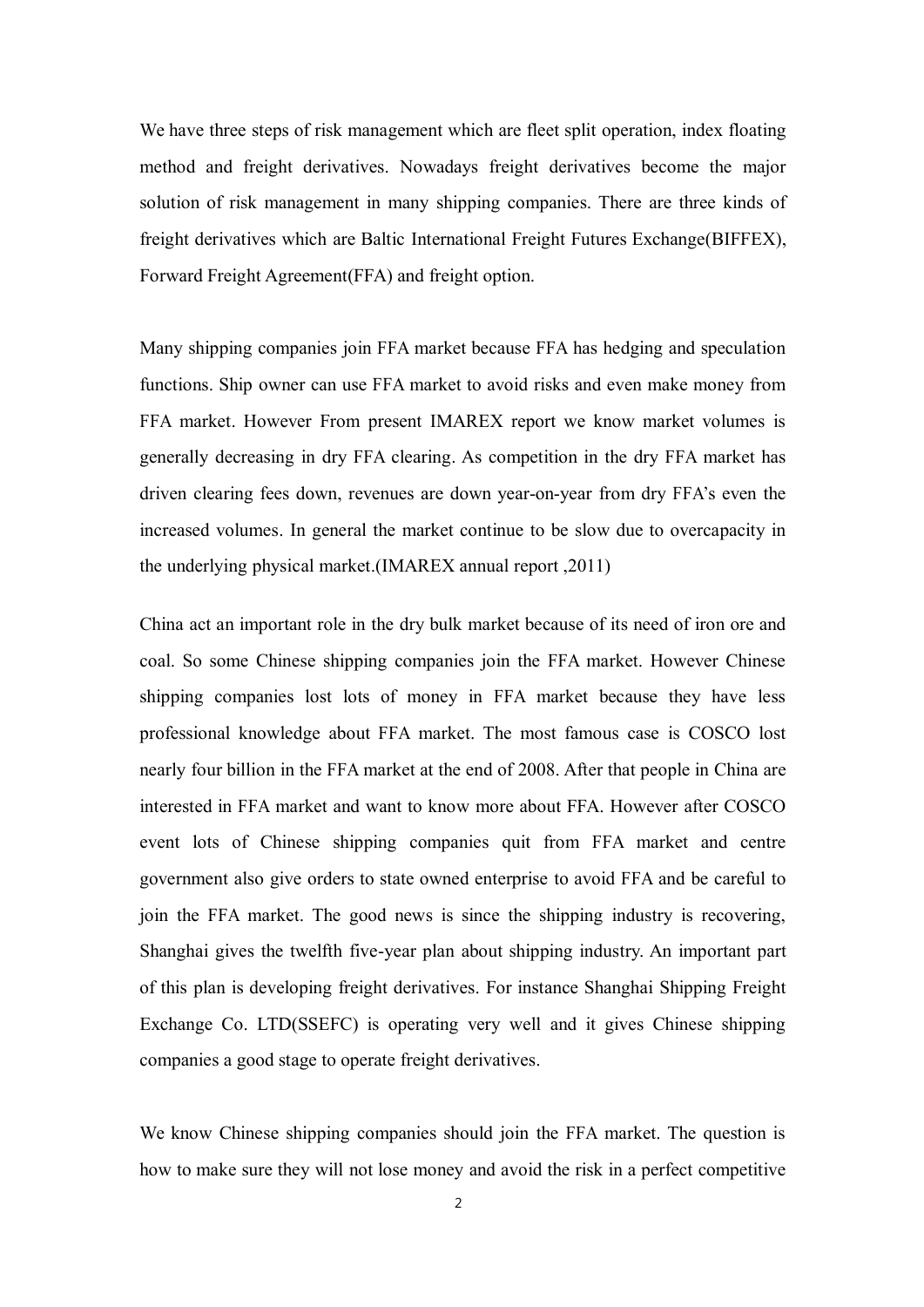We have three steps of risk managemen<sup>t</sup> which are fleet split operation, index floating method and freight derivatives. Nowadays freight derivatives become the major solution of risk management in many shipping companies. There are three kinds of freight derivatives which are Baltic International Freight Futures Exchange(BIFFEX), Forward Freight Agreement(FFA) and freight option.

Many shipping companies join FFA market because FFA has hedging and speculation functions. Ship owner can use FFA market to avoid risks and even make money from FFA market. However From presen<sup>t</sup> IMAREX repor<sup>t</sup> we know market volumes is generally decreasing in dry FFA clearing. As competition in the dry FFA market has driven clearing fees down, revenues are down year-on-year fromdry FFA's even the increased volumes. In general the market continue to be slow due to overcapacity in the underlying physical market.(IMAREX annual repor<sup>t</sup> ,2011)

China act an important role in the dry bulk market because of its need of iron ore and coal. So some Chinese shipping companies join the FFA market. However Chinese shipping companies lost lots of money in FFA market because they have less professional knowledge about FFA market. The most famous case is COSCO lost nearly four billion in the FFA market at the end of 2008. After that people in China are interested in FFA market and want to know more about FFA. However after COSCO event lots of Chinese shipping companies quit from FFA market and centre governmen<sup>t</sup> also give orders to state owned enterprise to avoid FFA and be careful to join the FFA market. The good news is since the shipping industry is recovering, Shanghai gives the twelfth five-year plan about shipping industry. An important par<sup>t</sup> of this plan is developing freight derivatives. For instance Shanghai Shipping Freight Exchange Co. LTD(SSEFC) is operating very well and it gives Chinese shipping companies <sup>a</sup> good stage to operate freight derivatives.

We know Chinese shipping companies should join the FFA market. The question is how to make sure they will not lose money and avoid the risk in <sup>a</sup> perfect competitive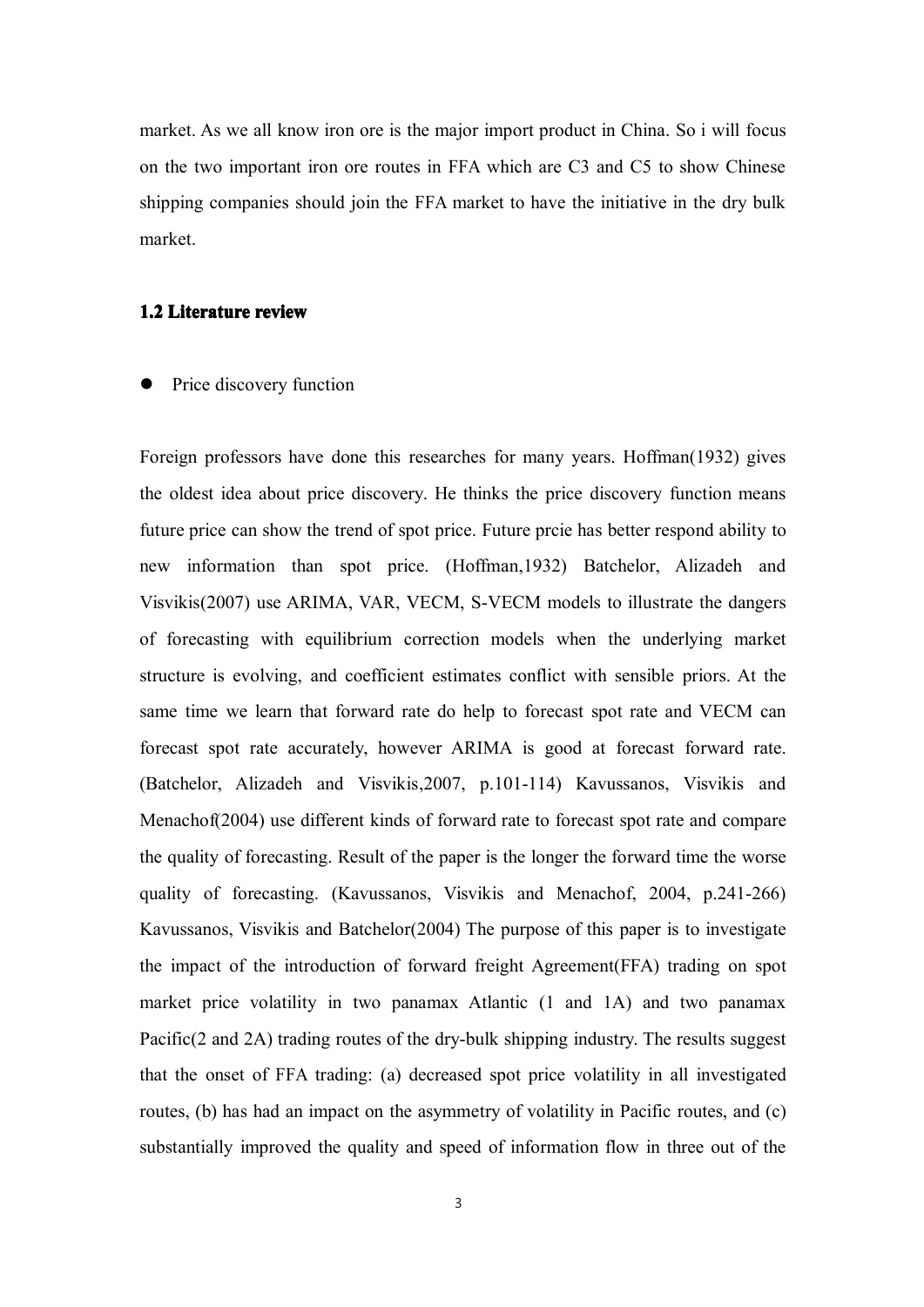market. As we all know iron ore is the major import product in China. So i will focus on the two important iron ore routes in FFA which are C3 and C5 to show Chinese shipping companies should join the FFA market to have the initiative in the dry bulk market.

#### **1.2 Literature review**

�Price discovery function

Foreign professors have done this researches for many years. Hoffman(1932) gives the oldest idea about price discovery. He thinks the price discovery function means future price can show the trend of spo<sup>t</sup> price. Future prcie has better respond ability to new information than spo<sup>t</sup> price. (Hoffman,1932) Batchelor, Alizadeh and Visvikis(2007) use ARIMA, VAR, VECM, S-VECM models to illustrate the dangers of forecasting with equilibrium correction models when the underlying market structure is evolving, and coefficient estimates conflict with sensible priors. At the same time we learn that forward rate do help to forecast spo<sup>t</sup> rate and VECM can forecast spo<sup>t</sup> rate accurately, however ARIMA is good at forecast forward rate. (Batchelor, Alizadeh and Visvikis,2007, p.101-114) Kavussanos, Visvikis and Menachof(2004) use different kinds of forward rate to forecast spo<sup>t</sup> rate and compare the quality of forecasting. Result of the paper is the longer the forward time the worse quality of forecasting. (Kavussanos, Visvikis and Menachof, 2004, p.241-266) Kavussanos, Visvikis and Batchelor(2004) The purpose of this paper is to investigate the impact of the introduction of forward freight Agreement(FFA) trading on spo<sup>t</sup> market price volatility in two panamax Atlantic (1 and 1A) and two panamax Pacific(2 and 2A) trading routes of the dry-bulk shipping industry. The results sugges<sup>t</sup> that the onset of FFA trading: (a) decreased spo<sup>t</sup> price volatility in all investigated routes, (b) has had an impact on the asymmetry of volatility in Pacific routes, and (c) substantially improved the quality and speed of information flow in three out of the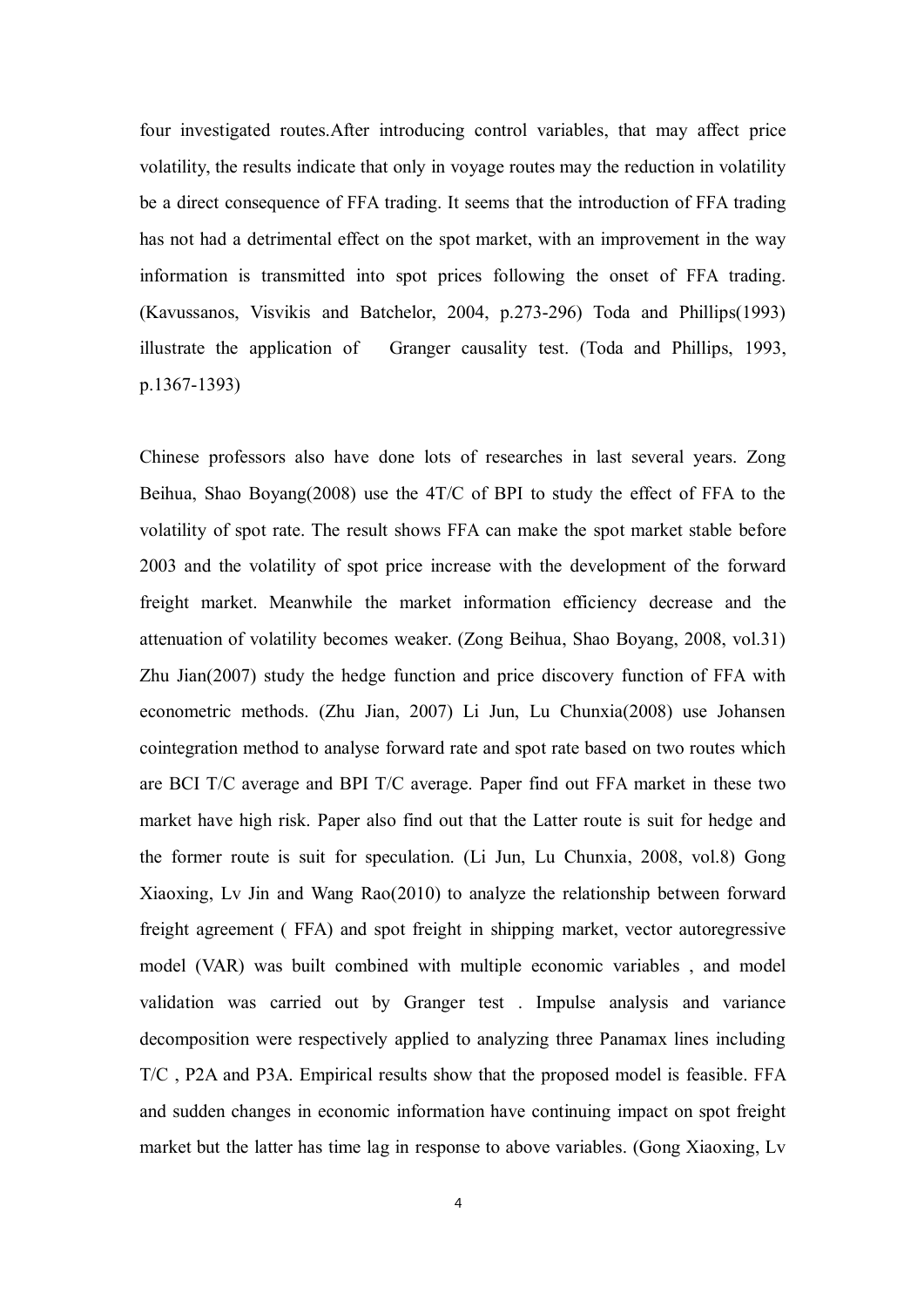four investigated routes.After introducing control variables, that may affect price volatility, the results indicate that only in voyage routes may the reduction in volatility be <sup>a</sup> direct consequence of FFA trading. It seems that the introduction of FFA trading has not had <sup>a</sup> detrimental effect on the spo<sup>t</sup> market, with an improvement in the way information is transmitted into spo<sup>t</sup> prices following the onset of FFA trading. (Kavussanos, Visvikis and Batchelor, 2004, p.273-296) Toda and Phillips(1993) illustrate the application of Granger causality test. (Toda and Phillips, 1993, p.1367-1393)

Chinese professors also have done lots of researches in last several years. Zong Beihua, Shao Boyang(2008) use the 4T/C of BPI to study the effect of FFA to the volatility of spo<sup>t</sup> rate. The result shows FFA can make the spo<sup>t</sup> market stable before 2003 and the volatility of spo<sup>t</sup> price increase with the development of the forward freight market. Meanwhile the market information efficiency decrease and the attenuation of volatility becomes weaker. (Zong Beihua, Shao Boyang, 2008, vol.31) Zhu Jian(2007) study the hedge function and price discovery function of FFA with econometric methods. (Zhu Jian, 2007) Li Jun, Lu Chunxia(2008) use Johansen cointegration method to analyse forward rate and spo<sup>t</sup> rate based on two routes which are BCI T/C average and BPI T/C average. Paper find out FFA market in these two market have high risk. Paper also find out that the Latter route is suit for hedge and the former route is suit for speculation. (Li Jun, Lu Chunxia, 2008, vol.8) Gong Xiaoxing, Lv Jin and Wang Rao(2010) to analyze the relationship between forward freight agreemen<sup>t</sup> ( FFA) and spo<sup>t</sup> freight in shipping market, vector autoregressive model (VAR) was built combined with multiple economic variables , and model validation was carried out by Granger test . Impulse analysis and variance decomposition were respectively applied to analyzing three Panamax lines including T/C , P2A and P3A. Empirical results show that the proposed model is feasible. FFA and sudden changes in economic information have continuing impact on spo<sup>t</sup> freight market but the latter has time lag in response to above variables. (Gong Xiaoxing, Lv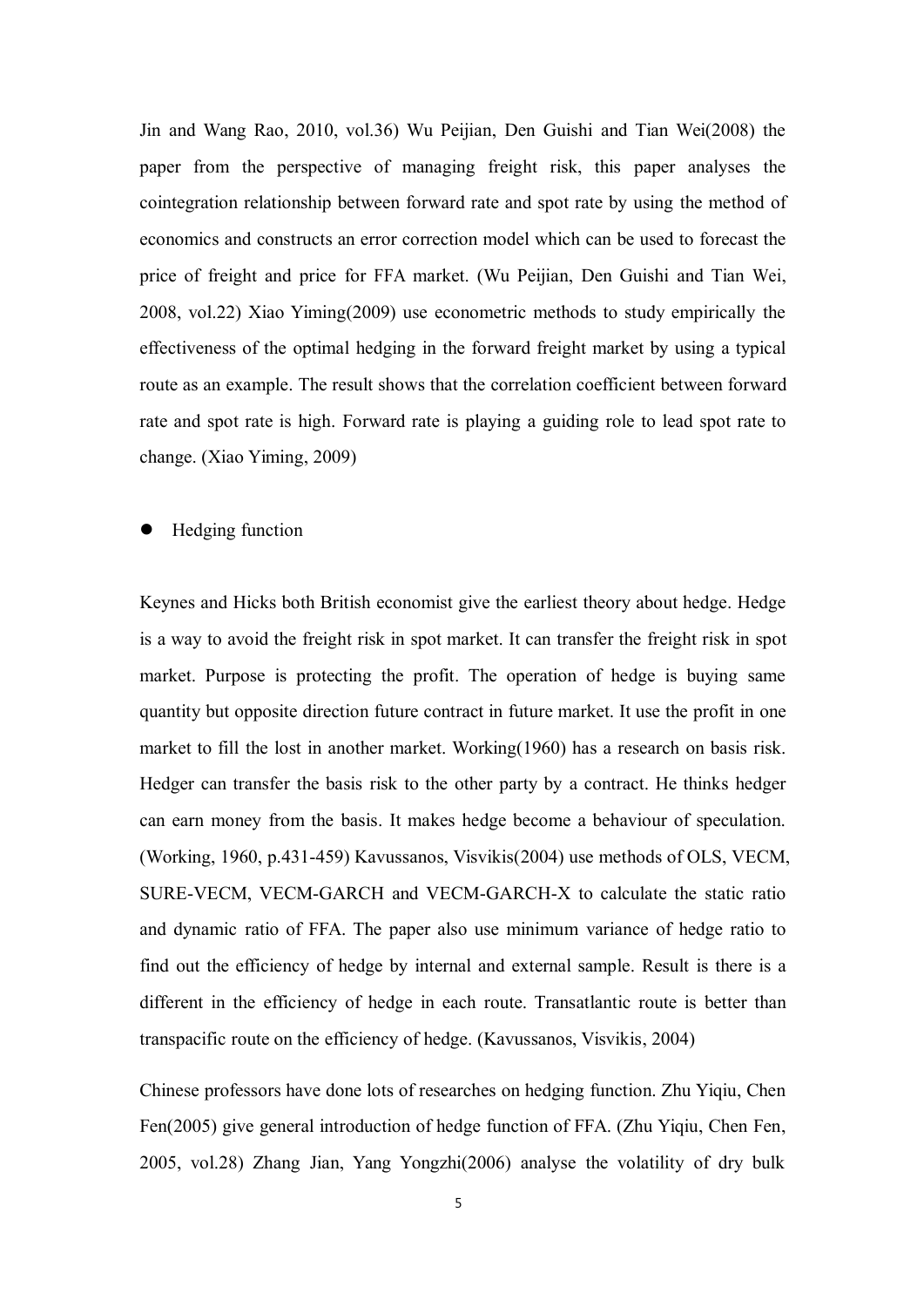Jin and Wang Rao, 2010, vol.36) Wu Peijian, Den Guishi and Tian Wei(2008) the paper from the perspective of managing freight risk, this paper analyses the cointegration relationship between forward rate and spo<sup>t</sup> rate by using the method of economics and constructs an error correction model which can be used to forecast the price of freight and price for FFA market. (Wu Peijian, Den Guishi and Tian Wei, 2008, vol.22) Xiao Yiming(2009) use econometric methods to study empirically the effectiveness of the optimal hedging in the forward freight market by using <sup>a</sup> typical route as an example. The result shows that the correlation coefficient between forward rate and spo<sup>t</sup> rate is high. Forward rate is playing <sup>a</sup> guiding role to lead spo<sup>t</sup> rate to change. (Xiao Yiming, 2009)

�Hedging function

Keynes and Hicks both British economist give the earliest theory about hedge. Hedge is <sup>a</sup> way to avoid the freight risk in spo<sup>t</sup> market. It can transfer the freight risk in spo<sup>t</sup> market. Purpose is protecting the profit. The operation of hedge is buying same quantity but opposite direction future contract in future market. It use the profit in one market to fill the lost in another market. Working(1960) has a research on basis risk. Hedger can transfer the basis risk to the other party by <sup>a</sup> contract. He thinks hedger can earn money from the basis. It makes hedge become <sup>a</sup> behaviour of speculation. (Working, 1960, p.431-459) Kavussanos, Visvikis(2004) use methods of OLS, VECM, SURE-VECM, VECM-GARCH and VECM-GARCH-X to calculate the static ratio and dynamic ratio of FFA. The paper also use minimum variance of hedge ratio to find out the efficiency of hedge by internal and external sample. Result is there is <sup>a</sup> different in the efficiency of hedge in each route. Transatlantic route is better than transpacific route on the efficiency of hedge. (Kavussanos, Visvikis, 2004)

Chinese professors have done lots of researches on hedging function. Zhu Yiqiu, Chen Fen(2005) give general introduction of hedge function of FFA. (Zhu Yiqiu, Chen Fen, 2005, vol.28) Zhang Jian, Yang Yongzhi(2006) analyse the volatility of dry bulk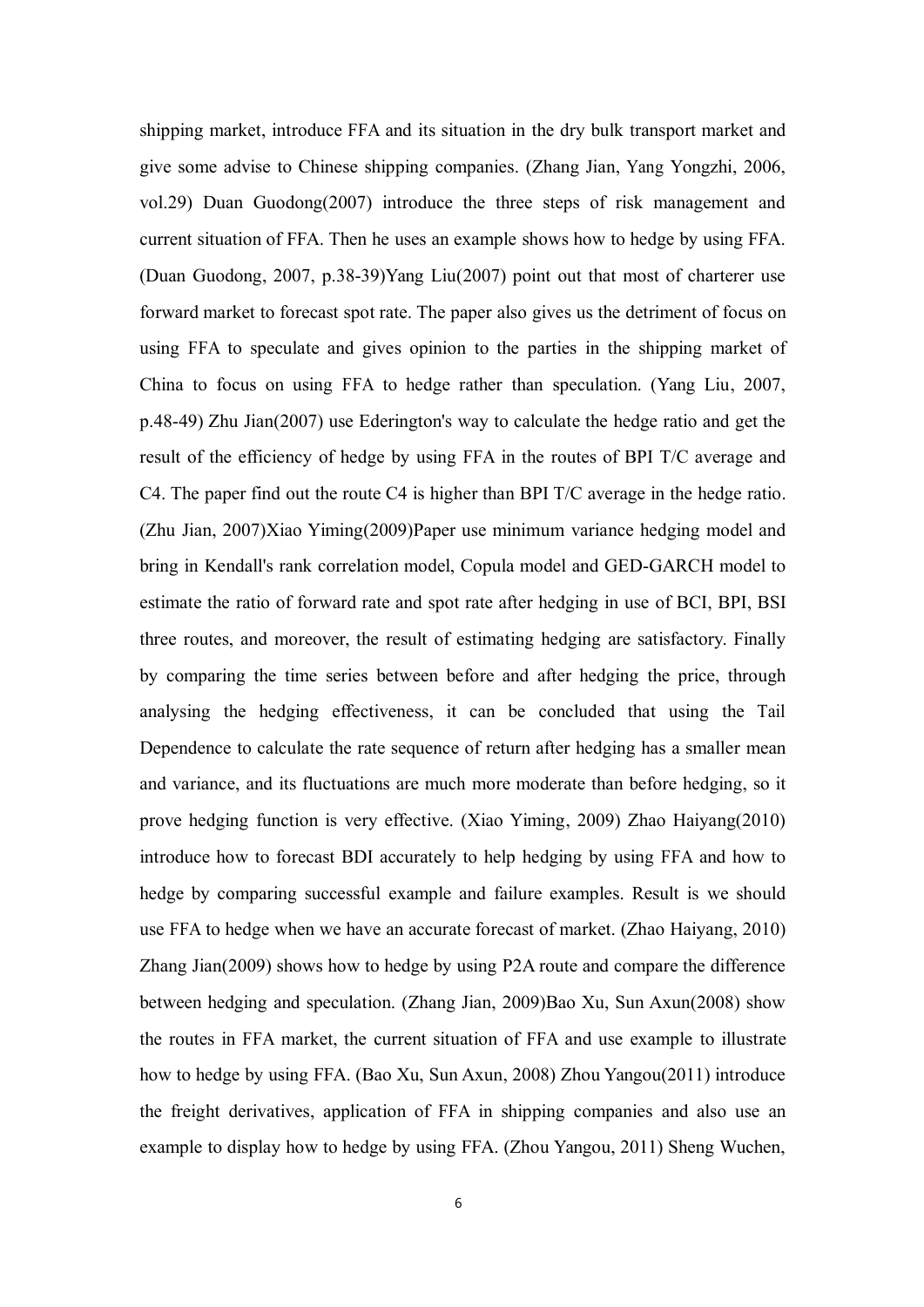shipping market, introduce FFA and its situation in the dry bulk transport market and give some advise to Chinese shipping companies. (Zhang Jian, Yang Yongzhi, 2006, vol.29) Duan Guodong(2007) introduce the three steps of risk managemen<sup>t</sup> and current situation of FFA. Then he uses an example shows how to hedge by using FFA. (Duan Guodong, 2007, p.38-39)Yang Liu(2007) point out that most of charterer use forward market to forecast spo<sup>t</sup> rate. The paper also gives us the detriment of focus on using FFA to speculate and gives opinion to the parties in the shipping market of China to focus on using FFA to hedge rather than speculation. (Yang Liu, 2007, p.48-49) Zhu Jian(2007) use Ederington's way to calculate the hedge ratio and ge<sup>t</sup> the result of the efficiency of hedge by using FFA in the routes of BPI T/C average and C4. The paper find out the route C4 is higher than BPI T/C average in the hedge ratio. (Zhu Jian, 2007)Xiao Yiming(2009)Paper use minimum variance hedging model and bring in Kendall's rank correlation model, Copula model and GED-GARCH model to estimate the ratio of forward rate and spo<sup>t</sup> rate after hedging in use of BCI, BPI, BSI three routes, and moreover, the result of estimating hedging are satisfactory. Finally by comparing the time series between before and after hedging the price, through analysing the hedging effectiveness, it can be concluded that using the Tail Dependence to calculate the rate sequence of return after hedging has <sup>a</sup> smaller mean and variance, and its fluctuations are much more moderate than before hedging, so it prove hedging function is very effective. (Xiao Yiming, 2009) Zhao Haiyang(2010) introduce how to forecast BDI accurately to help hedging by using FFA and how to hedge by comparing successful example and failure examples. Result is we should use FFA to hedge when we have an accurate forecast of market. (Zhao Haiyang, 2010) Zhang Jian(2009) shows how to hedge by using P2A route and compare the difference between hedging and speculation. (Zhang Jian, 2009)Bao Xu, Sun Axun(2008) show the routes in FFA market, the current situation of FFA and use example to illustrate how to hedge by using FFA. (Bao Xu, Sun Axun, 2008) Zhou Yangou(2011) introduce the freight derivatives, application of FFA in shipping companies and also use an example to display how to hedge by using FFA. (Zhou Yangou, 2011) Sheng Wuchen,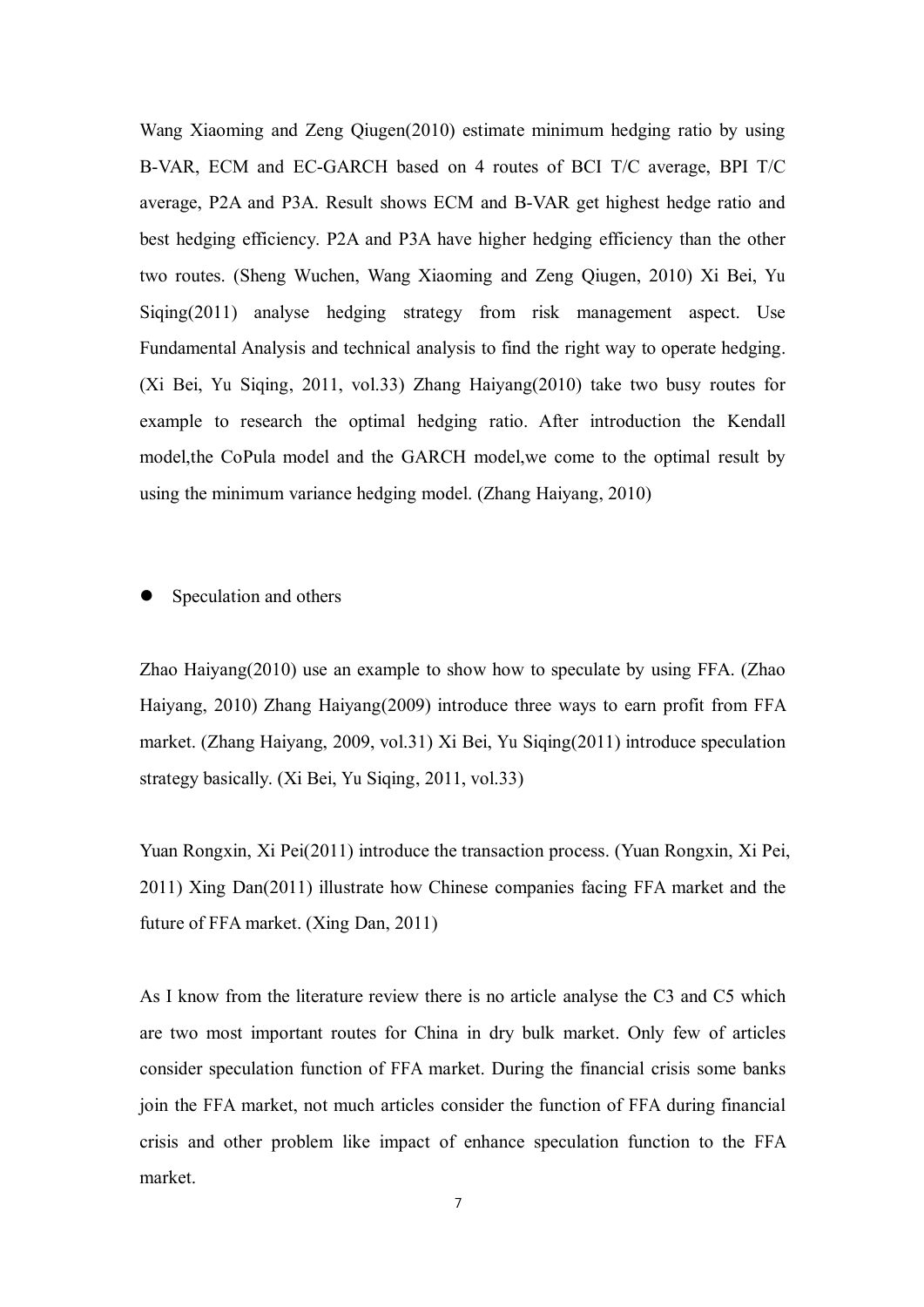Wang Xiaoming and Zeng Qiugen(2010) estimate minimum hedging ratio by using B-VAR, ECM and EC-GARCH based on 4 routes of BCI T/C average, BPI T/C average, P2A and P3A. Result shows ECM and B-VAR ge<sup>t</sup> highest hedge ratio and best hedging efficiency. P2A and P3A have higher hedging efficiency than the other two routes. (Sheng Wuchen, Wang Xiaoming and Zeng Qiugen, 2010) Xi Bei, Yu Siqing(2011) analyse hedging strategy from risk managemen<sup>t</sup> aspect. Use Fundamental Analysis and technical analysis to find the right way to operate hedging. (Xi Bei, Yu Siqing, 2011, vol.33) Zhang Haiyang(2010) take two busy routes for example to research the optimal hedging ratio. After introduction the Kendall model,the CoPula model and the GARCH model,we come to the optimal result by using the minimum variance hedging model. (Zhang Haiyang, 2010)

�Speculation and others

Zhao Haiyang(2010) use an example to show how to speculate by using FFA. (Zhao Haiyang, 2010) Zhang Haiyang(2009) introduce three ways to earn profit from FFA market. (Zhang Haiyang, 2009, vol.31) Xi Bei, Yu Siqing(2011) introduce speculation strategy basically. (Xi Bei, Yu Siqing, 2011, vol.33)

Yuan Rongxin, Xi Pei(2011) introduce the transaction process. (Yuan Rongxin, Xi Pei, 2011) Xing Dan(2011) illustrate how Chinese companies facing FFA market and the future of FFAmarket. (Xing Dan, 2011)

As I know from the literature review there is no article analyse the C3 and C5 which are two most important routes for China in dry bulk market. Only few of articles consider speculation function of FFA market. During the financial crisis some banks join the FFA market, not much articles consider the function of FFA during financial crisis and other problem like impact of enhance speculation function to the FFA market.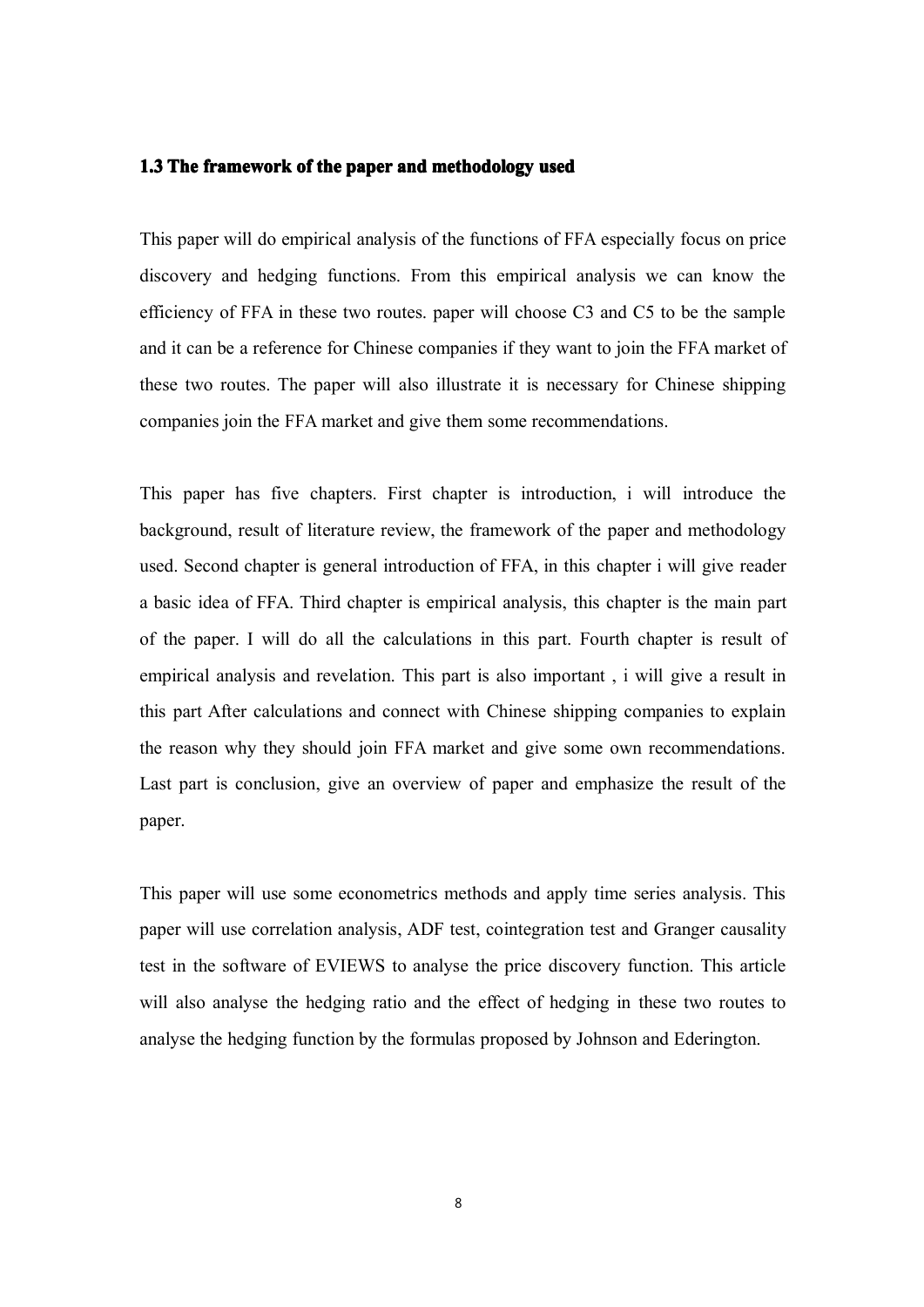#### **1.3 The framework framework frameworkof the paper and methodology used**

This paper will do empirical analysis of the functions of FFA especially focus on price discovery and hedging functions. From this empirical analysis we can know the efficiency of FFA in these two routes. paper will choose C3 and C5 to be the sample and it can be <sup>a</sup> reference for Chinese companies if they want to join the FFA market of these two routes. The paper will also illustrate it is necessary for Chinese shipping companies join the FFA market and give them some recommendations.

This paper has five chapters. First chapter is introduction, i will introduce the background, result of literature review, the framework of the paper and methodology used. Second chapter is general introduction of FFA, in this chapter i will give reader <sup>a</sup> basic idea of FFA. Third chapter is empirical analysis, this chapter is the main par<sup>t</sup> of the paper. I will do all the calculations in this part. Fourth chapter is result of empirical analysis and revelation. This par<sup>t</sup> is also important , i will give <sup>a</sup> result in this par<sup>t</sup> After calculations and connect with Chinese shipping companies to explain the reason why they should join FFA market and give some own recommendations. Last par<sup>t</sup> is conclusion, give an overview of paper and emphasize the result of the paper.

This paper will use some econometrics methods and apply time series analysis. This paper will use correlation analysis, ADF test, cointegration test and Granger causality test in the software of EVIEWS to analyse the price discovery function. This article will also analyse the hedging ratio and the effect of hedging in these two routes to analyse the hedging function by the formulas proposed by Johnson and Ederington.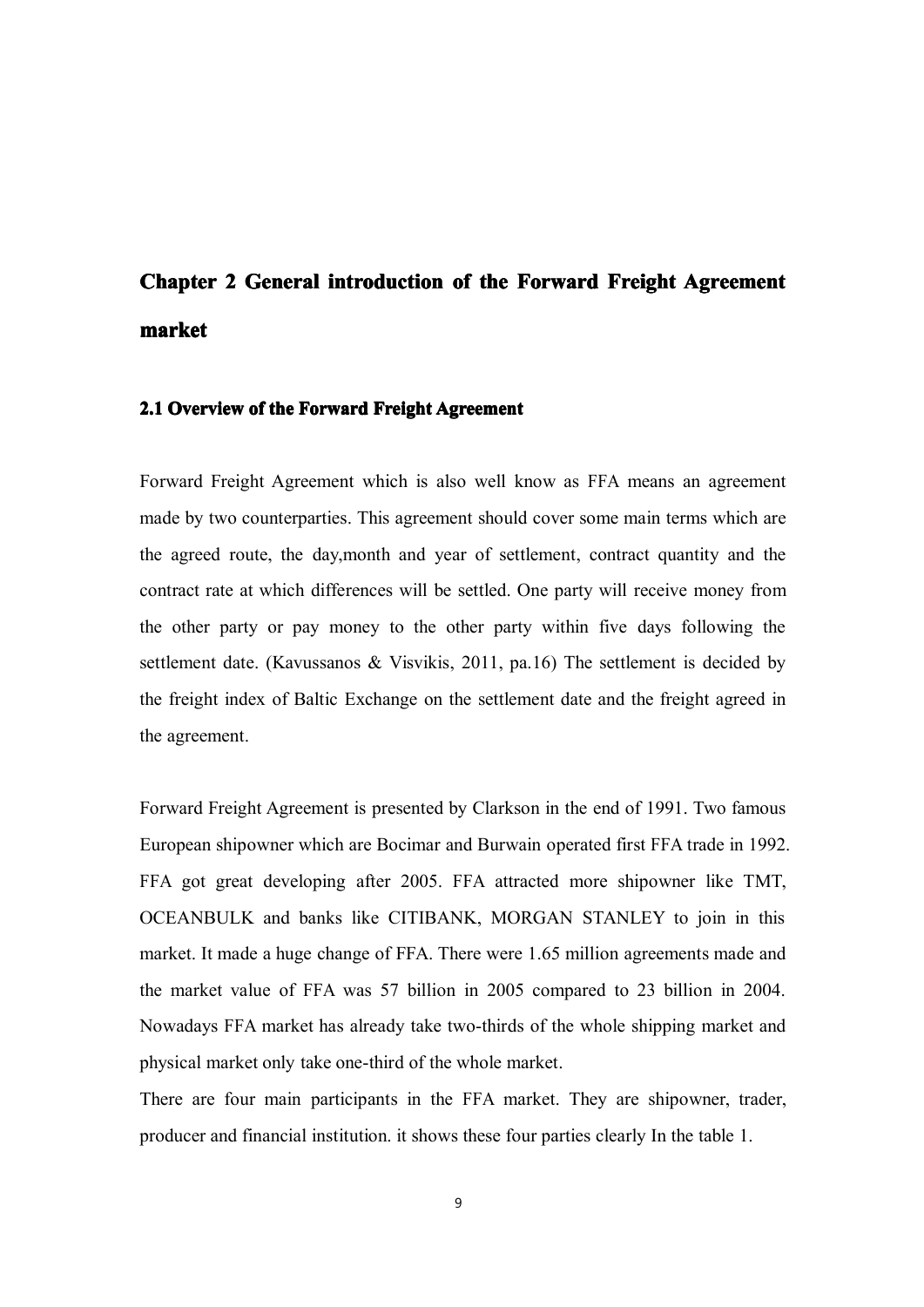## Chapter 2 General introduction of the Forward Freight Agreement **market**

#### **2.1 Overview of the Forward Freight Agreement**

Forward Freight Agreement which is also well know as FFA means an agreemen<sup>t</sup> made by two counterparties. This agreemen<sup>t</sup> should cover some main terms which are the agreed route, the day,month and year of settlement, contract quantity and the contract rate at which differences will be settled. One party will receive money from the other party or pay money to the other party within five days following the settlement date. (Kavussanos & Visvikis, 2011, pa.16) The settlement is decided by the freight index of Baltic Exchange on the settlement date and the freight agreed in the agreement.

Forward Freight Agreement is presented by Clarkson in the end of 1991. Two famous European shipowner which are Bocimar and Burwain operated first FFA trade in 1992. FFA go<sup>t</sup> grea<sup>t</sup> developing after 2005. FFA attracted more shipowner like TMT, OCEANBULK and banks like CITIBANK, MORGAN STANLEY to join in this market. It made <sup>a</sup> huge change of FFA. There were 1.65 million agreements made and the market value of FFA was 57 billion in 2005 compared to 23 billion in 2004. Nowadays FFA market has already take two-thirds of the whole shipping market and physical market only take one-third of the whole market.

There are four main participants in the FFA market. They are shipowner, trader, producer and financial institution. it shows these four parties clearly In the table 1.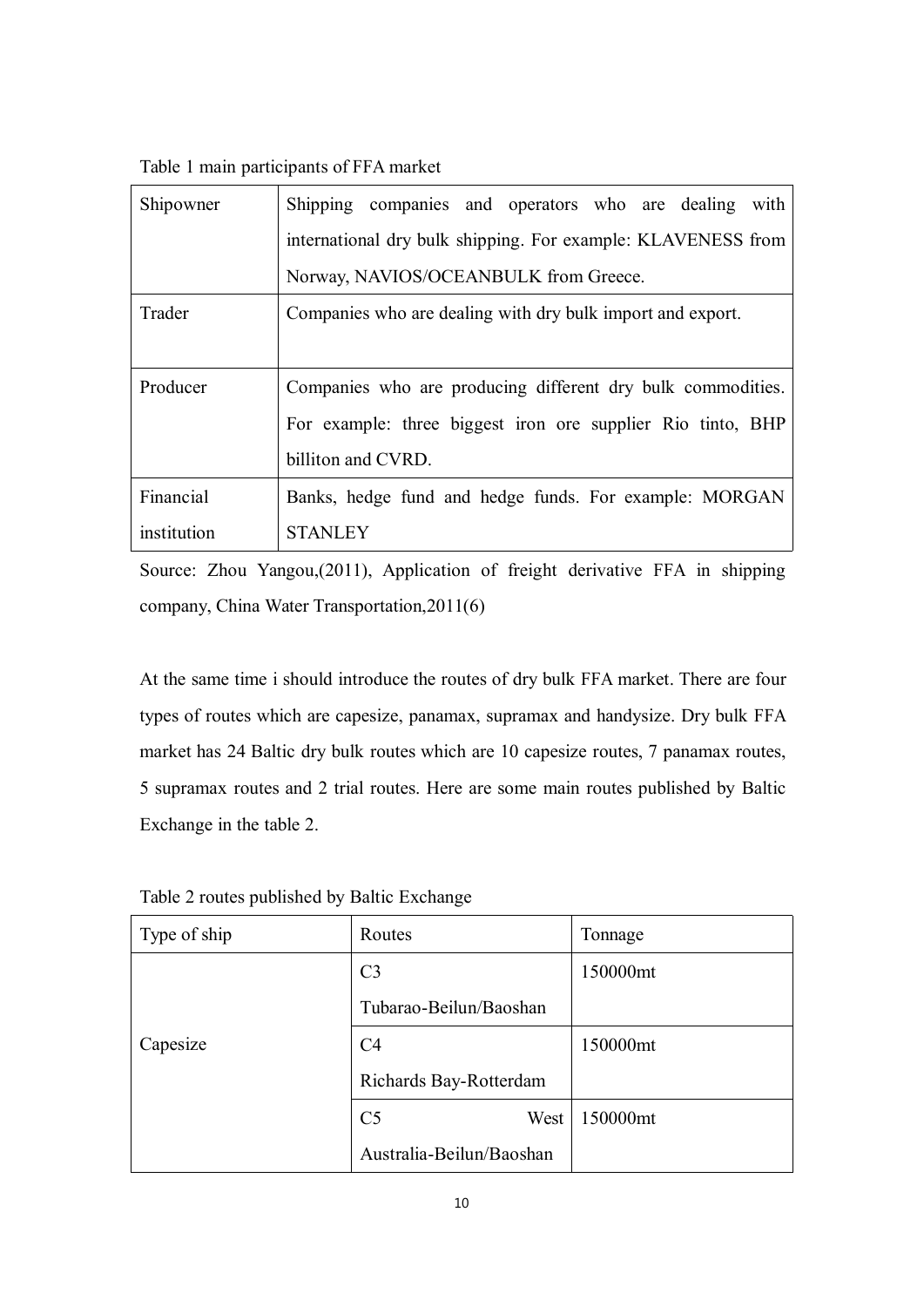Table 1 main participants of FFAmarket

| Shipowner   | Shipping companies and operators who are dealing<br>with     |
|-------------|--------------------------------------------------------------|
|             | international dry bulk shipping. For example: KLAVENESS from |
|             | Norway, NAVIOS/OCEANBULK from Greece.                        |
| Trader      | Companies who are dealing with dry bulk import and export.   |
|             |                                                              |
| Producer    | Companies who are producing different dry bulk commodities.  |
|             | For example: three biggest iron ore supplier Rio tinto, BHP  |
|             | billiton and CVRD.                                           |
| Financial   | Banks, hedge fund and hedge funds. For example: MORGAN       |
| institution | <b>STANLEY</b>                                               |

Source: Zhou Yangou,(2011), Application of freight derivative FFA in shipping company, China Water Transportation,2011(6)

At the same time i should introduce the routes of dry bulk FFA market. There are four types of routes which are capesize, panamax, supramax and handysize. Dry bulk FFA market has 24 Baltic dry bulk routes which are 10 capesize routes, 7 panamax routes, 5 supramax routes and 2 trial routes. Here are some main routes published by Baltic Exchange in the table 2.

| Type of ship | Routes                   | Tonnage  |
|--------------|--------------------------|----------|
|              | C <sub>3</sub>           | 150000mt |
|              | Tubarao-Beilun/Baoshan   |          |
| Capesize     | C <sub>4</sub>           | 150000mt |
|              | Richards Bay-Rotterdam   |          |
|              | C <sub>5</sub><br>West   | 150000mt |
|              | Australia-Beilun/Baoshan |          |

Table 2 routes published by Baltic Exchange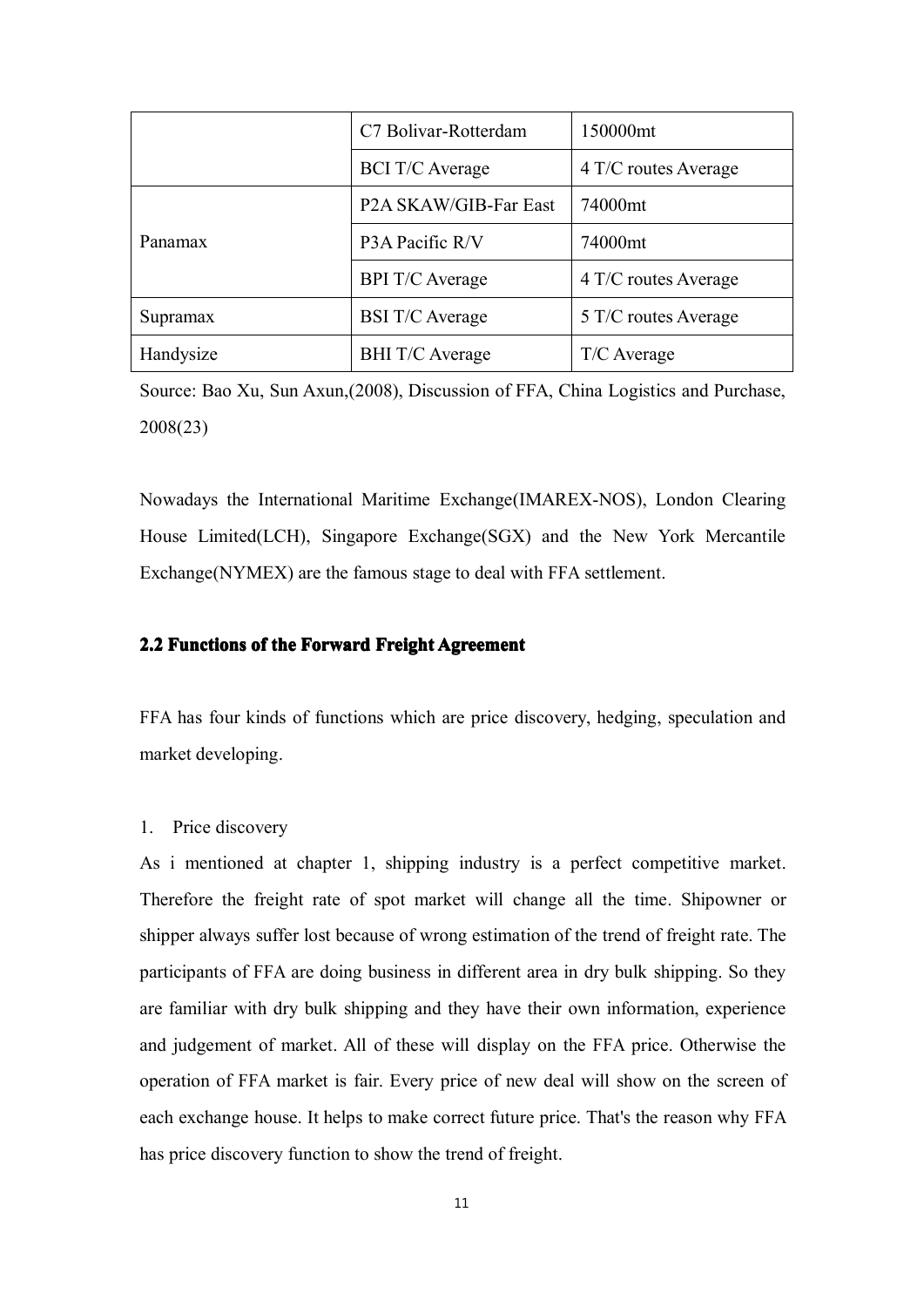|           | C7 Bolivar-Rotterdam   | 150000mt             |  |
|-----------|------------------------|----------------------|--|
|           | <b>BCI T/C Average</b> | 4 T/C routes Average |  |
|           | P2A SKAW/GIB-Far East  | 74000mt              |  |
| Panamax   | P3A Pacific R/V        | 74000mt              |  |
|           | <b>BPI T/C Average</b> | 4 T/C routes Average |  |
| Supramax  | <b>BSI T/C Average</b> | 5 T/C routes Average |  |
| Handysize | <b>BHI T/C Average</b> | T/C Average          |  |

Source: Bao Xu, Sun Axun,(2008), Discussion of FFA, China Logistics and Purchase, 2008(23)

Nowadays the International Maritime Exchange(IMAREX-NOS), London Clearing House Limited(LCH), Singapore Exchange(SGX) and the New York Mercantile Exchange(NYMEX) are the famous stage to deal with FFA settlement.

#### **2.2 Functions Functions Functionsof the Forward Forward Forward Forward Freight FreightAgreement Agreement**

FFA has four kinds of functions which are price discovery, hedging, speculation and market developing.

#### 1. Price discovery

As i mentioned at chapter 1, shipping industry is <sup>a</sup> perfect competitive market. Therefore the freight rate of spo<sup>t</sup> market will change all the time. Shipowner or shipper always suffer lost because of wrong estimation of the trend of freight rate. The participants of FFA are doing business in different area in dry bulk shipping. So they are familiar with dry bulk shipping and they have their own information, experience and judgement of market. All of these will display on the FFA price. Otherwise the operation of FFA market is fair. Every price of newdeal will show on the screen of each exchange house. It helps to make correct future price. That's the reason why FFA has price discovery function to show the trend of freight.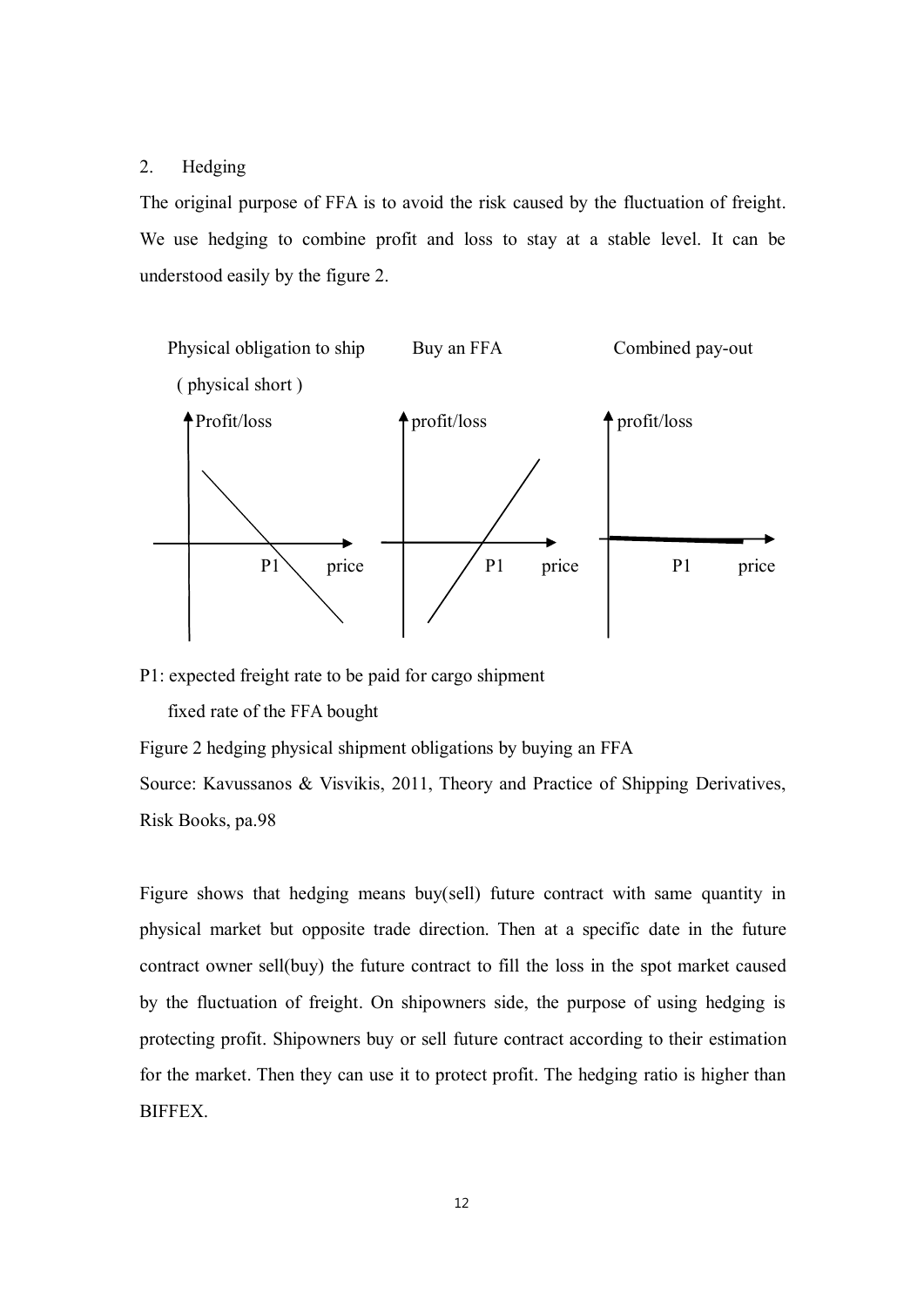#### 2. Hedging

The original purpose of FFA is to avoid the risk caused by the fluctuation of freight. We use hedging to combine profit and loss to stay at <sup>a</sup> stable level. It can be understood easily by the figure 2.



P1: expected freight rate to be paid for cargo shipment

fixed rate of the FFA bought

Figure 2 hedging physical shipment obligations by buying an FFA

Source: Kavussanos & Visvikis, 2011, Theory and Practice of Shipping Derivatives, Risk Books, pa.98

Figure shows that hedging means buy(sell) future contract with same quantity in physical market but opposite trade direction. Then at <sup>a</sup> specific date in the future contract owner sell(buy) the future contract to fill the loss in the spot market caused by the fluctuation of freight. On shipowners side, the purpose of using hedging is protecting profit. Shipowners buy or sell future contract according to their estimation for the market. Then they can use it to protect profit. The hedging ratio is higher than BIFFEX.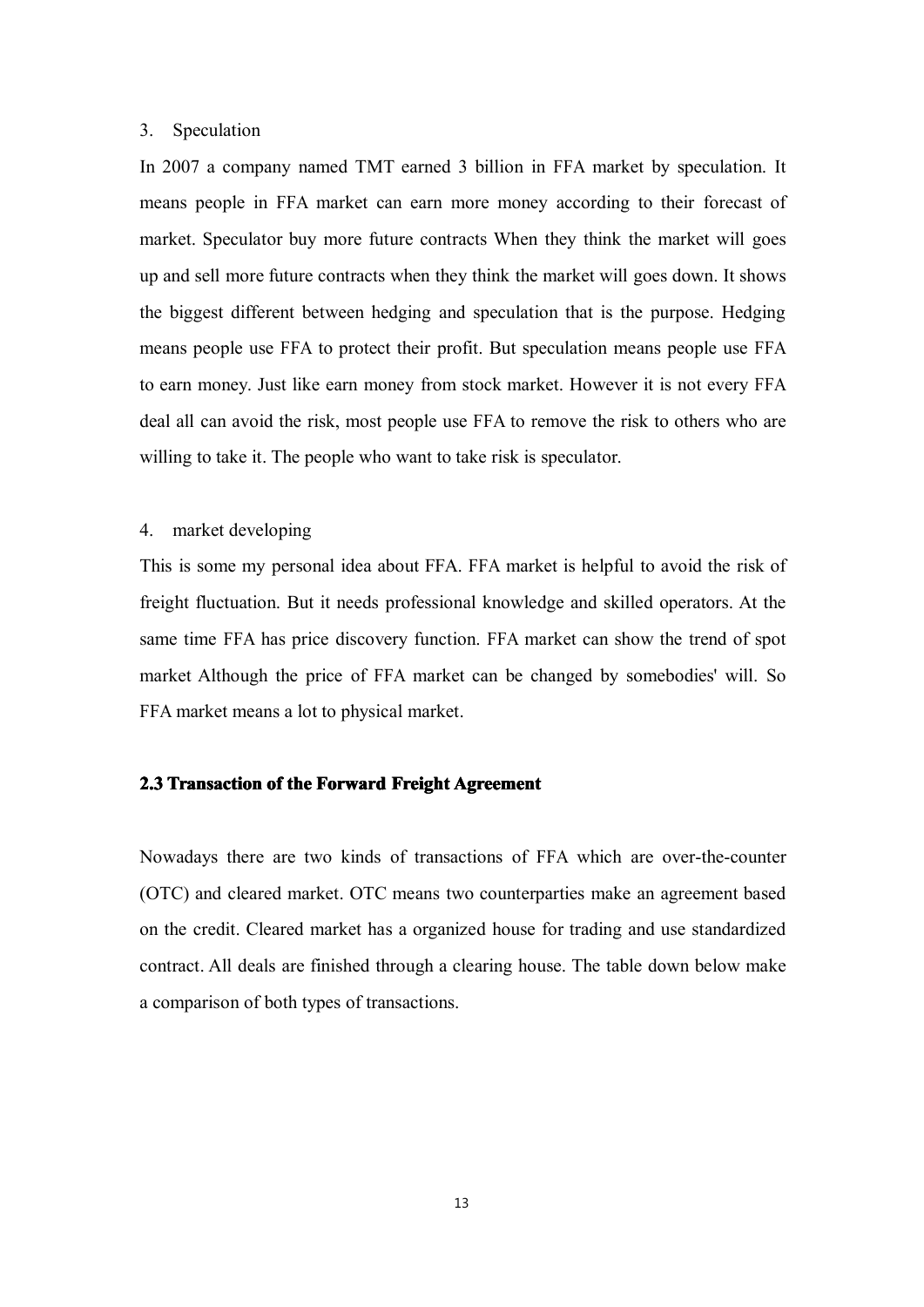#### 3. Speculation

In 2007 <sup>a</sup> company named TMT earned 3 billion in FFA market by speculation. It means people in FFA market can earn more money according to their forecast of market. Speculator buy more future contracts When they think the market will goes up and sell more future contracts when they think the market will goes down. It shows the biggest different between hedging and speculation that is the purpose. Hedging means people use FFA to protect their profit. But speculation means people use FFA to earn money. Just like earn money from stock market. However it is not every FFA deal all can avoid the risk, most people use FFA to remove the risk to others who are willing to take it. The people who want to take risk is speculator.

#### 4. market developing

This is some my personal idea about FFA. FFA market is helpful to avoid the risk of freight fluctuation. But it needs professional knowledge and skilled operators. At the same time FFA has price discovery function. FFA market can show the trend of spo<sup>t</sup> market Although the price of FFA market can be changed by somebodies' will. So FFA market means <sup>a</sup> lot to physical market.

#### **2.3 Transaction of the Forward Freight Agreement**

Nowadays there are two kinds of transactions of FFA which are over-the-counter (OTC) and cleared market. OTC means two counterparties make an agreemen<sup>t</sup> based on the credit. Cleared market has <sup>a</sup> organized house for trading and use standardized contract. All deals are finished through <sup>a</sup> clearing house. The table down below make <sup>a</sup> comparison of both types of transactions.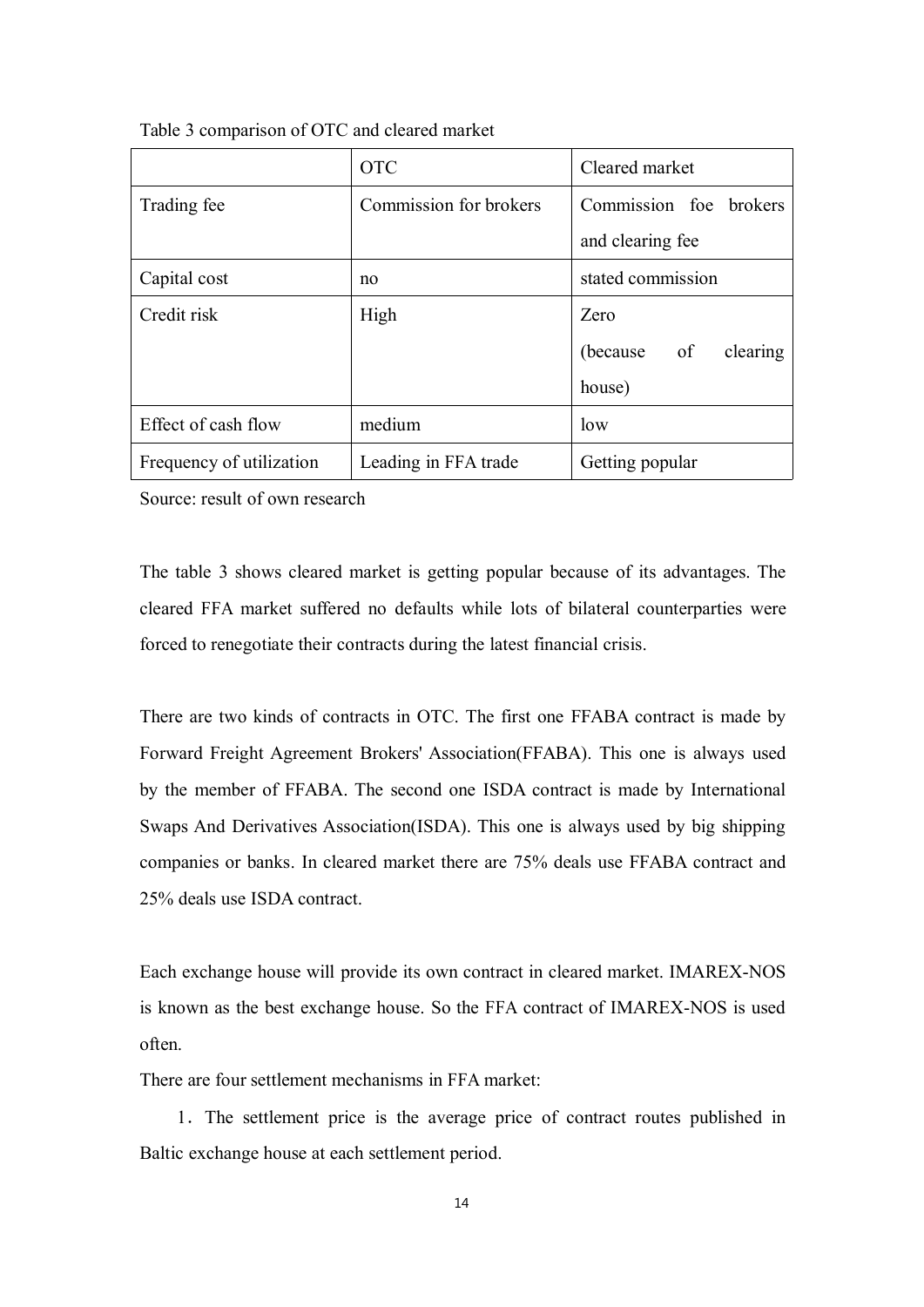|                          | <b>OTC</b>             | Cleared market         |  |
|--------------------------|------------------------|------------------------|--|
| Trading fee              | Commission for brokers | Commission foe brokers |  |
|                          |                        | and clearing fee       |  |
| Capital cost             | no                     | stated commission      |  |
| Credit risk              | High                   | Zero                   |  |
|                          |                        | (because of clearing   |  |
|                          |                        | house)                 |  |
| Effect of cash flow      | medium                 | low                    |  |
| Frequency of utilization | Leading in FFA trade   | Getting popular        |  |

Table 3 comparison of OTC and cleared market

Source: result of own research

The table 3 shows cleared market is getting popular because of its advantages. The cleared FFA market suffered no defaults while lots of bilateral counterparties were forced to renegotiate their contracts during the latest financial crisis.

There are two kinds of contracts in OTC. The first one FFABA contract is made by Forward Freight Agreement Brokers' Association(FFABA). This one is always used by the member of FFABA. The second one ISDA contract is made by International Swaps And Derivatives Association(ISDA). This one is always used by big shipping companies or banks. In cleared market there are 75% deals use FFABA contract and 25% deals use ISDA contract.

Each exchange house will provide its own contract in cleared market. IMAREX-NOS is known as the best exchange house. So the FFA contract of IMAREX-NOS is used often.

There are four settlement mechanisms in FFA market:

1.The settlement price is the average price of contract routes published in Baltic exchange house at each settlement period.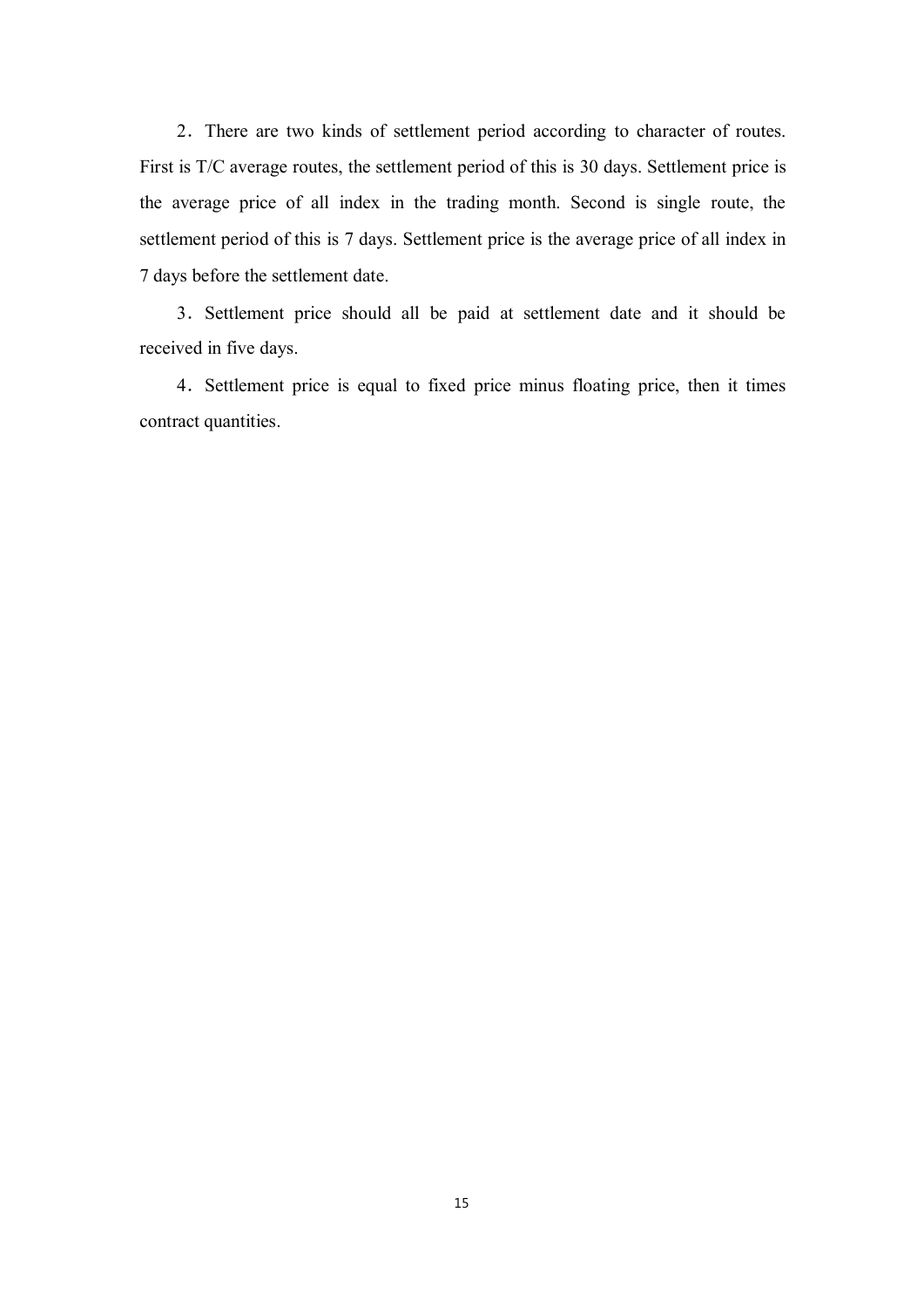2.There are two kinds of settlement period according to character of routes. First is T/C average routes, the settlement period of this is 30 days. Settlement price is the average price of all index in the trading month. Second is single route, the settlement period of this is 7 days. Settlement price is the average price of all index in 7 days before the settlement date.

3.Settlement price should all be paid at settlement date and it should be received in five days.

4.Settlement price is equal to fixed price minus floating price, then it times contract quantities.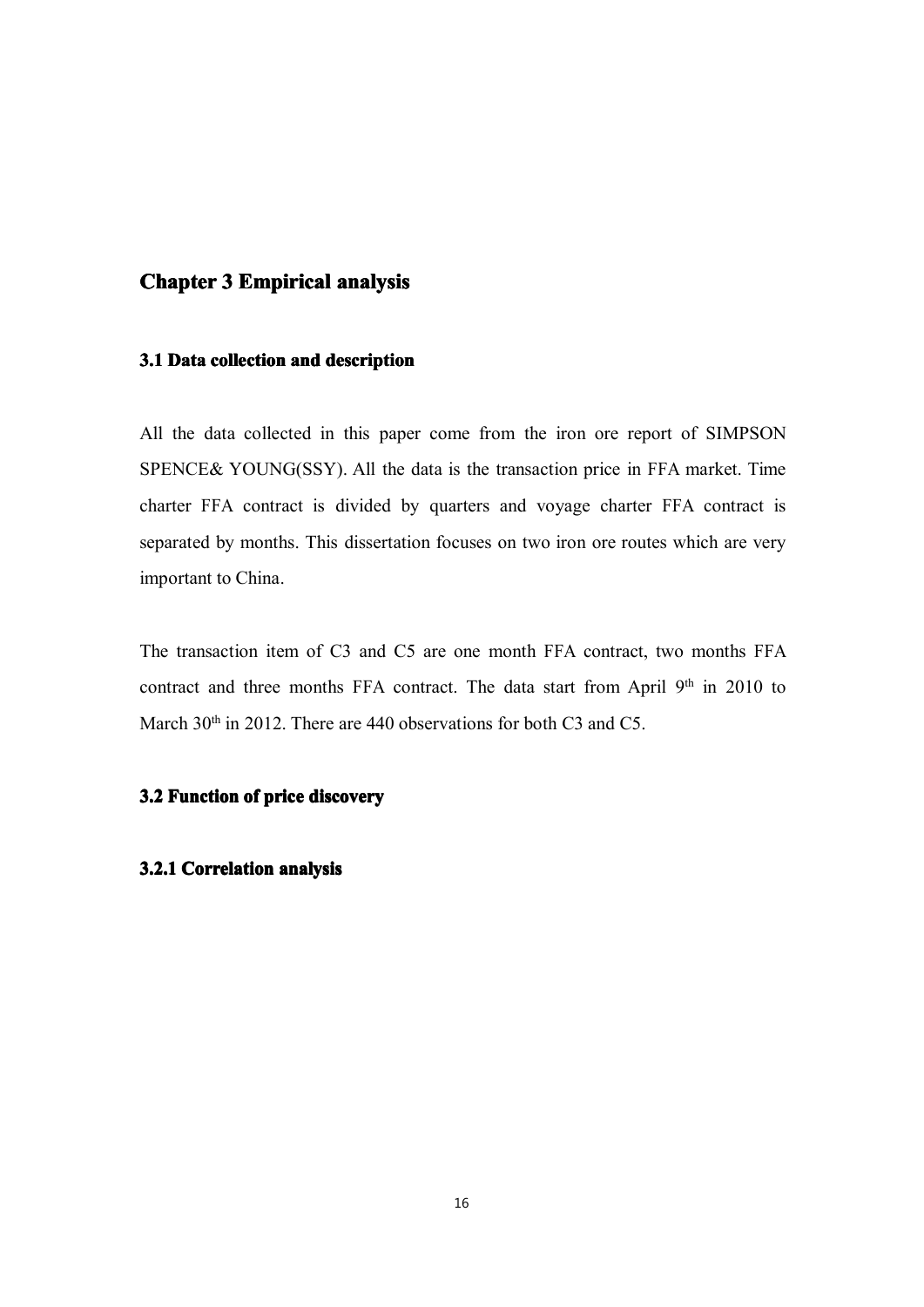### **Chapter 3 Empirical analysis**

#### **3.1 Data collection and description**

All the data collected in this paper come from the iron ore repor<sup>t</sup> of SIMPSON SPENCE& YOUNG(SSY). All the data is the transaction price in FFA market. Time charter FFA contract is divided by quarters and voyage charter FFA contract is separated by months. This dissertation focuses on two iron ore routes which are very important to China.

The transaction item of C3 and C5 are one month FFA contract, two months FFA contract and three months FFA contract. The data start from April  $9<sup>th</sup>$  in 2010 to March  $30<sup>th</sup>$  in 2012. There are 440 observations for both C3 and C5.

### **3.2 Function of price discovery**

#### **3.2.1 Correlation analysis**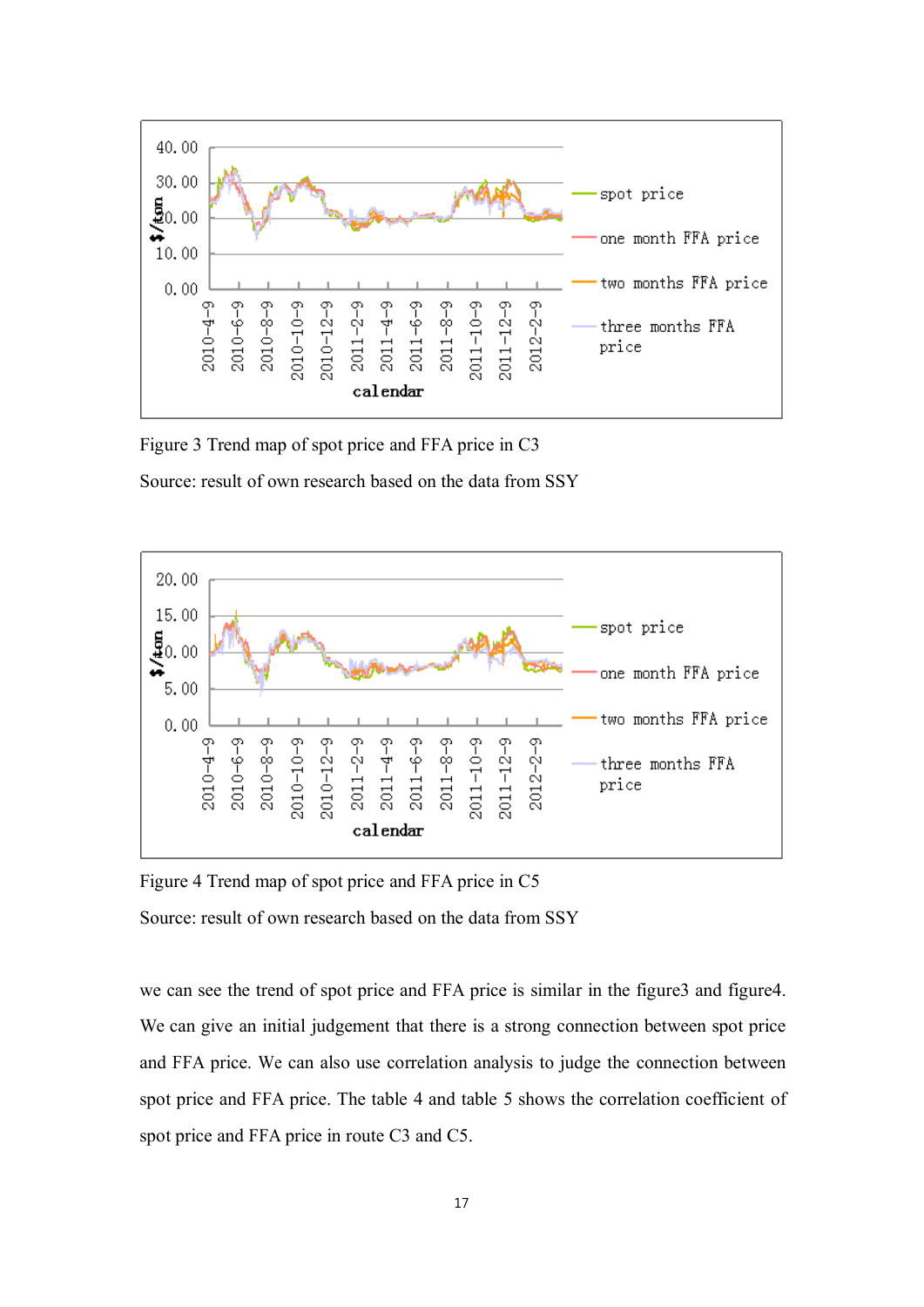

Figure 3 Trend map of spo<sup>t</sup> price and FFA price in C3

Source: result of own research based on the data from SSY



Figure 4 Trend map of spo<sup>t</sup> price and FFA price in C5

Source: result of own research based on the data from SSY

we can see the trend of spo<sup>t</sup> price and FFA price is similar in the figure3 and figure4. We can give an initial judgement that there is <sup>a</sup> strong connection between spo<sup>t</sup> price and FFA price. We can also use correlation analysis to judge the connection between spo<sup>t</sup> price and FFA price. The table 4 and table 5 shows the correlation coefficient of spo<sup>t</sup> price and FFA price in route C3 and C5.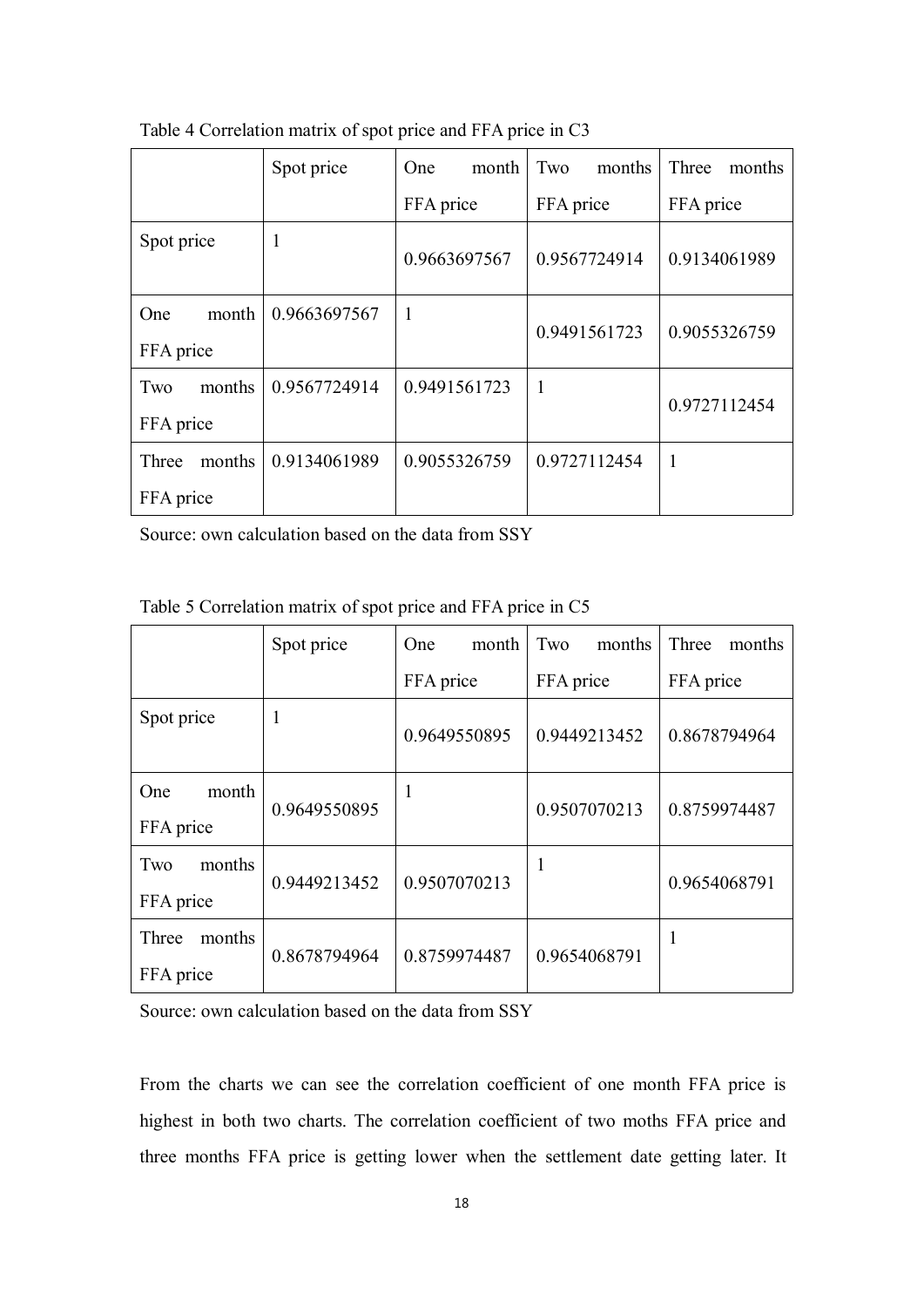|                            | Spot price   | One.<br>month | Two<br>months | Three<br>months |
|----------------------------|--------------|---------------|---------------|-----------------|
|                            |              | FFA price     | FFA price     | FFA price       |
| Spot price                 | H            | 0.9663697567  | 0.9567724914  | 0.9134061989    |
| month<br>One.<br>FFA price | 0.9663697567 | $\mathbf{1}$  | 0.9491561723  | 0.9055326759    |
| months<br>Two<br>FFA price | 0.9567724914 | 0.9491561723  | $\mathbf{1}$  | 0.9727112454    |
| months<br>Three            | 0.9134061989 | 0.9055326759  | 0.9727112454  | $\overline{1}$  |
| FFA price                  |              |               |               |                 |

Table 4 Correlation matrix of spo<sup>t</sup> price and FFA price in C3

Source: own calculation based on the data from SSY

|                                  | Spot price   | month<br>One | Two<br>months | Three<br>months |
|----------------------------------|--------------|--------------|---------------|-----------------|
|                                  |              | FFA price    | FFA price     | FFA price       |
| Spot price                       |              | 0.9649550895 | 0.9449213452  | 0.8678794964    |
| month<br><b>One</b><br>FFA price | 0.9649550895 | 1            | 0.9507070213  | 0.8759974487    |
| months<br>Two<br>FFA price       | 0.9449213452 | 0.9507070213 | 1             | 0.9654068791    |
| months<br>Three<br>FFA price     | 0.8678794964 | 0.8759974487 | 0.9654068791  | 1               |

Table 5 Correlation matrix of spo<sup>t</sup> price and FFA price in C5

Source: own calculation based on the data from SSY

From the charts we can see the correlation coefficient of one month FFA price is highest in both two charts. The correlation coefficient of two moths FFA price and three months FFA price is getting lower when the settlement date getting later. It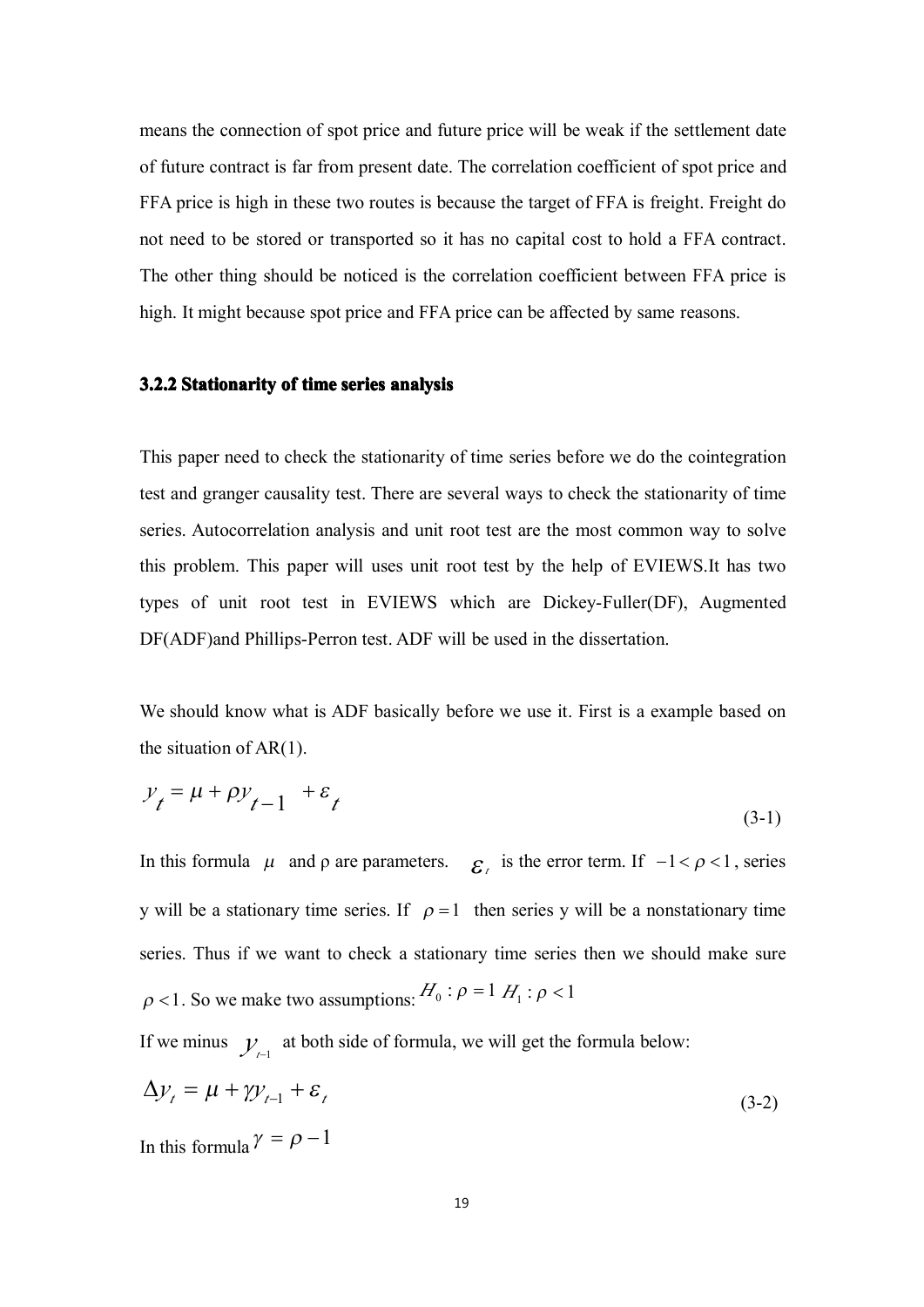means the connection of spo<sup>t</sup> price and future price will be weak if the settlement date of future contract is far from presen<sup>t</sup> date. The correlation coefficient of spo<sup>t</sup> price and FFA price is high in these two routes is because the target of FFA is freight. Freight do not need to be stored or transported so it has no capital cost to hold <sup>a</sup> FFA contract. The other thing should be noticed is the correlation coefficient between FFA price is high. It might because spo<sup>t</sup> price and FFA price can be affected by same reasons.

#### **3.2.2 Stationarity Stationarityof time series analysis analysis**

This paper need to check the stationarity of time series before we do the cointegration test and granger causality test. There are several ways to check the stationarity of time series. Autocorrelation analysis and unit root test are the most common way to solve this problem. This paper will uses unit root test by the help of EVIEWS.It has two types of unit root test in EVIEWS which are Dickey-Fuller(DF), Augmented DF(ADF)and Phillips-Perron test. ADF will be used in the dissertation.

We should know what is ADF basically before we use it. First is <sup>a</sup> example based on the situation of AR(1).

$$
y_t = \mu + \rho y_{t-1} + \varepsilon_t \tag{3-1}
$$

In this formula  $\mu$  and  $\rho$  are parameters.  $\epsilon$  is the error term. If  $-1 < \rho < 1$ , series y will be a stationary time series. If  $\rho = 1$  then series y will be a nonstationary time series. Thus if we want to check a stationary time series then we should make sure  $\rho$  <1. So we make two assumptions:  $H_0: \rho = 1$   $H_1: \rho < 1$ 

If we minus  $y_{t-1}$  at both side of formula, we will get the formula below:

$$
\Delta y_t = \mu + \gamma y_{t-1} + \varepsilon_t
$$
  
In this formula  $\gamma = \rho - 1$  (3-2)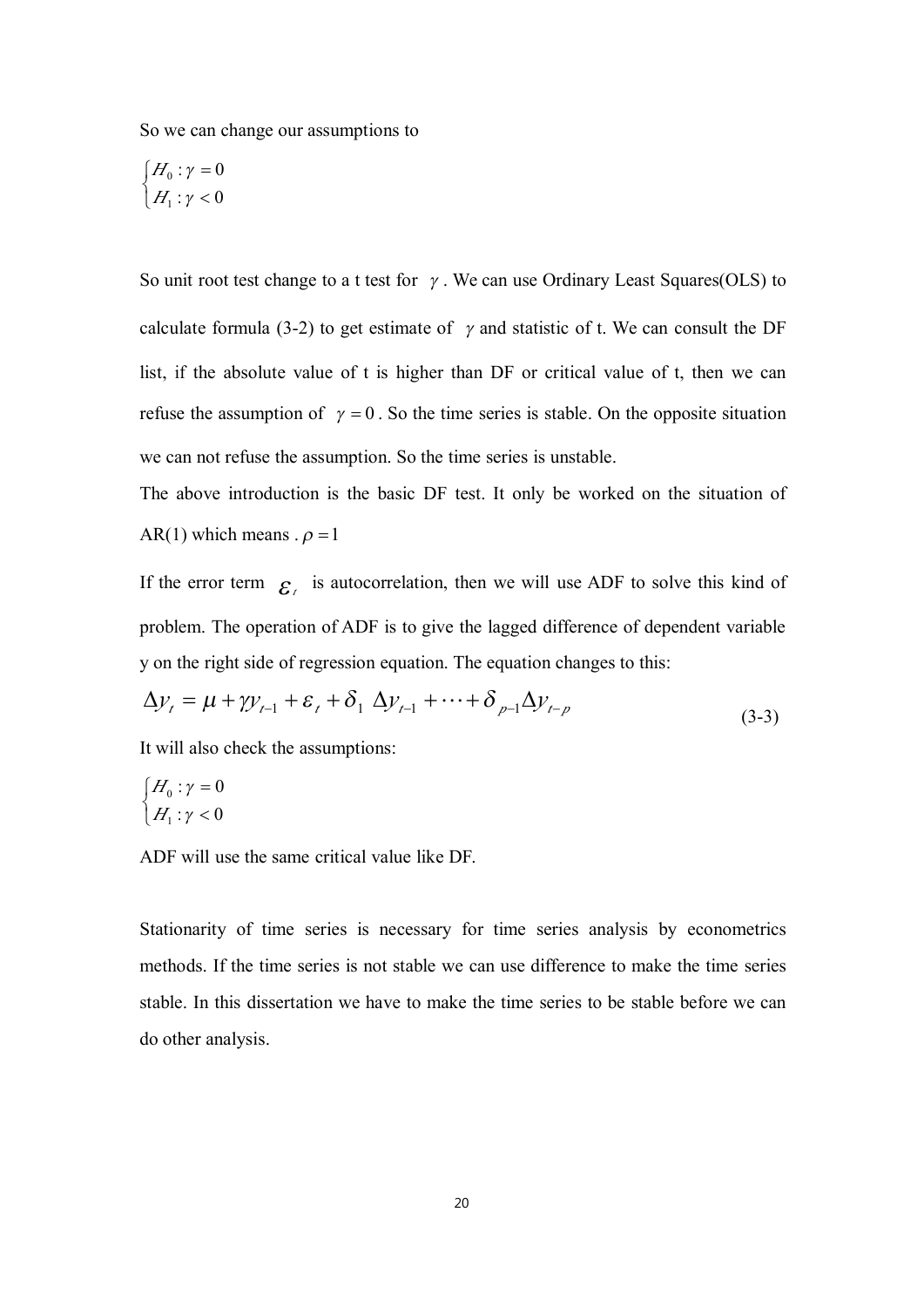So we can change our assumptions to

$$
\begin{cases} H_0: \gamma = 0 \\ H_1: \gamma < 0 \end{cases}
$$

So unit root test change to a t test for  $\gamma$ . We can use Ordinary Least Squares(OLS) to calculate formula (3-2) to get estimate of  $\gamma$  and statistic of t. We can consult the DF list, if the absolute value of <sup>t</sup> is higher than DF or critical value of t, then we can refuse the assumption of  $\gamma = 0$ . So the time series is stable. On the opposite situation we can not refuse the assumption. So the time series is unstable.

The above introduction is the basic DF test. It only be worked on the situation of AR(1) which means .  $\rho = 1$ 

If the error term  $\epsilon_i$  is autocorrelation, then we will use ADF to solve this kind of problem. The operation of ADF is to give the lagged difference of dependent variable y on the right side of regression equation. The equation changes to this:

$$
\Delta y_t = \mu + \gamma y_{t-1} + \varepsilon_t + \delta_1 \Delta y_{t-1} + \dots + \delta_{p-1} \Delta y_{t-p}
$$
\n(3-3)

It will also check the assumptions:

$$
\begin{cases} H_0: \gamma = 0 \\ H_1: \gamma < 0 \end{cases}
$$

ADF will use the same critical value like DF.

Stationarity of time series is necessary for time series analysis by econometrics methods. If the time series is not stable we can use difference to make the time series stable. In this dissertation we have to make the time series to be stable before we can do other analysis.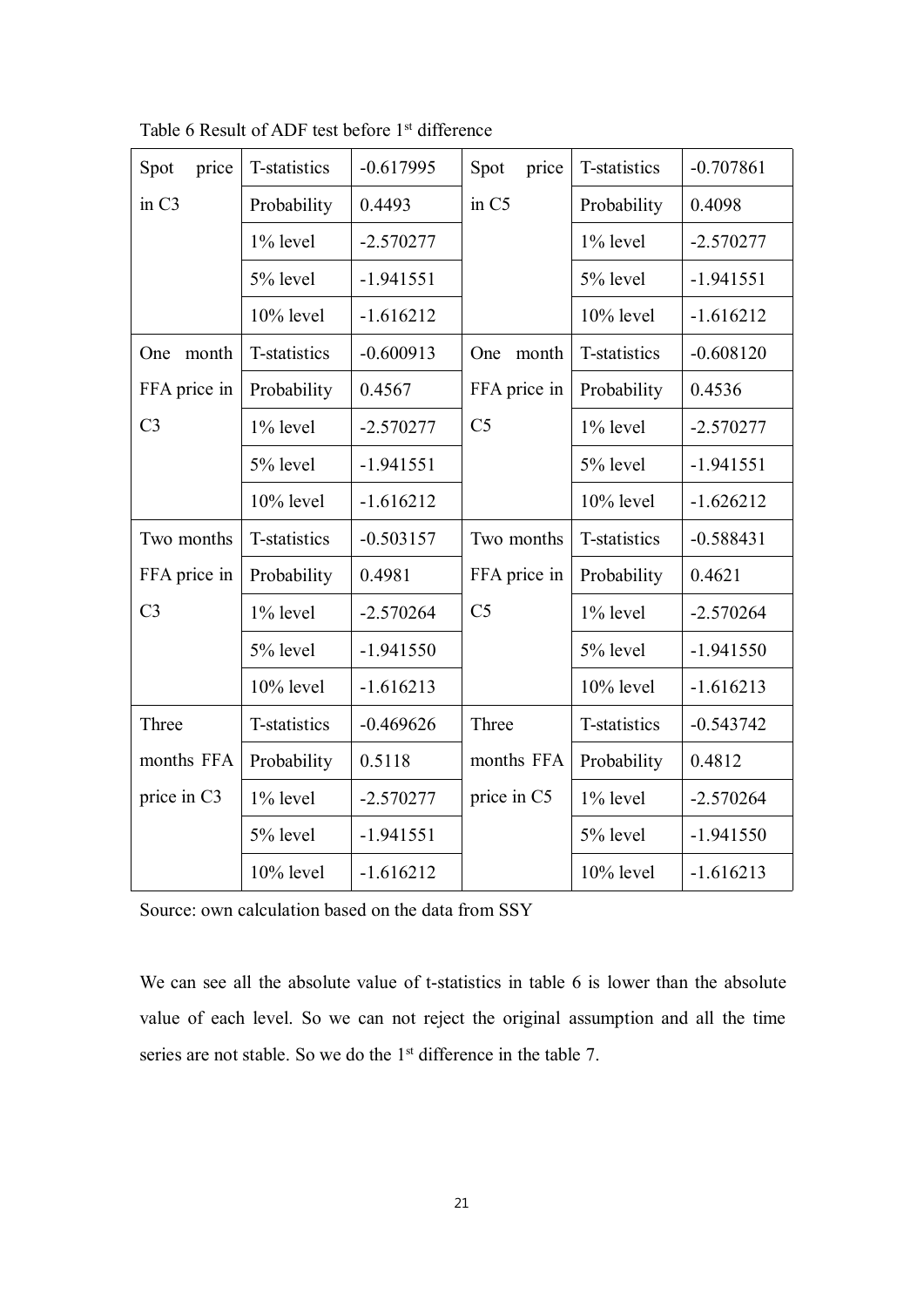| Spot<br>price     | T-statistics | $-0.617995$ | Spot<br>price  | T-statistics | $-0.707861$ |
|-------------------|--------------|-------------|----------------|--------------|-------------|
| in C <sub>3</sub> | Probability  | 0.4493      | in C5          | Probability  | 0.4098      |
|                   | 1% level     | $-2.570277$ |                | 1% level     | $-2.570277$ |
|                   | 5% level     | $-1.941551$ |                | 5% level     | $-1.941551$ |
|                   | 10% level    | $-1.616212$ |                | 10% level    | $-1.616212$ |
| month<br>One      | T-statistics | $-0.600913$ | One<br>month   | T-statistics | $-0.608120$ |
| FFA price in      | Probability  | 0.4567      | FFA price in   | Probability  | 0.4536      |
| C <sub>3</sub>    | 1% level     | $-2.570277$ | C <sub>5</sub> | 1% level     | $-2.570277$ |
|                   | 5% level     | $-1.941551$ |                | 5% level     | $-1.941551$ |
|                   | 10% level    | $-1.616212$ |                | 10% level    | $-1.626212$ |
| Two months        | T-statistics | $-0.503157$ | Two months     | T-statistics | $-0.588431$ |
| FFA price in      | Probability  | 0.4981      | FFA price in   | Probability  | 0.4621      |
| C <sub>3</sub>    | 1% level     | $-2.570264$ | C <sub>5</sub> | 1% level     | $-2.570264$ |
|                   | 5% level     | $-1.941550$ |                | 5% level     | $-1.941550$ |
|                   | $10\%$ level | $-1.616213$ |                | 10% level    | $-1.616213$ |
| Three             | T-statistics | $-0.469626$ | Three          | T-statistics | $-0.543742$ |
| months FFA        | Probability  | 0.5118      | months FFA     | Probability  | 0.4812      |
| price in C3       | 1% level     | $-2.570277$ | price in C5    | 1% level     | $-2.570264$ |
|                   | 5% level     | $-1.941551$ |                | 5% level     | $-1.941550$ |
|                   | 10% level    | $-1.616212$ |                | 10% level    | $-1.616213$ |
|                   |              |             |                |              |             |

Table 6 Result of ADF test before 1st difference

Source: own calculation based on the data from SSY

We can see all the absolute value of t-statistics in table 6 is lower than the absolute value of each level. So we can not reject the original assumption and all the time series are not stable. So we do the 1<sup>st</sup> difference in the table 7.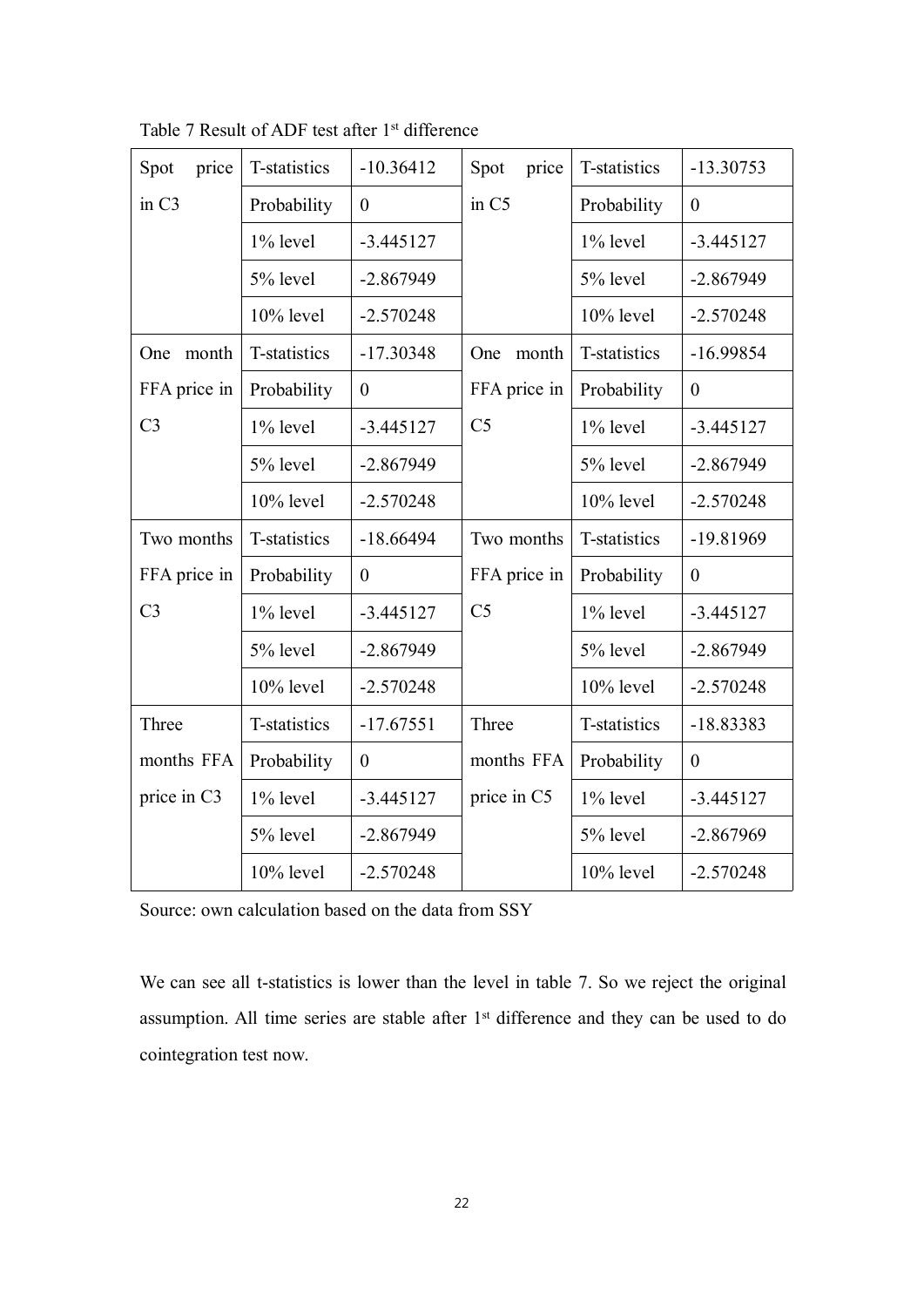| Spot<br>price     | T-statistics | $-10.36412$    | Spot<br>price     | T-statistics | $-13.30753$      |
|-------------------|--------------|----------------|-------------------|--------------|------------------|
| in C <sub>3</sub> | Probability  | $\mathbf{0}$   | in C <sub>5</sub> | Probability  | $\boldsymbol{0}$ |
|                   | 1% level     | $-3.445127$    |                   | 1% level     | $-3.445127$      |
|                   | 5% level     | $-2.867949$    |                   | 5% level     | $-2.867949$      |
|                   | 10% level    | $-2.570248$    |                   | 10% level    | $-2.570248$      |
| month<br>One      | T-statistics | $-17.30348$    | One<br>month      | T-statistics | $-16.99854$      |
| FFA price in      | Probability  | $\mathbf{0}$   | FFA price in      | Probability  | $\boldsymbol{0}$ |
| C <sub>3</sub>    | $1\%$ level  | $-3.445127$    | C <sub>5</sub>    | 1% level     | $-3.445127$      |
|                   | 5% level     | $-2.867949$    |                   | 5% level     | $-2.867949$      |
|                   | $10\%$ level | $-2.570248$    |                   | $10\%$ level | $-2.570248$      |
| Two months        | T-statistics | $-18.66494$    | Two months        | T-statistics | $-19.81969$      |
| FFA price in      | Probability  | $\mathbf{0}$   | FFA price in      | Probability  | $\boldsymbol{0}$ |
| C <sub>3</sub>    | 1% level     | $-3.445127$    | C <sub>5</sub>    | 1% level     | $-3.445127$      |
|                   | 5% level     | $-2.867949$    |                   | 5% level     | $-2.867949$      |
|                   | 10% level    | $-2.570248$    |                   | 10% level    | $-2.570248$      |
| Three             | T-statistics | $-17.67551$    | Three             | T-statistics | $-18.83383$      |
| months FFA        | Probability  | $\overline{0}$ | months FFA        | Probability  | $\boldsymbol{0}$ |
| price in C3       | 1% level     | $-3.445127$    | price in C5       | 1% level     | $-3.445127$      |
|                   | 5% level     | $-2.867949$    |                   | 5% level     | $-2.867969$      |
|                   | 10% level    | $-2.570248$    |                   | 10% level    | $-2.570248$      |
|                   |              |                |                   |              |                  |

Table 7 Result of ADF test after 1<sup>st</sup> difference

Source: own calculation based on the data from SSY

We can see all t-statistics is lower than the level in table 7. So we reject the original assumption. All time series are stable after 1<sup>st</sup> difference and they can be used to do cointegration test now.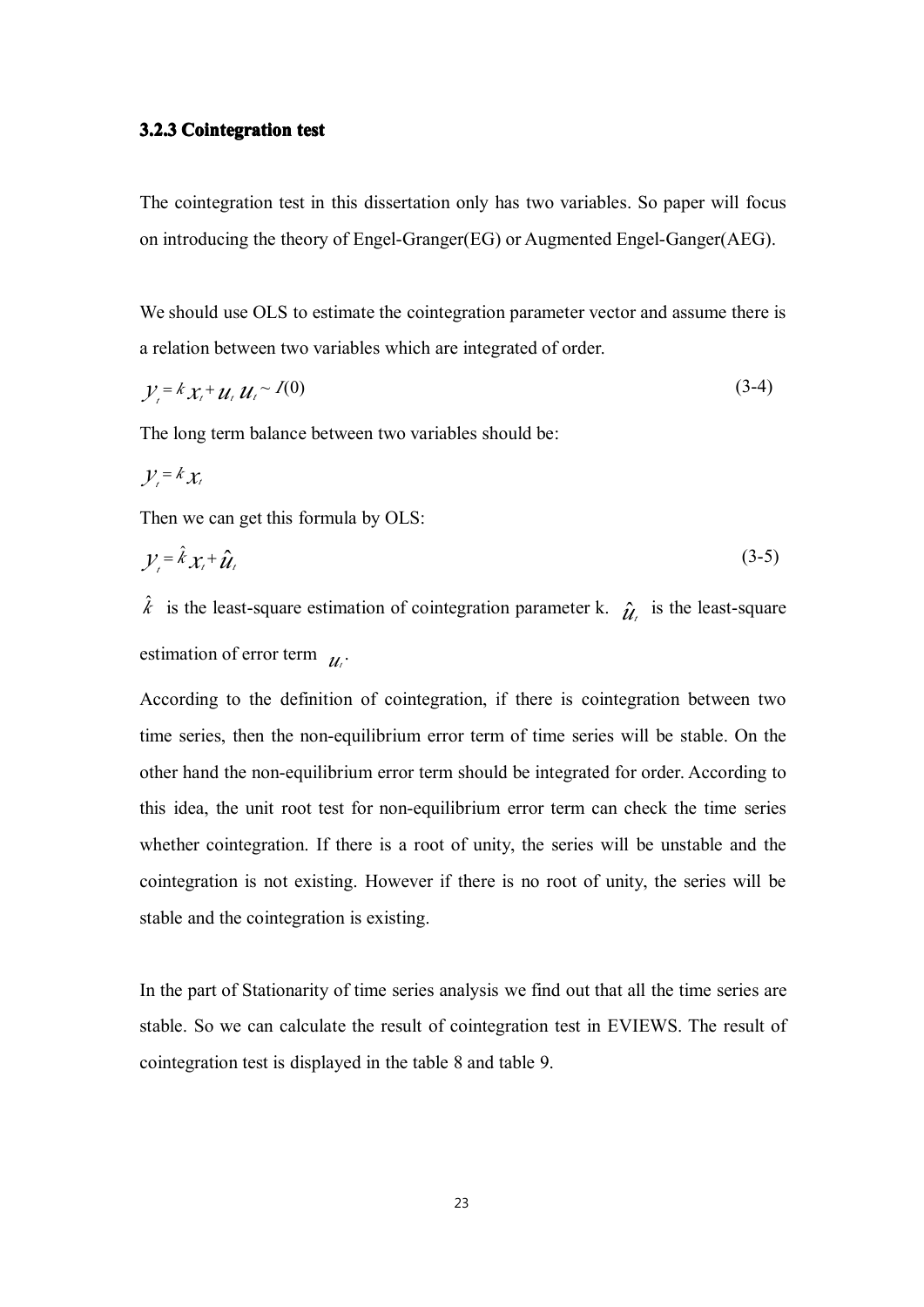#### **3.2.3 Cointegration test**

The cointegration test in this dissertation only has two variables. So paper will focus on introducing the theory of Engel-Granger(EG) or Augmented Engel-Ganger(AEG).

We should use OLS to estimate the cointegration parameter vector and assume there is <sup>a</sup> relation between two variables which are integrated of order.

$$
y_t = k x_t + u_t u_t \sim I(0) \tag{3-4}
$$

The long term balance between two variables should be:

$$
\mathcal{Y}_{\iota} = k \mathcal{X}_{\iota}
$$

Then we can ge<sup>t</sup> this formula by OLS:

$$
\mathcal{Y}_i = \hat{k} \mathcal{X}_i + \hat{\mathcal{U}}_i \tag{3-5}
$$

 $\hat{k}$  is the least-square estimation of cointegration parameter k.  $\hat{\mu}$  is the least-square estimation of error term  $u_t$ .

According to the definition of cointegration, if there is cointegration between two time series, then the non-equilibrium error term of time series will be stable. On the other hand the non-equilibrium error term should be integrated for order. According to this idea, the unit root test for non-equilibrium error term can check the time series whether cointegration. If there is <sup>a</sup> root of unity, the series will be unstable and the cointegration is not existing. However if there is no root of unity, the series will be stable and the cointegration is existing.

In the par<sup>t</sup> of Stationarity of time series analysis we find out that all the time series are stable. So we can calculate the result of cointegration test in EVIEWS. The result of cointegration test is displayed in the table 8 and table 9.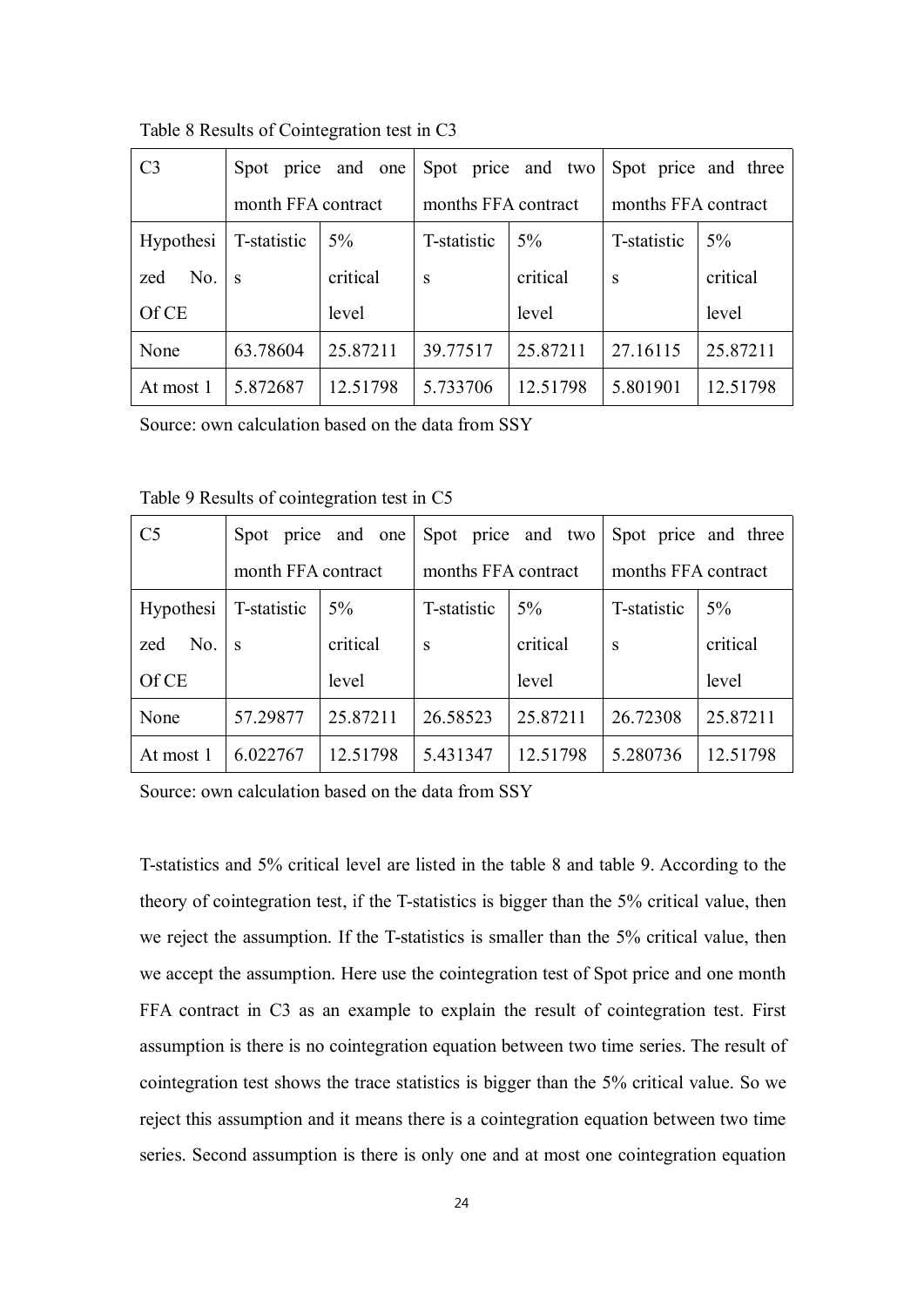| C <sub>3</sub>   |                    | Spot price and one Spot price and two Spot price and three |                     |          |                     |          |
|------------------|--------------------|------------------------------------------------------------|---------------------|----------|---------------------|----------|
|                  | month FFA contract |                                                            | months FFA contract |          | months FFA contract |          |
| <b>Hypothesi</b> | T-statistic        | $5\%$                                                      | T-statistic         | $5\%$    | T-statistic         | 5%       |
| No.<br>zed       | <sub>S</sub>       | critical                                                   | S                   | critical | S                   | critical |
| Of CE            |                    | level                                                      |                     | level    |                     | level    |
| None             | 63.78604           | 25.87211                                                   | 39.77517            | 25.87211 | 27.16115            | 25.87211 |
| At most 1        | 5.872687           | 12.51798                                                   | 5.733706            | 12.51798 | 5.801901            | 12.51798 |

Table 8 Results of Cointegration test in C3

Source: own calculation based on the data from SSY

Table 9 Results of cointegration test in C5

| C <sub>5</sub> |                    | Spot price and one |                     | Spot price and two |                     | Spot price and three |
|----------------|--------------------|--------------------|---------------------|--------------------|---------------------|----------------------|
|                | month FFA contract |                    | months FFA contract |                    | months FFA contract |                      |
| Hypothesi      | T-statistic        | $5\%$              | T-statistic         | $5\%$              | T-statistic         | $5\%$                |
| No.<br>zed     | <sub>S</sub>       | critical           | S                   | critical           | S                   | critical             |
| Of CE          |                    | level              |                     | level              |                     | level                |
| None           | 57.29877           | 25.87211           | 26.58523            | 25.87211           | 26.72308            | 25.87211             |
| At most 1      | 6.022767           | 12.51798           | 5.431347            | 12.51798           | 5.280736            | 12.51798             |

Source: own calculation based on the data from SSY

T-statistics and 5% critical level are listed in the table 8 and table 9. According to the theory of cointegration test, if the T-statistics is bigger than the 5% critical value, then we reject the assumption. If the T-statistics is smaller than the 5% critical value, then we accep<sup>t</sup> the assumption. Here use the cointegration test of Spot price and one month FFA contract in C3 as an example to explain the result of cointegration test. First assumption is there is no cointegration equation between two time series. The result of cointegration test shows the trace statistics is bigger than the 5% critical value. So we reject this assumption and it means there is <sup>a</sup> cointegration equation between two time series. Second assumption is there is only one and at most one cointegration equation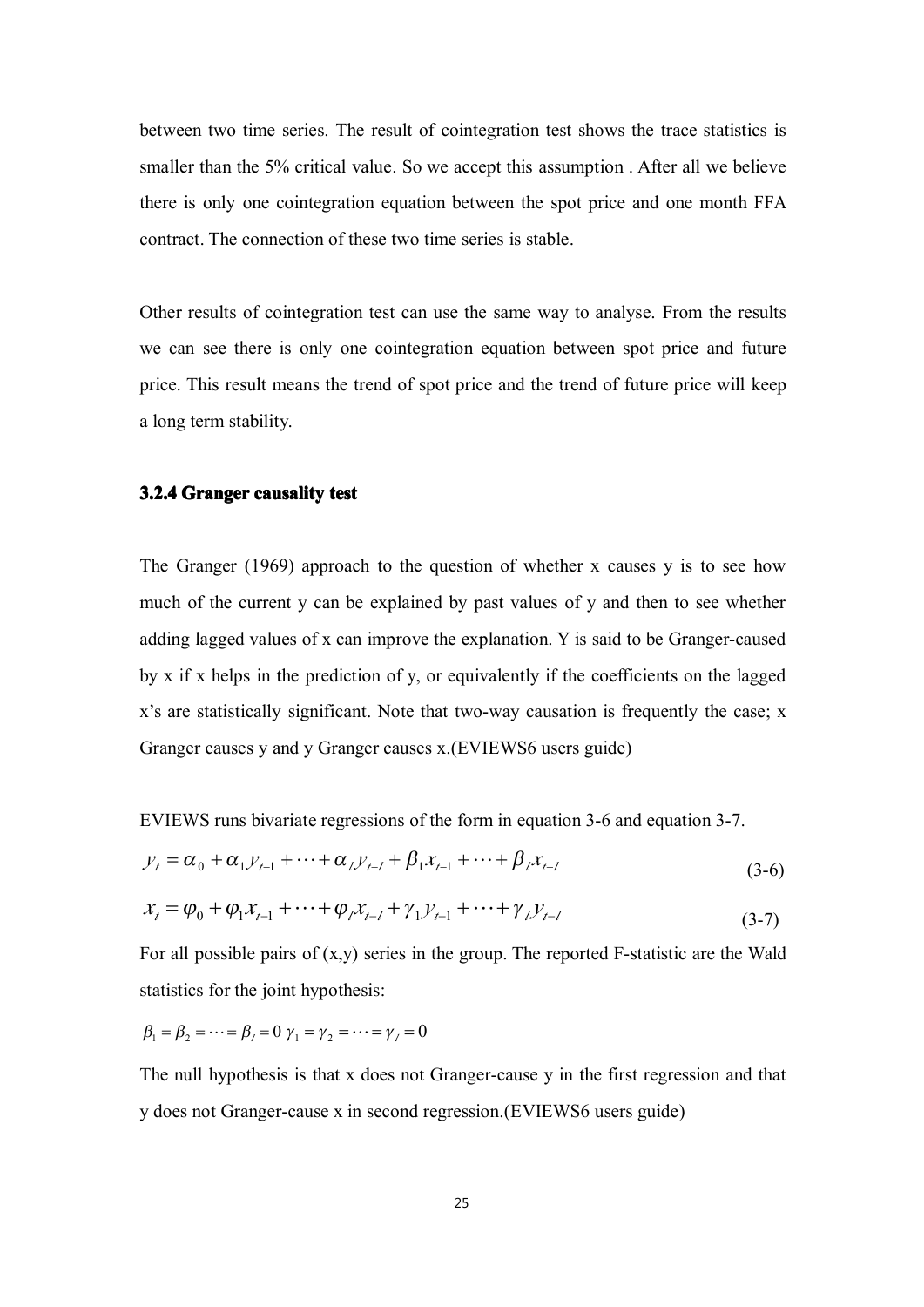between two time series. The result of cointegration test shows the trace statistics is smaller than the 5% critical value. So we accep<sup>t</sup> this assumption . After all we believe there is only one cointegration equation between the spo<sup>t</sup> price and one month FFA contract. The connection of these two time series is stable.

Other results of cointegration test can use the same way to analyse. From the results we can see there is only one cointegration equation between spo<sup>t</sup> price and future price. This result means the trend of spo<sup>t</sup> price and the trend of future price will keep <sup>a</sup> long term stability.

#### **3.2.4 Granger causality test**

The Granger (1969) approach to the question of whether <sup>x</sup> causes y is to see how much of the current y can be explained by past values of y and then to see whether adding lagged values of <sup>x</sup> can improve the explanation. Y is said to be Granger-caused by <sup>x</sup> if <sup>x</sup> helps in the prediction of y, or equivalently if the coefficients on the lagged <sup>x</sup>'s are statistically significant. Note that two-way causation is frequently the case; <sup>x</sup> Granger causes y and y Granger causes x.(EVIEWS6 users guide)

EVIEWS runs bivariate regressions of the form in equation 3-6 and equation 3-7.

$$
y_t = \alpha_0 + \alpha_1 y_{t-1} + \dots + \alpha_l y_{t-l} + \beta_1 x_{t-1} + \dots + \beta_l x_{t-l}
$$
\n(3-6)

$$
x_{t} = \varphi_{0} + \varphi_{1}x_{t-1} + \dots + \varphi_{l}x_{t-l} + \gamma_{1}y_{t-1} + \dots + \gamma_{l}y_{t-l}
$$
\n(3-7)

For all possible pairs of  $(x,y)$  series in the group. The reported F-statistic are the Wald statistics for the joint hypothesis:

$$
\beta_1 = \beta_2 = \cdots = \beta_\ell = 0
$$
  $\gamma_1 = \gamma_2 = \cdots = \gamma_\ell = 0$ 

The null hypothesis is that <sup>x</sup> does not Granger-cause y in the first regression and that y does not Granger-cause <sup>x</sup> in second regression.(EVIEWS6 users guide)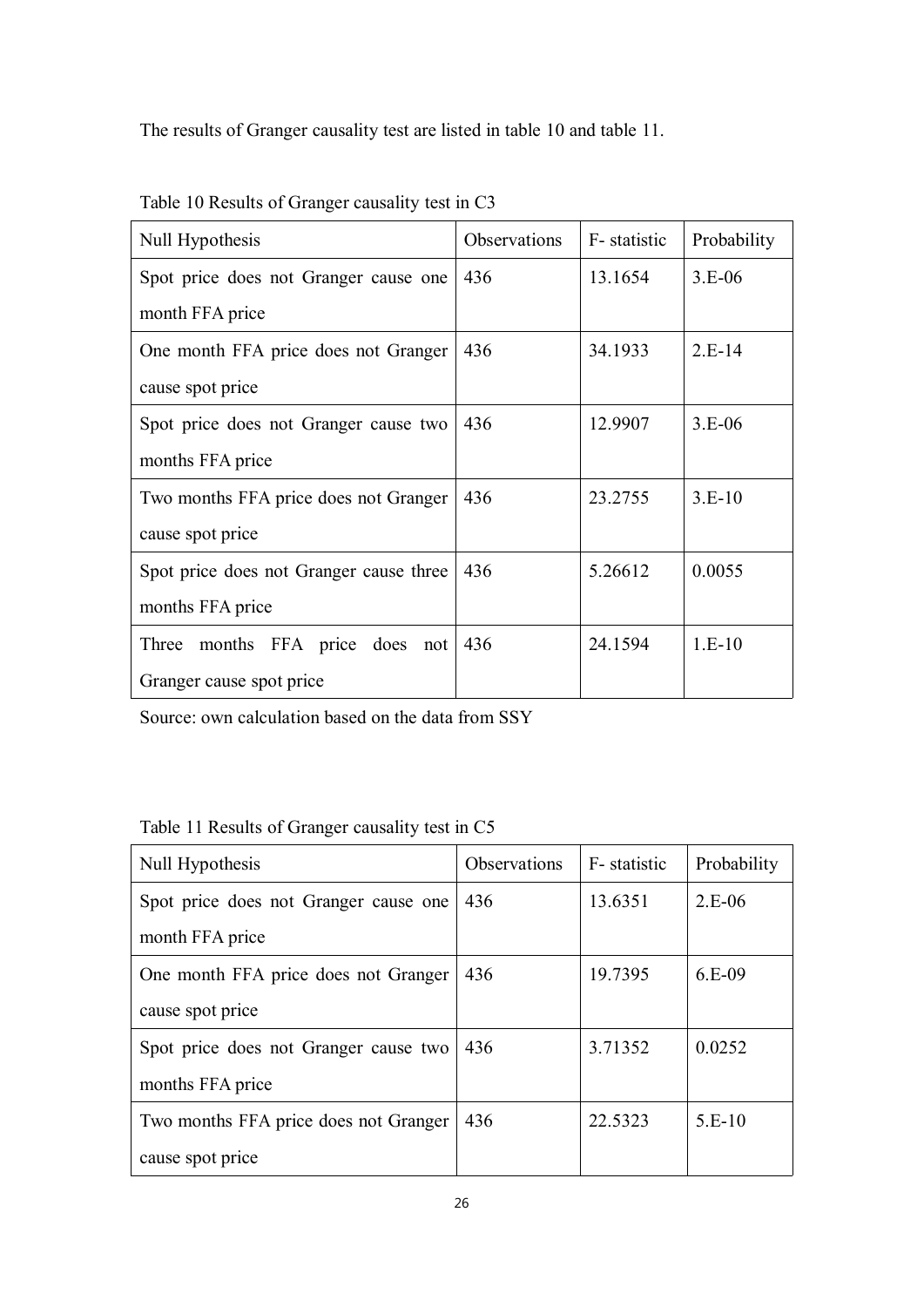The results of Granger causality test are listed in table 10 and table 11.

| Null Hypothesis                         | Observations | F- statistic | Probability |
|-----------------------------------------|--------------|--------------|-------------|
| Spot price does not Granger cause one   | 436          | 13.1654      | $3.E-06$    |
| month FFA price                         |              |              |             |
| One month FFA price does not Granger    | 436          | 34.1933      | $2.E-14$    |
| cause spot price                        |              |              |             |
| Spot price does not Granger cause two   | 436          | 12.9907      | $3.E-06$    |
| months FFA price                        |              |              |             |
| Two months FFA price does not Granger   | 436          | 23.2755      | $3.E-10$    |
| cause spot price                        |              |              |             |
| Spot price does not Granger cause three | 436          | 5.26612      | 0.0055      |
| months FFA price                        |              |              |             |
| months FFA price does<br>Three<br>not   | 436          | 24.1594      | $1.E-10$    |
| Granger cause spot price                |              |              |             |

Table 10 Results of Granger causality test in C3

Source: own calculation based on the data from SSY

|  | Table 11 Results of Granger causality test in C5 |  |  |
|--|--------------------------------------------------|--|--|
|--|--------------------------------------------------|--|--|

| Null Hypothesis                       | <b>Observations</b> | F- statistic | Probability |
|---------------------------------------|---------------------|--------------|-------------|
| Spot price does not Granger cause one | 436                 | 13.6351      | $2.E-06$    |
| month FFA price                       |                     |              |             |
| One month FFA price does not Granger  | 436                 | 19.7395      | $6.E-09$    |
| cause spot price                      |                     |              |             |
| Spot price does not Granger cause two | 436                 | 3.71352      | 0.0252      |
| months FFA price                      |                     |              |             |
| Two months FFA price does not Granger | 436                 | 22.5323      | $5.E-10$    |
| cause spot price                      |                     |              |             |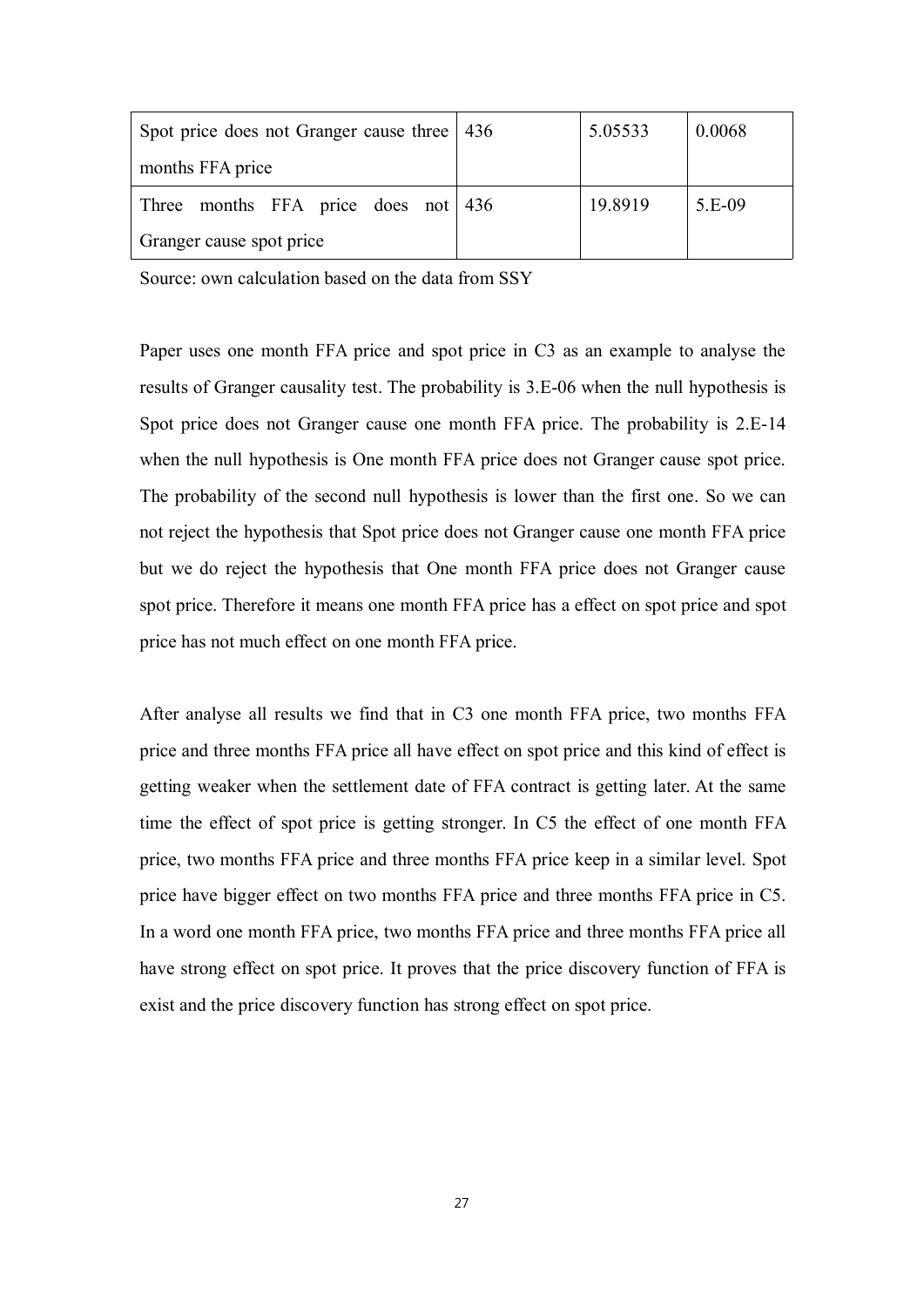| Spot price does not Granger cause three   436 | 5.05533 | 0.0068 |
|-----------------------------------------------|---------|--------|
| months FFA price                              |         |        |
| Three months FFA price does not $ 436 $       | 19.8919 | 5.E-09 |
| Granger cause spot price                      |         |        |

Source: own calculation based on the data from SSY

Paper uses one month FFA price and spo<sup>t</sup> price in C3 as an example to analyse the results of Granger causality test. The probability is 3.E-06 when the null hypothesis is Spot price does not Granger cause one month FFA price. The probability is 2.E-14 when the null hypothesis is One month FFA price does not Granger cause spo<sup>t</sup> price. The probability of the second null hypothesis is lower than the first one. So we can not reject the hypothesis that Spot price does not Granger cause one month FFA price but we do reject the hypothesis that One month FFA price does not Granger cause spo<sup>t</sup> price. Therefore it means one month FFA price has <sup>a</sup> effect on spo<sup>t</sup> price and spo<sup>t</sup> price has not much effect on one month FFA price.

After analyse all results we find that in C3 one month FFA price, two months FFA price and three months FFA price all have effect on spo<sup>t</sup> price and this kind of effect is getting weaker when the settlement date of FFA contract is getting later. At the same time the effect of spo<sup>t</sup> price is getting stronger. In C5 the effect of one month FFA price, two months FFA price and three months FFA price keep in <sup>a</sup> similar level. Spot price have bigger effect on two months FFA price and three months FFA price in C5. In <sup>a</sup> word one month FFA price, two months FFA price and three months FFA price all have strong effect on spo<sup>t</sup> price. It proves that the price discovery function of FFA is exist and the price discovery function has strong effect on spo<sup>t</sup> price.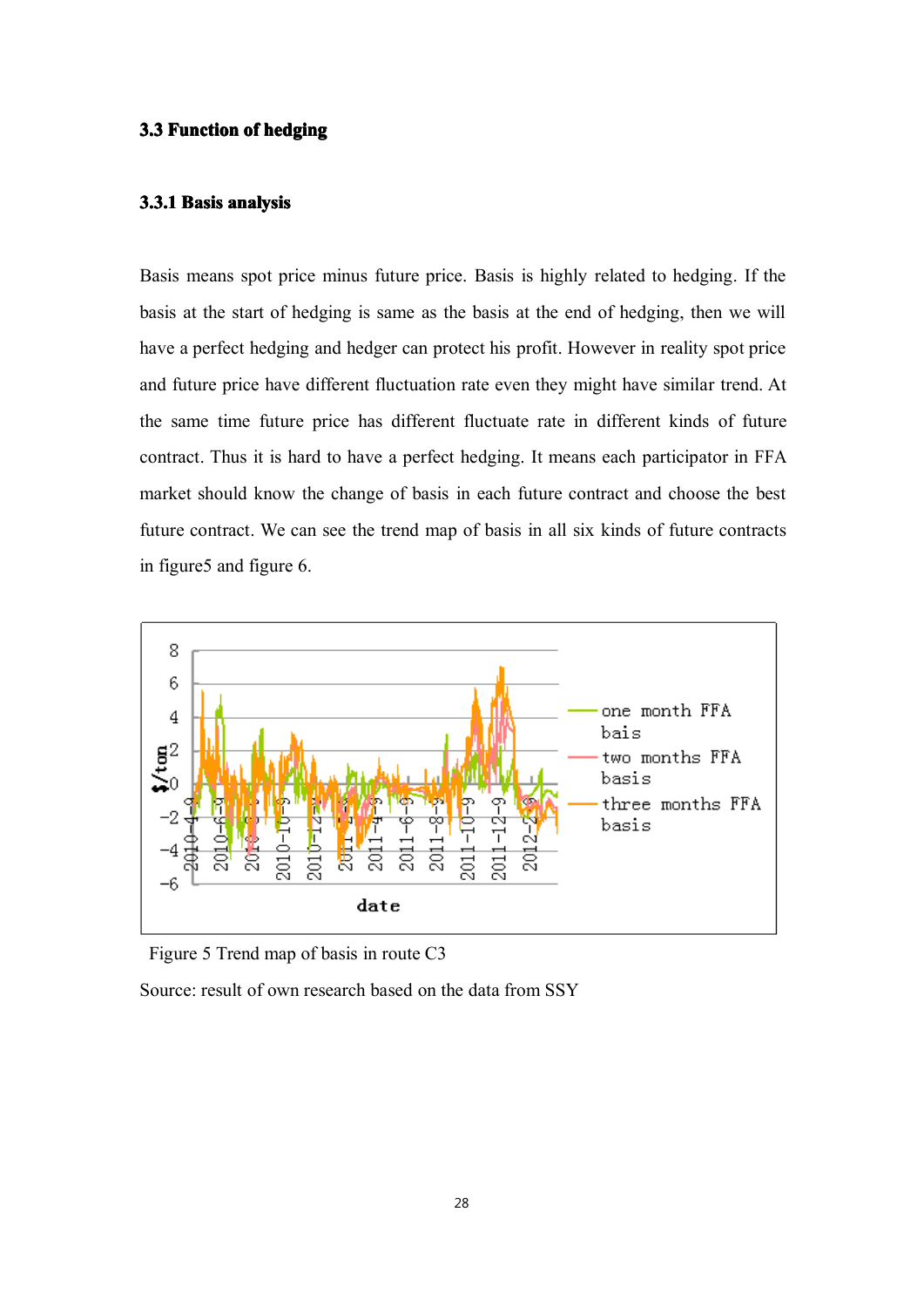#### **3.3** Function of hedging

## **3.3.1 Basis analysis analysis**

Basis means spo<sup>t</sup> price minus future price. Basis is highly related to hedging. If the basis at the start of hedging is same as the basis at the end of hedging, then we will have <sup>a</sup> perfect hedging and hedger can protect his profit. However in reality spo<sup>t</sup> price and future price have different fluctuation rate even they might have similar trend. At the same time future price has different fluctuate rate in different kinds of future contract. Thus it is hard to have <sup>a</sup> perfect hedging. It means each participator in FFA market should know the change of basis in each future contract and choose the best future contract. We can see the trend map of basis in all six kinds of future contracts in figure5 and figure 6.



Figure 5 Trend map of basis in route C3

Source: result of own research based on the data from SSY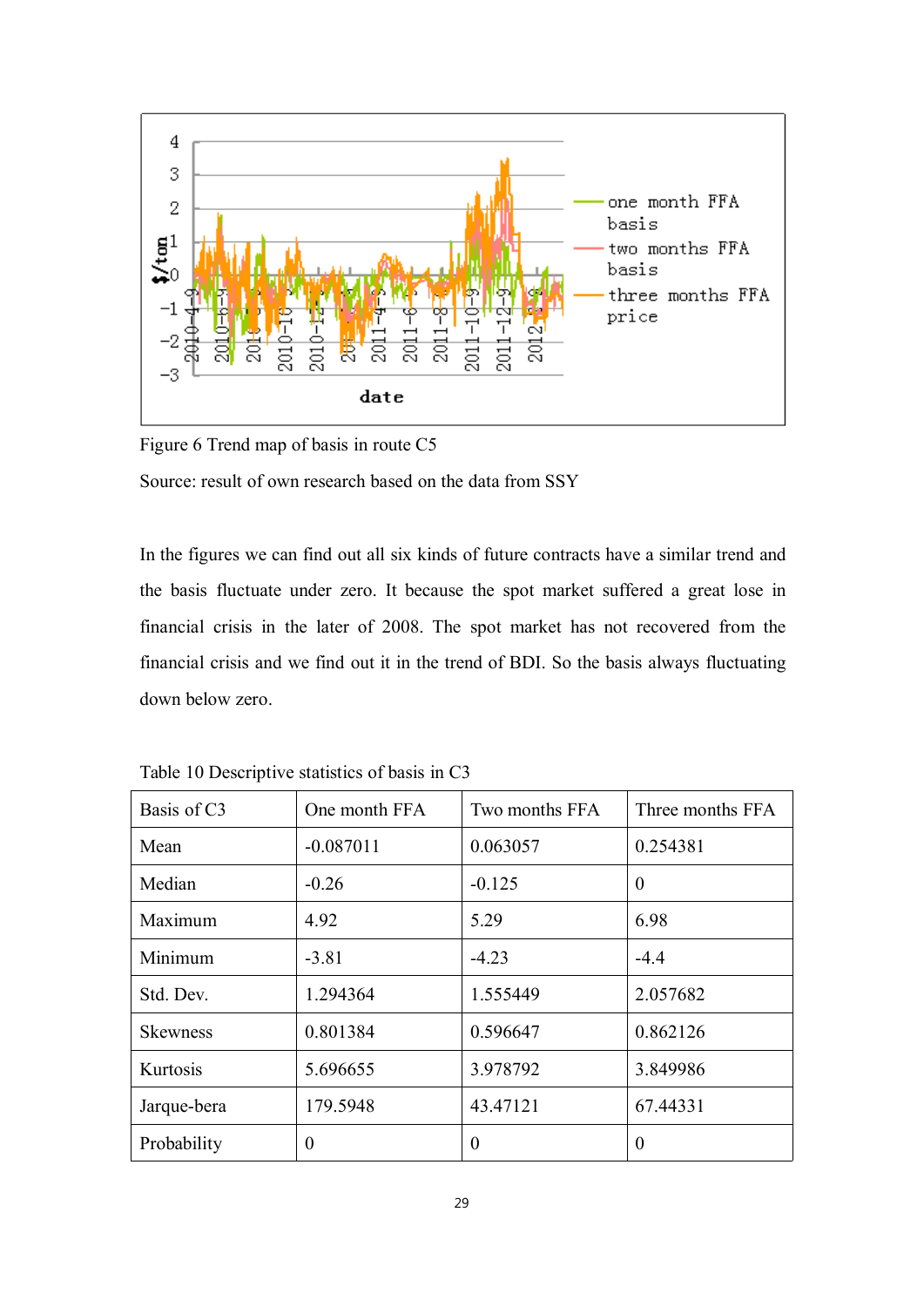

Figure 6 Trend map of basis in route C5 Source: result of own research based on the data from SSY

In the figures we can find out all six kinds of future contracts have <sup>a</sup> similar trend and the basis fluctuate under zero. It because the spo<sup>t</sup> market suffered <sup>a</sup> grea<sup>t</sup> lose in financial crisis in the later of 2008. The spo<sup>t</sup> market has not recovered from the financial crisis and we find out it in the trend of BDI. So the basis always fluctuating down below zero.

| Basis of C <sub>3</sub> | One month FFA  | Two months FFA | Three months FFA |
|-------------------------|----------------|----------------|------------------|
| Mean                    | $-0.087011$    | 0.063057       | 0.254381         |
| Median                  | $-0.26$        | $-0.125$       | $\theta$         |
| Maximum                 | 4.92           | 5.29           | 6.98             |
| Minimum                 | $-3.81$        | $-4.23$        | $-4.4$           |
| Std. Dev.               | 1.294364       | 1.555449       | 2.057682         |
| <b>Skewness</b>         | 0.801384       | 0.596647       | 0.862126         |
| Kurtosis                | 5.696655       | 3.978792       | 3.849986         |
| Jarque-bera             | 179.5948       | 43.47121       | 67.44331         |
| Probability             | $\overline{0}$ | $\Omega$       | $\theta$         |

Table 10 Descriptive statistics of basis in C3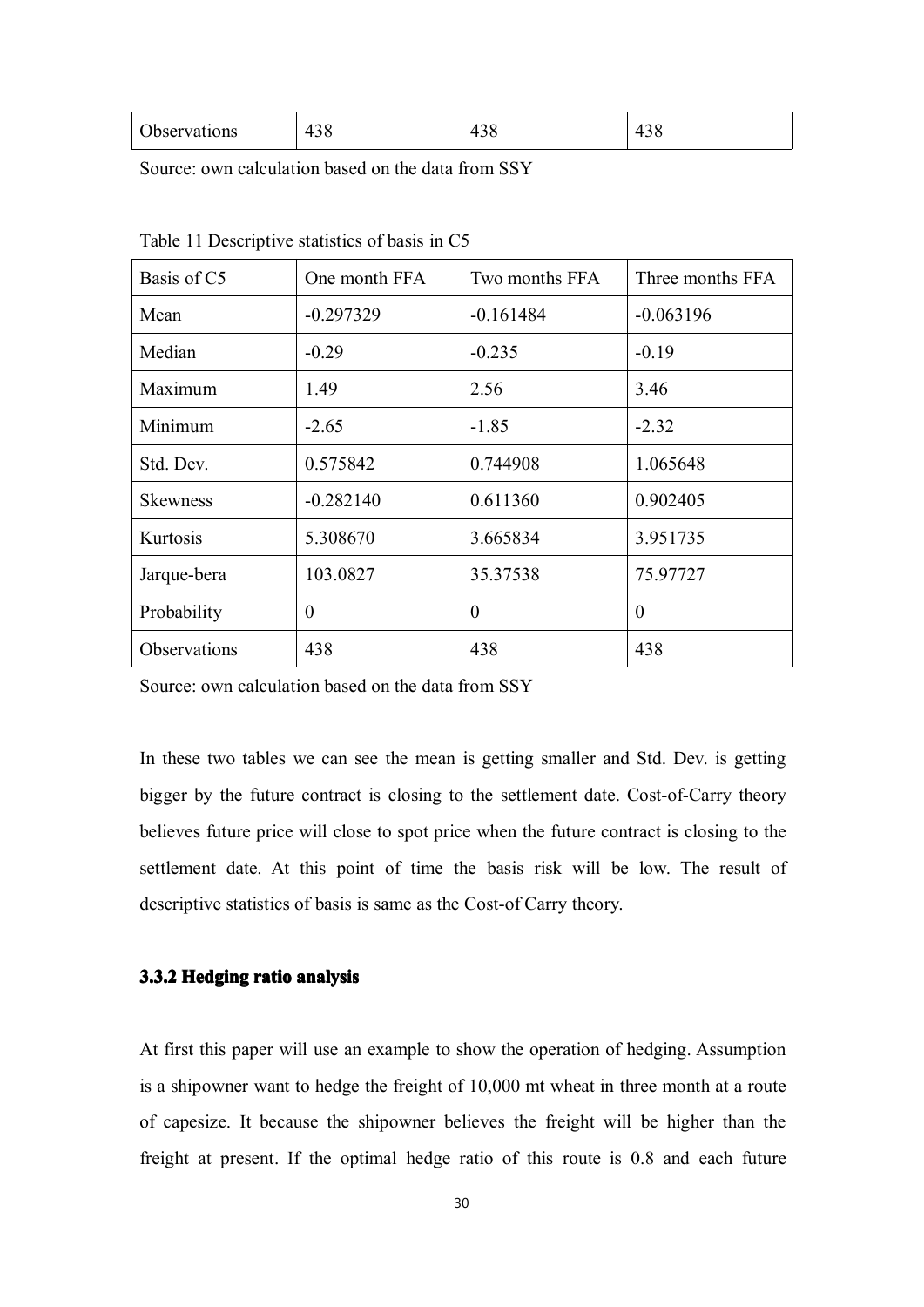| Observatio<br>ons | $\mathbf{A}^{\prime}$ | 71 |  |
|-------------------|-----------------------|----|--|
|-------------------|-----------------------|----|--|

Source: own calculation based on the data from SSY

| Basis of C5     | One month FFA | Two months FFA | Three months FFA |
|-----------------|---------------|----------------|------------------|
| Mean            | $-0.297329$   | $-0.161484$    | $-0.063196$      |
| Median          | $-0.29$       | $-0.235$       | $-0.19$          |
| Maximum         | 1.49          | 2.56           | 3.46             |
| Minimum         | $-2.65$       | $-1.85$        | $-2.32$          |
| Std. Dev.       | 0.575842      | 0.744908       | 1.065648         |
| <b>Skewness</b> | $-0.282140$   | 0.611360       | 0.902405         |
| Kurtosis        | 5.308670      | 3.665834       | 3.951735         |
| Jarque-bera     | 103.0827      | 35.37538       | 75.97727         |
| Probability     | $\theta$      | $\theta$       | $\theta$         |
| Observations    | 438           | 438            | 438              |

Table 11 Descriptive statistics of basis in C5

Source: own calculation based on the data from SSY

In these two tables we can see the mean is getting smaller and Std. Dev. is getting bigger by the future contract is closing to the settlement date. Cost-of-Carry theory believes future price will close to spo<sup>t</sup> price when the future contract is closing to the settlement date. At this point of time the basis risk will be low. The result of descriptive statistics of basis is same as the Cost-of Carry theory.

#### **3.3.2 Hedging Hedging ratio analysis analysis**

At first this paper will use an example to show the operation of hedging. Assumption is a shipowner want to hedge the freight of 10,000 mt wheat in three month at a route of capesize. It because the shipowner believes the freight will be higher than the freight at present. If the optimal hedge ratio of this route is 0.8 and each future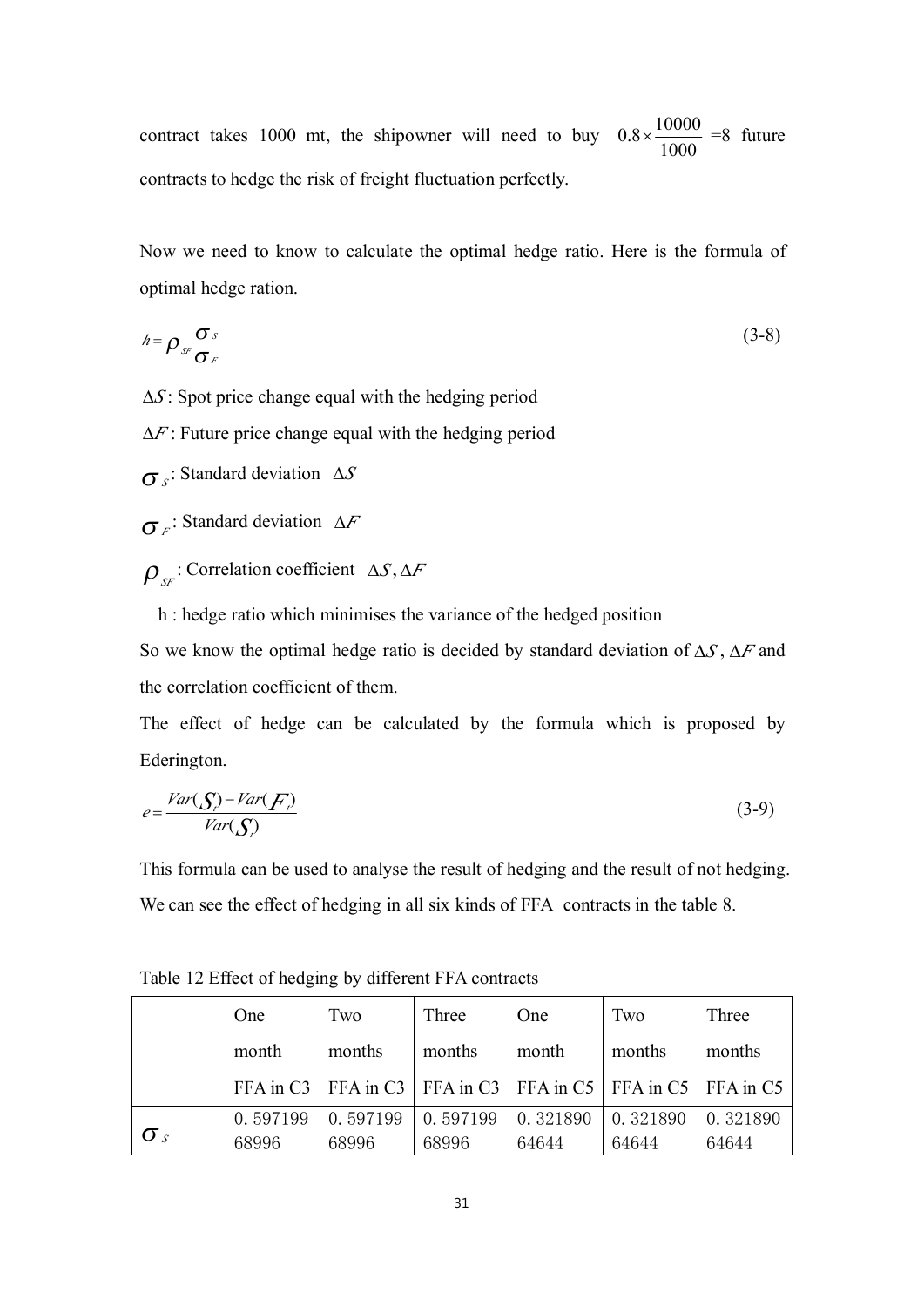contract takes 1000 mt, the shipowner will need to buy  $0.8 \times \frac{1000}{1000}$  $0.8\times\frac{10000}{ }$  =8 future contracts to hedge the risk of freight fluctuation perfectly.

Now we need to know to calculate the optimal hedge ratio. Here is the formula of optimal hedge ration.

$$
h = \rho_{sr} \frac{\sigma_s}{\sigma_r} \tag{3-8}
$$

∆*S* : Spot price change equal with the hedging period

∆*F* : Future price change equal with the hedging period

σ *<sup>S</sup>* : Standard deviation ∆*S*

σ *<sup>F</sup>* : Standard deviation ∆*F*

ρ *SF* : Correlation coefficient ∆*S* , ∆*F*

h : hedge ratio which minimises the variance of the hedged position

So we know the optimal hedge ratio is decided by standard deviation of ∆*S* , ∆*F* and the correlation coefficient of them.

The effect of hedge can be calculated by the formula which is proposed by Ederington.

$$
e = \frac{Var(\mathcal{S}_i) - Var(\mathcal{F}_i)}{Var(\mathcal{S}_i)}\tag{3-9}
$$

This formula can be used to analyse the result of hedging and the result of not hedging. We can see the effect of hedging in all six kinds of FFA contracts in the table 8.

|              | One      | Two      | Three    | One                                                                   | Two      | Three    |
|--------------|----------|----------|----------|-----------------------------------------------------------------------|----------|----------|
|              | month    | months   | months   | month                                                                 | months   | months   |
|              |          |          |          | FFA in C3   FFA in C3   FFA in C3   FFA in C5   FFA in C5   FFA in C5 |          |          |
|              | 0.597199 | 0.597199 | 0.597199 | 0.321890                                                              | 0.321890 | 0.321890 |
| $\sigma_{s}$ | 68996    | 68996    | 68996    | 64644                                                                 | 64644    | 64644    |

Table 12 Effect of hedging by different FFA contracts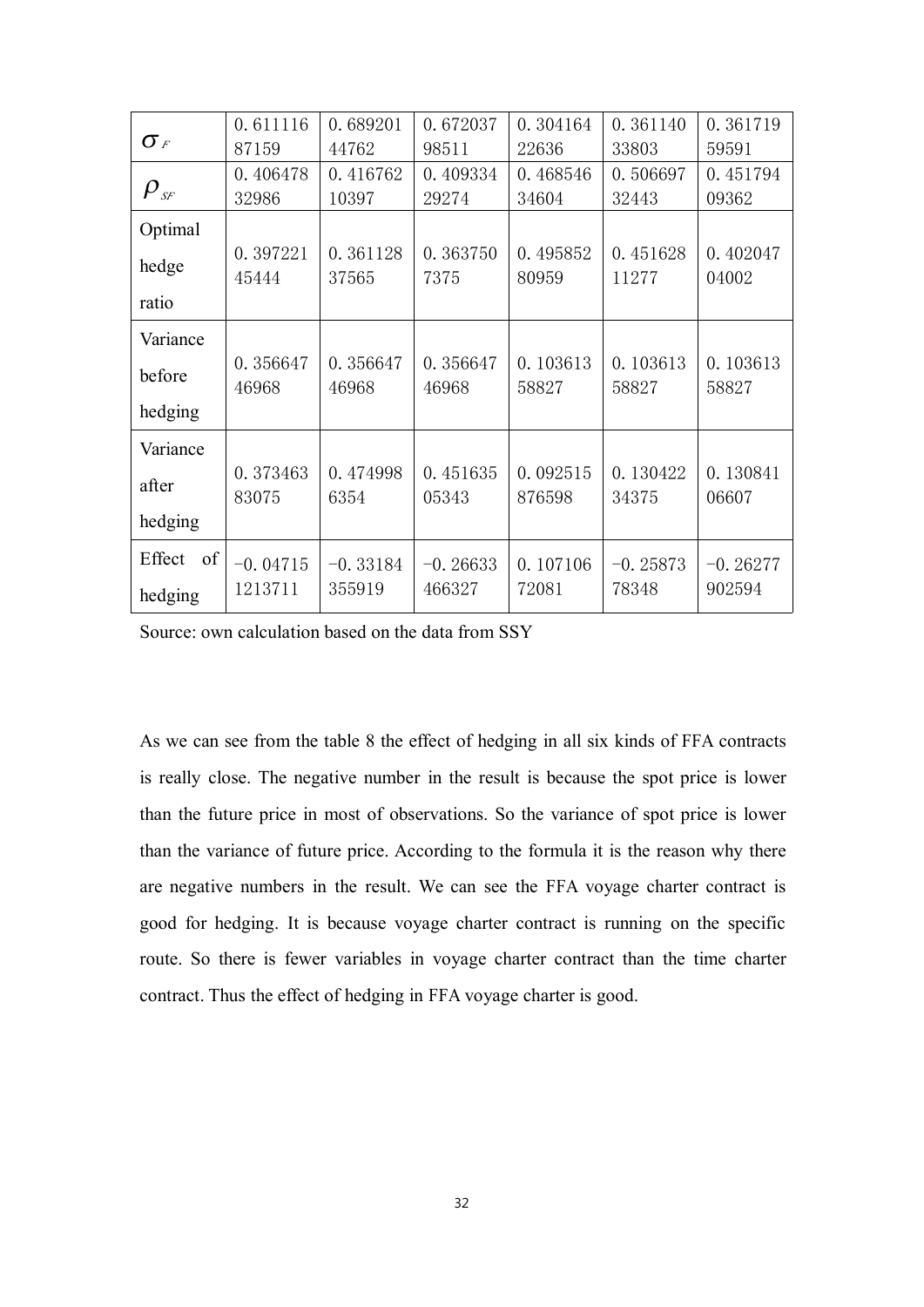|                                | 0.611116   | 0.689201   | 0.672037   | 0.304164 | 0.361140   | 0.361719   |
|--------------------------------|------------|------------|------------|----------|------------|------------|
| $\sigma_F$                     | 87159      | 44762      | 98511      | 22636    | 33803      | 59591      |
|                                | 0.406478   | 0.416762   | 0.409334   | 0.468546 | 0.506697   | 0.451794   |
| $\rho_{\scriptscriptstyle SF}$ | 32986      | 10397      | 29274      | 34604    | 32443      | 09362      |
| Optimal                        |            |            |            |          |            |            |
| hedge                          | 0.397221   | 0.361128   | 0.363750   | 0.495852 | 0.451628   | 0.402047   |
|                                | 45444      | 37565      | 7375       | 80959    | 11277      | 04002      |
| ratio                          |            |            |            |          |            |            |
| Variance                       |            |            |            |          |            |            |
| before                         | 0.356647   | 0.356647   | 0.356647   | 0.103613 | 0.103613   | 0.103613   |
|                                | 46968      | 46968      | 46968      | 58827    | 58827      | 58827      |
| hedging                        |            |            |            |          |            |            |
| Variance                       |            |            |            |          |            |            |
| after                          | 0.373463   | 0.474998   | 0.451635   | 0.092515 | 0.130422   | 0.130841   |
|                                | 83075      | 6354       | 05343      | 876598   | 34375      | 06607      |
| hedging                        |            |            |            |          |            |            |
| Effect<br>of                   | $-0.04715$ | $-0.33184$ | $-0.26633$ | 0.107106 | $-0.25873$ | $-0.26277$ |
| hedging                        | 1213711    | 355919     | 466327     | 72081    | 78348      | 902594     |
|                                |            |            |            |          |            |            |

Source: own calculation based on the data from SSY

As we can see from the table 8 the effect of hedging in all six kinds of FFA contracts is really close. The negative number in the result is because the spo<sup>t</sup> price is lower than the future price in most of observations. So the variance of spo<sup>t</sup> price is lower than the variance of future price. According to the formula it is the reason why there are negative numbers in the result. We can see the FFA voyage charter contract is good for hedging. It is because voyage charter contract is running on the specific route. So there is fewer variables in voyage charter contract than the time charter contract. Thus the effect of hedging in FFA voyage charter is good.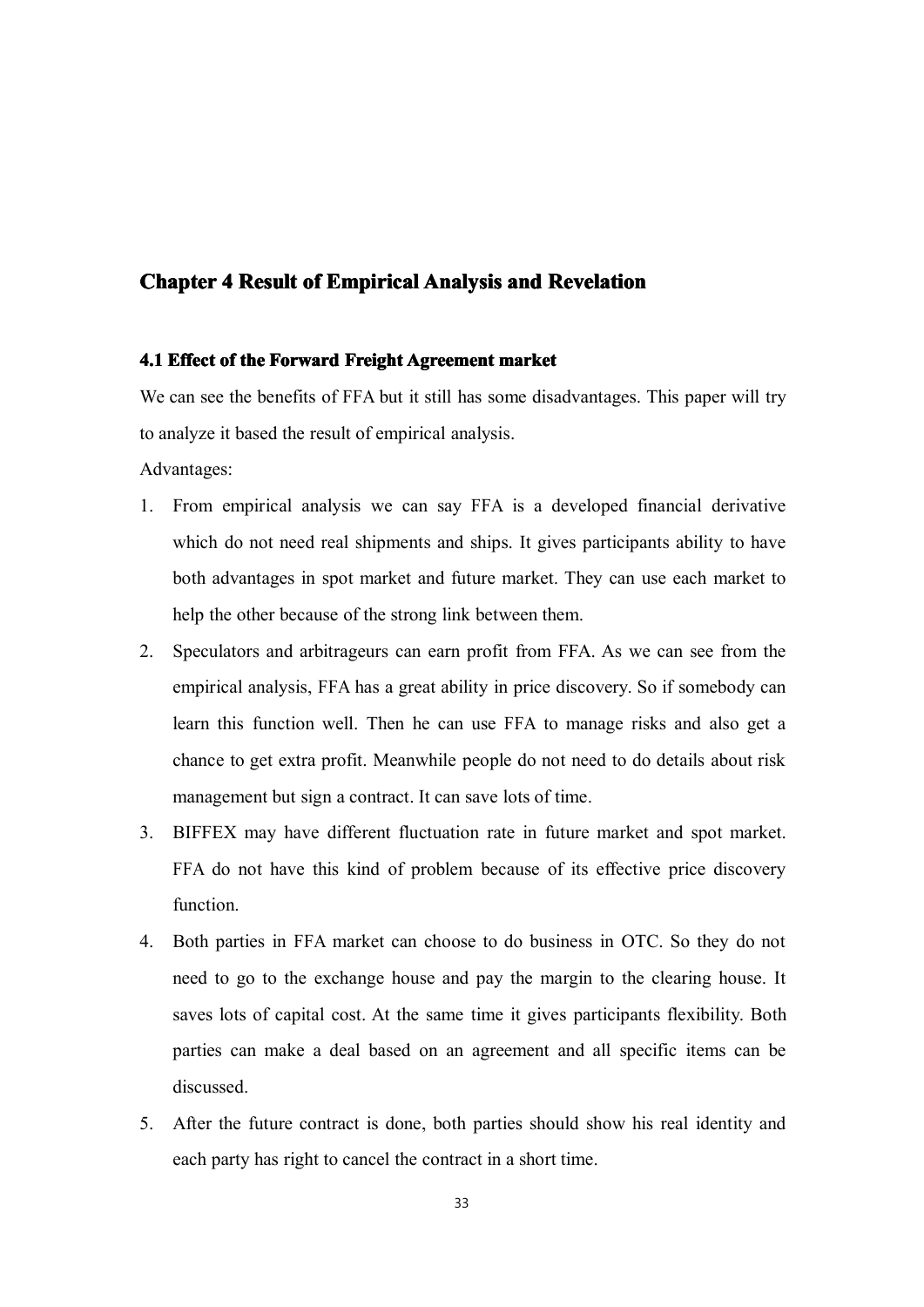## **Chapter 4 Result of Empirical Analysis and Revelation**

#### **4.1 Effect** of the Forward Freight Agreement market

We can see the benefits of FFA but it still has some disadvantages. This paper will try to analyze it based the result of empirical analysis.

Advantages:

- 1. From empirical analysis we can say FFA is <sup>a</sup> developed financial derivative which do not need real shipments and ships. It gives participants ability to have both advantages in spo<sup>t</sup> market and future market. They can use each market to help the other because of the strong link between them.
- 2. Speculators and arbitrageurs can earn profit from FFA. As we can see from the empirical analysis, FFA has a great ability in price discovery. So if somebody can learn this function well. Then he can use FFA to manage risks and also ge<sup>t</sup> <sup>a</sup> chance to ge<sup>t</sup> extra profit. Meanwhile people do not need to do details about risk managemen<sup>t</sup> but sign <sup>a</sup> contract. It can save lots of time.
- 3. BIFFEX may have different fluctuation rate in future market and spo<sup>t</sup> market. FFA do not have this kind of problem because of its effective price discovery function.
- 4. Both parties in FFA market can choose to do business in OTC. So they do not need to go to the exchange house and pay the margin to the clearing house. It saves lots of capital cost. At the same time it gives participants flexibility. Both parties can make <sup>a</sup> deal based on an agreemen<sup>t</sup> and all specific items can be discussed.
- 5. After the future contract is done, both parties should show his real identity and each party has right to cancel the contract in <sup>a</sup> short time.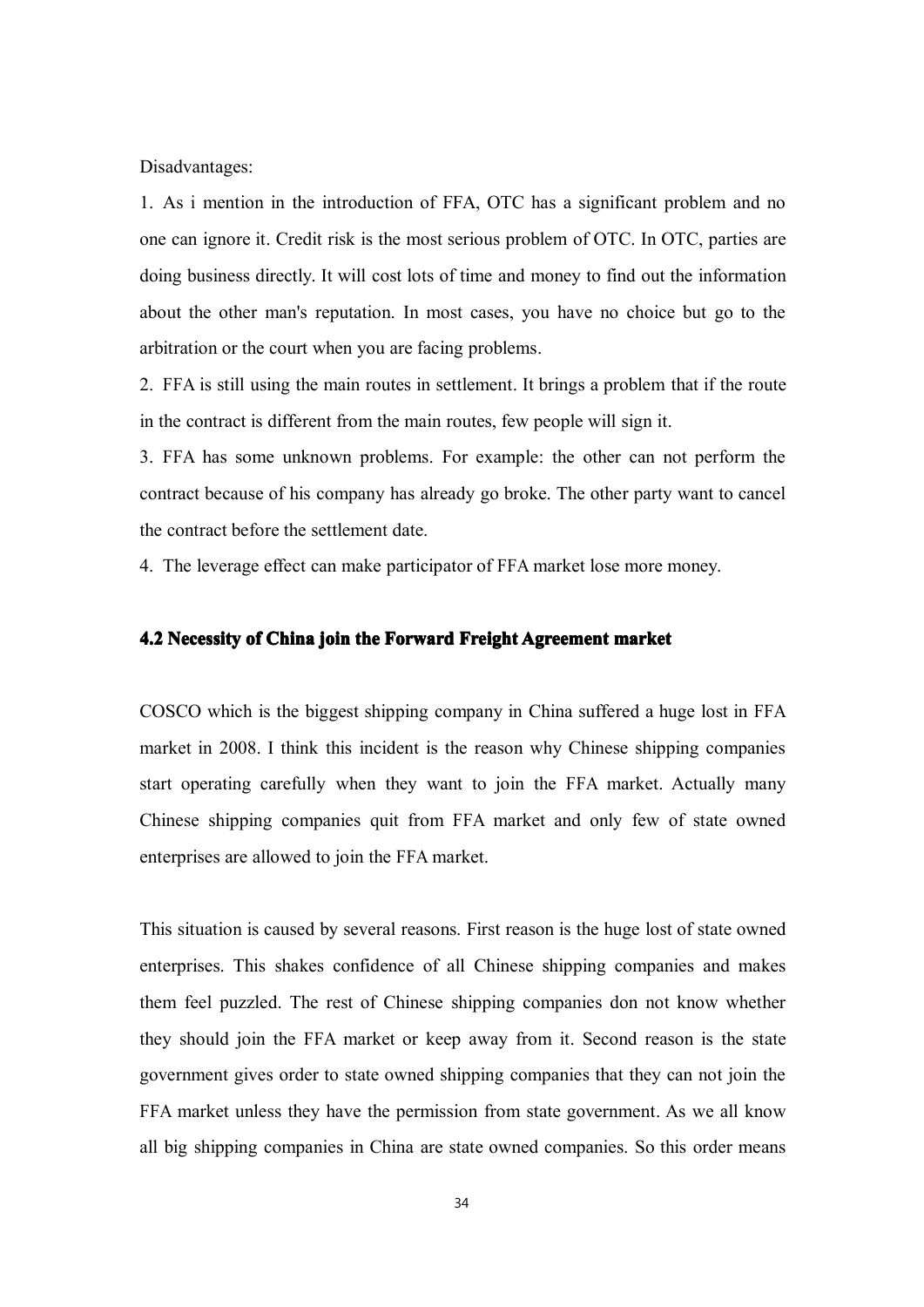Disadvantages:

1. As i mention in the introduction of FFA, OTC has <sup>a</sup> significant problem and no one can ignore it. Credit risk is the most serious problem of OTC. In OTC, parties are doing business directly. It will cost lots of time and money to find out the information about the other man's reputation. In most cases, you have no choice but go to the arbitration or the court when you are facing problems.

2. FFA is still using the main routes in settlement. It brings <sup>a</sup> problem that if the route in the contract is different from the main routes, few people will sign it.

3. FFA has some unknown problems. For example: the other can not perform the contract because of his company has already go broke. The other party want to cancel the contract before the settlement date.

4. The leverage effect can make participator of FFAmarket lose more money.

#### **4.2 Necessity Necessity of China join the Forward Forward Forward Forward Freight FreightAgreement Agreementmarket**

COSCO which is the biggest shipping company in China suffered <sup>a</sup> huge lost in FFA market in 2008. I think this incident is the reason why Chinese shipping companies start operating carefully when they want to join the FFA market. Actually many Chinese shipping companies quit from FFA market and only few of state owned enterprises are allowed to join the FFA market.

This situation is caused by several reasons. First reason is the huge lost of state owned enterprises. This shakes confidence of all Chinese shipping companies and makes them feel puzzled. The rest of Chinese shipping companies don not know whether they should join the FFA market or keep away from it. Second reason is the state governmen<sup>t</sup> gives order to state owned shipping companies that they can not join the FFA market unless they have the permission from state government. As we all know all big shipping companies in China are state owned companies. So this order means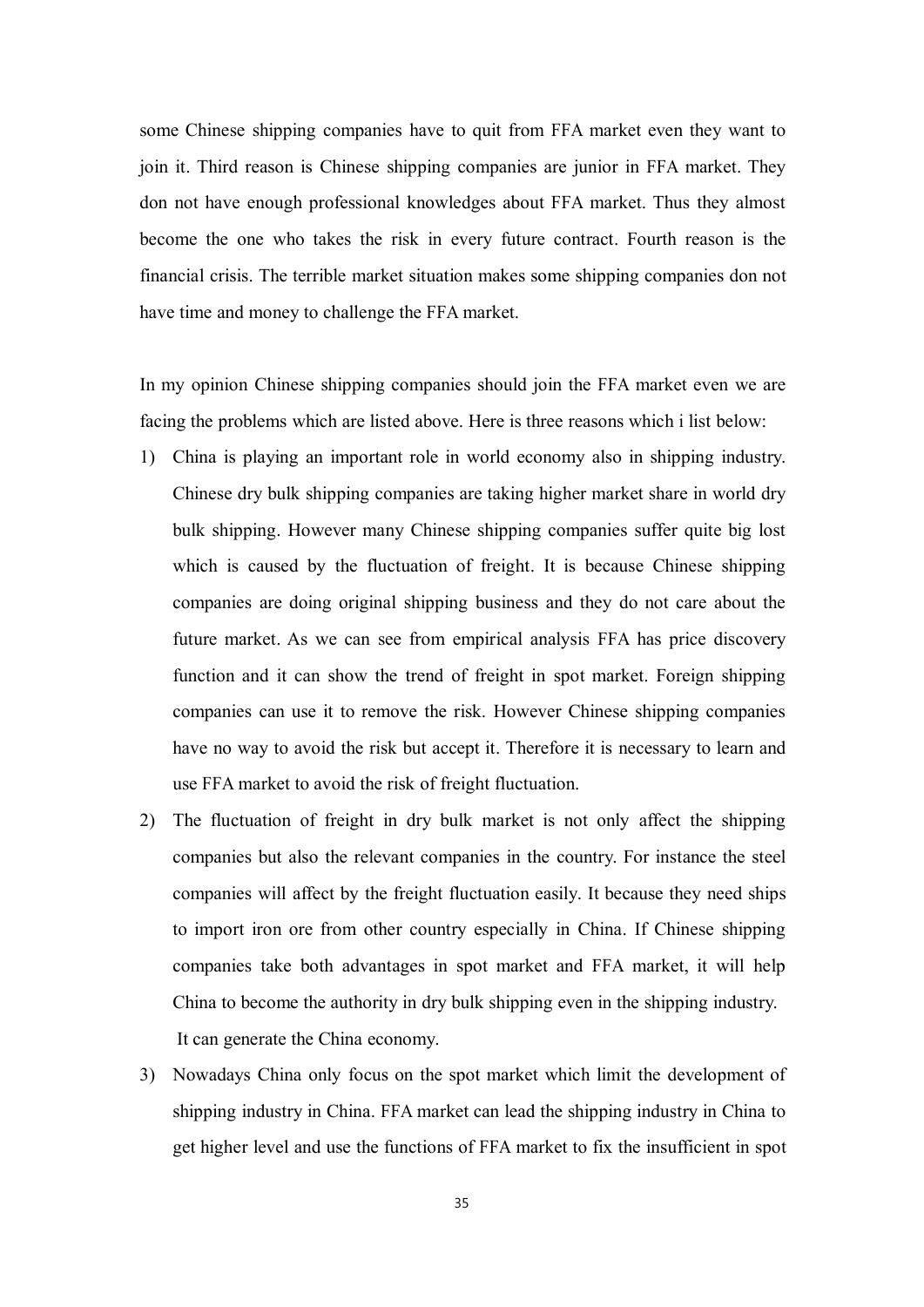some Chinese shipping companies have to quit from FFA market even they want to join it. Third reason is Chinese shipping companies are junior in FFA market. They don not have enough professional knowledges about FFA market. Thus they almost become the one who takes the risk in every future contract. Fourth reason is the financial crisis. The terrible market situation makes some shipping companies don not have time and money to challenge the FFA market.

In my opinion Chinese shipping companies should join the FFA market even we are facing the problems which are listed above. Here is three reasons which i list below:

- 1) China is playing an important role in world economy also in shipping industry. Chinese dry bulk shipping companies are taking higher market share in world dry bulk shipping. However many Chinese shipping companies suffer quite big lost which is caused by the fluctuation of freight. It is because Chinese shipping companies are doing original shipping business and they do not care about the future market. As we can see from empirical analysis FFA has price discovery function and it can show the trend of freight in spo<sup>t</sup> market. Foreign shipping companies can use it to remove the risk. However Chinese shipping companies have no way to avoid the risk but accep<sup>t</sup> it. Therefore it is necessary to learn and use FFA market to avoid the risk of freight fluctuation.
- 2) The fluctuation of freight in dry bulk market is not only affect the shipping companies but also the relevant companies in the country. For instance the steel companies will affect by the freight fluctuation easily. It because they need ships to import iron ore from other country especially in China. If Chinese shipping companies take both advantages in spo<sup>t</sup> market and FFA market, it will help China to become the authority in dry bulk shipping even in the shipping industry. It can generate the China economy.
- 3) Nowadays China only focus on the spo<sup>t</sup> market which limit the development of shipping industry in China. FFA market can lead the shipping industry in China to ge<sup>t</sup> higher level and use the functions of FFA market to fix the insufficient in spo<sup>t</sup>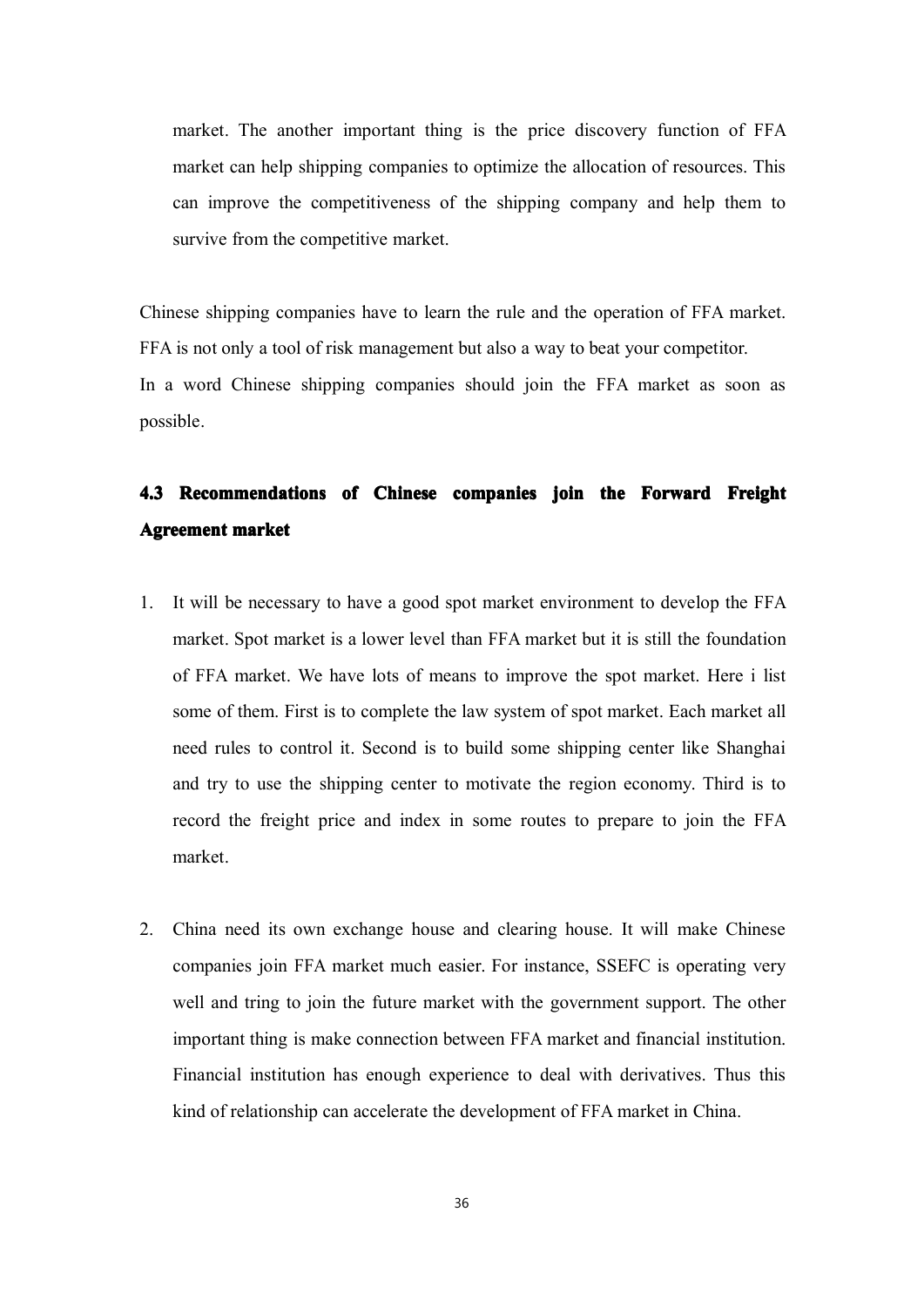market. The another important thing is the price discovery function of FFA market can help shipping companies to optimize the allocation of resources. This can improve the competitiveness of the shipping company and help them to survive from the competitive market.

Chinese shipping companies have to learn the rule and the operation of FFA market. FFA is not only <sup>a</sup> tool of risk managemen<sup>t</sup> but also <sup>a</sup> way to beat your competitor. In <sup>a</sup> word Chinese shipping companies should join the FFA market as soon as possible.

# **4.3** Recommendations of Chinese companies join the Forward Freight **Agreement market**

- 1. It will be necessary to have <sup>a</sup> good spo<sup>t</sup> market environment todevelop the FFA market. Spot market is <sup>a</sup> lower level than FFA market but it is still the foundation of FFA market. We have lots of means to improve the spo<sup>t</sup> market. Here i list some of them. First is to complete the law system of spo<sup>t</sup> market. Each market all need rules to control it. Second is to build some shipping center like Shanghai and try to use the shipping center to motivate the region economy. Third is to record the freight price and index in some routes to prepare to join the FFA market.
- 2. China need its own exchange house and clearing house. It will make Chinese companies join FFA market much easier. For instance, SSEFC is operating very well and tring to join the future market with the governmen<sup>t</sup> support. The other important thing is make connection between FFA market and financial institution. Financial institution has enough experience to deal with derivatives. Thus this kind of relationship can accelerate the development of FFAmarket in China.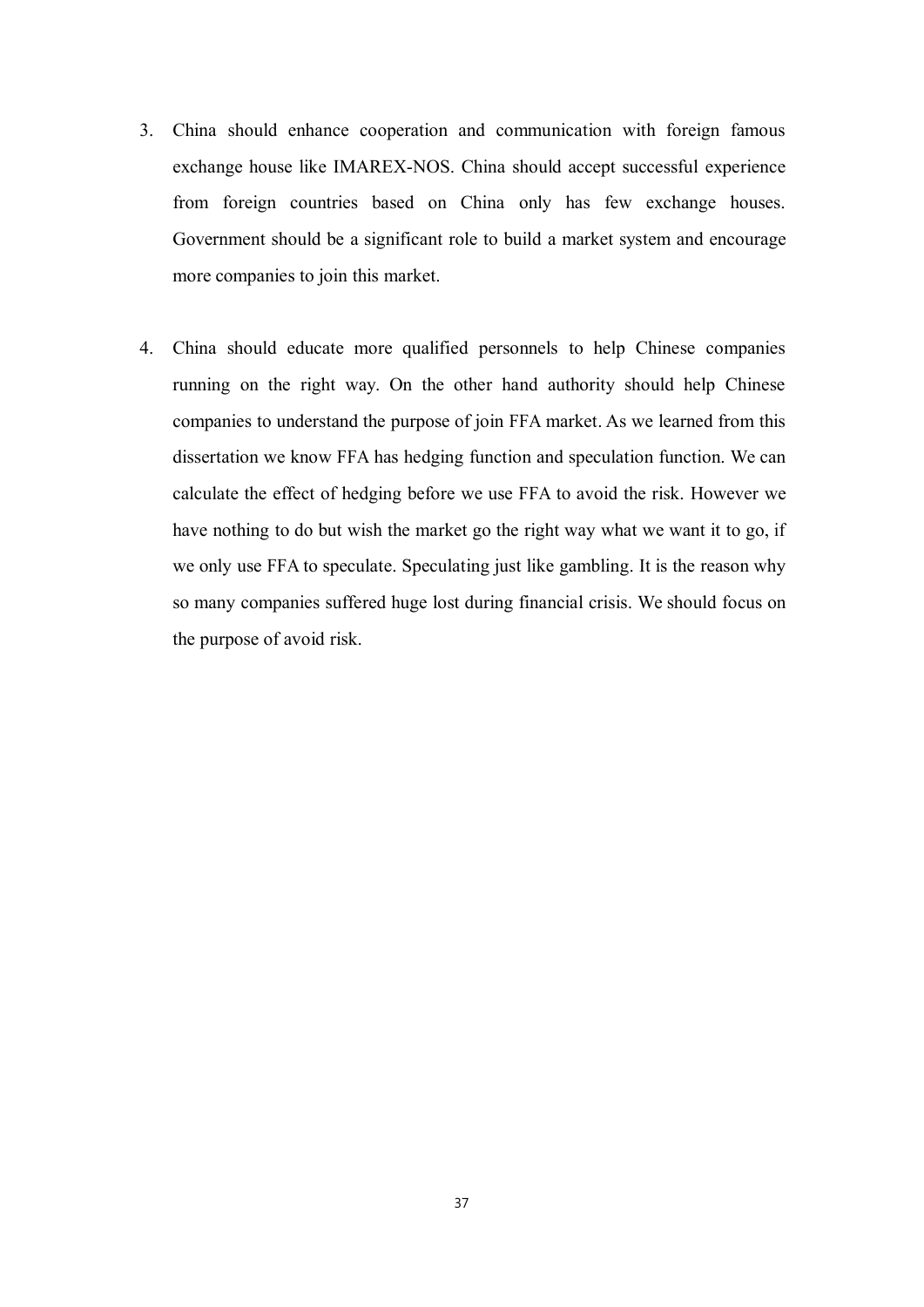- 3. China should enhance cooperation and communication with foreign famous exchange house like IMAREX-NOS. China should accep<sup>t</sup> successful experience from foreign countries based on China only has few exchange houses. Government should be <sup>a</sup> significant role to build <sup>a</sup> market system and encourage more companies to join this market.
- 4. China should educate more qualified personnels to help Chinese companies running on the right way. On the other hand authority should help Chinese companies to understand the purpose of join FFA market. As we learned from this dissertation we know FFA has hedging function and speculation function. We can calculate the effect of hedging before we use FFA to avoid the risk. However we have nothing to do but wish the market go the right way what we want it to go, if we only use FFA to speculate. Speculating just like gambling. It is the reason why so many companies suffered huge lost during financial crisis. We should focus on the purpose of avoid risk.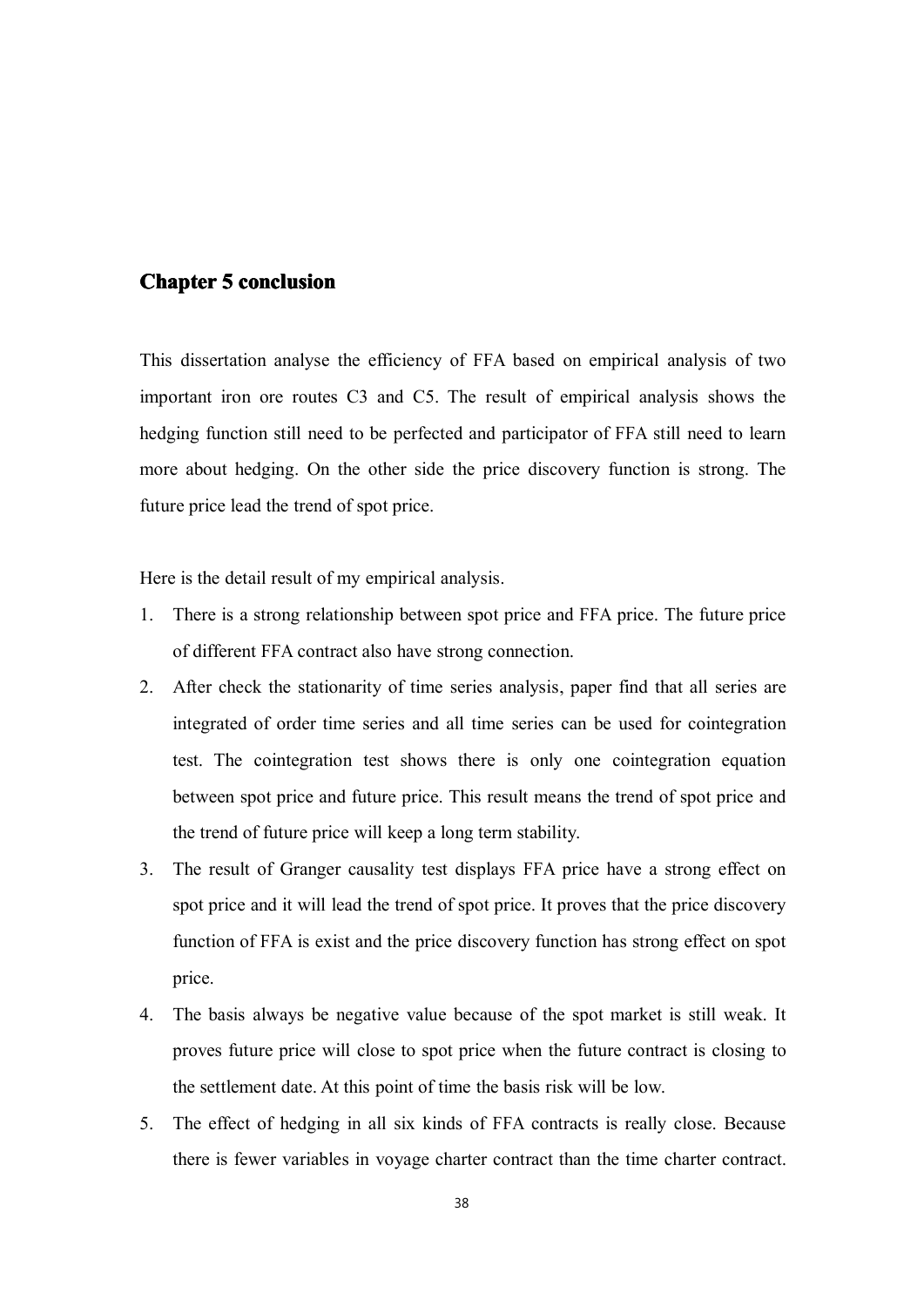# **Chapter 5** conclusion

This dissertation analyse the efficiency of FFA based on empirical analysis of two important iron ore routes C3 and C5. The result of empirical analysis shows the hedging function still need to be perfected and participator of FFA still need to learn more about hedging. On the other side the price discovery function is strong. The future price lead the trend of spo<sup>t</sup> price.

Here is the detail result of my empirical analysis.

- 1. There is <sup>a</sup> strong relationship between spo<sup>t</sup> price and FFA price. The future price of different FFA contract also have strong connection.
- 2. After check the stationarity of time series analysis, paper find that all series are integrated of order time series and all time series can be used for cointegration test. The cointegration test shows there is only one cointegration equation between spo<sup>t</sup> price and future price. This result means the trend of spo<sup>t</sup> price and the trend of future price will keep <sup>a</sup> long term stability.
- 3. The result of Granger causality test displays FFA price have <sup>a</sup> strong effect on spo<sup>t</sup> price and it will lead the trend of spo<sup>t</sup> price. It proves that the price discovery function of FFA is exist and the price discovery function has strong effect on spo<sup>t</sup> price.
- 4. The basis always be negative value because of the spo<sup>t</sup> market is still weak. It proves future price will close to spo<sup>t</sup> price when the future contract is closing to the settlement date. At this point of time the basis risk will be low.
- 5. The effect of hedging in all six kinds of FFA contracts is really close. Because there is fewer variables in voyage charter contract than the time charter contract.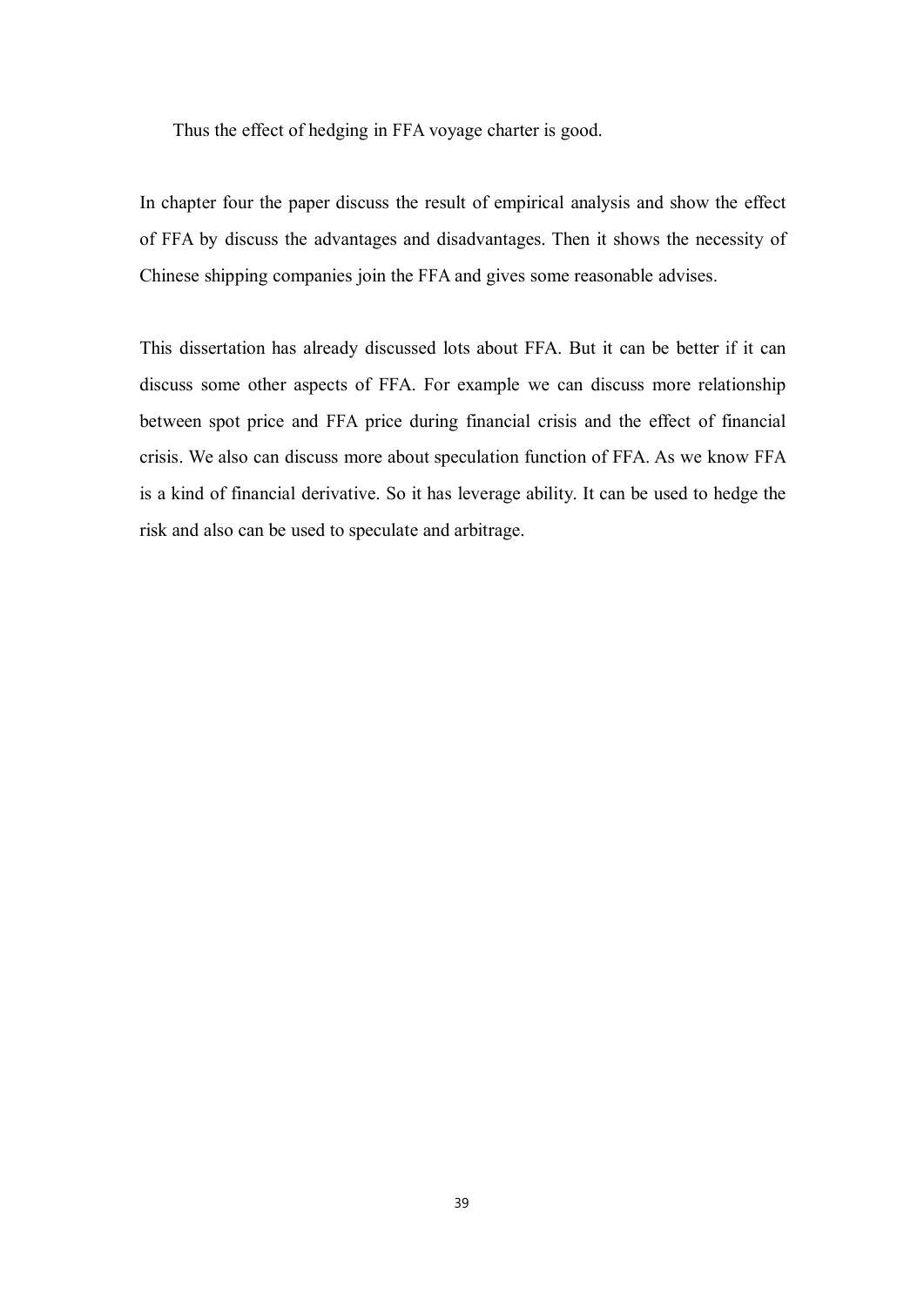Thus the effect of hedging in FFA voyage charter is good.

In chapter four the paper discuss the result of empirical analysis and show the effect of FFA by discuss the advantages and disadvantages. Then it shows the necessity of Chinese shipping companies join the FFA and gives some reasonable advises.

This dissertation has already discussed lots about FFA. But it can be better if it can discuss some other aspects of FFA. For example we can discuss more relationship between spo<sup>t</sup> price and FFA price during financial crisis and the effect of financial crisis. We also can discuss more about speculation function of FFA. As we know FFA is <sup>a</sup> kind of financial derivative. So it has leverage ability. It can be used to hedge the risk and also can be used to speculate and arbitrage.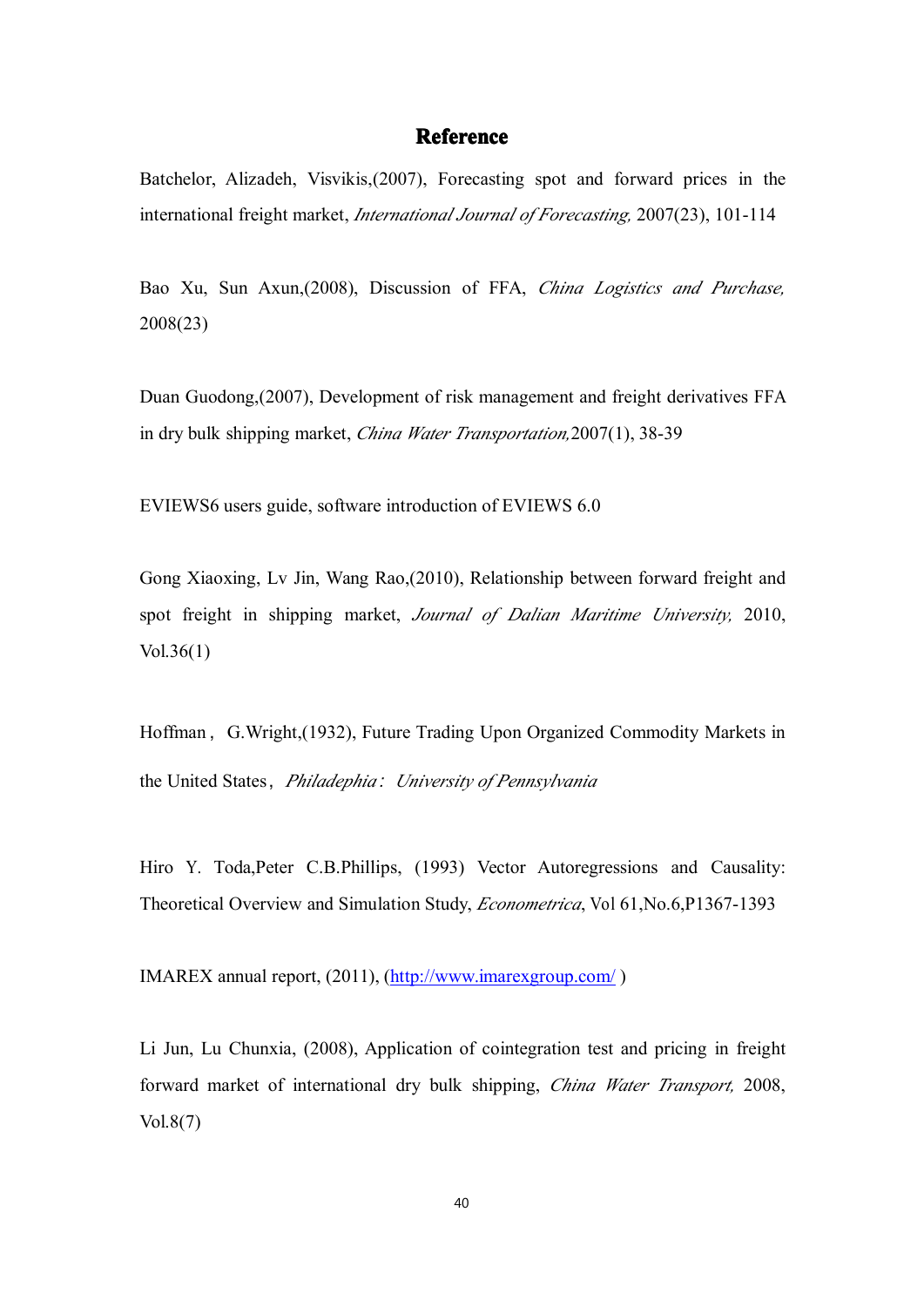#### **Reference Reference**

Batchelor, Alizadeh, Visvikis,(2007), Forecasting spo<sup>t</sup> and forward prices in the international freight market, *International Journal of Forecasting,* 2007(23), 101-114

Bao Xu, Sun Axun,(2008), Discussion of FFA, *China Logistics and Purchase,* 2008(23)

Duan Guodong,(2007), Development of risk managemen<sup>t</sup> and freight derivatives FFA in dry bulk shipping market, *China Water Transportation,*2007(1), 38-39

EVIEWS6 users guide, software introduction of EVIEWS 6.0

Gong Xiaoxing, Lv Jin, Wang Rao,(2010), Relationship between forward freight and spo<sup>t</sup> freight in shipping market, *Journal of Dalian Maritime University,* 2010, Vol.36(1)

Hoffman, G.Wright, (1932), Future Trading Upon Organized Commodity Markets in the United States,*Philadephia:University of Pennsylvania*

Hiro Y. Toda, Peter C.B. Phillips, (1993) Vector Autoregressions and Causality: Theoretical Overview and Simulation Study, *Econometrica*, Vol 61,No.6,P1367-1393

IMAREX annual report, (2011), [\(http://www.imarexgroup.com/](http://www.imarexgroup.com/) )

Li Jun, Lu Chunxia, (2008), Application of cointegration test and pricing in freight forward market of international dry bulk shipping, *China Water Transport,* 2008, Vol.8(7)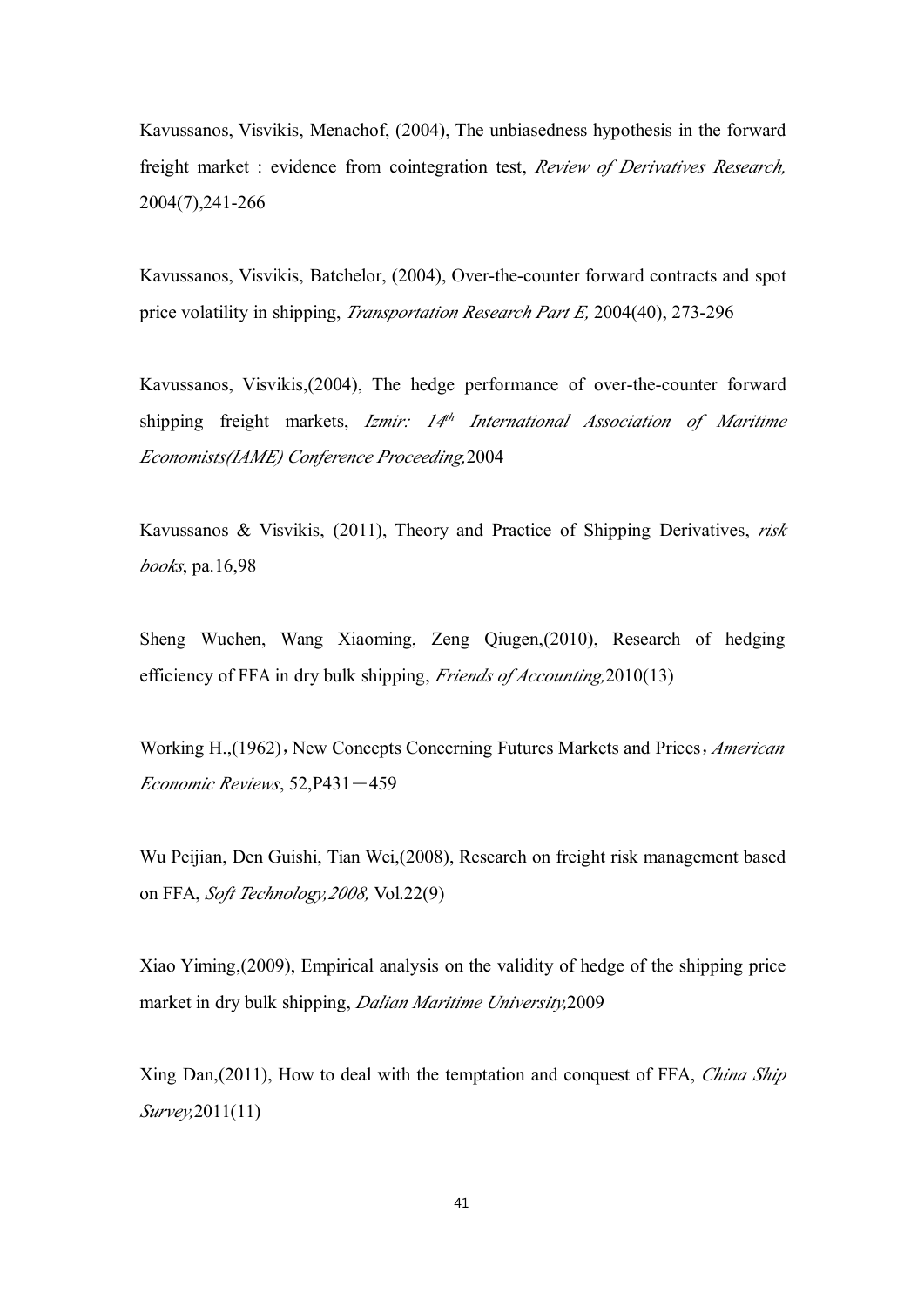Kavussanos, Visvikis, Menachof, (2004), The unbiasedness hypothesis in the forward freight market : evidence from cointegration test, *Review of Derivatives Research,* 2004(7),241-266

Kavussanos, Visvikis, Batchelor, (2004), Over-the-counter forward contracts and spo<sup>t</sup> price volatility in shipping, *Transportation Research Part E,* 2004(40), 273-296

Kavussanos, Visvikis,(2004), The hedge performance of over-the-counter forward shipping freight markets, *Izmir: 14th International Association of Maritime Economists(IAME) Conference Proceeding,*2004

Kavussanos & Visvikis, (2011), Theory and Practice of Shipping Derivatives, *risk books*, pa.16,98

Sheng Wuchen, Wang Xiaoming, Zeng Qiugen,(2010), Research of hedging efficiency of FFAin dry bulk shipping, *Friends of Accounting,*2010(13)

Working H.,(1962), New Concepts Concerning Futures Markets and Prices, *American Economic Reviews*, 52,P431-459

Wu Peijian, Den Guishi, Tian Wei,(2008), Research on freight risk managemen<sup>t</sup> based on FFA, *Soft Technology,2008,* Vol.22(9)

Xiao Yiming,(2009), Empirical analysis on the validity of hedge of the shipping price market in dry bulk shipping, *Dalian Maritime University,*2009

Xing Dan,(2011), How to deal with the temptation and conques<sup>t</sup> of FFA, *China Ship Survey,*2011(11)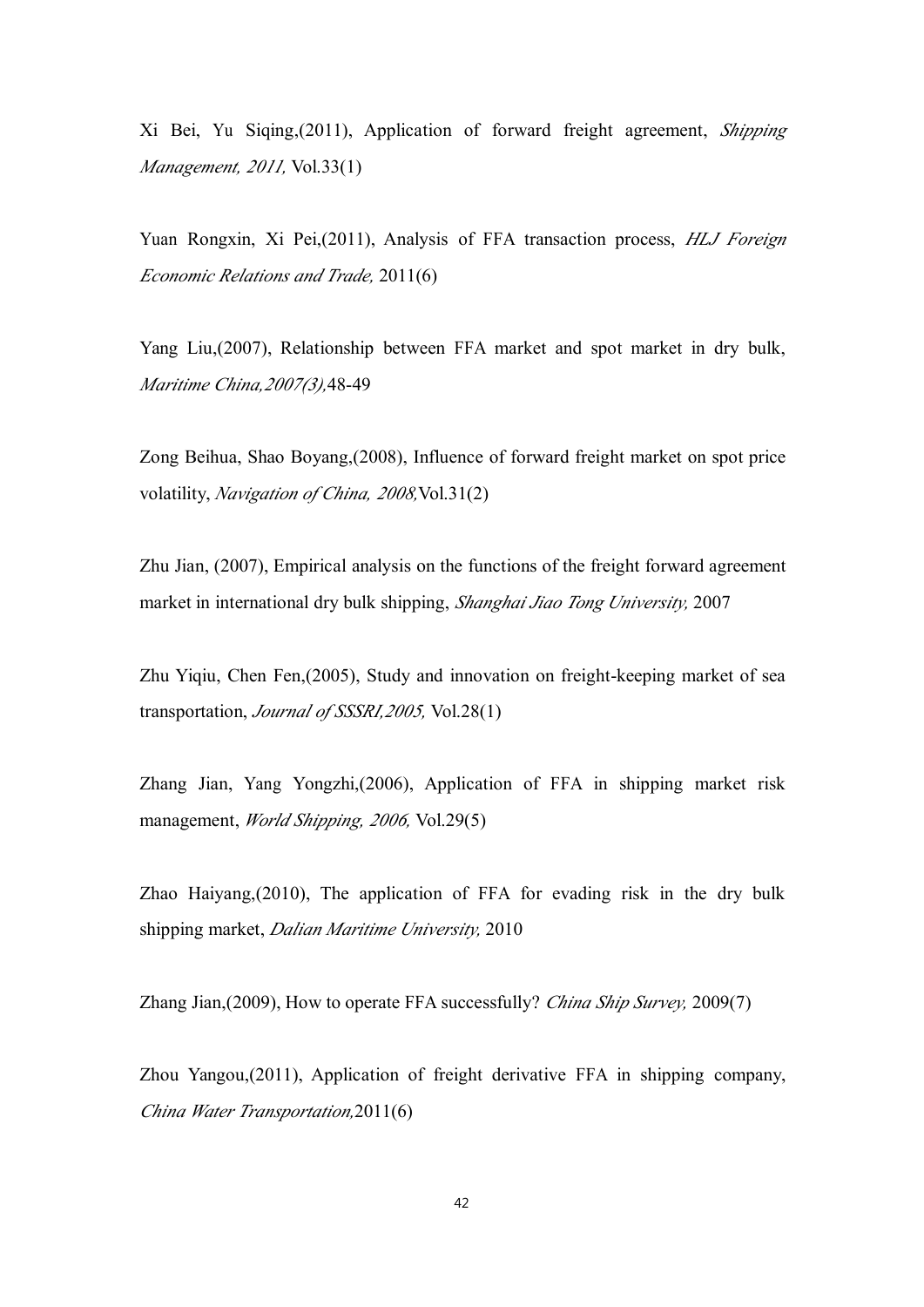Xi Bei, Yu Siqing,(2011), Application of forward freight agreement, *Shipping Management, 2011,* Vol.33(1)

Yuan Rongxin, Xi Pei,(2011), Analysis of FFA transaction process, *HLJ Foreign Economic Relations and Trade,* 2011(6)

Yang Liu,(2007), Relationship between FFA market and spo<sup>t</sup> market in dry bulk, *Maritime China,2007(3),*48-49

Zong Beihua, Shao Boyang,(2008), Influence of forward freight market on spo<sup>t</sup> price volatility, *Navigation of China, 2008,*Vol.31(2)

Zhu Jian, (2007), Empirical analysis on the functions of the freight forward agreemen<sup>t</sup> market in international dry bulk shipping, *Shanghai Jiao Tong University,* 2007

Zhu Yiqiu, Chen Fen,(2005), Study and innovation on freight-keeping market of sea transportation, *Journal of SSSRI,2005,* Vol.28(1)

Zhang Jian, Yang Yongzhi,(2006), Application of FFA in shipping market risk management, *World Shipping, 2006,* Vol.29(5)

Zhao Haiyang,(2010), The application of FFA for evading risk in the dry bulk shipping market, *Dalian Maritime University,* 2010

Zhang Jian,(2009), How to operate FFA successfully? *China Ship Survey,* 2009(7)

Zhou Yangou,(2011), Application of freight derivative FFA in shipping company, *China Water Transportation,*2011(6)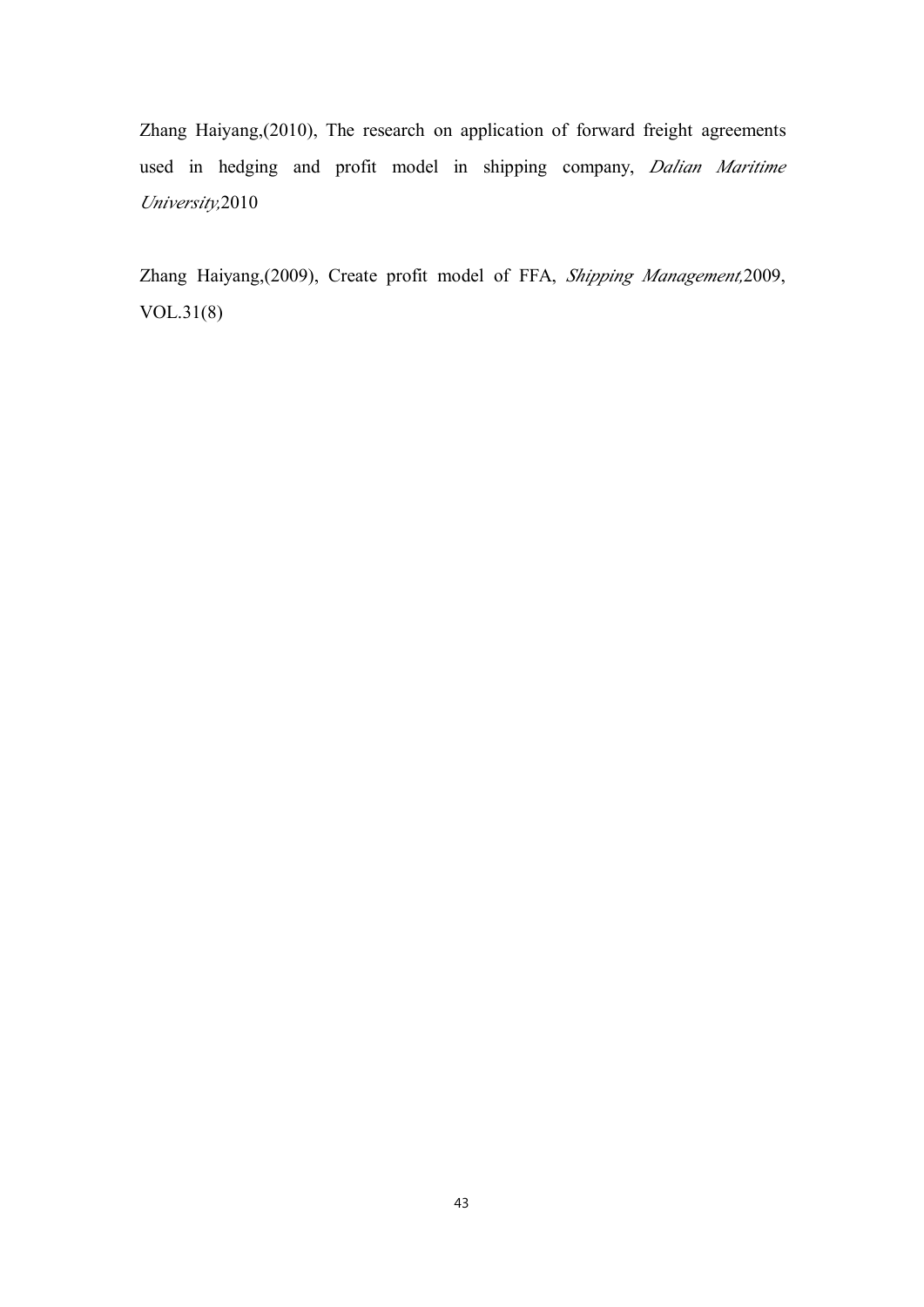Zhang Haiyang,(2010), The research on application of forward freight agreements used in hedging and profit model in shipping company, *Dalian Maritime University,*2010

Zhang Haiyang,(2009), Create profit model of FFA, *Shipping Management,*2009, VOL.31(8)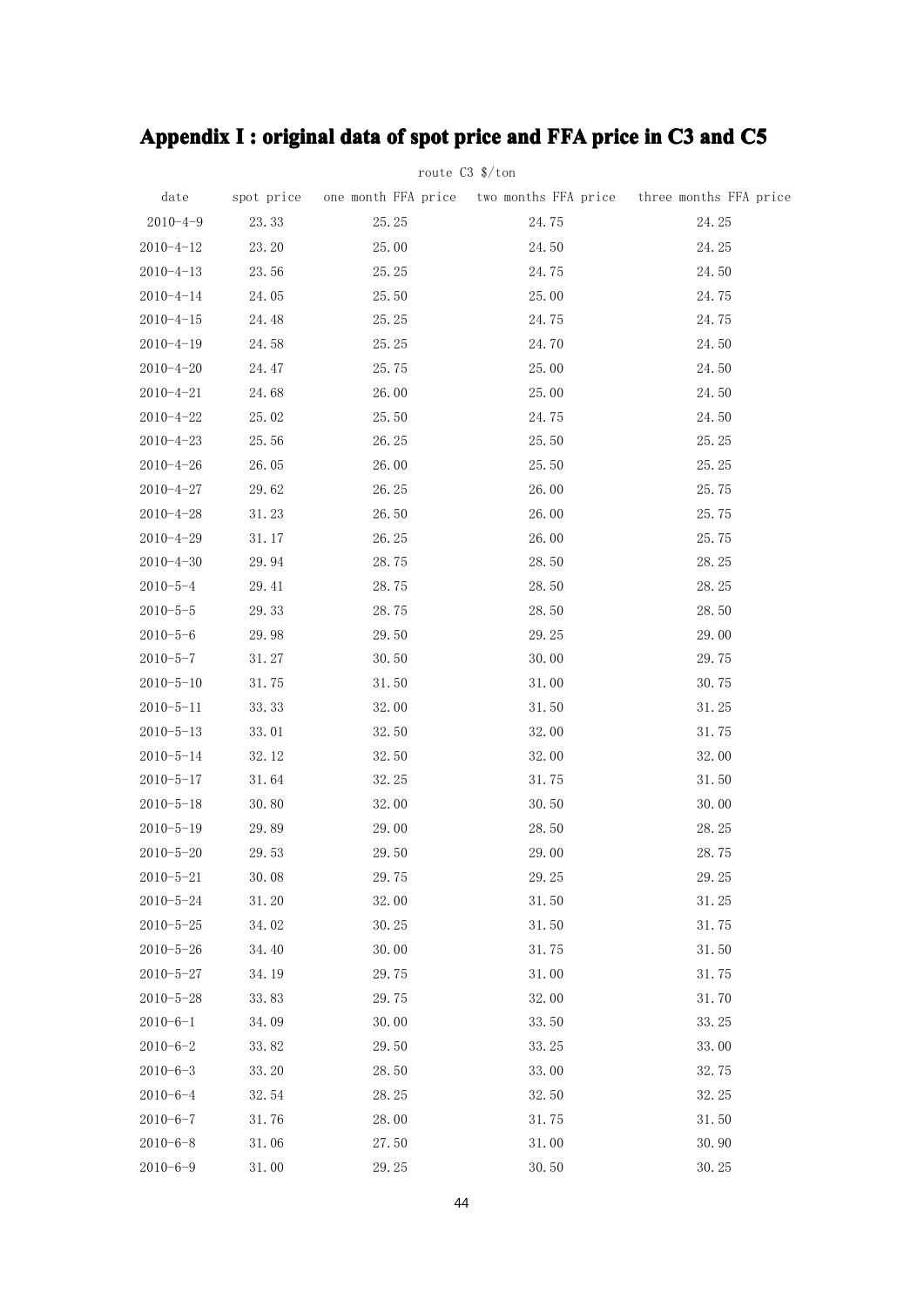# Appendix I : original data of spot price and FFA price in C3 and C5

|                 |       | route $C3$ \$/ton |       |                                                                            |
|-----------------|-------|-------------------|-------|----------------------------------------------------------------------------|
| date            |       |                   |       | spot price one month FFA price two months FFA price three months FFA price |
| $2010 - 4 - 9$  | 23.33 | 25.25             | 24.75 | 24.25                                                                      |
| $2010 - 4 - 12$ | 23.20 | 25.00             | 24.50 | 24.25                                                                      |
| $2010 - 4 - 13$ | 23.56 | 25.25             | 24.75 | 24.50                                                                      |
| $2010 - 4 - 14$ | 24.05 | 25.50             | 25.00 | 24.75                                                                      |
| $2010 - 4 - 15$ | 24.48 | 25.25             | 24.75 | 24.75                                                                      |
| $2010 - 4 - 19$ | 24.58 | 25.25             | 24.70 | 24.50                                                                      |
| $2010 - 4 - 20$ | 24.47 | 25.75             | 25.00 | 24.50                                                                      |
| $2010 - 4 - 21$ | 24.68 | 26.00             | 25.00 | 24.50                                                                      |
| $2010 - 4 - 22$ | 25.02 | 25.50             | 24.75 | 24.50                                                                      |
| $2010 - 4 - 23$ | 25.56 | 26.25             | 25.50 | 25.25                                                                      |
| $2010 - 4 - 26$ | 26.05 | 26.00             | 25.50 | 25.25                                                                      |
| $2010 - 4 - 27$ | 29.62 | 26.25             | 26.00 | 25.75                                                                      |
| $2010 - 4 - 28$ | 31.23 | 26.50             | 26.00 | 25.75                                                                      |
| $2010 - 4 - 29$ | 31.17 | 26.25             | 26.00 | 25.75                                                                      |
| $2010 - 4 - 30$ | 29.94 | 28.75             | 28.50 | 28.25                                                                      |
| $2010 - 5 - 4$  | 29.41 | 28.75             | 28.50 | 28.25                                                                      |
| $2010 - 5 - 5$  | 29.33 | 28.75             | 28.50 | 28.50                                                                      |
| $2010 - 5 - 6$  | 29.98 | 29.50             | 29.25 | 29.00                                                                      |
| $2010 - 5 - 7$  | 31.27 | 30.50             | 30.00 | 29.75                                                                      |
| $2010 - 5 - 10$ | 31.75 | 31.50             | 31.00 | 30.75                                                                      |
| $2010 - 5 - 11$ | 33.33 | 32.00             | 31.50 | 31.25                                                                      |
| $2010 - 5 - 13$ | 33.01 | 32.50             | 32.00 | 31.75                                                                      |
| $2010 - 5 - 14$ | 32.12 | 32.50             | 32.00 | 32.00                                                                      |
| $2010 - 5 - 17$ | 31.64 | 32.25             | 31.75 | 31.50                                                                      |
| $2010 - 5 - 18$ | 30.80 | 32.00             | 30.50 | 30.00                                                                      |
| $2010 - 5 - 19$ | 29.89 | 29.00             | 28.50 | 28.25                                                                      |
| $2010 - 5 - 20$ | 29.53 | 29.50             | 29.00 | 28.75                                                                      |
| $2010 - 5 - 21$ | 30.08 | 29.75             | 29.25 | 29.25                                                                      |
| $2010 - 5 - 24$ | 31.20 | 32.00             | 31.50 | 31.25                                                                      |
| $2010 - 5 - 25$ | 34.02 | 30.25             | 31.50 | 31.75                                                                      |
| $2010 - 5 - 26$ | 34.40 | 30.00             | 31.75 | 31.50                                                                      |
| $2010 - 5 - 27$ | 34.19 | 29.75             | 31.00 | 31.75                                                                      |
| $2010 - 5 - 28$ | 33.83 | 29.75             | 32.00 | 31.70                                                                      |
| $2010 - 6 - 1$  | 34.09 | 30.00             | 33.50 | 33.25                                                                      |
| $2010 - 6 - 2$  | 33.82 | 29.50             | 33.25 | 33.00                                                                      |
| $2010 - 6 - 3$  | 33.20 | 28.50             | 33.00 | 32.75                                                                      |
| $2010 - 6 - 4$  | 32.54 | 28.25             | 32.50 | 32.25                                                                      |
| $2010 - 6 - 7$  | 31.76 | 28.00             | 31.75 | 31.50                                                                      |
| $2010 - 6 - 8$  | 31.06 | 27.50             | 31.00 | 30.90                                                                      |
| $2010 - 6 - 9$  | 31.00 | 29.25             | 30.50 | 30.25                                                                      |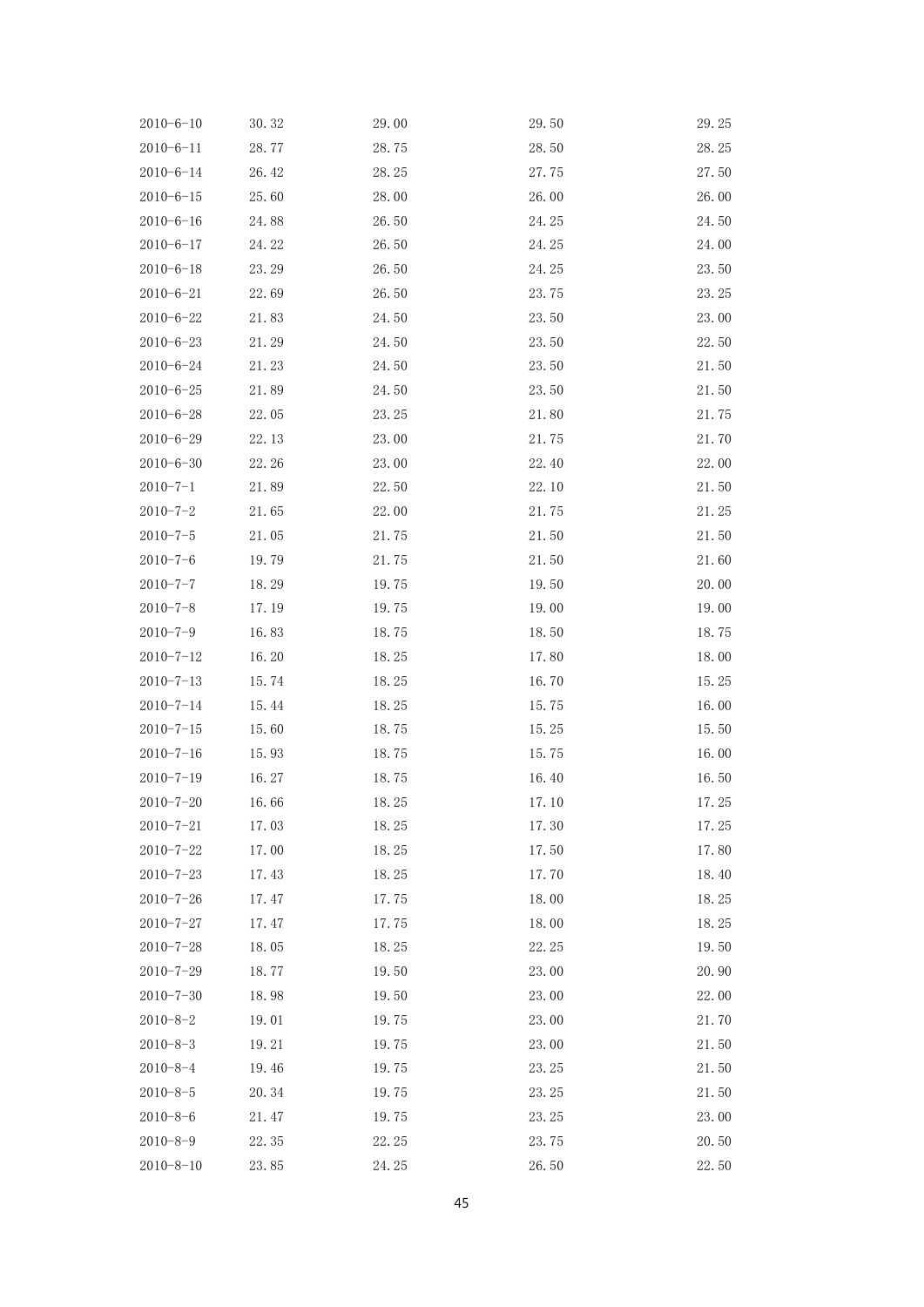| $2010 - 6 - 10$ | 30.32 | 29.00 | 29.50 | 29.25 |
|-----------------|-------|-------|-------|-------|
| $2010 - 6 - 11$ | 28.77 | 28.75 | 28.50 | 28.25 |
| $2010 - 6 - 14$ | 26.42 | 28.25 | 27.75 | 27.50 |
| $2010 - 6 - 15$ | 25.60 | 28.00 | 26.00 | 26.00 |
| $2010 - 6 - 16$ | 24.88 | 26.50 | 24.25 | 24.50 |
| $2010 - 6 - 17$ | 24.22 | 26.50 | 24.25 | 24.00 |
| $2010 - 6 - 18$ | 23.29 | 26.50 | 24.25 | 23.50 |
| $2010 - 6 - 21$ | 22.69 | 26.50 | 23.75 | 23.25 |
| $2010 - 6 - 22$ | 21.83 | 24.50 | 23.50 | 23.00 |
| $2010 - 6 - 23$ | 21.29 | 24.50 | 23.50 | 22.50 |
| $2010 - 6 - 24$ | 21.23 | 24.50 | 23.50 | 21.50 |
| $2010 - 6 - 25$ | 21.89 | 24.50 | 23.50 | 21.50 |
| $2010 - 6 - 28$ | 22.05 | 23.25 | 21.80 | 21.75 |
| $2010 - 6 - 29$ | 22.13 | 23.00 | 21.75 | 21.70 |
| $2010 - 6 - 30$ | 22.26 | 23.00 | 22.40 | 22.00 |
| $2010 - 7 - 1$  | 21.89 | 22.50 | 22.10 | 21.50 |
| $2010 - 7 - 2$  | 21.65 | 22.00 | 21.75 | 21.25 |
| $2010 - 7 - 5$  | 21.05 | 21.75 | 21.50 | 21.50 |
| $2010 - 7 - 6$  | 19.79 | 21.75 | 21.50 | 21.60 |
| $2010 - 7 - 7$  | 18.29 | 19.75 | 19.50 | 20.00 |
| $2010 - 7 - 8$  | 17.19 | 19.75 | 19.00 | 19.00 |
| $2010 - 7 - 9$  | 16.83 | 18.75 | 18.50 | 18.75 |
| $2010 - 7 - 12$ | 16.20 | 18.25 | 17.80 | 18.00 |
| $2010 - 7 - 13$ | 15.74 | 18.25 | 16.70 | 15.25 |
| $2010 - 7 - 14$ | 15.44 | 18.25 | 15.75 | 16.00 |
| $2010 - 7 - 15$ | 15.60 | 18.75 | 15.25 | 15.50 |
| $2010 - 7 - 16$ | 15.93 | 18.75 | 15.75 | 16.00 |
| $2010 - 7 - 19$ | 16.27 | 18.75 | 16.40 | 16.50 |
| $2010 - 7 - 20$ | 16.66 | 18.25 | 17.10 | 17.25 |
| $2010 - 7 - 21$ | 17.03 | 18.25 | 17.30 | 17.25 |
| $2010 - 7 - 22$ | 17.00 | 18.25 | 17.50 | 17.80 |
| $2010 - 7 - 23$ | 17.43 | 18.25 | 17.70 | 18.40 |
| $2010 - 7 - 26$ | 17.47 | 17.75 | 18.00 | 18.25 |
| $2010 - 7 - 27$ | 17.47 | 17.75 | 18.00 | 18.25 |
| $2010 - 7 - 28$ | 18.05 | 18.25 | 22.25 | 19.50 |
| $2010 - 7 - 29$ | 18.77 | 19.50 | 23.00 | 20.90 |
| $2010 - 7 - 30$ | 18.98 | 19.50 | 23.00 | 22.00 |
| $2010 - 8 - 2$  | 19.01 | 19.75 | 23.00 | 21.70 |
| $2010 - 8 - 3$  | 19.21 | 19.75 | 23.00 | 21.50 |
| $2010 - 8 - 4$  | 19.46 | 19.75 | 23.25 | 21.50 |
| $2010 - 8 - 5$  | 20.34 | 19.75 | 23.25 | 21.50 |
| $2010 - 8 - 6$  | 21.47 | 19.75 | 23.25 | 23.00 |
| $2010 - 8 - 9$  | 22.35 | 22.25 | 23.75 | 20.50 |
| $2010 - 8 - 10$ | 23.85 | 24.25 | 26.50 | 22.50 |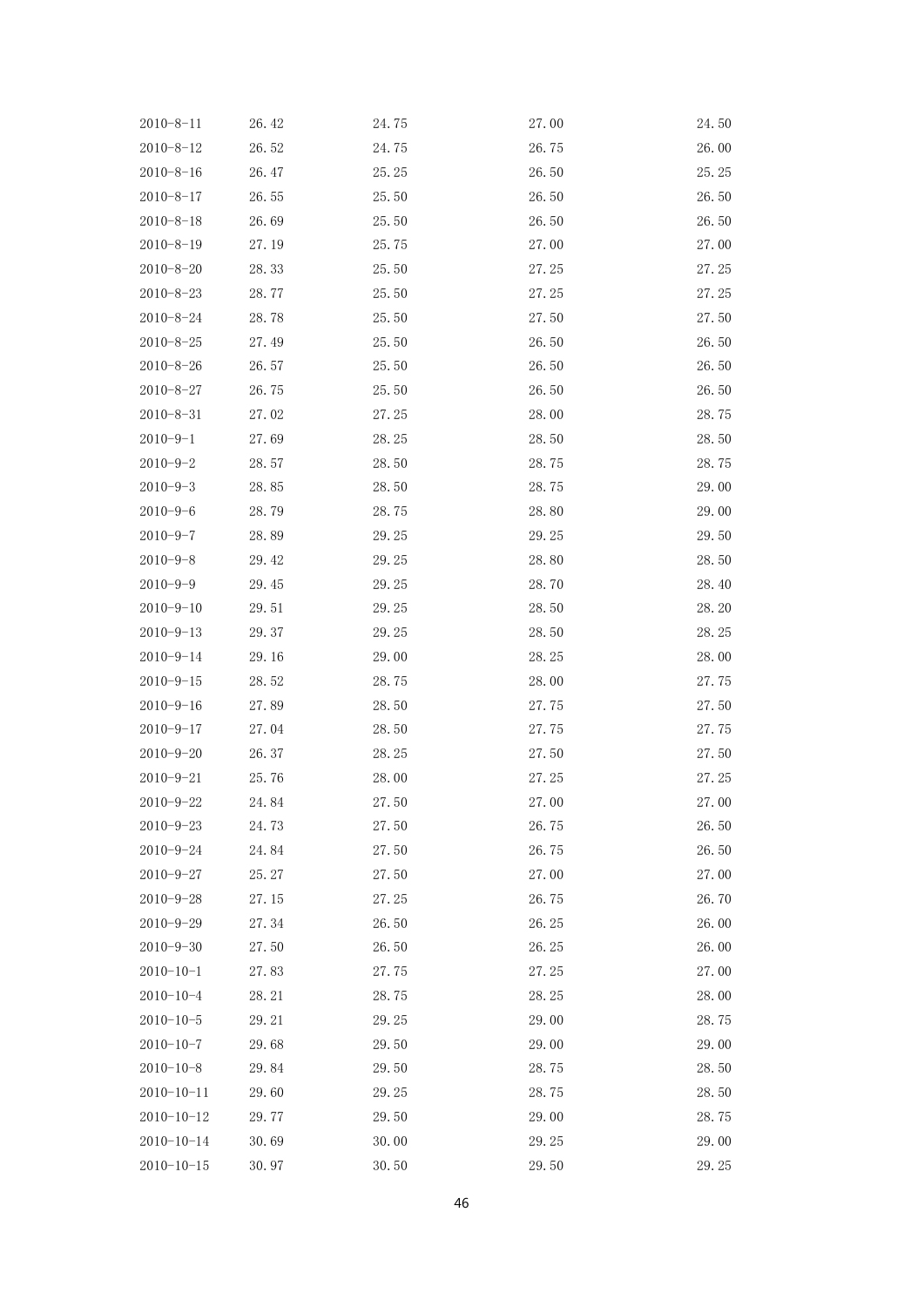| $2010 - 8 - 11$  | 26.42 | 24.75 | 27.00 | 24.50 |
|------------------|-------|-------|-------|-------|
| $2010 - 8 - 12$  | 26.52 | 24.75 | 26.75 | 26.00 |
| $2010 - 8 - 16$  | 26.47 | 25.25 | 26.50 | 25.25 |
| $2010 - 8 - 17$  | 26.55 | 25.50 | 26.50 | 26.50 |
| $2010 - 8 - 18$  | 26.69 | 25.50 | 26.50 | 26.50 |
| $2010 - 8 - 19$  | 27.19 | 25.75 | 27.00 | 27.00 |
| $2010 - 8 - 20$  | 28.33 | 25.50 | 27.25 | 27.25 |
| $2010 - 8 - 23$  | 28.77 | 25.50 | 27.25 | 27.25 |
| $2010 - 8 - 24$  | 28.78 | 25.50 | 27.50 | 27.50 |
| $2010 - 8 - 25$  | 27.49 | 25.50 | 26.50 | 26.50 |
| $2010 - 8 - 26$  | 26.57 | 25.50 | 26.50 | 26.50 |
| $2010 - 8 - 27$  | 26.75 | 25.50 | 26.50 | 26.50 |
| $2010 - 8 - 31$  | 27.02 | 27.25 | 28.00 | 28.75 |
| $2010 - 9 - 1$   | 27.69 | 28.25 | 28.50 | 28.50 |
| $2010 - 9 - 2$   | 28.57 | 28.50 | 28.75 | 28.75 |
| $2010 - 9 - 3$   | 28.85 | 28.50 | 28.75 | 29.00 |
| $2010 - 9 - 6$   | 28.79 | 28.75 | 28.80 | 29.00 |
| $2010 - 9 - 7$   | 28.89 | 29.25 | 29.25 | 29.50 |
| $2010 - 9 - 8$   | 29.42 | 29.25 | 28.80 | 28.50 |
| $2010 - 9 - 9$   | 29.45 | 29.25 | 28.70 | 28.40 |
| $2010 - 9 - 10$  | 29.51 | 29.25 | 28.50 | 28.20 |
| $2010 - 9 - 13$  | 29.37 | 29.25 | 28.50 | 28.25 |
| $2010 - 9 - 14$  | 29.16 | 29.00 | 28.25 | 28.00 |
| $2010 - 9 - 15$  | 28.52 | 28.75 | 28.00 | 27.75 |
| $2010 - 9 - 16$  | 27.89 | 28.50 | 27.75 | 27.50 |
| $2010 - 9 - 17$  | 27.04 | 28.50 | 27.75 | 27.75 |
| $2010 - 9 - 20$  | 26.37 | 28.25 | 27.50 | 27.50 |
| $2010 - 9 - 21$  | 25.76 | 28.00 | 27.25 | 27.25 |
| $2010 - 9 - 22$  | 24.84 | 27.50 | 27.00 | 27.00 |
| $2010 - 9 - 23$  | 24.73 | 27.50 | 26.75 | 26.50 |
| $2010 - 9 - 24$  | 24.84 | 27.50 | 26.75 | 26.50 |
| $2010 - 9 - 27$  | 25.27 | 27.50 | 27.00 | 27.00 |
| $2010 - 9 - 28$  | 27.15 | 27.25 | 26.75 | 26.70 |
| $2010 - 9 - 29$  | 27.34 | 26.50 | 26.25 | 26.00 |
| $2010 - 9 - 30$  | 27.50 | 26.50 | 26.25 | 26.00 |
| $2010 - 10 - 1$  | 27.83 | 27.75 | 27.25 | 27.00 |
| $2010 - 10 - 4$  | 28.21 | 28.75 | 28.25 | 28.00 |
| $2010 - 10 - 5$  | 29.21 | 29.25 | 29.00 | 28.75 |
| $2010 - 10 - 7$  | 29.68 | 29.50 | 29.00 | 29.00 |
| $2010 - 10 - 8$  | 29.84 | 29.50 | 28.75 | 28.50 |
| $2010 - 10 - 11$ | 29.60 | 29.25 | 28.75 | 28.50 |
| $2010 - 10 - 12$ | 29.77 | 29.50 | 29.00 | 28.75 |
| $2010 - 10 - 14$ | 30.69 | 30.00 | 29.25 | 29.00 |
| $2010 - 10 - 15$ | 30.97 | 30.50 | 29.50 | 29.25 |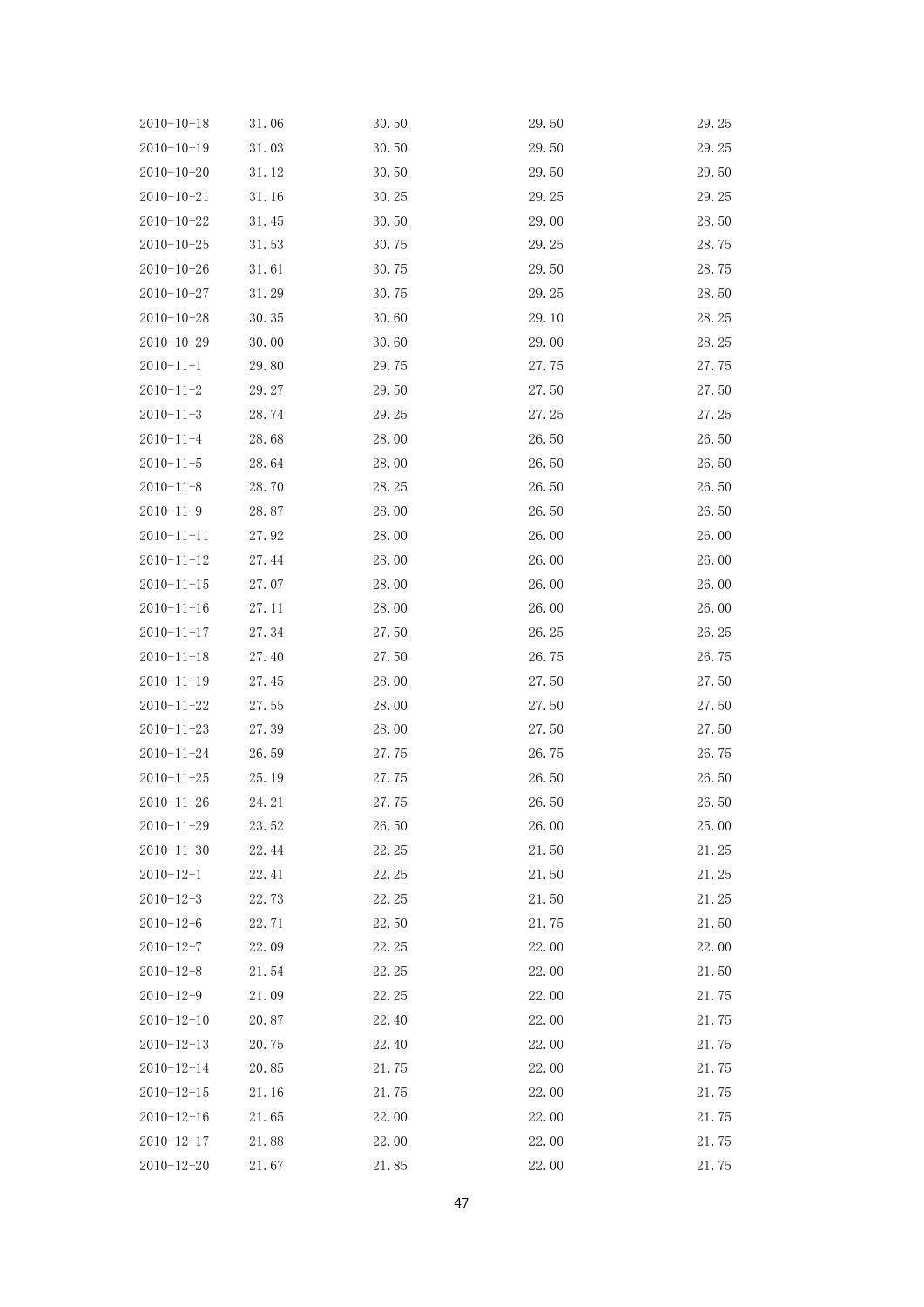| $2010 - 10 - 18$ | 31.06 | 30.50 | 29.50 | 29.25 |
|------------------|-------|-------|-------|-------|
| $2010 - 10 - 19$ | 31.03 | 30.50 | 29.50 | 29.25 |
| $2010 - 10 - 20$ | 31.12 | 30.50 | 29.50 | 29.50 |
| $2010 - 10 - 21$ | 31.16 | 30.25 | 29.25 | 29.25 |
| $2010 - 10 - 22$ | 31.45 | 30.50 | 29.00 | 28.50 |
| $2010 - 10 - 25$ | 31.53 | 30.75 | 29.25 | 28.75 |
| $2010 - 10 - 26$ | 31.61 | 30.75 | 29.50 | 28.75 |
| $2010 - 10 - 27$ | 31.29 | 30.75 | 29.25 | 28.50 |
| $2010 - 10 - 28$ | 30.35 | 30.60 | 29.10 | 28.25 |
| $2010 - 10 - 29$ | 30.00 | 30.60 | 29.00 | 28.25 |
| $2010 - 11 - 1$  | 29.80 | 29.75 | 27.75 | 27.75 |
| $2010 - 11 - 2$  | 29.27 | 29.50 | 27.50 | 27.50 |
| $2010 - 11 - 3$  | 28.74 | 29.25 | 27.25 | 27.25 |
| $2010 - 11 - 4$  | 28.68 | 28.00 | 26.50 | 26.50 |
| $2010 - 11 - 5$  | 28.64 | 28.00 | 26.50 | 26.50 |
| $2010 - 11 - 8$  | 28.70 | 28.25 | 26.50 | 26.50 |
| $2010 - 11 - 9$  | 28.87 | 28.00 | 26.50 | 26.50 |
| $2010 - 11 - 11$ | 27.92 | 28.00 | 26.00 | 26.00 |
| $2010 - 11 - 12$ | 27.44 | 28.00 | 26.00 | 26.00 |
| $2010 - 11 - 15$ | 27.07 | 28.00 | 26.00 | 26.00 |
| $2010 - 11 - 16$ | 27.11 | 28.00 | 26.00 | 26.00 |
| $2010 - 11 - 17$ | 27.34 | 27.50 | 26.25 | 26.25 |
| $2010 - 11 - 18$ | 27.40 | 27.50 | 26.75 | 26.75 |
| $2010 - 11 - 19$ | 27.45 | 28.00 | 27.50 | 27.50 |
| $2010 - 11 - 22$ | 27.55 | 28.00 | 27.50 | 27.50 |
| $2010 - 11 - 23$ | 27.39 | 28.00 | 27.50 | 27.50 |
| $2010 - 11 - 24$ | 26.59 | 27.75 | 26.75 | 26.75 |
| $2010 - 11 - 25$ | 25.19 | 27.75 | 26.50 | 26.50 |
| $2010 - 11 - 26$ | 24.21 | 27.75 | 26.50 | 26.50 |
| $2010 - 11 - 29$ | 23.52 | 26.50 | 26.00 | 25.00 |
| $2010 - 11 - 30$ | 22.44 | 22.25 | 21.50 | 21.25 |
| $2010 - 12 - 1$  | 22.41 | 22.25 | 21.50 | 21.25 |
| $2010 - 12 - 3$  | 22.73 | 22.25 | 21.50 | 21.25 |
| $2010 - 12 - 6$  | 22.71 | 22.50 | 21.75 | 21.50 |
| $2010 - 12 - 7$  | 22.09 | 22.25 | 22.00 | 22.00 |
| $2010 - 12 - 8$  | 21.54 | 22.25 | 22.00 | 21.50 |
| $2010 - 12 - 9$  | 21.09 | 22.25 | 22.00 | 21.75 |
| $2010 - 12 - 10$ | 20.87 | 22.40 | 22.00 | 21.75 |
| $2010 - 12 - 13$ | 20.75 | 22.40 | 22.00 | 21.75 |
| $2010 - 12 - 14$ | 20.85 | 21.75 | 22.00 | 21.75 |
| $2010 - 12 - 15$ | 21.16 | 21.75 | 22.00 | 21.75 |
| $2010 - 12 - 16$ | 21.65 | 22.00 | 22.00 | 21.75 |
| $2010 - 12 - 17$ | 21.88 | 22.00 | 22.00 | 21.75 |
| $2010 - 12 - 20$ | 21.67 | 21.85 | 22.00 | 21.75 |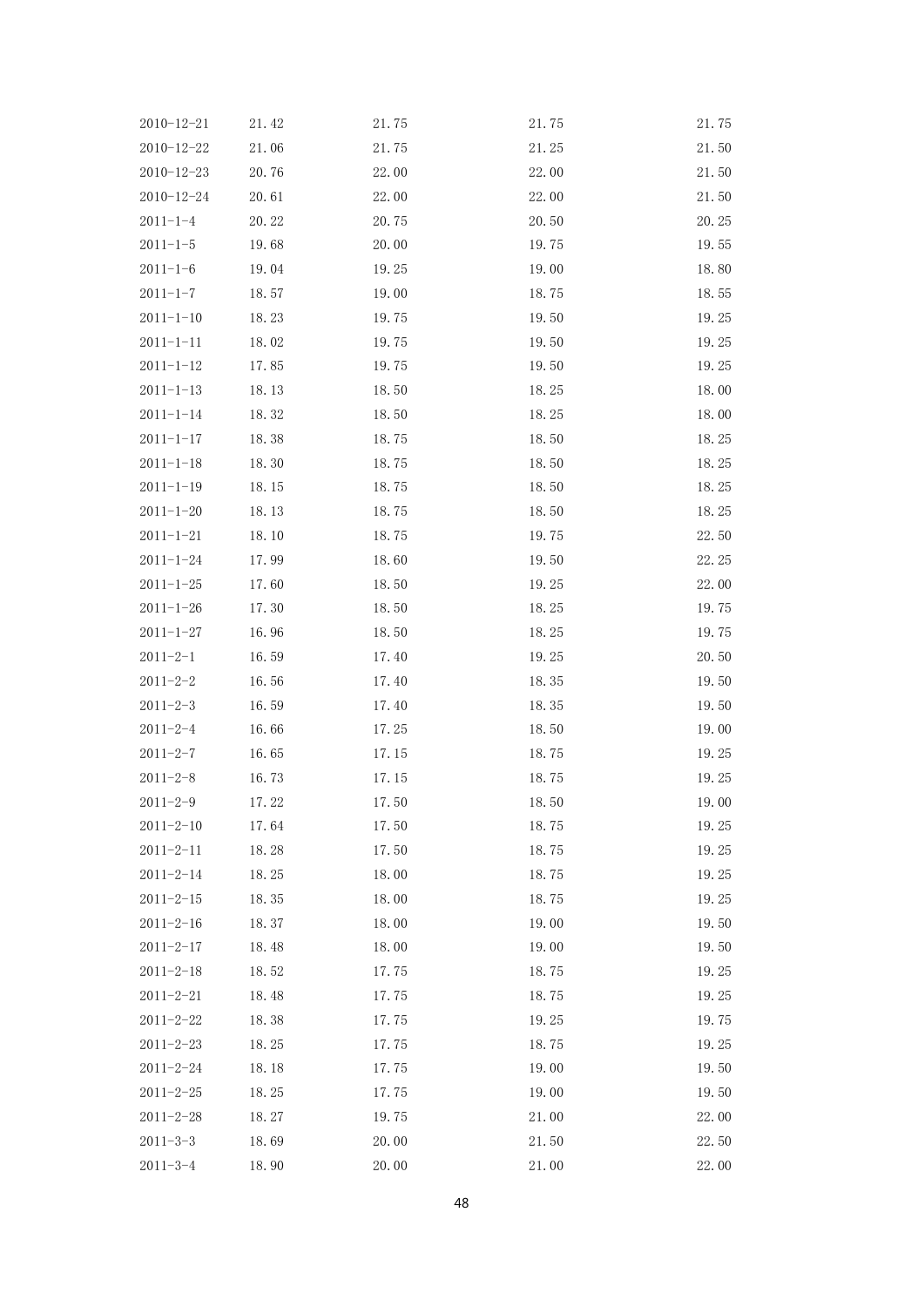| $2010 - 12 - 21$ | 21.42 | 21.75 | 21.75 | 21.75 |
|------------------|-------|-------|-------|-------|
| $2010 - 12 - 22$ | 21.06 | 21.75 | 21.25 | 21.50 |
| $2010 - 12 - 23$ | 20.76 | 22.00 | 22.00 | 21.50 |
| $2010 - 12 - 24$ | 20.61 | 22.00 | 22.00 | 21.50 |
| $2011 - 1 - 4$   | 20.22 | 20.75 | 20.50 | 20.25 |
| $2011 - 1 - 5$   | 19.68 | 20.00 | 19.75 | 19.55 |
| $2011 - 1 - 6$   | 19.04 | 19.25 | 19.00 | 18.80 |
| $2011 - 1 - 7$   | 18.57 | 19.00 | 18.75 | 18.55 |
| $2011 - 1 - 10$  | 18.23 | 19.75 | 19.50 | 19.25 |
| $2011 - 1 - 11$  | 18.02 | 19.75 | 19.50 | 19.25 |
| $2011 - 1 - 12$  | 17.85 | 19.75 | 19.50 | 19.25 |
| $2011 - 1 - 13$  | 18.13 | 18.50 | 18.25 | 18.00 |
| $2011 - 1 - 14$  | 18.32 | 18.50 | 18.25 | 18.00 |
| $2011 - 1 - 17$  | 18.38 | 18.75 | 18.50 | 18.25 |
| $2011 - 1 - 18$  | 18.30 | 18.75 | 18.50 | 18.25 |
| $2011 - 1 - 19$  | 18.15 | 18.75 | 18.50 | 18.25 |
| $2011 - 1 - 20$  | 18.13 | 18.75 | 18.50 | 18.25 |
| $2011 - 1 - 21$  | 18.10 | 18.75 | 19.75 | 22.50 |
| $2011 - 1 - 24$  | 17.99 | 18.60 | 19.50 | 22.25 |
| $2011 - 1 - 25$  | 17.60 | 18.50 | 19.25 | 22.00 |
| $2011 - 1 - 26$  | 17.30 | 18.50 | 18.25 | 19.75 |
| $2011 - 1 - 27$  | 16.96 | 18.50 | 18.25 | 19.75 |
| $2011 - 2 - 1$   | 16.59 | 17.40 | 19.25 | 20.50 |
| $2011 - 2 - 2$   | 16.56 | 17.40 | 18.35 | 19.50 |
| $2011 - 2 - 3$   | 16.59 | 17.40 | 18.35 | 19.50 |
| $2011 - 2 - 4$   | 16.66 | 17.25 | 18.50 | 19.00 |
| $2011 - 2 - 7$   | 16.65 | 17.15 | 18.75 | 19.25 |
| $2011 - 2 - 8$   | 16.73 | 17.15 | 18.75 | 19.25 |
| $2011 - 2 - 9$   | 17.22 | 17.50 | 18.50 | 19.00 |
| $2011 - 2 - 10$  | 17.64 | 17.50 | 18.75 | 19.25 |
| $2011 - 2 - 11$  | 18.28 | 17.50 | 18.75 | 19.25 |
| $2011 - 2 - 14$  | 18.25 | 18.00 | 18.75 | 19.25 |
| $2011 - 2 - 15$  | 18.35 | 18.00 | 18.75 | 19.25 |
| $2011 - 2 - 16$  | 18.37 | 18.00 | 19.00 | 19.50 |
| $2011 - 2 - 17$  | 18.48 | 18.00 | 19.00 | 19.50 |
| $2011 - 2 - 18$  | 18.52 | 17.75 | 18.75 | 19.25 |
| $2011 - 2 - 21$  | 18.48 | 17.75 | 18.75 | 19.25 |
| $2011 - 2 - 22$  | 18.38 | 17.75 | 19.25 | 19.75 |
| $2011 - 2 - 23$  | 18.25 | 17.75 | 18.75 | 19.25 |
| $2011 - 2 - 24$  | 18.18 | 17.75 | 19.00 | 19.50 |
| $2011 - 2 - 25$  | 18.25 | 17.75 | 19.00 | 19.50 |
| $2011 - 2 - 28$  | 18.27 | 19.75 | 21.00 | 22.00 |
| $2011 - 3 - 3$   | 18.69 | 20.00 | 21.50 | 22.50 |
| $2011 - 3 - 4$   | 18.90 | 20.00 | 21.00 | 22.00 |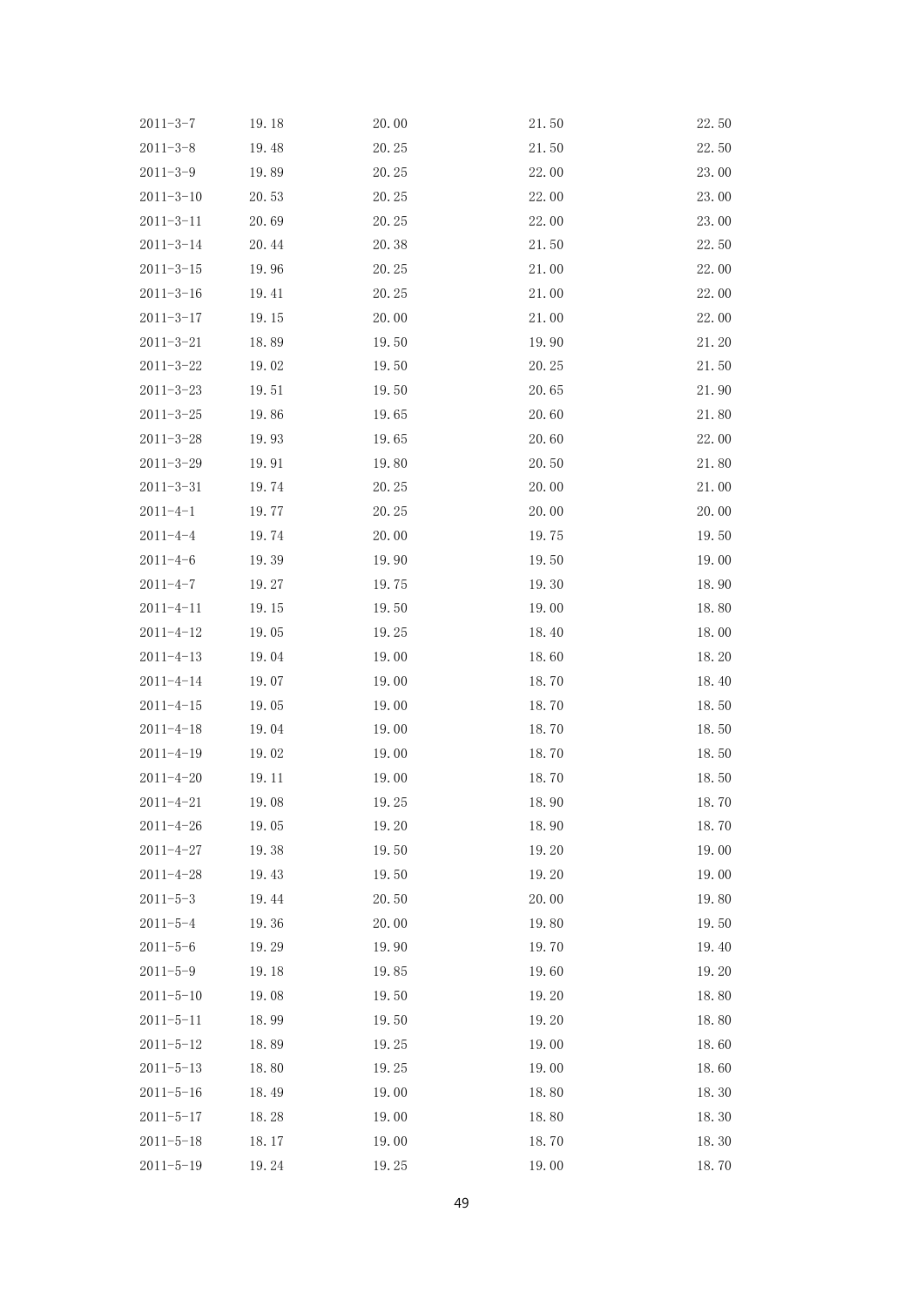| $2011 - 3 - 7$  | 19.18 | 20.00 | 21.50 | 22.50 |
|-----------------|-------|-------|-------|-------|
| $2011 - 3 - 8$  | 19.48 | 20.25 | 21.50 | 22.50 |
| $2011 - 3 - 9$  | 19.89 | 20.25 | 22.00 | 23.00 |
| $2011 - 3 - 10$ | 20.53 | 20.25 | 22.00 | 23.00 |
| $2011 - 3 - 11$ | 20.69 | 20.25 | 22.00 | 23.00 |
| $2011 - 3 - 14$ | 20.44 | 20.38 | 21.50 | 22.50 |
| $2011 - 3 - 15$ | 19.96 | 20.25 | 21.00 | 22.00 |
| $2011 - 3 - 16$ | 19.41 | 20.25 | 21.00 | 22.00 |
| $2011 - 3 - 17$ | 19.15 | 20.00 | 21.00 | 22.00 |
| $2011 - 3 - 21$ | 18.89 | 19.50 | 19.90 | 21.20 |
| $2011 - 3 - 22$ | 19.02 | 19.50 | 20.25 | 21.50 |
| $2011 - 3 - 23$ | 19.51 | 19.50 | 20.65 | 21.90 |
| $2011 - 3 - 25$ | 19.86 | 19.65 | 20.60 | 21.80 |
| $2011 - 3 - 28$ | 19.93 | 19.65 | 20.60 | 22.00 |
| $2011 - 3 - 29$ | 19.91 | 19.80 | 20.50 | 21.80 |
| $2011 - 3 - 31$ | 19.74 | 20.25 | 20.00 | 21.00 |
| $2011 - 4 - 1$  | 19.77 | 20.25 | 20.00 | 20.00 |
| $2011 - 4 - 4$  | 19.74 | 20.00 | 19.75 | 19.50 |
| $2011 - 4 - 6$  | 19.39 | 19.90 | 19.50 | 19.00 |
| $2011 - 4 - 7$  | 19.27 | 19.75 | 19.30 | 18.90 |
| $2011 - 4 - 11$ | 19.15 | 19.50 | 19.00 | 18.80 |
| $2011 - 4 - 12$ | 19.05 | 19.25 | 18.40 | 18.00 |
| $2011 - 4 - 13$ | 19.04 | 19.00 | 18.60 | 18.20 |
| $2011 - 4 - 14$ | 19.07 | 19.00 | 18.70 | 18.40 |
| $2011 - 4 - 15$ | 19.05 | 19.00 | 18.70 | 18.50 |
| $2011 - 4 - 18$ | 19.04 | 19.00 | 18.70 | 18.50 |
| $2011 - 4 - 19$ | 19.02 | 19.00 | 18.70 | 18.50 |
| $2011 - 4 - 20$ | 19.11 | 19.00 | 18.70 | 18.50 |
| $2011 - 4 - 21$ | 19.08 | 19.25 | 18.90 | 18.70 |
| $2011 - 4 - 26$ | 19.05 | 19.20 | 18.90 | 18.70 |
| $2011 - 4 - 27$ | 19.38 | 19.50 | 19.20 | 19.00 |
| $2011 - 4 - 28$ | 19.43 | 19.50 | 19.20 | 19.00 |
| $2011 - 5 - 3$  | 19.44 | 20.50 | 20.00 | 19.80 |
| $2011 - 5 - 4$  | 19.36 | 20.00 | 19.80 | 19.50 |
| $2011 - 5 - 6$  | 19.29 | 19.90 | 19.70 | 19.40 |
| $2011 - 5 - 9$  | 19.18 | 19.85 | 19.60 | 19.20 |
| $2011 - 5 - 10$ | 19.08 | 19.50 | 19.20 | 18.80 |
| $2011 - 5 - 11$ | 18.99 | 19.50 | 19.20 | 18.80 |
| $2011 - 5 - 12$ | 18.89 | 19.25 | 19.00 | 18.60 |
| $2011 - 5 - 13$ | 18.80 | 19.25 | 19.00 | 18.60 |
| $2011 - 5 - 16$ | 18.49 | 19.00 | 18.80 | 18.30 |
| $2011 - 5 - 17$ | 18.28 | 19.00 | 18.80 | 18.30 |
| $2011 - 5 - 18$ | 18.17 | 19.00 | 18.70 | 18.30 |
| $2011 - 5 - 19$ | 19.24 | 19.25 | 19.00 | 18.70 |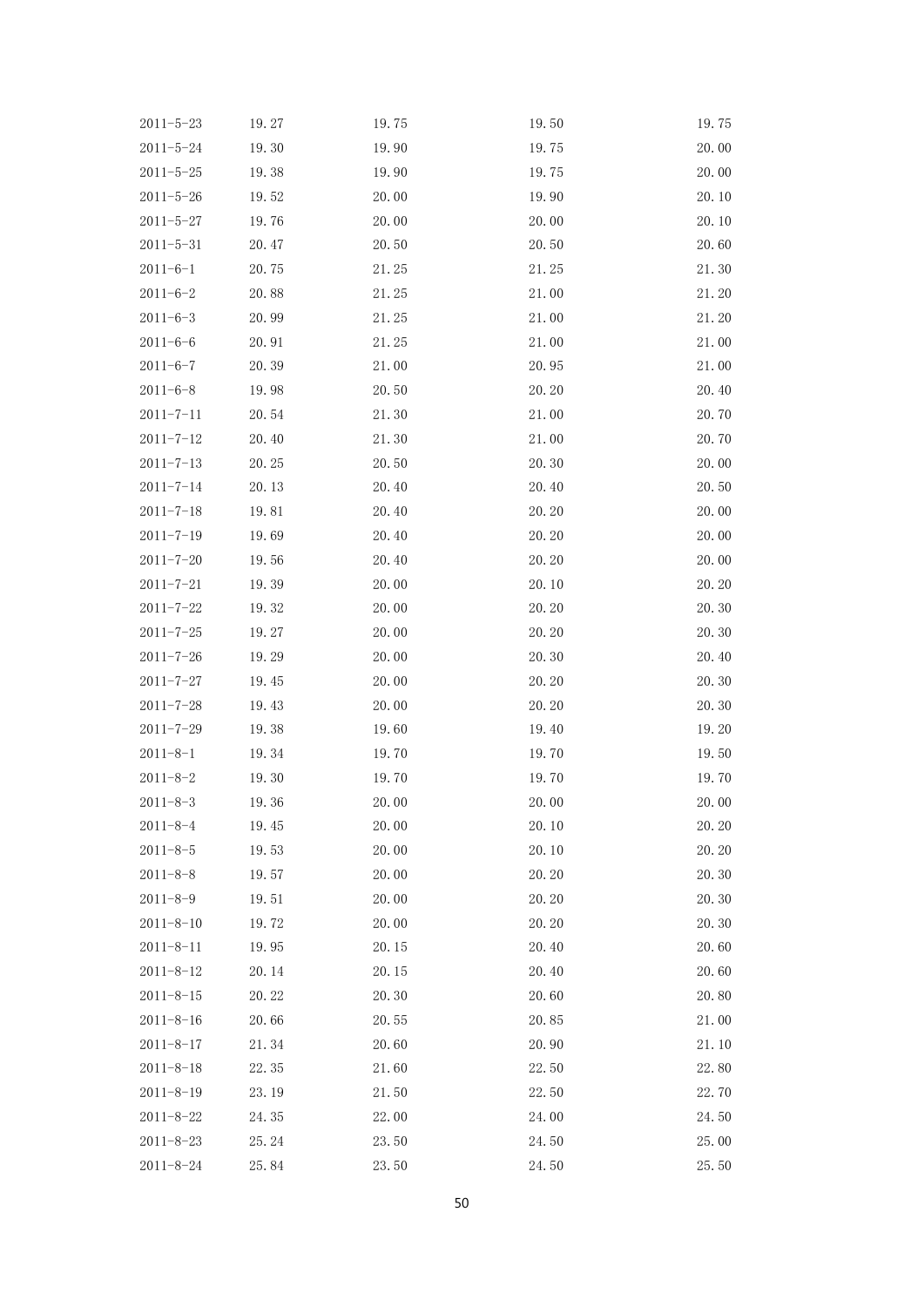| $2011 - 5 - 23$ | 19.27 | 19.75 | 19.50 | 19.75 |
|-----------------|-------|-------|-------|-------|
| $2011 - 5 - 24$ | 19.30 | 19.90 | 19.75 | 20.00 |
| $2011 - 5 - 25$ | 19.38 | 19.90 | 19.75 | 20.00 |
| $2011 - 5 - 26$ | 19.52 | 20.00 | 19.90 | 20.10 |
| $2011 - 5 - 27$ | 19.76 | 20.00 | 20.00 | 20.10 |
| $2011 - 5 - 31$ | 20.47 | 20.50 | 20.50 | 20.60 |
| $2011 - 6 - 1$  | 20.75 | 21.25 | 21.25 | 21.30 |
| $2011 - 6 - 2$  | 20.88 | 21.25 | 21.00 | 21.20 |
| $2011 - 6 - 3$  | 20.99 | 21.25 | 21.00 | 21.20 |
| $2011 - 6 - 6$  | 20.91 | 21.25 | 21.00 | 21.00 |
| $2011 - 6 - 7$  | 20.39 | 21.00 | 20.95 | 21.00 |
| $2011 - 6 - 8$  | 19.98 | 20.50 | 20.20 | 20.40 |
| $2011 - 7 - 11$ | 20.54 | 21.30 | 21.00 | 20.70 |
| $2011 - 7 - 12$ | 20.40 | 21.30 | 21.00 | 20.70 |
| $2011 - 7 - 13$ | 20.25 | 20.50 | 20.30 | 20.00 |
| $2011 - 7 - 14$ | 20.13 | 20.40 | 20.40 | 20.50 |
| $2011 - 7 - 18$ | 19.81 | 20.40 | 20.20 | 20.00 |
| $2011 - 7 - 19$ | 19.69 | 20.40 | 20.20 | 20.00 |
| $2011 - 7 - 20$ | 19.56 | 20.40 | 20.20 | 20.00 |
| $2011 - 7 - 21$ | 19.39 | 20.00 | 20.10 | 20.20 |
| $2011 - 7 - 22$ | 19.32 | 20.00 | 20.20 | 20.30 |
| $2011 - 7 - 25$ | 19.27 | 20.00 | 20.20 | 20.30 |
| $2011 - 7 - 26$ | 19.29 | 20.00 | 20.30 | 20.40 |
| $2011 - 7 - 27$ | 19.45 | 20.00 | 20.20 | 20.30 |
| $2011 - 7 - 28$ | 19.43 | 20.00 | 20.20 | 20.30 |
| $2011 - 7 - 29$ | 19.38 | 19.60 | 19.40 | 19.20 |
| $2011 - 8 - 1$  | 19.34 | 19.70 | 19.70 | 19.50 |
| $2011 - 8 - 2$  | 19.30 | 19.70 | 19.70 | 19.70 |
| $2011 - 8 - 3$  | 19.36 | 20.00 | 20.00 | 20.00 |
| $2011 - 8 - 4$  | 19.45 | 20.00 | 20.10 | 20.20 |
| $2011 - 8 - 5$  | 19.53 | 20.00 | 20.10 | 20.20 |
| $2011 - 8 - 8$  | 19.57 | 20.00 | 20.20 | 20.30 |
| $2011 - 8 - 9$  | 19.51 | 20.00 | 20.20 | 20.30 |
| $2011 - 8 - 10$ | 19.72 | 20.00 | 20.20 | 20.30 |
| $2011 - 8 - 11$ | 19.95 | 20.15 | 20.40 | 20.60 |
| $2011 - 8 - 12$ | 20.14 | 20.15 | 20.40 | 20.60 |
| $2011 - 8 - 15$ | 20.22 | 20.30 | 20.60 | 20.80 |
| $2011 - 8 - 16$ | 20.66 | 20.55 | 20.85 | 21.00 |
| $2011 - 8 - 17$ | 21.34 | 20.60 | 20.90 | 21.10 |
| $2011 - 8 - 18$ | 22.35 | 21.60 | 22.50 | 22.80 |
| $2011 - 8 - 19$ | 23.19 | 21.50 | 22.50 | 22.70 |
| $2011 - 8 - 22$ | 24.35 | 22.00 | 24.00 | 24.50 |
| $2011 - 8 - 23$ | 25.24 | 23.50 | 24.50 | 25.00 |
| $2011 - 8 - 24$ | 25.84 | 23.50 | 24.50 | 25.50 |
|                 |       |       |       |       |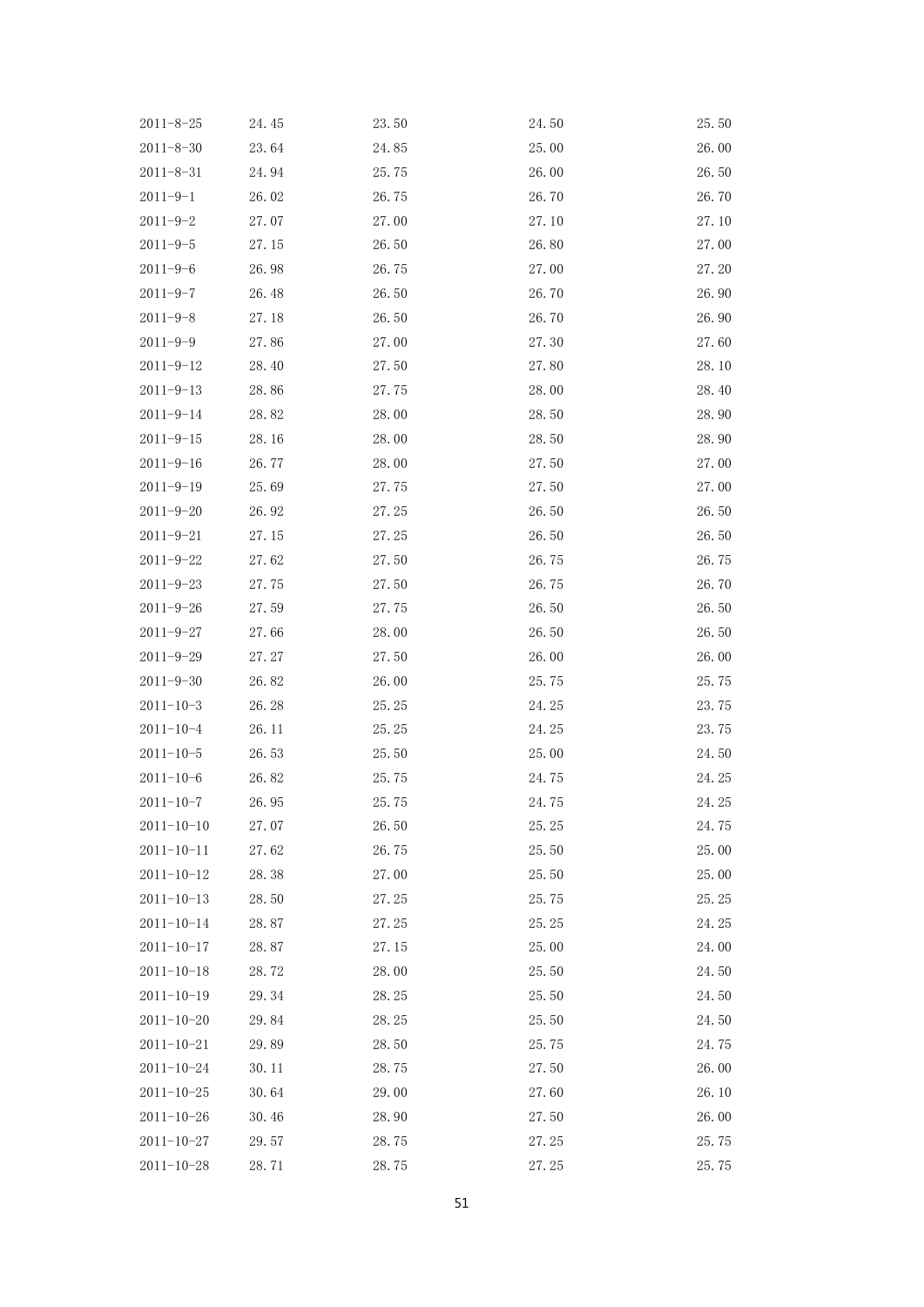| $2011 - 8 - 25$  | 24.45 | 23.50 | 24.50 | 25.50 |
|------------------|-------|-------|-------|-------|
| $2011 - 8 - 30$  | 23.64 | 24.85 | 25.00 | 26.00 |
| $2011 - 8 - 31$  | 24.94 | 25.75 | 26.00 | 26.50 |
| $2011 - 9 - 1$   | 26.02 | 26.75 | 26.70 | 26.70 |
| $2011 - 9 - 2$   | 27.07 | 27.00 | 27.10 | 27.10 |
| $2011 - 9 - 5$   | 27.15 | 26.50 | 26.80 | 27.00 |
| $2011 - 9 - 6$   | 26.98 | 26.75 | 27.00 | 27.20 |
| $2011 - 9 - 7$   | 26.48 | 26.50 | 26.70 | 26.90 |
| $2011 - 9 - 8$   | 27.18 | 26.50 | 26.70 | 26.90 |
| $2011 - 9 - 9$   | 27.86 | 27.00 | 27.30 | 27.60 |
| $2011 - 9 - 12$  | 28.40 | 27.50 | 27.80 | 28.10 |
| $2011 - 9 - 13$  | 28.86 | 27.75 | 28.00 | 28.40 |
| $2011 - 9 - 14$  | 28.82 | 28.00 | 28.50 | 28.90 |
| $2011 - 9 - 15$  | 28.16 | 28.00 | 28.50 | 28.90 |
| $2011 - 9 - 16$  | 26.77 | 28.00 | 27.50 | 27.00 |
| $2011 - 9 - 19$  | 25.69 | 27.75 | 27.50 | 27.00 |
| $2011 - 9 - 20$  | 26.92 | 27.25 | 26.50 | 26.50 |
| $2011 - 9 - 21$  | 27.15 | 27.25 | 26.50 | 26.50 |
| $2011 - 9 - 22$  | 27.62 | 27.50 | 26.75 | 26.75 |
| $2011 - 9 - 23$  | 27.75 | 27.50 | 26.75 | 26.70 |
| $2011 - 9 - 26$  | 27.59 | 27.75 | 26.50 | 26.50 |
| $2011 - 9 - 27$  | 27.66 | 28.00 | 26.50 | 26.50 |
| $2011 - 9 - 29$  | 27.27 | 27.50 | 26.00 | 26.00 |
| $2011 - 9 - 30$  | 26.82 | 26.00 | 25.75 | 25.75 |
| $2011 - 10 - 3$  | 26.28 | 25.25 | 24.25 | 23.75 |
| $2011 - 10 - 4$  | 26.11 | 25.25 | 24.25 | 23.75 |
| $2011 - 10 - 5$  | 26.53 | 25.50 | 25.00 | 24.50 |
| $2011 - 10 - 6$  | 26.82 | 25.75 | 24.75 | 24.25 |
| $2011 - 10 - 7$  | 26.95 | 25.75 | 24.75 | 24.25 |
| $2011 - 10 - 10$ | 27.07 | 26.50 | 25.25 | 24.75 |
| $2011 - 10 - 11$ | 27.62 | 26.75 | 25.50 | 25.00 |
| $2011 - 10 - 12$ | 28.38 | 27.00 | 25.50 | 25.00 |
| $2011 - 10 - 13$ | 28.50 | 27.25 | 25.75 | 25.25 |
| $2011 - 10 - 14$ | 28.87 | 27.25 | 25.25 | 24.25 |
| $2011 - 10 - 17$ | 28.87 | 27.15 | 25.00 | 24.00 |
| $2011 - 10 - 18$ | 28.72 | 28.00 | 25.50 | 24.50 |
| $2011 - 10 - 19$ | 29.34 | 28.25 | 25.50 | 24.50 |
| $2011 - 10 - 20$ | 29.84 | 28.25 | 25.50 | 24.50 |
| $2011 - 10 - 21$ | 29.89 | 28.50 | 25.75 | 24.75 |
| $2011 - 10 - 24$ | 30.11 | 28.75 | 27.50 | 26.00 |
| $2011 - 10 - 25$ | 30.64 | 29.00 | 27.60 | 26.10 |
| $2011 - 10 - 26$ | 30.46 | 28.90 | 27.50 | 26.00 |
| $2011 - 10 - 27$ | 29.57 | 28.75 | 27.25 | 25.75 |
| $2011 - 10 - 28$ | 28.71 | 28.75 | 27.25 | 25.75 |
|                  |       |       |       |       |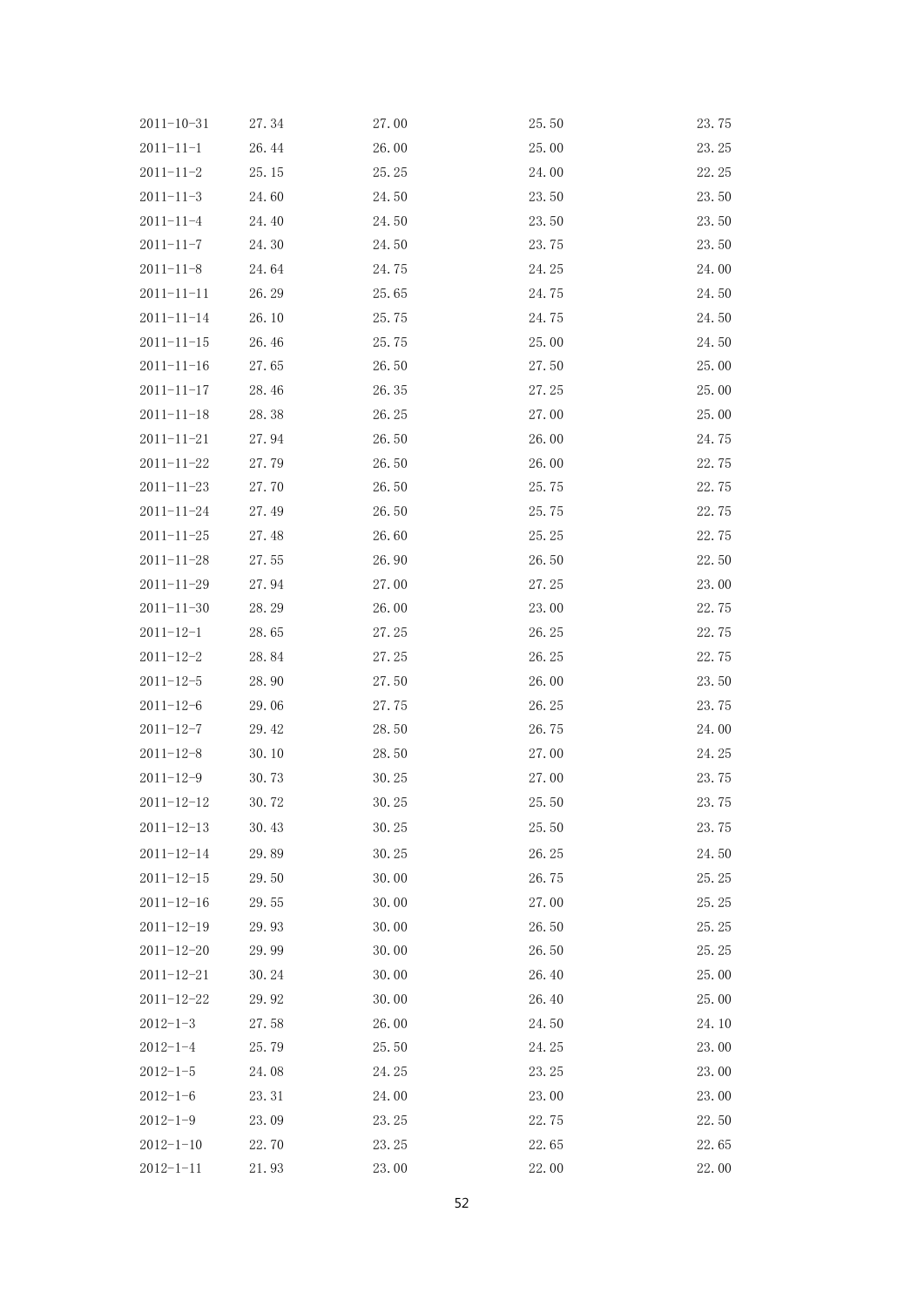| 26.44<br>26.00<br>25.00<br>23.25<br>$2011 - 11 - 1$<br>24.00<br>22.25<br>$2011 - 11 - 2$<br>25.15<br>25.25<br>24.60<br>23.50<br>23.50<br>$2011 - 11 - 3$<br>24.50<br>24.40<br>23.50<br>23.50<br>$2011 - 11 - 4$<br>24.50<br>24.30<br>23.50<br>$2011 - 11 - 7$<br>24.50<br>23.75<br>$2011 - 11 - 8$<br>24.64<br>24.25<br>24.00<br>24.75<br>26.29<br>25.65<br>24.75<br>24.50<br>$2011 - 11 - 11$<br>26.10<br>24.75<br>24.50<br>$2011 - 11 - 14$<br>25.75<br>26.46<br>25.00<br>24.50<br>$2011 - 11 - 15$<br>25.75<br>27.65<br>25.00<br>$2011 - 11 - 16$<br>26.50<br>27.50<br>28.46<br>27.25<br>25.00<br>$2011 - 11 - 17$<br>26.35<br>26.25<br>27.00<br>25.00<br>$2011 - 11 - 18$<br>28.38<br>27.94<br>26.50<br>26.00<br>24.75<br>$2011 - 11 - 21$<br>27.79<br>26.50<br>26.00<br>22.75<br>$2011 - 11 - 22$<br>27.70<br>22.75<br>$2011 - 11 - 23$<br>26.50<br>25.75<br>27.49<br>26.50<br>25.75<br>22.75<br>$2011 - 11 - 24$<br>26.60<br>25.25<br>22.75<br>$2011 - 11 - 25$<br>27.48<br>$2011 - 11 - 28$<br>27.55<br>26.90<br>26.50<br>22.50<br>27.94<br>27.25<br>23.00<br>$2011 - 11 - 29$<br>27.00<br>28.29<br>22.75<br>$2011 - 11 - 30$<br>26.00<br>23.00<br>26.25<br>22.75<br>$2011 - 12 - 1$<br>28.65<br>27.25<br>28.84<br>26.25<br>22.75<br>$2011 - 12 - 2$<br>27.25<br>$2011 - 12 - 5$<br>28.90<br>27.50<br>26.00<br>23.50<br>29.06<br>26.25<br>23.75<br>$2011 - 12 - 6$<br>27.75<br>26.75<br>24.00<br>$2011 - 12 - 7$<br>29.42<br>28.50<br>$2011 - 12 - 8$<br>30.10<br>28.50<br>27.00<br>24.25<br>30.73<br>27.00<br>23.75<br>$2011 - 12 - 9$<br>30.25<br>$2011 - 12 - 12$<br>30.72<br>30.25<br>25.50<br>23.75<br>$2011 - 12 - 13$<br>30.43<br>30.25<br>25.50<br>23.75<br>$2011 - 12 - 14$<br>29.89<br>30.25<br>26.25<br>24.50<br>29.50<br>30.00<br>26.75<br>25.25<br>$2011 - 12 - 15$<br>29.55<br>30.00<br>27.00<br>25.25<br>$2011 - 12 - 16$<br>$2011 - 12 - 19$<br>29.93<br>30.00<br>26.50<br>25.25<br>26.50<br>30.00<br>25.25<br>$2011 - 12 - 20$<br>29.99<br>30.24<br>30.00<br>26.40<br>25.00<br>$2011 - 12 - 21$<br>$2011 - 12 - 22$<br>29.92<br>30.00<br>26.40<br>25.00<br>$2012 - 1 - 3$<br>27.58<br>26.00<br>24.50<br>24.10<br>24.25<br>23.00<br>$2012 - 1 - 4$<br>25.79<br>25.50<br>24.08<br>24.25<br>23.25<br>23.00<br>$2012 - 1 - 5$<br>$2012 - 1 - 6$<br>23.31<br>23.00<br>23.00<br>24.00<br>$2012 - 1 - 9$<br>23.09<br>22.50<br>23.25<br>22.75<br>$2012 - 1 - 10$<br>22.70<br>23.25<br>22.65<br>22.65 | $2011 - 10 - 31$ | 27.34 | 27.00 | 25.50 | 23.75 |
|----------------------------------------------------------------------------------------------------------------------------------------------------------------------------------------------------------------------------------------------------------------------------------------------------------------------------------------------------------------------------------------------------------------------------------------------------------------------------------------------------------------------------------------------------------------------------------------------------------------------------------------------------------------------------------------------------------------------------------------------------------------------------------------------------------------------------------------------------------------------------------------------------------------------------------------------------------------------------------------------------------------------------------------------------------------------------------------------------------------------------------------------------------------------------------------------------------------------------------------------------------------------------------------------------------------------------------------------------------------------------------------------------------------------------------------------------------------------------------------------------------------------------------------------------------------------------------------------------------------------------------------------------------------------------------------------------------------------------------------------------------------------------------------------------------------------------------------------------------------------------------------------------------------------------------------------------------------------------------------------------------------------------------------------------------------------------------------------------------------------------------------------------------------------------------------------------------------------------------------------------------------------------------------------------------------------------------------------------------------------------------------------------------------------|------------------|-------|-------|-------|-------|
|                                                                                                                                                                                                                                                                                                                                                                                                                                                                                                                                                                                                                                                                                                                                                                                                                                                                                                                                                                                                                                                                                                                                                                                                                                                                                                                                                                                                                                                                                                                                                                                                                                                                                                                                                                                                                                                                                                                                                                                                                                                                                                                                                                                                                                                                                                                                                                                                                      |                  |       |       |       |       |
|                                                                                                                                                                                                                                                                                                                                                                                                                                                                                                                                                                                                                                                                                                                                                                                                                                                                                                                                                                                                                                                                                                                                                                                                                                                                                                                                                                                                                                                                                                                                                                                                                                                                                                                                                                                                                                                                                                                                                                                                                                                                                                                                                                                                                                                                                                                                                                                                                      |                  |       |       |       |       |
|                                                                                                                                                                                                                                                                                                                                                                                                                                                                                                                                                                                                                                                                                                                                                                                                                                                                                                                                                                                                                                                                                                                                                                                                                                                                                                                                                                                                                                                                                                                                                                                                                                                                                                                                                                                                                                                                                                                                                                                                                                                                                                                                                                                                                                                                                                                                                                                                                      |                  |       |       |       |       |
|                                                                                                                                                                                                                                                                                                                                                                                                                                                                                                                                                                                                                                                                                                                                                                                                                                                                                                                                                                                                                                                                                                                                                                                                                                                                                                                                                                                                                                                                                                                                                                                                                                                                                                                                                                                                                                                                                                                                                                                                                                                                                                                                                                                                                                                                                                                                                                                                                      |                  |       |       |       |       |
|                                                                                                                                                                                                                                                                                                                                                                                                                                                                                                                                                                                                                                                                                                                                                                                                                                                                                                                                                                                                                                                                                                                                                                                                                                                                                                                                                                                                                                                                                                                                                                                                                                                                                                                                                                                                                                                                                                                                                                                                                                                                                                                                                                                                                                                                                                                                                                                                                      |                  |       |       |       |       |
|                                                                                                                                                                                                                                                                                                                                                                                                                                                                                                                                                                                                                                                                                                                                                                                                                                                                                                                                                                                                                                                                                                                                                                                                                                                                                                                                                                                                                                                                                                                                                                                                                                                                                                                                                                                                                                                                                                                                                                                                                                                                                                                                                                                                                                                                                                                                                                                                                      |                  |       |       |       |       |
|                                                                                                                                                                                                                                                                                                                                                                                                                                                                                                                                                                                                                                                                                                                                                                                                                                                                                                                                                                                                                                                                                                                                                                                                                                                                                                                                                                                                                                                                                                                                                                                                                                                                                                                                                                                                                                                                                                                                                                                                                                                                                                                                                                                                                                                                                                                                                                                                                      |                  |       |       |       |       |
|                                                                                                                                                                                                                                                                                                                                                                                                                                                                                                                                                                                                                                                                                                                                                                                                                                                                                                                                                                                                                                                                                                                                                                                                                                                                                                                                                                                                                                                                                                                                                                                                                                                                                                                                                                                                                                                                                                                                                                                                                                                                                                                                                                                                                                                                                                                                                                                                                      |                  |       |       |       |       |
|                                                                                                                                                                                                                                                                                                                                                                                                                                                                                                                                                                                                                                                                                                                                                                                                                                                                                                                                                                                                                                                                                                                                                                                                                                                                                                                                                                                                                                                                                                                                                                                                                                                                                                                                                                                                                                                                                                                                                                                                                                                                                                                                                                                                                                                                                                                                                                                                                      |                  |       |       |       |       |
|                                                                                                                                                                                                                                                                                                                                                                                                                                                                                                                                                                                                                                                                                                                                                                                                                                                                                                                                                                                                                                                                                                                                                                                                                                                                                                                                                                                                                                                                                                                                                                                                                                                                                                                                                                                                                                                                                                                                                                                                                                                                                                                                                                                                                                                                                                                                                                                                                      |                  |       |       |       |       |
|                                                                                                                                                                                                                                                                                                                                                                                                                                                                                                                                                                                                                                                                                                                                                                                                                                                                                                                                                                                                                                                                                                                                                                                                                                                                                                                                                                                                                                                                                                                                                                                                                                                                                                                                                                                                                                                                                                                                                                                                                                                                                                                                                                                                                                                                                                                                                                                                                      |                  |       |       |       |       |
|                                                                                                                                                                                                                                                                                                                                                                                                                                                                                                                                                                                                                                                                                                                                                                                                                                                                                                                                                                                                                                                                                                                                                                                                                                                                                                                                                                                                                                                                                                                                                                                                                                                                                                                                                                                                                                                                                                                                                                                                                                                                                                                                                                                                                                                                                                                                                                                                                      |                  |       |       |       |       |
|                                                                                                                                                                                                                                                                                                                                                                                                                                                                                                                                                                                                                                                                                                                                                                                                                                                                                                                                                                                                                                                                                                                                                                                                                                                                                                                                                                                                                                                                                                                                                                                                                                                                                                                                                                                                                                                                                                                                                                                                                                                                                                                                                                                                                                                                                                                                                                                                                      |                  |       |       |       |       |
|                                                                                                                                                                                                                                                                                                                                                                                                                                                                                                                                                                                                                                                                                                                                                                                                                                                                                                                                                                                                                                                                                                                                                                                                                                                                                                                                                                                                                                                                                                                                                                                                                                                                                                                                                                                                                                                                                                                                                                                                                                                                                                                                                                                                                                                                                                                                                                                                                      |                  |       |       |       |       |
|                                                                                                                                                                                                                                                                                                                                                                                                                                                                                                                                                                                                                                                                                                                                                                                                                                                                                                                                                                                                                                                                                                                                                                                                                                                                                                                                                                                                                                                                                                                                                                                                                                                                                                                                                                                                                                                                                                                                                                                                                                                                                                                                                                                                                                                                                                                                                                                                                      |                  |       |       |       |       |
|                                                                                                                                                                                                                                                                                                                                                                                                                                                                                                                                                                                                                                                                                                                                                                                                                                                                                                                                                                                                                                                                                                                                                                                                                                                                                                                                                                                                                                                                                                                                                                                                                                                                                                                                                                                                                                                                                                                                                                                                                                                                                                                                                                                                                                                                                                                                                                                                                      |                  |       |       |       |       |
|                                                                                                                                                                                                                                                                                                                                                                                                                                                                                                                                                                                                                                                                                                                                                                                                                                                                                                                                                                                                                                                                                                                                                                                                                                                                                                                                                                                                                                                                                                                                                                                                                                                                                                                                                                                                                                                                                                                                                                                                                                                                                                                                                                                                                                                                                                                                                                                                                      |                  |       |       |       |       |
|                                                                                                                                                                                                                                                                                                                                                                                                                                                                                                                                                                                                                                                                                                                                                                                                                                                                                                                                                                                                                                                                                                                                                                                                                                                                                                                                                                                                                                                                                                                                                                                                                                                                                                                                                                                                                                                                                                                                                                                                                                                                                                                                                                                                                                                                                                                                                                                                                      |                  |       |       |       |       |
|                                                                                                                                                                                                                                                                                                                                                                                                                                                                                                                                                                                                                                                                                                                                                                                                                                                                                                                                                                                                                                                                                                                                                                                                                                                                                                                                                                                                                                                                                                                                                                                                                                                                                                                                                                                                                                                                                                                                                                                                                                                                                                                                                                                                                                                                                                                                                                                                                      |                  |       |       |       |       |
|                                                                                                                                                                                                                                                                                                                                                                                                                                                                                                                                                                                                                                                                                                                                                                                                                                                                                                                                                                                                                                                                                                                                                                                                                                                                                                                                                                                                                                                                                                                                                                                                                                                                                                                                                                                                                                                                                                                                                                                                                                                                                                                                                                                                                                                                                                                                                                                                                      |                  |       |       |       |       |
|                                                                                                                                                                                                                                                                                                                                                                                                                                                                                                                                                                                                                                                                                                                                                                                                                                                                                                                                                                                                                                                                                                                                                                                                                                                                                                                                                                                                                                                                                                                                                                                                                                                                                                                                                                                                                                                                                                                                                                                                                                                                                                                                                                                                                                                                                                                                                                                                                      |                  |       |       |       |       |
|                                                                                                                                                                                                                                                                                                                                                                                                                                                                                                                                                                                                                                                                                                                                                                                                                                                                                                                                                                                                                                                                                                                                                                                                                                                                                                                                                                                                                                                                                                                                                                                                                                                                                                                                                                                                                                                                                                                                                                                                                                                                                                                                                                                                                                                                                                                                                                                                                      |                  |       |       |       |       |
|                                                                                                                                                                                                                                                                                                                                                                                                                                                                                                                                                                                                                                                                                                                                                                                                                                                                                                                                                                                                                                                                                                                                                                                                                                                                                                                                                                                                                                                                                                                                                                                                                                                                                                                                                                                                                                                                                                                                                                                                                                                                                                                                                                                                                                                                                                                                                                                                                      |                  |       |       |       |       |
|                                                                                                                                                                                                                                                                                                                                                                                                                                                                                                                                                                                                                                                                                                                                                                                                                                                                                                                                                                                                                                                                                                                                                                                                                                                                                                                                                                                                                                                                                                                                                                                                                                                                                                                                                                                                                                                                                                                                                                                                                                                                                                                                                                                                                                                                                                                                                                                                                      |                  |       |       |       |       |
|                                                                                                                                                                                                                                                                                                                                                                                                                                                                                                                                                                                                                                                                                                                                                                                                                                                                                                                                                                                                                                                                                                                                                                                                                                                                                                                                                                                                                                                                                                                                                                                                                                                                                                                                                                                                                                                                                                                                                                                                                                                                                                                                                                                                                                                                                                                                                                                                                      |                  |       |       |       |       |
|                                                                                                                                                                                                                                                                                                                                                                                                                                                                                                                                                                                                                                                                                                                                                                                                                                                                                                                                                                                                                                                                                                                                                                                                                                                                                                                                                                                                                                                                                                                                                                                                                                                                                                                                                                                                                                                                                                                                                                                                                                                                                                                                                                                                                                                                                                                                                                                                                      |                  |       |       |       |       |
|                                                                                                                                                                                                                                                                                                                                                                                                                                                                                                                                                                                                                                                                                                                                                                                                                                                                                                                                                                                                                                                                                                                                                                                                                                                                                                                                                                                                                                                                                                                                                                                                                                                                                                                                                                                                                                                                                                                                                                                                                                                                                                                                                                                                                                                                                                                                                                                                                      |                  |       |       |       |       |
|                                                                                                                                                                                                                                                                                                                                                                                                                                                                                                                                                                                                                                                                                                                                                                                                                                                                                                                                                                                                                                                                                                                                                                                                                                                                                                                                                                                                                                                                                                                                                                                                                                                                                                                                                                                                                                                                                                                                                                                                                                                                                                                                                                                                                                                                                                                                                                                                                      |                  |       |       |       |       |
|                                                                                                                                                                                                                                                                                                                                                                                                                                                                                                                                                                                                                                                                                                                                                                                                                                                                                                                                                                                                                                                                                                                                                                                                                                                                                                                                                                                                                                                                                                                                                                                                                                                                                                                                                                                                                                                                                                                                                                                                                                                                                                                                                                                                                                                                                                                                                                                                                      |                  |       |       |       |       |
|                                                                                                                                                                                                                                                                                                                                                                                                                                                                                                                                                                                                                                                                                                                                                                                                                                                                                                                                                                                                                                                                                                                                                                                                                                                                                                                                                                                                                                                                                                                                                                                                                                                                                                                                                                                                                                                                                                                                                                                                                                                                                                                                                                                                                                                                                                                                                                                                                      |                  |       |       |       |       |
|                                                                                                                                                                                                                                                                                                                                                                                                                                                                                                                                                                                                                                                                                                                                                                                                                                                                                                                                                                                                                                                                                                                                                                                                                                                                                                                                                                                                                                                                                                                                                                                                                                                                                                                                                                                                                                                                                                                                                                                                                                                                                                                                                                                                                                                                                                                                                                                                                      |                  |       |       |       |       |
|                                                                                                                                                                                                                                                                                                                                                                                                                                                                                                                                                                                                                                                                                                                                                                                                                                                                                                                                                                                                                                                                                                                                                                                                                                                                                                                                                                                                                                                                                                                                                                                                                                                                                                                                                                                                                                                                                                                                                                                                                                                                                                                                                                                                                                                                                                                                                                                                                      |                  |       |       |       |       |
|                                                                                                                                                                                                                                                                                                                                                                                                                                                                                                                                                                                                                                                                                                                                                                                                                                                                                                                                                                                                                                                                                                                                                                                                                                                                                                                                                                                                                                                                                                                                                                                                                                                                                                                                                                                                                                                                                                                                                                                                                                                                                                                                                                                                                                                                                                                                                                                                                      |                  |       |       |       |       |
|                                                                                                                                                                                                                                                                                                                                                                                                                                                                                                                                                                                                                                                                                                                                                                                                                                                                                                                                                                                                                                                                                                                                                                                                                                                                                                                                                                                                                                                                                                                                                                                                                                                                                                                                                                                                                                                                                                                                                                                                                                                                                                                                                                                                                                                                                                                                                                                                                      |                  |       |       |       |       |
|                                                                                                                                                                                                                                                                                                                                                                                                                                                                                                                                                                                                                                                                                                                                                                                                                                                                                                                                                                                                                                                                                                                                                                                                                                                                                                                                                                                                                                                                                                                                                                                                                                                                                                                                                                                                                                                                                                                                                                                                                                                                                                                                                                                                                                                                                                                                                                                                                      |                  |       |       |       |       |
|                                                                                                                                                                                                                                                                                                                                                                                                                                                                                                                                                                                                                                                                                                                                                                                                                                                                                                                                                                                                                                                                                                                                                                                                                                                                                                                                                                                                                                                                                                                                                                                                                                                                                                                                                                                                                                                                                                                                                                                                                                                                                                                                                                                                                                                                                                                                                                                                                      |                  |       |       |       |       |
|                                                                                                                                                                                                                                                                                                                                                                                                                                                                                                                                                                                                                                                                                                                                                                                                                                                                                                                                                                                                                                                                                                                                                                                                                                                                                                                                                                                                                                                                                                                                                                                                                                                                                                                                                                                                                                                                                                                                                                                                                                                                                                                                                                                                                                                                                                                                                                                                                      |                  |       |       |       |       |
|                                                                                                                                                                                                                                                                                                                                                                                                                                                                                                                                                                                                                                                                                                                                                                                                                                                                                                                                                                                                                                                                                                                                                                                                                                                                                                                                                                                                                                                                                                                                                                                                                                                                                                                                                                                                                                                                                                                                                                                                                                                                                                                                                                                                                                                                                                                                                                                                                      |                  |       |       |       |       |
|                                                                                                                                                                                                                                                                                                                                                                                                                                                                                                                                                                                                                                                                                                                                                                                                                                                                                                                                                                                                                                                                                                                                                                                                                                                                                                                                                                                                                                                                                                                                                                                                                                                                                                                                                                                                                                                                                                                                                                                                                                                                                                                                                                                                                                                                                                                                                                                                                      |                  |       |       |       |       |
|                                                                                                                                                                                                                                                                                                                                                                                                                                                                                                                                                                                                                                                                                                                                                                                                                                                                                                                                                                                                                                                                                                                                                                                                                                                                                                                                                                                                                                                                                                                                                                                                                                                                                                                                                                                                                                                                                                                                                                                                                                                                                                                                                                                                                                                                                                                                                                                                                      |                  |       |       |       |       |
|                                                                                                                                                                                                                                                                                                                                                                                                                                                                                                                                                                                                                                                                                                                                                                                                                                                                                                                                                                                                                                                                                                                                                                                                                                                                                                                                                                                                                                                                                                                                                                                                                                                                                                                                                                                                                                                                                                                                                                                                                                                                                                                                                                                                                                                                                                                                                                                                                      |                  |       |       |       |       |
|                                                                                                                                                                                                                                                                                                                                                                                                                                                                                                                                                                                                                                                                                                                                                                                                                                                                                                                                                                                                                                                                                                                                                                                                                                                                                                                                                                                                                                                                                                                                                                                                                                                                                                                                                                                                                                                                                                                                                                                                                                                                                                                                                                                                                                                                                                                                                                                                                      |                  |       |       |       |       |
|                                                                                                                                                                                                                                                                                                                                                                                                                                                                                                                                                                                                                                                                                                                                                                                                                                                                                                                                                                                                                                                                                                                                                                                                                                                                                                                                                                                                                                                                                                                                                                                                                                                                                                                                                                                                                                                                                                                                                                                                                                                                                                                                                                                                                                                                                                                                                                                                                      | $2012 - 1 - 11$  | 21.93 | 23.00 | 22.00 | 22.00 |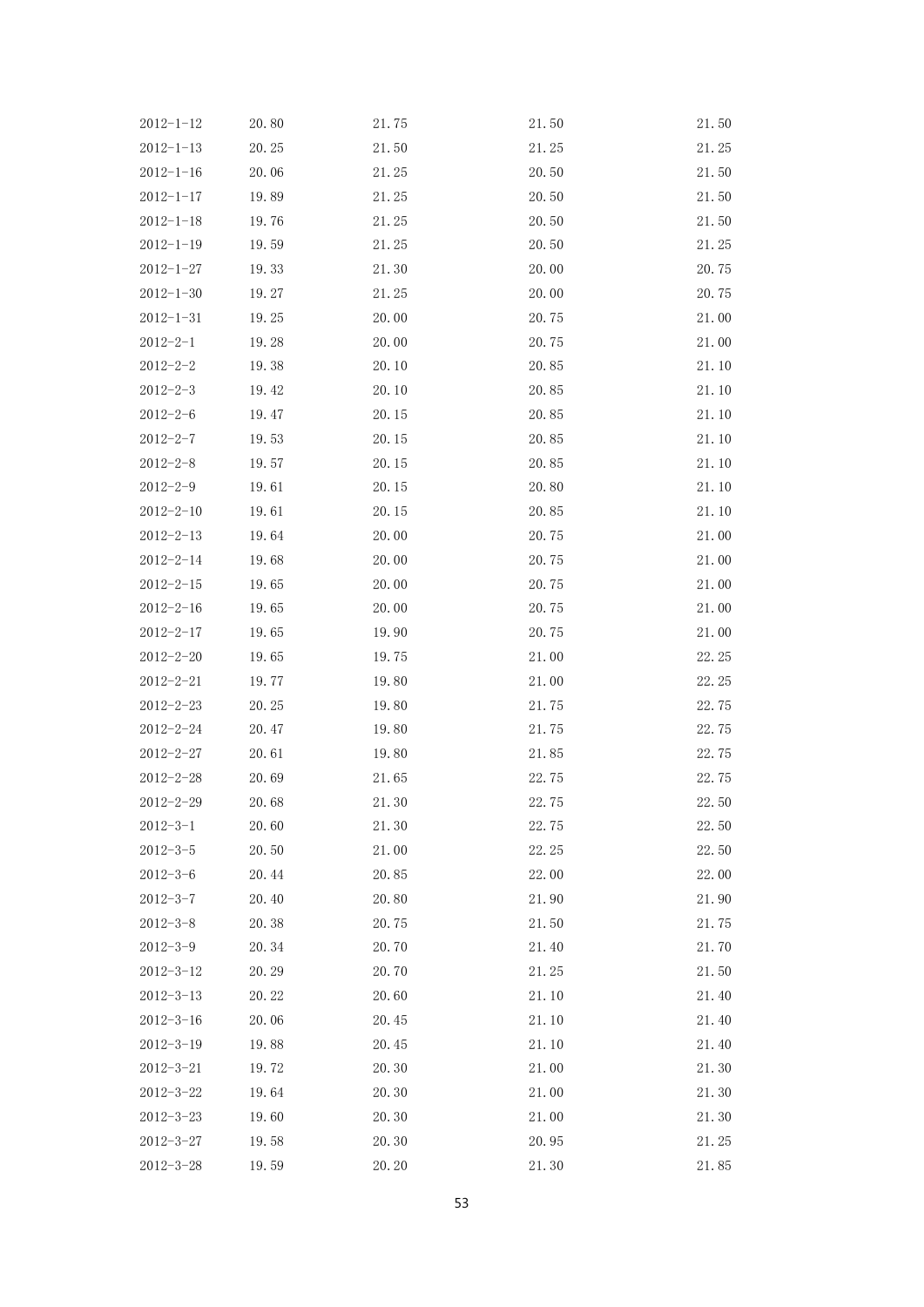| $2012 - 1 - 12$ | 20.80 | 21.75 | 21.50 | 21.50 |
|-----------------|-------|-------|-------|-------|
| $2012 - 1 - 13$ | 20.25 | 21.50 | 21.25 | 21.25 |
| $2012 - 1 - 16$ | 20.06 | 21.25 | 20.50 | 21.50 |
| $2012 - 1 - 17$ | 19.89 | 21.25 | 20.50 | 21.50 |
| $2012 - 1 - 18$ | 19.76 | 21.25 | 20.50 | 21.50 |
| $2012 - 1 - 19$ | 19.59 | 21.25 | 20.50 | 21.25 |
| $2012 - 1 - 27$ | 19.33 | 21.30 | 20.00 | 20.75 |
| $2012 - 1 - 30$ | 19.27 | 21.25 | 20.00 | 20.75 |
| $2012 - 1 - 31$ | 19.25 | 20.00 | 20.75 | 21.00 |
| $2012 - 2 - 1$  | 19.28 | 20.00 | 20.75 | 21.00 |
| $2012 - 2 - 2$  | 19.38 | 20.10 | 20.85 | 21.10 |
| $2012 - 2 - 3$  | 19.42 | 20.10 | 20.85 | 21.10 |
| $2012 - 2 - 6$  | 19.47 | 20.15 | 20.85 | 21.10 |
| $2012 - 2 - 7$  | 19.53 | 20.15 | 20.85 | 21.10 |
| $2012 - 2 - 8$  | 19.57 | 20.15 | 20.85 | 21.10 |
| $2012 - 2 - 9$  | 19.61 | 20.15 | 20.80 | 21.10 |
| $2012 - 2 - 10$ | 19.61 | 20.15 | 20.85 | 21.10 |
| $2012 - 2 - 13$ | 19.64 | 20.00 | 20.75 | 21.00 |
| $2012 - 2 - 14$ | 19.68 | 20.00 | 20.75 | 21.00 |
| $2012 - 2 - 15$ | 19.65 | 20.00 | 20.75 | 21.00 |
| $2012 - 2 - 16$ | 19.65 | 20.00 | 20.75 | 21.00 |
| $2012 - 2 - 17$ | 19.65 | 19.90 | 20.75 | 21.00 |
| $2012 - 2 - 20$ | 19.65 | 19.75 | 21.00 | 22.25 |
| $2012 - 2 - 21$ | 19.77 | 19.80 | 21.00 | 22.25 |
| $2012 - 2 - 23$ | 20.25 | 19.80 | 21.75 | 22.75 |
| $2012 - 2 - 24$ | 20.47 | 19.80 | 21.75 | 22.75 |
| $2012 - 2 - 27$ | 20.61 | 19.80 | 21.85 | 22.75 |
| $2012 - 2 - 28$ | 20.69 | 21.65 | 22.75 | 22.75 |
| $2012 - 2 - 29$ | 20.68 | 21.30 | 22.75 | 22.50 |
| $2012 - 3 - 1$  | 20.60 | 21.30 | 22.75 | 22.50 |
| $2012 - 3 - 5$  | 20.50 | 21.00 | 22.25 | 22.50 |
| $2012 - 3 - 6$  | 20.44 | 20.85 | 22.00 | 22.00 |
| $2012 - 3 - 7$  | 20.40 | 20.80 | 21.90 | 21.90 |
| $2012 - 3 - 8$  | 20.38 | 20.75 | 21.50 | 21.75 |
| $2012 - 3 - 9$  | 20.34 | 20.70 | 21.40 | 21.70 |
| $2012 - 3 - 12$ | 20.29 | 20.70 | 21.25 | 21.50 |
| $2012 - 3 - 13$ | 20.22 | 20.60 | 21.10 | 21.40 |
| $2012 - 3 - 16$ | 20.06 | 20.45 | 21.10 | 21.40 |
| $2012 - 3 - 19$ | 19.88 | 20.45 | 21.10 | 21.40 |
| $2012 - 3 - 21$ | 19.72 | 20.30 | 21.00 | 21.30 |
| $2012 - 3 - 22$ | 19.64 | 20.30 | 21.00 | 21.30 |
| $2012 - 3 - 23$ | 19.60 | 20.30 | 21.00 | 21.30 |
| $2012 - 3 - 27$ | 19.58 | 20.30 | 20.95 | 21.25 |
| $2012 - 3 - 28$ | 19.59 | 20.20 | 21.30 | 21.85 |
|                 |       |       |       |       |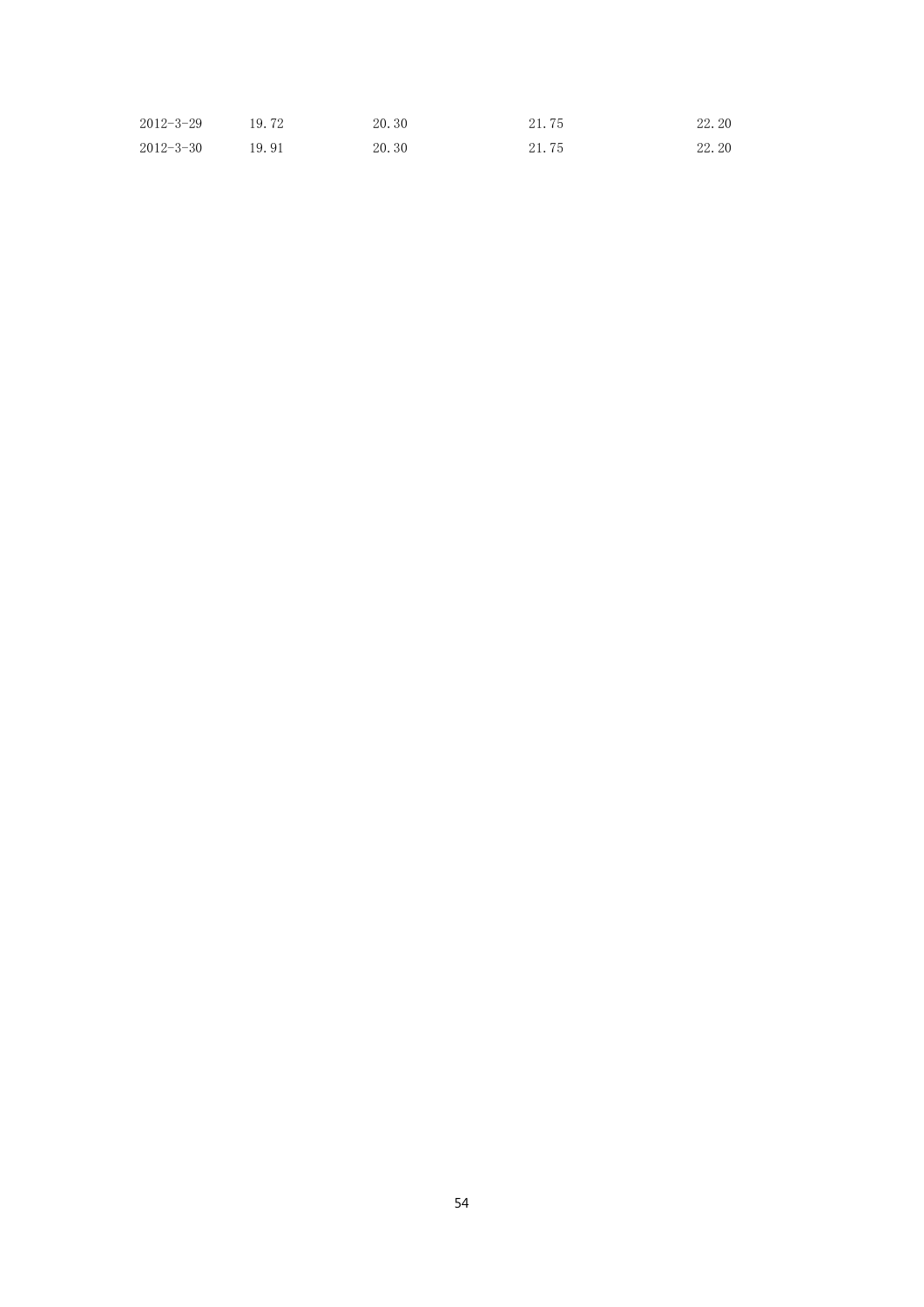| $2012 - 3 - 29$ | 19.72 | 20.30 | 21.75 | 22.20 |
|-----------------|-------|-------|-------|-------|
| $2012 - 3 - 30$ | 19.91 | 20.30 | 21.75 | 22.20 |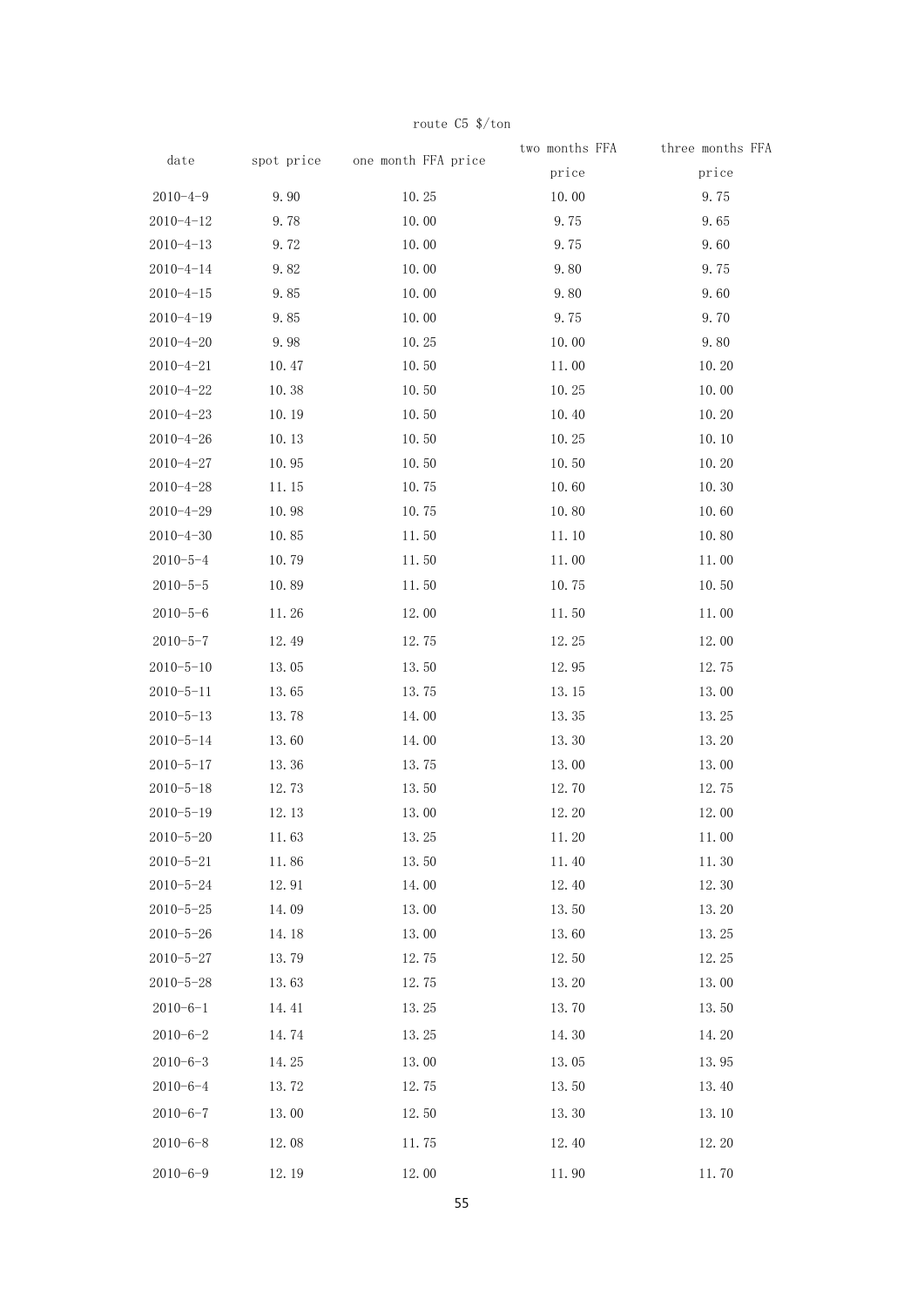|                 |       |                                | two months FFA | three months FFA |
|-----------------|-------|--------------------------------|----------------|------------------|
| date            |       | spot price one month FFA price | price          | price            |
| $2010 - 4 - 9$  | 9.90  | 10.25                          | 10.00          | 9.75             |
| $2010 - 4 - 12$ | 9.78  | 10.00                          | 9.75           | 9.65             |
| $2010 - 4 - 13$ | 9.72  | 10.00                          | 9.75           | 9.60             |
| $2010 - 4 - 14$ | 9.82  | 10.00                          | 9.80           | 9.75             |
| $2010 - 4 - 15$ | 9.85  | 10.00                          | 9.80           | 9.60             |
| $2010 - 4 - 19$ | 9.85  | 10.00                          | 9.75           | 9.70             |
| $2010 - 4 - 20$ | 9.98  | 10.25                          | 10.00          | 9.80             |
| $2010 - 4 - 21$ | 10.47 | 10.50                          | 11.00          | 10.20            |
| $2010 - 4 - 22$ | 10.38 | 10.50                          | 10.25          | 10.00            |
| $2010 - 4 - 23$ | 10.19 | 10.50                          | 10.40          | 10.20            |
| $2010 - 4 - 26$ | 10.13 | 10.50                          | 10.25          | 10.10            |
| $2010 - 4 - 27$ | 10.95 | 10.50                          | 10.50          | 10.20            |
| $2010 - 4 - 28$ | 11.15 | 10.75                          | 10.60          | 10.30            |
| $2010 - 4 - 29$ | 10.98 | 10.75                          | 10.80          | 10.60            |
| $2010 - 4 - 30$ | 10.85 | 11.50                          | 11.10          | 10.80            |
| $2010 - 5 - 4$  | 10.79 | 11.50                          | 11.00          | 11.00            |
| $2010 - 5 - 5$  | 10.89 | 11.50                          | 10.75          | 10.50            |
| $2010 - 5 - 6$  | 11.26 | 12.00                          | 11.50          | 11.00            |
| $2010 - 5 - 7$  | 12.49 | 12.75                          | 12.25          | 12.00            |
| $2010 - 5 - 10$ | 13.05 | 13.50                          | 12.95          | 12.75            |
| $2010 - 5 - 11$ | 13.65 | 13.75                          | 13.15          | 13.00            |
| $2010 - 5 - 13$ | 13.78 | 14.00                          | 13.35          | 13.25            |
| $2010 - 5 - 14$ | 13.60 | 14.00                          | 13.30          | 13.20            |
| $2010 - 5 - 17$ | 13.36 | 13.75                          | 13.00          | 13.00            |
| $2010 - 5 - 18$ | 12.73 | 13.50                          | 12.70          | 12.75            |
| $2010 - 5 - 19$ | 12.13 | 13.00                          | 12.20          | 12.00            |
| $2010 - 5 - 20$ | 11.63 | 13.25                          | 11.20          | 11.00            |
| $2010 - 5 - 21$ | 11.86 | 13.50                          | 11.40          | 11.30            |
| $2010 - 5 - 24$ | 12.91 | 14.00                          | 12.40          | 12.30            |
| $2010 - 5 - 25$ | 14.09 | 13.00                          | 13.50          | 13.20            |
| $2010 - 5 - 26$ | 14.18 | 13.00                          | 13.60          | 13.25            |
| $2010 - 5 - 27$ | 13.79 | 12.75                          | 12.50          | 12.25            |
| $2010 - 5 - 28$ | 13.63 | 12.75                          | 13.20          | 13.00            |
| $2010 - 6 - 1$  | 14.41 | 13.25                          | 13.70          | 13.50            |
| $2010 - 6 - 2$  | 14.74 | 13.25                          | 14.30          | 14.20            |
| $2010 - 6 - 3$  | 14.25 | 13.00                          | 13.05          | 13.95            |
| $2010 - 6 - 4$  | 13.72 | 12.75                          | 13.50          | 13.40            |
| $2010 - 6 - 7$  | 13.00 | 12.50                          | 13.30          | 13.10            |
| $2010 - 6 - 8$  | 12.08 | 11.75                          | 12.40          | 12.20            |
| $2010 - 6 - 9$  | 12.19 | 12.00                          | 11.90          | 11.70            |

route C5 \$/ton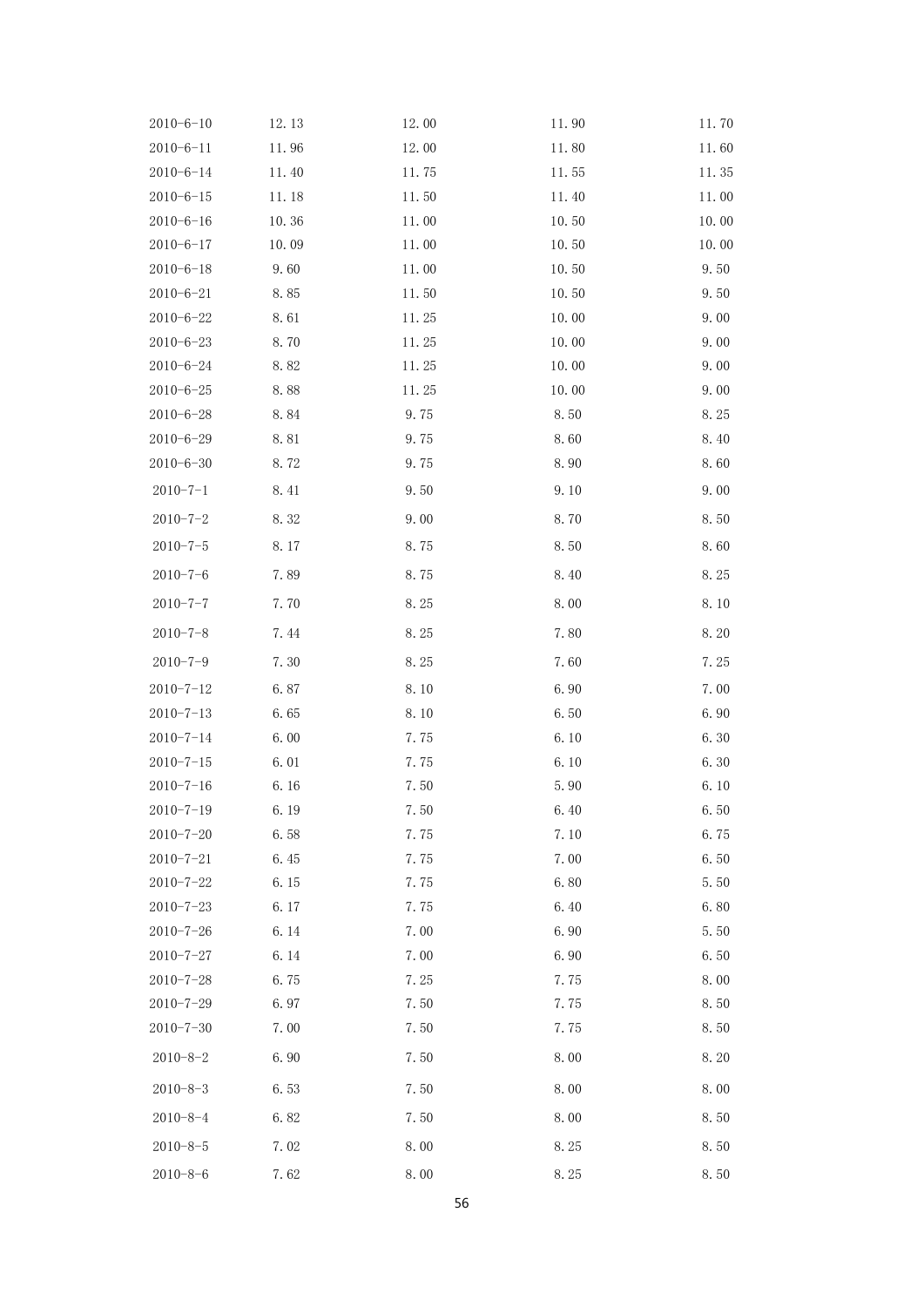| $2010 - 6 - 10$ | 12.13 | 12.00 | 11.90 | 11.70 |
|-----------------|-------|-------|-------|-------|
| $2010 - 6 - 11$ | 11.96 | 12.00 | 11.80 | 11.60 |
| $2010 - 6 - 14$ | 11.40 | 11.75 | 11.55 | 11.35 |
| $2010 - 6 - 15$ | 11.18 | 11.50 | 11.40 | 11.00 |
| $2010 - 6 - 16$ | 10.36 | 11.00 | 10.50 | 10.00 |
| $2010 - 6 - 17$ | 10.09 | 11.00 | 10.50 | 10.00 |
| $2010 - 6 - 18$ | 9.60  | 11.00 | 10.50 | 9.50  |
| $2010 - 6 - 21$ | 8.85  | 11.50 | 10.50 | 9.50  |
| $2010 - 6 - 22$ | 8.61  | 11.25 | 10.00 | 9.00  |
| $2010 - 6 - 23$ | 8.70  | 11.25 | 10.00 | 9.00  |
| $2010 - 6 - 24$ | 8.82  | 11.25 | 10.00 | 9.00  |
| $2010 - 6 - 25$ | 8.88  | 11.25 | 10.00 | 9.00  |
| $2010 - 6 - 28$ | 8.84  | 9.75  | 8.50  | 8.25  |
| $2010 - 6 - 29$ | 8.81  | 9.75  | 8.60  | 8.40  |
| $2010 - 6 - 30$ | 8.72  | 9.75  | 8.90  | 8.60  |
| $2010 - 7 - 1$  | 8.41  | 9.50  | 9.10  | 9.00  |
| $2010 - 7 - 2$  | 8.32  | 9.00  | 8.70  | 8.50  |
| $2010 - 7 - 5$  | 8.17  | 8.75  | 8.50  | 8.60  |
| $2010 - 7 - 6$  | 7.89  | 8.75  | 8.40  | 8.25  |
| $2010 - 7 - 7$  | 7.70  | 8.25  | 8.00  | 8.10  |
| $2010 - 7 - 8$  | 7.44  | 8.25  | 7.80  | 8.20  |
| $2010 - 7 - 9$  | 7.30  | 8.25  | 7.60  | 7.25  |
| $2010 - 7 - 12$ | 6.87  | 8.10  | 6.90  | 7.00  |
| $2010 - 7 - 13$ | 6.65  | 8.10  | 6.50  | 6.90  |
| $2010 - 7 - 14$ | 6.00  | 7.75  | 6.10  | 6.30  |
| $2010 - 7 - 15$ | 6.01  | 7.75  | 6.10  | 6.30  |
| $2010 - 7 - 16$ | 6.16  | 7.50  | 5.90  | 6.10  |
| $2010 - 7 - 19$ | 6.19  | 7.50  | 6.40  | 6.50  |
| $2010 - 7 - 20$ | 6.58  | 7.75  | 7.10  | 6.75  |
| $2010 - 7 - 21$ | 6.45  | 7.75  | 7.00  | 6.50  |
| $2010 - 7 - 22$ | 6.15  | 7.75  | 6.80  | 5.50  |
| $2010 - 7 - 23$ | 6.17  | 7.75  | 6.40  | 6.80  |
| $2010 - 7 - 26$ | 6.14  | 7.00  | 6.90  | 5.50  |
| $2010 - 7 - 27$ | 6.14  | 7.00  | 6.90  | 6.50  |
| $2010 - 7 - 28$ | 6.75  | 7.25  | 7.75  | 8.00  |
| $2010 - 7 - 29$ | 6.97  | 7.50  | 7.75  | 8.50  |
| $2010 - 7 - 30$ | 7.00  | 7.50  | 7.75  | 8.50  |
| $2010 - 8 - 2$  | 6.90  | 7.50  | 8.00  | 8.20  |
| $2010 - 8 - 3$  | 6.53  | 7.50  | 8.00  | 8.00  |
| $2010 - 8 - 4$  | 6.82  | 7.50  | 8.00  | 8.50  |
| $2010 - 8 - 5$  | 7.02  | 8.00  | 8.25  | 8.50  |
| $2010 - 8 - 6$  | 7.62  | 8.00  | 8.25  | 8.50  |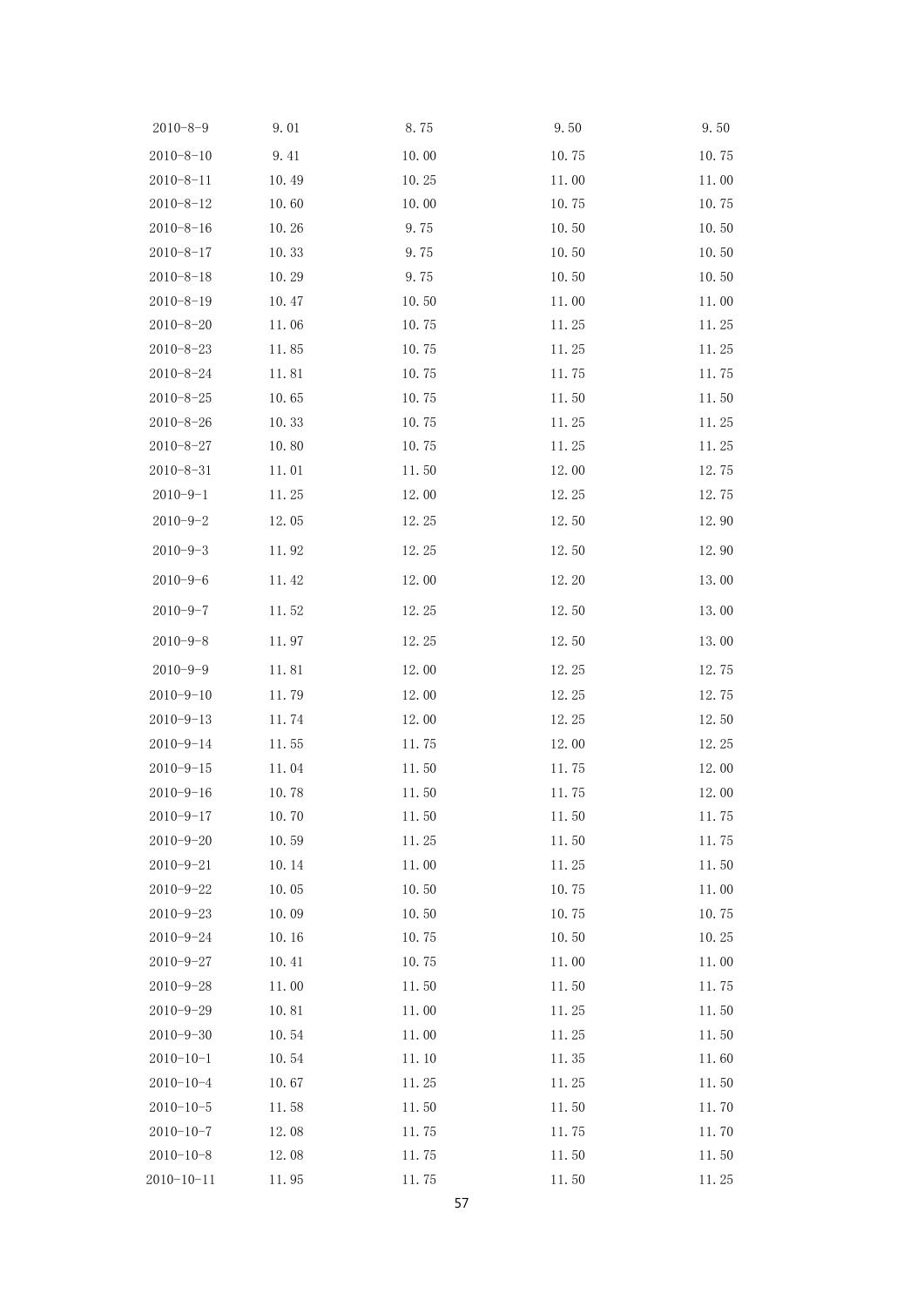| $2010 - 8 - 9$   | 9.01  | 8.75  | 9.50  | 9.50  |
|------------------|-------|-------|-------|-------|
| $2010 - 8 - 10$  | 9.41  | 10.00 | 10.75 | 10.75 |
| $2010 - 8 - 11$  | 10.49 | 10.25 | 11.00 | 11.00 |
| $2010 - 8 - 12$  | 10.60 | 10.00 | 10.75 | 10.75 |
| $2010 - 8 - 16$  | 10.26 | 9.75  | 10.50 | 10.50 |
| $2010 - 8 - 17$  | 10.33 | 9.75  | 10.50 | 10.50 |
| $2010 - 8 - 18$  | 10.29 | 9.75  | 10.50 | 10.50 |
| $2010 - 8 - 19$  | 10.47 | 10.50 | 11.00 | 11.00 |
| $2010 - 8 - 20$  | 11.06 | 10.75 | 11.25 | 11.25 |
| $2010 - 8 - 23$  | 11.85 | 10.75 | 11.25 | 11.25 |
| $2010 - 8 - 24$  | 11.81 | 10.75 | 11.75 | 11.75 |
| $2010 - 8 - 25$  | 10.65 | 10.75 | 11.50 | 11.50 |
| $2010 - 8 - 26$  | 10.33 | 10.75 | 11.25 | 11.25 |
| $2010 - 8 - 27$  | 10.80 | 10.75 | 11.25 | 11.25 |
| $2010 - 8 - 31$  | 11.01 | 11.50 | 12.00 | 12.75 |
| $2010 - 9 - 1$   | 11.25 | 12.00 | 12.25 | 12.75 |
| $2010 - 9 - 2$   | 12.05 | 12.25 | 12.50 | 12.90 |
| $2010 - 9 - 3$   | 11.92 | 12.25 | 12.50 | 12.90 |
| $2010 - 9 - 6$   | 11.42 | 12.00 | 12.20 | 13.00 |
| $2010 - 9 - 7$   | 11.52 | 12.25 | 12.50 | 13.00 |
| $2010 - 9 - 8$   | 11.97 | 12.25 | 12.50 | 13.00 |
| $2010 - 9 - 9$   | 11.81 | 12.00 | 12.25 | 12.75 |
| $2010 - 9 - 10$  | 11.79 | 12.00 | 12.25 | 12.75 |
| $2010 - 9 - 13$  | 11.74 | 12.00 | 12.25 | 12.50 |
| $2010 - 9 - 14$  | 11.55 | 11.75 | 12.00 | 12.25 |
| $2010 - 9 - 15$  | 11.04 | 11.50 | 11.75 | 12.00 |
| $2010 - 9 - 16$  | 10.78 | 11.50 | 11.75 | 12.00 |
| $2010 - 9 - 17$  | 10.70 | 11.50 | 11.50 | 11.75 |
| $2010 - 9 - 20$  | 10.59 | 11.25 | 11.50 | 11.75 |
| $2010 - 9 - 21$  | 10.14 | 11.00 | 11.25 | 11.50 |
| $2010 - 9 - 22$  | 10.05 | 10.50 | 10.75 | 11.00 |
| $2010 - 9 - 23$  | 10.09 | 10.50 | 10.75 | 10.75 |
| $2010 - 9 - 24$  | 10.16 | 10.75 | 10.50 | 10.25 |
| $2010 - 9 - 27$  | 10.41 | 10.75 | 11.00 | 11.00 |
| $2010 - 9 - 28$  | 11.00 | 11.50 | 11.50 | 11.75 |
| $2010 - 9 - 29$  | 10.81 | 11.00 | 11.25 | 11.50 |
| $2010 - 9 - 30$  | 10.54 | 11.00 | 11.25 | 11.50 |
| $2010 - 10 - 1$  | 10.54 | 11.10 | 11.35 | 11.60 |
| $2010 - 10 - 4$  | 10.67 | 11.25 | 11.25 | 11.50 |
| $2010 - 10 - 5$  | 11.58 | 11.50 | 11.50 | 11.70 |
| $2010 - 10 - 7$  | 12.08 | 11.75 | 11.75 | 11.70 |
| $2010 - 10 - 8$  | 12.08 | 11.75 | 11.50 | 11.50 |
| $2010 - 10 - 11$ | 11.95 | 11.75 | 11.50 | 11.25 |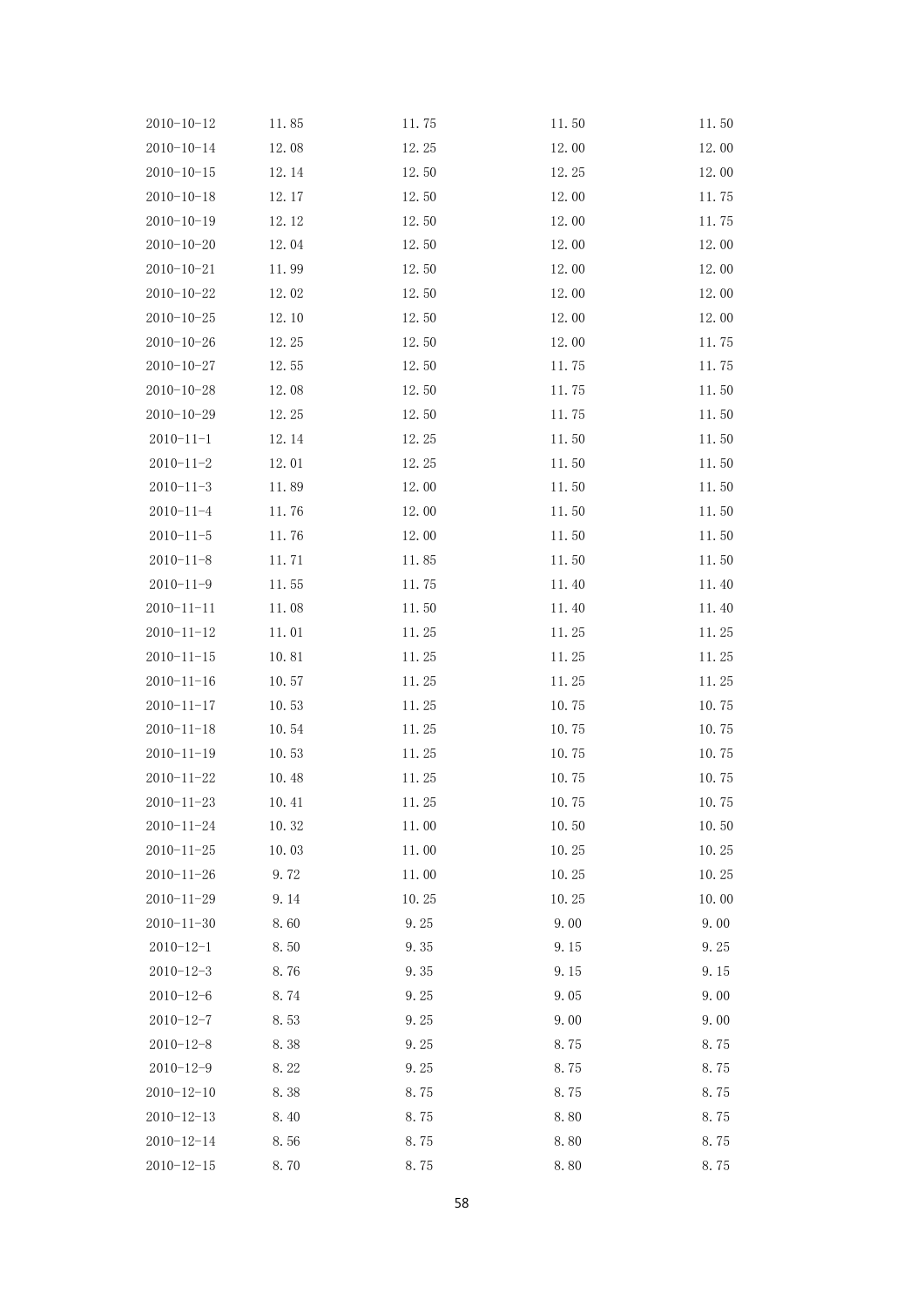| $2010 - 10 - 12$ | 11.85 | 11.75 | 11.50 | 11.50 |
|------------------|-------|-------|-------|-------|
| $2010 - 10 - 14$ | 12.08 | 12.25 | 12.00 | 12.00 |
| $2010 - 10 - 15$ | 12.14 | 12.50 | 12.25 | 12.00 |
| $2010 - 10 - 18$ | 12.17 | 12.50 | 12.00 | 11.75 |
| $2010 - 10 - 19$ | 12.12 | 12.50 | 12.00 | 11.75 |
| $2010 - 10 - 20$ | 12.04 | 12.50 | 12.00 | 12.00 |
| $2010 - 10 - 21$ | 11.99 | 12.50 | 12.00 | 12.00 |
| $2010 - 10 - 22$ | 12.02 | 12.50 | 12.00 | 12.00 |
| $2010 - 10 - 25$ | 12.10 | 12.50 | 12.00 | 12.00 |
| $2010 - 10 - 26$ | 12.25 | 12.50 | 12.00 | 11.75 |
| $2010 - 10 - 27$ | 12.55 | 12.50 | 11.75 | 11.75 |
| $2010 - 10 - 28$ | 12.08 | 12.50 | 11.75 | 11.50 |
| $2010 - 10 - 29$ | 12.25 | 12.50 | 11.75 | 11.50 |
| $2010 - 11 - 1$  | 12.14 | 12.25 | 11.50 | 11.50 |
| $2010 - 11 - 2$  | 12.01 | 12.25 | 11.50 | 11.50 |
| $2010 - 11 - 3$  | 11.89 | 12.00 | 11.50 | 11.50 |
| $2010 - 11 - 4$  | 11.76 | 12.00 | 11.50 | 11.50 |
| $2010 - 11 - 5$  | 11.76 | 12.00 | 11.50 | 11.50 |
| $2010 - 11 - 8$  | 11.71 | 11.85 | 11.50 | 11.50 |
| $2010 - 11 - 9$  | 11.55 | 11.75 | 11.40 | 11.40 |
| $2010 - 11 - 11$ | 11.08 | 11.50 | 11.40 | 11.40 |
| $2010 - 11 - 12$ | 11.01 | 11.25 | 11.25 | 11.25 |
| $2010 - 11 - 15$ | 10.81 | 11.25 | 11.25 | 11.25 |
| $2010 - 11 - 16$ | 10.57 | 11.25 | 11.25 | 11.25 |
| $2010 - 11 - 17$ | 10.53 | 11.25 | 10.75 | 10.75 |
| $2010 - 11 - 18$ | 10.54 | 11.25 | 10.75 | 10.75 |
| $2010 - 11 - 19$ | 10.53 | 11.25 | 10.75 | 10.75 |
| $2010 - 11 - 22$ | 10.48 | 11.25 | 10.75 | 10.75 |
| $2010 - 11 - 23$ | 10.41 | 11.25 | 10.75 | 10.75 |
| $2010 - 11 - 24$ | 10.32 | 11.00 | 10.50 | 10.50 |
| $2010 - 11 - 25$ | 10.03 | 11.00 | 10.25 | 10.25 |
| $2010 - 11 - 26$ | 9.72  | 11.00 | 10.25 | 10.25 |
| $2010 - 11 - 29$ | 9.14  | 10.25 | 10.25 | 10.00 |
| $2010 - 11 - 30$ | 8.60  | 9.25  | 9.00  | 9.00  |
| $2010 - 12 - 1$  | 8.50  | 9.35  | 9.15  | 9.25  |
| $2010 - 12 - 3$  | 8.76  | 9.35  | 9.15  | 9.15  |
| $2010 - 12 - 6$  | 8.74  | 9.25  | 9.05  | 9.00  |
| $2010 - 12 - 7$  | 8.53  | 9.25  | 9.00  | 9.00  |
| $2010 - 12 - 8$  | 8.38  | 9.25  | 8.75  | 8.75  |
| $2010 - 12 - 9$  | 8.22  | 9.25  | 8.75  | 8.75  |
| $2010 - 12 - 10$ | 8.38  | 8.75  | 8.75  | 8.75  |
| $2010 - 12 - 13$ | 8.40  | 8.75  | 8.80  | 8.75  |
| $2010 - 12 - 14$ | 8.56  | 8.75  | 8.80  | 8.75  |
| $2010 - 12 - 15$ | 8.70  | 8.75  | 8.80  | 8.75  |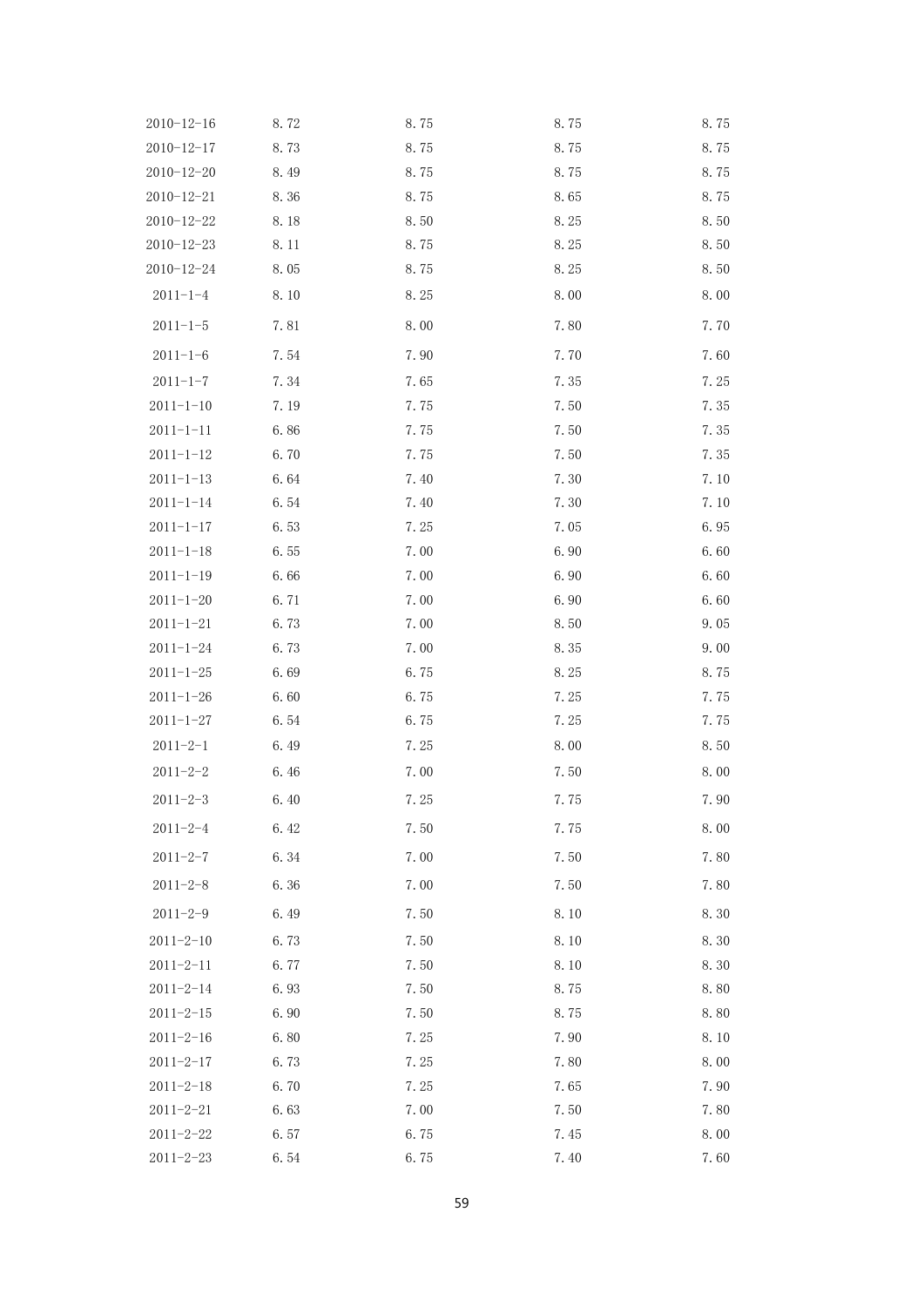| $2010 - 12 - 16$ | 8.72 | 8.75 | 8.75 | 8.75 |
|------------------|------|------|------|------|
| $2010 - 12 - 17$ | 8.73 | 8.75 | 8.75 | 8.75 |
| $2010 - 12 - 20$ | 8.49 | 8.75 | 8.75 | 8.75 |
| $2010 - 12 - 21$ | 8.36 | 8.75 | 8.65 | 8.75 |
| $2010 - 12 - 22$ | 8.18 | 8.50 | 8.25 | 8.50 |
| $2010 - 12 - 23$ | 8.11 | 8.75 | 8.25 | 8.50 |
| $2010 - 12 - 24$ | 8.05 | 8.75 | 8.25 | 8.50 |
| $2011 - 1 - 4$   | 8.10 | 8.25 | 8.00 | 8.00 |
| $2011 - 1 - 5$   | 7.81 | 8.00 | 7.80 | 7.70 |
| $2011 - 1 - 6$   | 7.54 | 7.90 | 7.70 | 7.60 |
| $2011 - 1 - 7$   | 7.34 | 7.65 | 7.35 | 7.25 |
| $2011 - 1 - 10$  | 7.19 | 7.75 | 7.50 | 7.35 |
| $2011 - 1 - 11$  | 6.86 | 7.75 | 7.50 | 7.35 |
| $2011 - 1 - 12$  | 6.70 | 7.75 | 7.50 | 7.35 |
| $2011 - 1 - 13$  | 6.64 | 7.40 | 7.30 | 7.10 |
| $2011 - 1 - 14$  | 6.54 | 7.40 | 7.30 | 7.10 |
| $2011 - 1 - 17$  | 6.53 | 7.25 | 7.05 | 6.95 |
| $2011 - 1 - 18$  | 6.55 | 7.00 | 6.90 | 6.60 |
| $2011 - 1 - 19$  | 6.66 | 7.00 | 6.90 | 6.60 |
| $2011 - 1 - 20$  | 6.71 | 7.00 | 6.90 | 6.60 |
| $2011 - 1 - 21$  | 6.73 | 7.00 | 8.50 | 9.05 |
| $2011 - 1 - 24$  | 6.73 | 7.00 | 8.35 | 9.00 |
| $2011 - 1 - 25$  | 6.69 | 6.75 | 8.25 | 8.75 |
| $2011 - 1 - 26$  | 6.60 | 6.75 | 7.25 | 7.75 |
| $2011 - 1 - 27$  | 6.54 | 6.75 | 7.25 | 7.75 |
| $2011 - 2 - 1$   | 6.49 | 7.25 | 8.00 | 8.50 |
| $2011 - 2 - 2$   | 6.46 | 7.00 | 7.50 | 8.00 |
| $2011 - 2 - 3$   | 6.40 | 7.25 | 7.75 | 7.90 |
| $2011 - 2 - 4$   | 6.42 | 7.50 | 7.75 | 8.00 |
| $2011 - 2 - 7$   | 6.34 | 7.00 | 7.50 | 7.80 |
| $2011 - 2 - 8$   | 6.36 | 7.00 | 7.50 | 7.80 |
| $2011 - 2 - 9$   | 6.49 | 7.50 | 8.10 | 8.30 |
| $2011 - 2 - 10$  | 6.73 | 7.50 | 8.10 | 8.30 |
| $2011 - 2 - 11$  | 6.77 | 7.50 | 8.10 | 8.30 |
| $2011 - 2 - 14$  | 6.93 | 7.50 | 8.75 | 8.80 |
| $2011 - 2 - 15$  | 6.90 | 7.50 | 8.75 | 8.80 |
| $2011 - 2 - 16$  | 6.80 | 7.25 | 7.90 | 8.10 |
| $2011 - 2 - 17$  | 6.73 | 7.25 | 7.80 | 8.00 |
| $2011 - 2 - 18$  | 6.70 | 7.25 | 7.65 | 7.90 |
| $2011 - 2 - 21$  | 6.63 | 7.00 | 7.50 | 7.80 |
| $2011 - 2 - 22$  | 6.57 | 6.75 | 7.45 | 8.00 |
| $2011 - 2 - 23$  | 6.54 | 6.75 | 7.40 | 7.60 |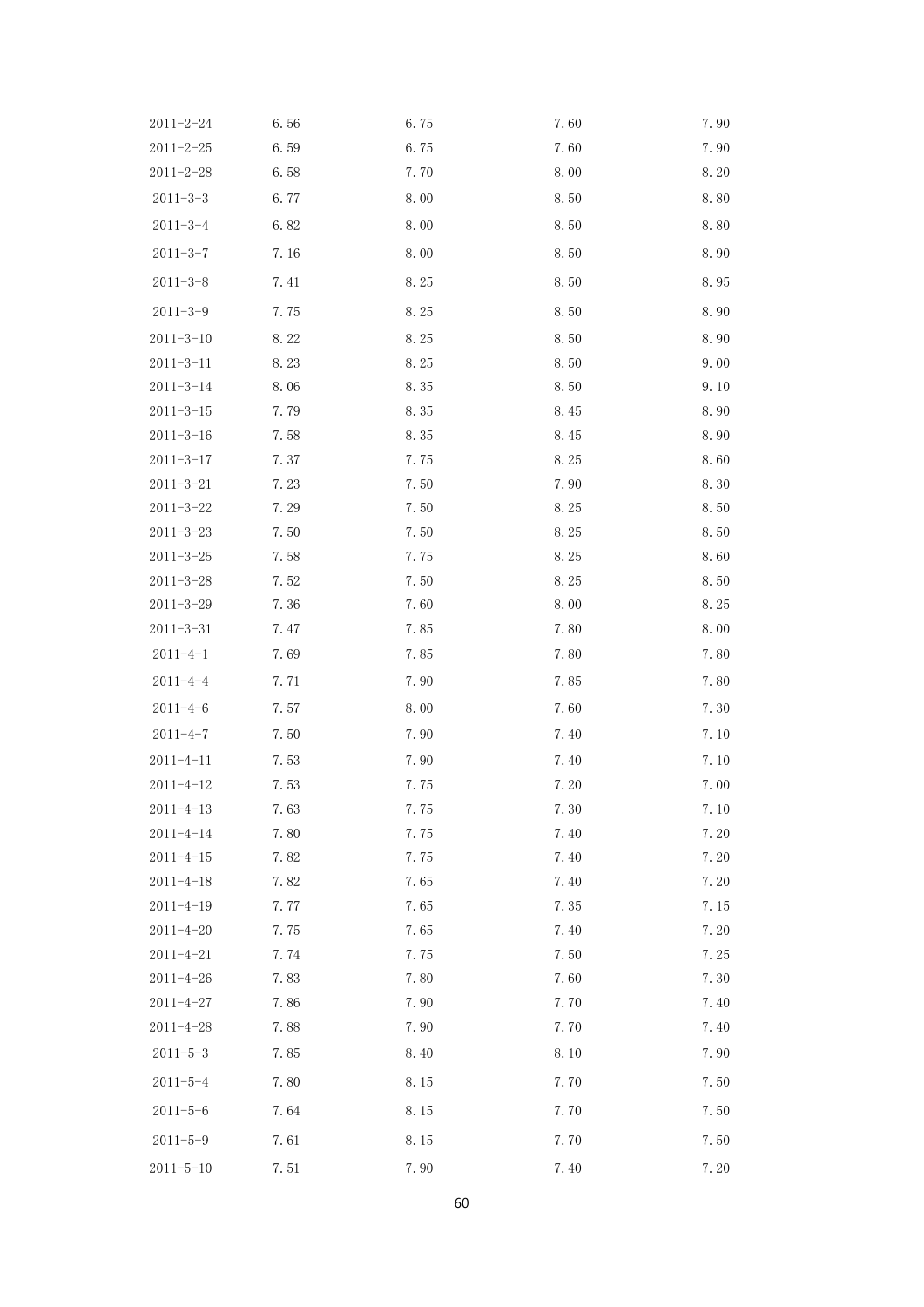| $2011 - 2 - 24$ | 6.56 | 6.75 | 7.60 | 7.90 |
|-----------------|------|------|------|------|
| $2011 - 2 - 25$ | 6.59 | 6.75 | 7.60 | 7.90 |
| $2011 - 2 - 28$ | 6.58 | 7.70 | 8.00 | 8.20 |
| $2011 - 3 - 3$  | 6.77 | 8.00 | 8.50 | 8.80 |
| $2011 - 3 - 4$  | 6.82 | 8.00 | 8.50 | 8.80 |
| $2011 - 3 - 7$  | 7.16 | 8.00 | 8.50 | 8.90 |
| $2011 - 3 - 8$  | 7.41 | 8.25 | 8.50 | 8.95 |
| $2011 - 3 - 9$  | 7.75 | 8.25 | 8.50 | 8.90 |
| $2011 - 3 - 10$ | 8.22 | 8.25 | 8.50 | 8.90 |
| $2011 - 3 - 11$ | 8.23 | 8.25 | 8.50 | 9.00 |
| $2011 - 3 - 14$ | 8.06 | 8.35 | 8.50 | 9.10 |
| $2011 - 3 - 15$ | 7.79 | 8.35 | 8.45 | 8.90 |
| $2011 - 3 - 16$ | 7.58 | 8.35 | 8.45 | 8.90 |
| $2011 - 3 - 17$ | 7.37 | 7.75 | 8.25 | 8.60 |
| $2011 - 3 - 21$ | 7.23 | 7.50 | 7.90 | 8.30 |
| $2011 - 3 - 22$ | 7.29 | 7.50 | 8.25 | 8.50 |
| $2011 - 3 - 23$ | 7.50 | 7.50 | 8.25 | 8.50 |
| $2011 - 3 - 25$ | 7.58 | 7.75 | 8.25 | 8.60 |
| $2011 - 3 - 28$ | 7.52 | 7.50 | 8.25 | 8.50 |
| $2011 - 3 - 29$ | 7.36 | 7.60 | 8.00 | 8.25 |
| $2011 - 3 - 31$ | 7.47 | 7.85 | 7.80 | 8.00 |
| $2011 - 4 - 1$  | 7.69 | 7.85 | 7.80 | 7.80 |
| $2011 - 4 - 4$  | 7.71 | 7.90 | 7.85 | 7.80 |
| $2011 - 4 - 6$  | 7.57 | 8.00 | 7.60 | 7.30 |
| $2011 - 4 - 7$  | 7.50 | 7.90 | 7.40 | 7.10 |
| $2011 - 4 - 11$ | 7.53 | 7.90 | 7.40 | 7.10 |
| $2011 - 4 - 12$ | 7.53 | 7.75 | 7.20 | 7.00 |
| $2011 - 4 - 13$ | 7.63 | 7.75 | 7.30 | 7.10 |
| $2011 - 4 - 14$ | 7.80 | 7.75 | 7.40 | 7.20 |
| $2011 - 4 - 15$ | 7.82 | 7.75 | 7.40 | 7.20 |
| $2011 - 4 - 18$ | 7.82 | 7.65 | 7.40 | 7.20 |
| $2011 - 4 - 19$ | 7.77 | 7.65 | 7.35 | 7.15 |
| $2011 - 4 - 20$ | 7.75 | 7.65 | 7.40 | 7.20 |
| $2011 - 4 - 21$ | 7.74 | 7.75 | 7.50 | 7.25 |
| $2011 - 4 - 26$ | 7.83 | 7.80 | 7.60 | 7.30 |
| $2011 - 4 - 27$ | 7.86 | 7.90 | 7.70 | 7.40 |
| $2011 - 4 - 28$ | 7.88 | 7.90 | 7.70 | 7.40 |
| $2011 - 5 - 3$  | 7.85 | 8.40 | 8.10 | 7.90 |
| $2011 - 5 - 4$  | 7.80 | 8.15 | 7.70 | 7.50 |
| $2011 - 5 - 6$  | 7.64 | 8.15 | 7.70 | 7.50 |
| $2011 - 5 - 9$  | 7.61 | 8.15 | 7.70 | 7.50 |
| $2011 - 5 - 10$ | 7.51 | 7.90 | 7.40 | 7.20 |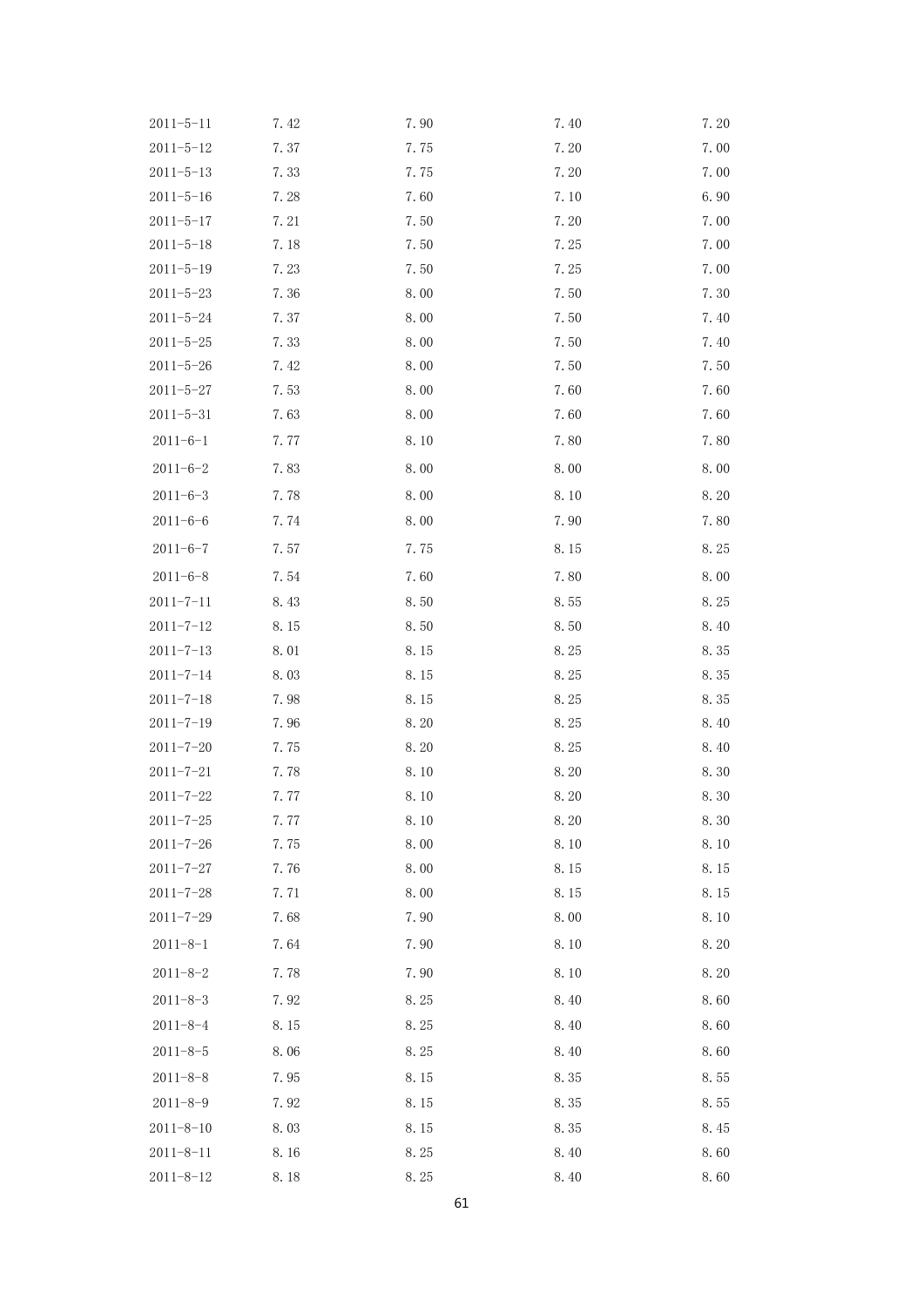| $2011 - 5 - 11$ | 7.42 | 7.90 | 7.40 | 7.20 |
|-----------------|------|------|------|------|
| $2011 - 5 - 12$ | 7.37 | 7.75 | 7.20 | 7.00 |
| $2011 - 5 - 13$ | 7.33 | 7.75 | 7.20 | 7.00 |
| $2011 - 5 - 16$ | 7.28 | 7.60 | 7.10 | 6.90 |
| $2011 - 5 - 17$ | 7.21 | 7.50 | 7.20 | 7.00 |
| $2011 - 5 - 18$ | 7.18 | 7.50 | 7.25 | 7.00 |
| $2011 - 5 - 19$ | 7.23 | 7.50 | 7.25 | 7.00 |
| $2011 - 5 - 23$ | 7.36 | 8.00 | 7.50 | 7.30 |
| $2011 - 5 - 24$ | 7.37 | 8.00 | 7.50 | 7.40 |
| $2011 - 5 - 25$ | 7.33 | 8.00 | 7.50 | 7.40 |
| $2011 - 5 - 26$ | 7.42 | 8.00 | 7.50 | 7.50 |
| $2011 - 5 - 27$ | 7.53 | 8.00 | 7.60 | 7.60 |
| $2011 - 5 - 31$ | 7.63 | 8.00 | 7.60 | 7.60 |
| $2011 - 6 - 1$  | 7.77 | 8.10 | 7.80 | 7.80 |
| $2011 - 6 - 2$  | 7.83 | 8.00 | 8.00 | 8.00 |
| $2011 - 6 - 3$  | 7.78 | 8.00 | 8.10 | 8.20 |
| $2011 - 6 - 6$  | 7.74 | 8.00 | 7.90 | 7.80 |
| $2011 - 6 - 7$  | 7.57 | 7.75 | 8.15 | 8.25 |
| $2011 - 6 - 8$  | 7.54 | 7.60 | 7.80 | 8.00 |
| $2011 - 7 - 11$ | 8.43 | 8.50 | 8.55 | 8.25 |
| $2011 - 7 - 12$ | 8.15 | 8.50 | 8.50 | 8.40 |
| $2011 - 7 - 13$ | 8.01 | 8.15 | 8.25 | 8.35 |
| $2011 - 7 - 14$ | 8.03 | 8.15 | 8.25 | 8.35 |
| $2011 - 7 - 18$ | 7.98 | 8.15 | 8.25 | 8.35 |
| $2011 - 7 - 19$ | 7.96 | 8.20 | 8.25 | 8.40 |
| $2011 - 7 - 20$ | 7.75 | 8.20 | 8.25 | 8.40 |
| $2011 - 7 - 21$ | 7.78 | 8.10 | 8.20 | 8.30 |
| $2011 - 7 - 22$ | 7.77 | 8.10 | 8.20 | 8.30 |
| $2011 - 7 - 25$ | 7.77 | 8.10 | 8.20 | 8.30 |
| $2011 - 7 - 26$ | 7.75 | 8.00 | 8.10 | 8.10 |
| $2011 - 7 - 27$ | 7.76 | 8.00 | 8.15 | 8.15 |
| $2011 - 7 - 28$ | 7.71 | 8.00 | 8.15 | 8.15 |
| $2011 - 7 - 29$ | 7.68 | 7.90 | 8.00 | 8.10 |
| $2011 - 8 - 1$  | 7.64 | 7.90 | 8.10 | 8.20 |
| $2011 - 8 - 2$  | 7.78 | 7.90 | 8.10 | 8.20 |
| $2011 - 8 - 3$  | 7.92 | 8.25 | 8.40 | 8.60 |
| $2011 - 8 - 4$  | 8.15 | 8.25 | 8.40 | 8.60 |
| $2011 - 8 - 5$  | 8.06 | 8.25 | 8.40 | 8.60 |
| $2011 - 8 - 8$  | 7.95 | 8.15 | 8.35 | 8.55 |
| $2011 - 8 - 9$  | 7.92 | 8.15 | 8.35 | 8.55 |
| $2011 - 8 - 10$ | 8.03 | 8.15 | 8.35 | 8.45 |
| $2011 - 8 - 11$ | 8.16 | 8.25 | 8.40 | 8.60 |
| $2011 - 8 - 12$ | 8.18 | 8.25 | 8.40 | 8.60 |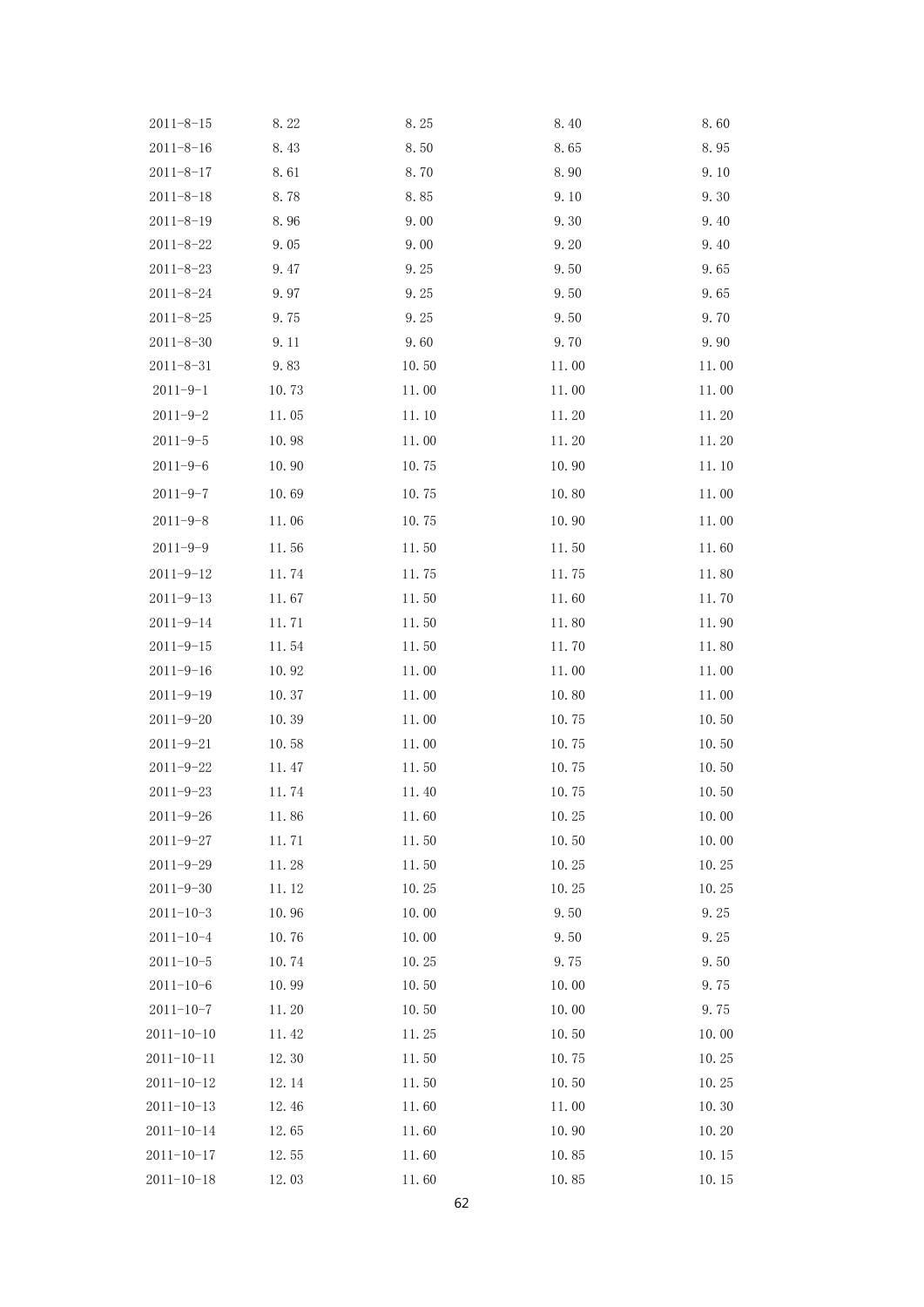| $2011 - 8 - 15$  | 8.22  | 8.25  | 8.40  | 8.60  |
|------------------|-------|-------|-------|-------|
| $2011 - 8 - 16$  | 8.43  | 8.50  | 8.65  | 8.95  |
| $2011 - 8 - 17$  | 8.61  | 8.70  | 8.90  | 9.10  |
| $2011 - 8 - 18$  | 8.78  | 8.85  | 9.10  | 9.30  |
| $2011 - 8 - 19$  | 8.96  | 9.00  | 9.30  | 9.40  |
| $2011 - 8 - 22$  | 9.05  | 9.00  | 9.20  | 9.40  |
| $2011 - 8 - 23$  | 9.47  | 9.25  | 9.50  | 9.65  |
| $2011 - 8 - 24$  | 9.97  | 9.25  | 9.50  | 9.65  |
| $2011 - 8 - 25$  | 9.75  | 9.25  | 9.50  | 9.70  |
| $2011 - 8 - 30$  | 9.11  | 9.60  | 9.70  | 9.90  |
| $2011 - 8 - 31$  | 9.83  | 10.50 | 11.00 | 11.00 |
| $2011 - 9 - 1$   | 10.73 | 11.00 | 11.00 | 11.00 |
| $2011 - 9 - 2$   | 11.05 | 11.10 | 11.20 | 11.20 |
| $2011 - 9 - 5$   | 10.98 | 11.00 | 11.20 | 11.20 |
| $2011 - 9 - 6$   | 10.90 | 10.75 | 10.90 | 11.10 |
| $2011 - 9 - 7$   | 10.69 | 10.75 | 10.80 | 11.00 |
| $2011 - 9 - 8$   | 11.06 | 10.75 | 10.90 | 11.00 |
| $2011 - 9 - 9$   | 11.56 | 11.50 | 11.50 | 11.60 |
| $2011 - 9 - 12$  | 11.74 | 11.75 | 11.75 | 11.80 |
| $2011 - 9 - 13$  | 11.67 | 11.50 | 11.60 | 11.70 |
| $2011 - 9 - 14$  | 11.71 | 11.50 | 11.80 | 11.90 |
| $2011 - 9 - 15$  | 11.54 | 11.50 | 11.70 | 11.80 |
| $2011 - 9 - 16$  | 10.92 | 11.00 | 11.00 | 11.00 |
| $2011 - 9 - 19$  | 10.37 | 11.00 | 10.80 | 11.00 |
| $2011 - 9 - 20$  | 10.39 | 11.00 | 10.75 | 10.50 |
| $2011 - 9 - 21$  | 10.58 | 11.00 | 10.75 | 10.50 |
| $2011 - 9 - 22$  | 11.47 | 11.50 | 10.75 | 10.50 |
| $2011 - 9 - 23$  | 11.74 | 11.40 | 10.75 | 10.50 |
| $2011 - 9 - 26$  | 11.86 | 11.60 | 10.25 | 10.00 |
| $2011 - 9 - 27$  | 11.71 | 11.50 | 10.50 | 10.00 |
| $2011 - 9 - 29$  | 11.28 | 11.50 | 10.25 | 10.25 |
| $2011 - 9 - 30$  | 11.12 | 10.25 | 10.25 | 10.25 |
| $2011 - 10 - 3$  | 10.96 | 10.00 | 9.50  | 9.25  |
| $2011 - 10 - 4$  | 10.76 | 10.00 | 9.50  | 9.25  |
| $2011 - 10 - 5$  | 10.74 | 10.25 | 9.75  | 9.50  |
| $2011 - 10 - 6$  | 10.99 | 10.50 | 10.00 | 9.75  |
| $2011 - 10 - 7$  | 11.20 | 10.50 | 10.00 | 9.75  |
| $2011 - 10 - 10$ | 11.42 | 11.25 | 10.50 | 10.00 |
| $2011 - 10 - 11$ | 12.30 | 11.50 | 10.75 | 10.25 |
| $2011 - 10 - 12$ | 12.14 | 11.50 | 10.50 | 10.25 |
| $2011 - 10 - 13$ | 12.46 | 11.60 | 11.00 | 10.30 |
| $2011 - 10 - 14$ | 12.65 | 11.60 | 10.90 | 10.20 |
| $2011 - 10 - 17$ | 12.55 | 11.60 | 10.85 | 10.15 |
| $2011 - 10 - 18$ | 12.03 | 11.60 | 10.85 | 10.15 |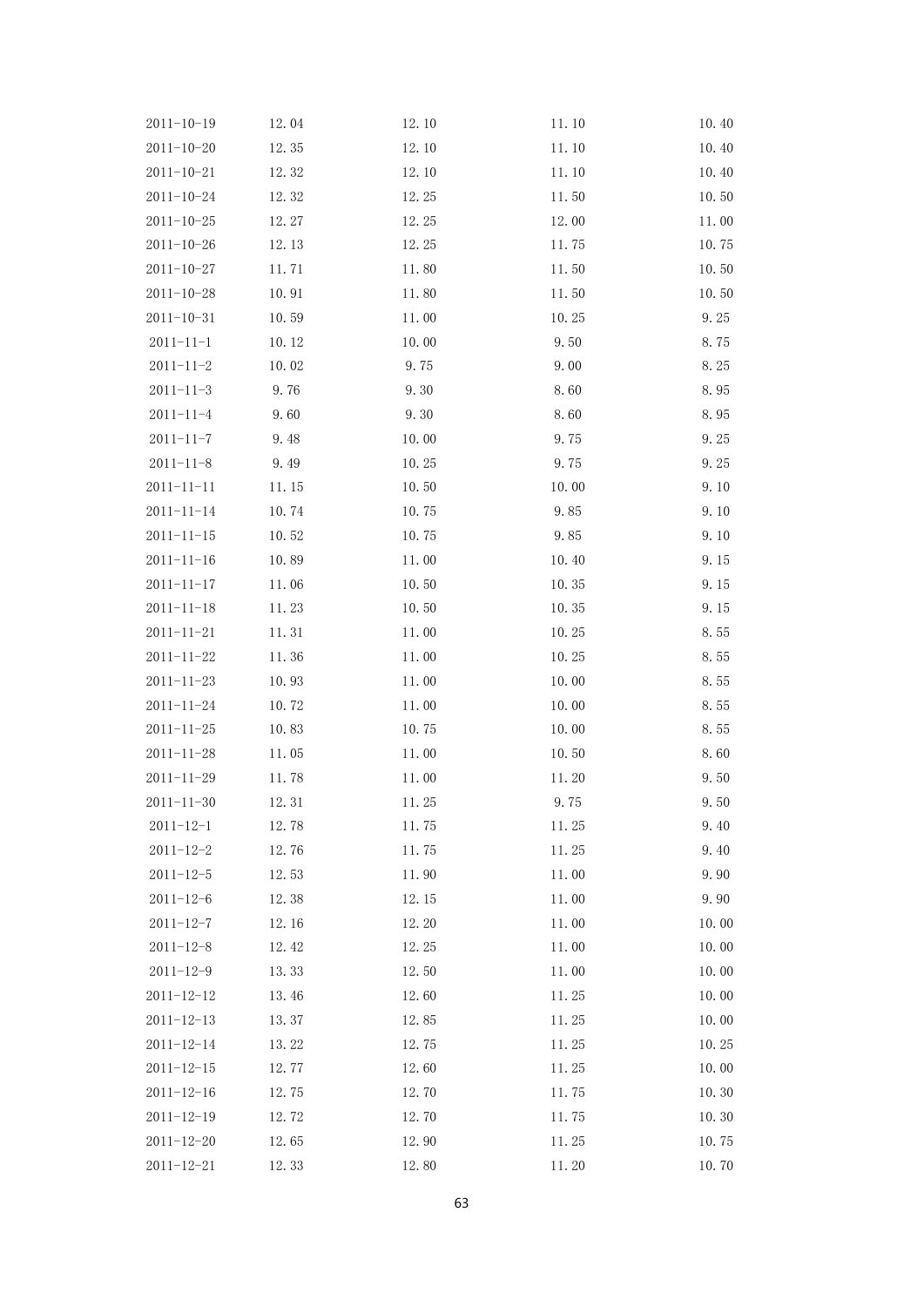| $2011 - 10 - 19$ | 12.04 | 12.10 | 11.10 | 10.40 |
|------------------|-------|-------|-------|-------|
| $2011 - 10 - 20$ | 12.35 | 12.10 | 11.10 | 10.40 |
| $2011 - 10 - 21$ | 12.32 | 12.10 | 11.10 | 10.40 |
| $2011 - 10 - 24$ | 12.32 | 12.25 | 11.50 | 10.50 |
| $2011 - 10 - 25$ | 12.27 | 12.25 | 12.00 | 11.00 |
| $2011 - 10 - 26$ | 12.13 | 12.25 | 11.75 | 10.75 |
| $2011 - 10 - 27$ | 11.71 | 11.80 | 11.50 | 10.50 |
| $2011 - 10 - 28$ | 10.91 | 11.80 | 11.50 | 10.50 |
| $2011 - 10 - 31$ | 10.59 | 11.00 | 10.25 | 9.25  |
| $2011 - 11 - 1$  | 10.12 | 10.00 | 9.50  | 8.75  |
| $2011 - 11 - 2$  | 10.02 | 9.75  | 9.00  | 8.25  |
| $2011 - 11 - 3$  | 9.76  | 9.30  | 8.60  | 8.95  |
| $2011 - 11 - 4$  | 9.60  | 9.30  | 8.60  | 8.95  |
| $2011 - 11 - 7$  | 9.48  | 10.00 | 9.75  | 9.25  |
| $2011 - 11 - 8$  | 9.49  | 10.25 | 9.75  | 9.25  |
| $2011 - 11 - 11$ | 11.15 | 10.50 | 10.00 | 9.10  |
| $2011 - 11 - 14$ | 10.74 | 10.75 | 9.85  | 9.10  |
| $2011 - 11 - 15$ | 10.52 | 10.75 | 9.85  | 9.10  |
| $2011 - 11 - 16$ | 10.89 | 11.00 | 10.40 | 9.15  |
| $2011 - 11 - 17$ | 11.06 | 10.50 | 10.35 | 9.15  |
| $2011 - 11 - 18$ | 11.23 | 10.50 | 10.35 | 9.15  |
| $2011 - 11 - 21$ | 11.31 | 11.00 | 10.25 | 8.55  |
| $2011 - 11 - 22$ | 11.36 | 11.00 | 10.25 | 8.55  |
| $2011 - 11 - 23$ | 10.93 | 11.00 | 10.00 | 8.55  |
| $2011 - 11 - 24$ | 10.72 | 11.00 | 10.00 | 8.55  |
| $2011 - 11 - 25$ | 10.83 | 10.75 | 10.00 | 8.55  |
| $2011 - 11 - 28$ | 11.05 | 11.00 | 10.50 | 8.60  |
| $2011 - 11 - 29$ | 11.78 | 11.00 | 11.20 | 9.50  |
| $2011 - 11 - 30$ | 12.31 | 11.25 | 9.75  | 9.50  |
| 2011-12-1        | 12.78 | 11.75 | 11.25 | 9.40  |
| $2011 - 12 - 2$  | 12.76 | 11.75 | 11.25 | 9.40  |
| $2011 - 12 - 5$  | 12.53 | 11.90 | 11.00 | 9.90  |
| $2011 - 12 - 6$  | 12.38 | 12.15 | 11.00 | 9.90  |
| $2011 - 12 - 7$  | 12.16 | 12.20 | 11.00 | 10.00 |
| $2011 - 12 - 8$  | 12.42 | 12.25 | 11.00 | 10.00 |
| $2011 - 12 - 9$  | 13.33 | 12.50 | 11.00 | 10.00 |
| $2011 - 12 - 12$ | 13.46 | 12.60 | 11.25 | 10.00 |
| $2011 - 12 - 13$ | 13.37 | 12.85 | 11.25 | 10.00 |
| $2011 - 12 - 14$ | 13.22 | 12.75 | 11.25 | 10.25 |
| $2011 - 12 - 15$ | 12.77 | 12.60 | 11.25 | 10.00 |
| $2011 - 12 - 16$ | 12.75 | 12.70 | 11.75 | 10.30 |
| $2011 - 12 - 19$ | 12.72 | 12.70 | 11.75 | 10.30 |
| 2011-12-20       | 12.65 | 12.90 | 11.25 | 10.75 |
| $2011 - 12 - 21$ | 12.33 | 12.80 | 11.20 | 10.70 |
|                  |       |       |       |       |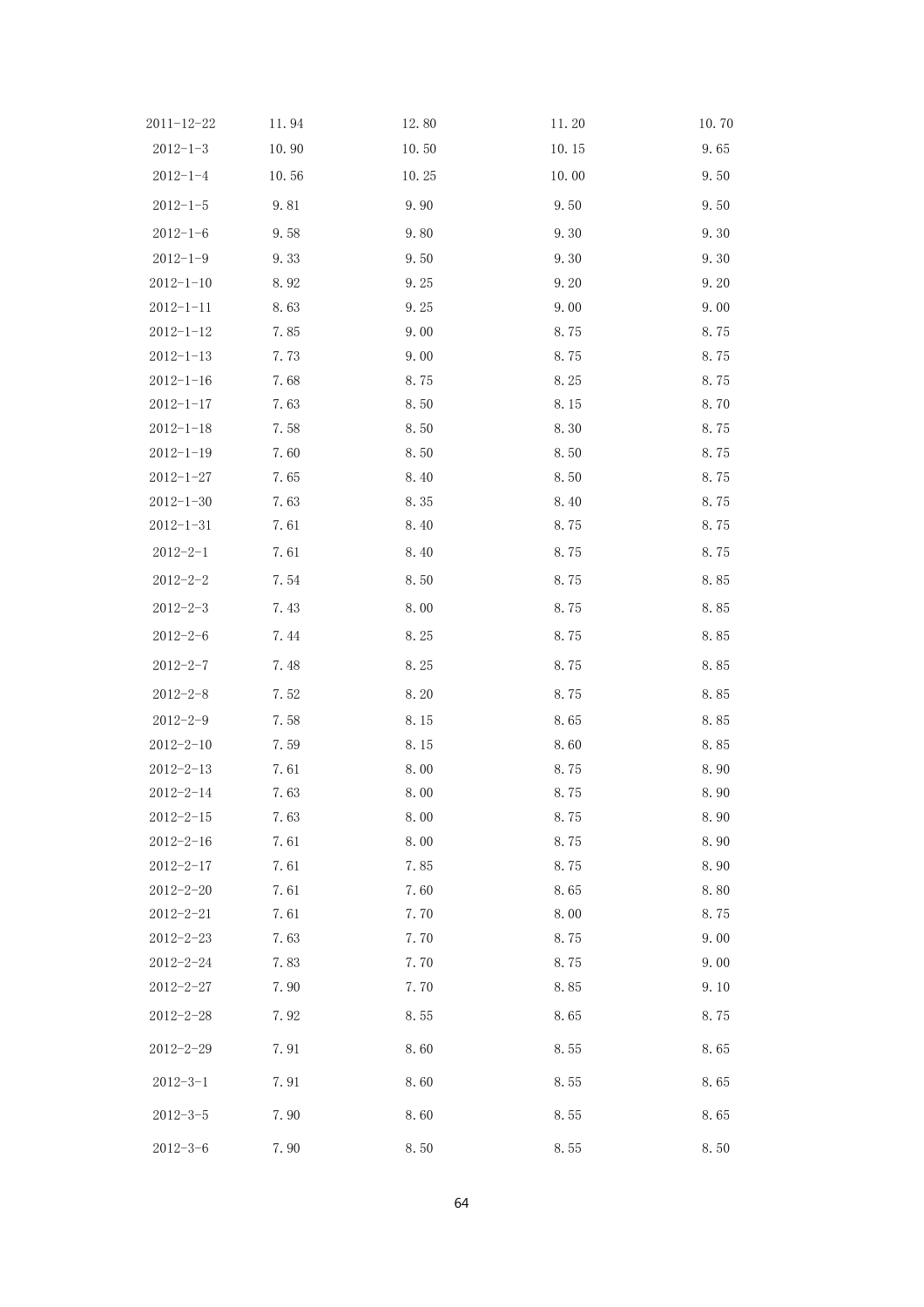| 11.94 | 12.80        | 11.20        | 10.70        |
|-------|--------------|--------------|--------------|
| 10.90 | 10.50        | 10.15        | 9.65         |
| 10.56 | 10.25        | 10.00        | 9.50         |
| 9.81  | 9.90         | 9.50         | 9.50         |
| 9.58  | 9.80         | 9.30         | 9.30         |
| 9.33  | 9.50         | 9.30         | 9.30         |
| 8.92  | 9.25         | 9.20         | 9.20         |
| 8.63  | 9.25         | 9.00         | 9.00         |
| 7.85  | 9.00         | 8.75         | 8.75         |
| 7.73  | 9.00         | 8.75         | 8.75         |
| 7.68  | 8.75         | 8.25         | 8.75         |
| 7.63  | 8.50         | 8.15         | 8.70         |
| 7.58  | 8.50         | 8.30         | 8.75         |
| 7.60  | 8.50         | 8.50         | 8.75         |
| 7.65  | 8.40         | 8.50         | 8.75         |
| 7.63  | 8.35         | 8.40         | 8.75         |
| 7.61  | 8.40         | 8.75         | 8.75         |
| 7.61  | 8.40         | 8.75         | 8.75         |
| 7.54  | 8.50         | 8.75         | 8.85         |
| 7.43  | 8.00         | 8.75         | 8.85         |
| 7.44  | 8.25         | 8.75         | 8.85         |
| 7.48  | 8.25         | 8.75         | 8.85         |
| 7.52  | 8.20         | 8.75         | 8.85         |
| 7.58  | 8.15         | 8.65         | 8.85         |
| 7.59  | 8.15         | 8.60         | 8.85         |
| 7.61  | 8.00         | 8.75         | 8.90         |
| 7.63  | 8.00         | 8.75         | 8.90         |
| 7.63  | 8.00         | 8.75         | 8.90         |
| 7.61  | 8.00         | 8.75         | 8.90         |
| 7.61  | 7.85         | 8.75         | 8.90         |
| 7.61  | 7.60         | 8.65         | 8.80         |
| 7.61  | 7.70         | 8.00         | 8.75         |
| 7.63  | 7.70         | 8.75         | 9.00         |
|       |              |              | 9.00         |
|       |              |              | 9.10         |
| 7.92  | 8.55         | 8.65         | 8.75         |
| 7.91  | 8.60         | 8.55         | 8.65         |
| 7.91  | 8.60         | 8.55         | 8.65         |
| 7.90  | 8.60         | 8.55         | 8.65         |
| 7.90  | 8.50         | 8.55         | 8.50         |
|       | 7.83<br>7.90 | 7.70<br>7.70 | 8.75<br>8.85 |